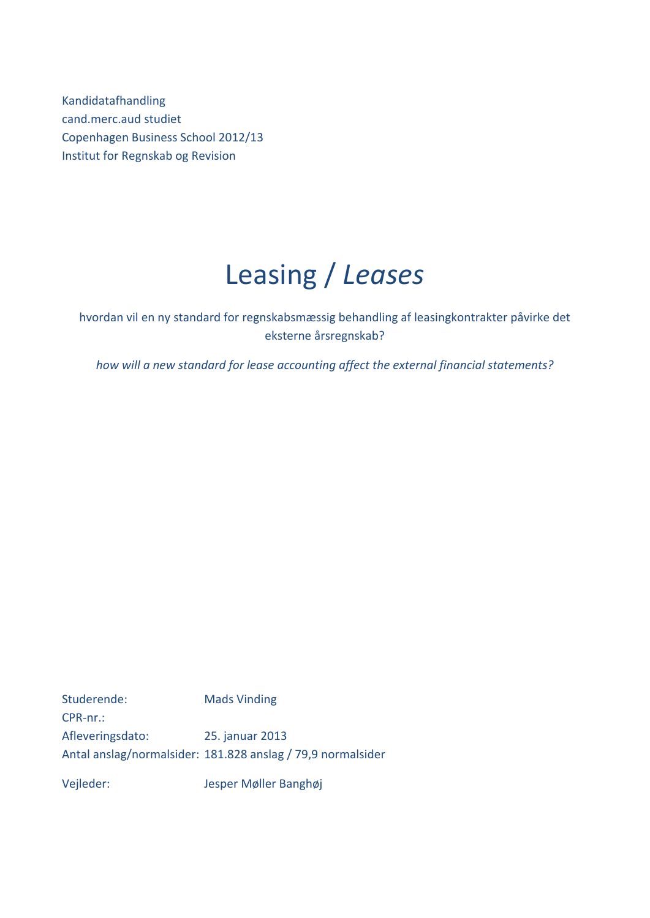Kandidatafhandling cand.merc.aud studiet Copenhagen Business School 2012/13 Institut for Regnskab og Revision

# Leasing / *Leases*

hvordan vil en ny standard for regnskabsmæssig behandling af leasingkontrakter påvirke det eksterne årsregnskab?

*how will a new standard for lease accounting affect the external financial statements?*

Studerende: Mads Vinding CPR‐nr.: Afleveringsdato: 25. januar 2013 Antal anslag/normalsider: 181.828 anslag / 79,9 normalsider

Vejleder: Jesper Møller Banghøj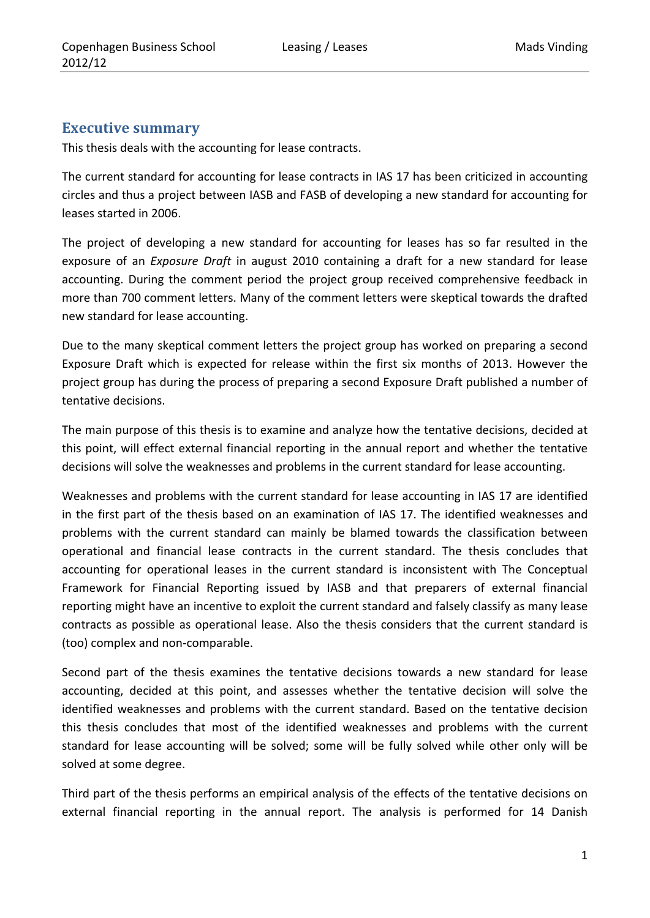## **Executive summary**

This thesis deals with the accounting for lease contracts.

The current standard for accounting for lease contracts in IAS 17 has been criticized in accounting circles and thus a project between IASB and FASB of developing a new standard for accounting for leases started in 2006.

The project of developing a new standard for accounting for leases has so far resulted in the exposure of an *Exposure Draft* in august 2010 containing a draft for a new standard for lease accounting. During the comment period the project group received comprehensive feedback in more than 700 comment letters. Many of the comment letters were skeptical towards the drafted new standard for lease accounting.

Due to the many skeptical comment letters the project group has worked on preparing a second Exposure Draft which is expected for release within the first six months of 2013. However the project group has during the process of preparing a second Exposure Draft published a number of tentative decisions.

The main purpose of this thesis is to examine and analyze how the tentative decisions, decided at this point, will effect external financial reporting in the annual report and whether the tentative decisions will solve the weaknesses and problems in the current standard for lease accounting.

Weaknesses and problems with the current standard for lease accounting in IAS 17 are identified in the first part of the thesis based on an examination of IAS 17. The identified weaknesses and problems with the current standard can mainly be blamed towards the classification between operational and financial lease contracts in the current standard. The thesis concludes that accounting for operational leases in the current standard is inconsistent with The Conceptual Framework for Financial Reporting issued by IASB and that preparers of external financial reporting might have an incentive to exploit the current standard and falsely classify as many lease contracts as possible as operational lease. Also the thesis considers that the current standard is (too) complex and non‐comparable.

Second part of the thesis examines the tentative decisions towards a new standard for lease accounting, decided at this point, and assesses whether the tentative decision will solve the identified weaknesses and problems with the current standard. Based on the tentative decision this thesis concludes that most of the identified weaknesses and problems with the current standard for lease accounting will be solved; some will be fully solved while other only will be solved at some degree.

Third part of the thesis performs an empirical analysis of the effects of the tentative decisions on external financial reporting in the annual report. The analysis is performed for 14 Danish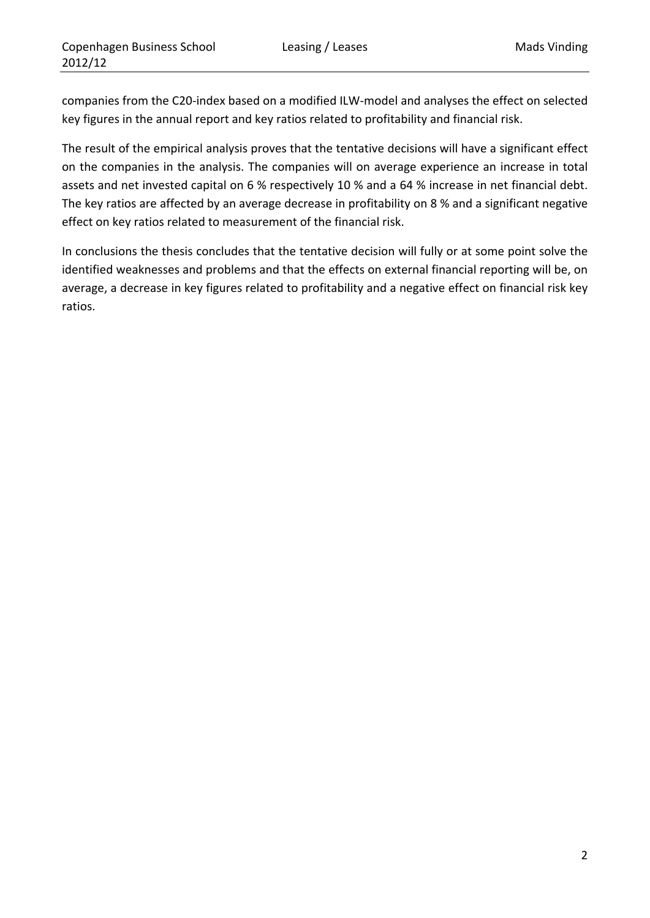companies from the C20‐index based on a modified ILW‐model and analyses the effect on selected key figures in the annual report and key ratios related to profitability and financial risk.

The result of the empirical analysis proves that the tentative decisions will have a significant effect on the companies in the analysis. The companies will on average experience an increase in total assets and net invested capital on 6 % respectively 10 % and a 64 % increase in net financial debt. The key ratios are affected by an average decrease in profitability on 8 % and a significant negative effect on key ratios related to measurement of the financial risk.

In conclusions the thesis concludes that the tentative decision will fully or at some point solve the identified weaknesses and problems and that the effects on external financial reporting will be, on average, a decrease in key figures related to profitability and a negative effect on financial risk key ratios.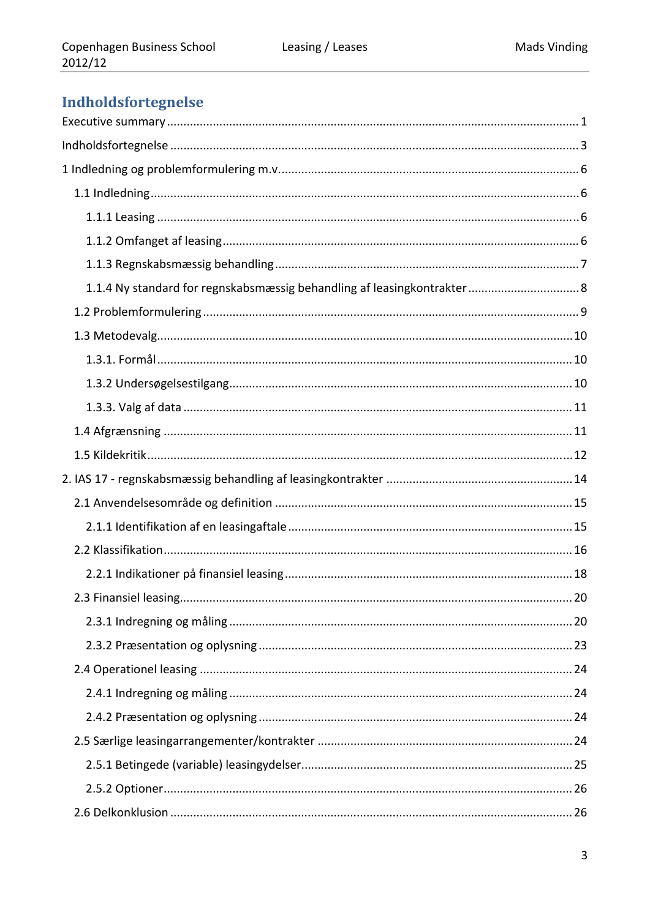# Indholdsfortegnelse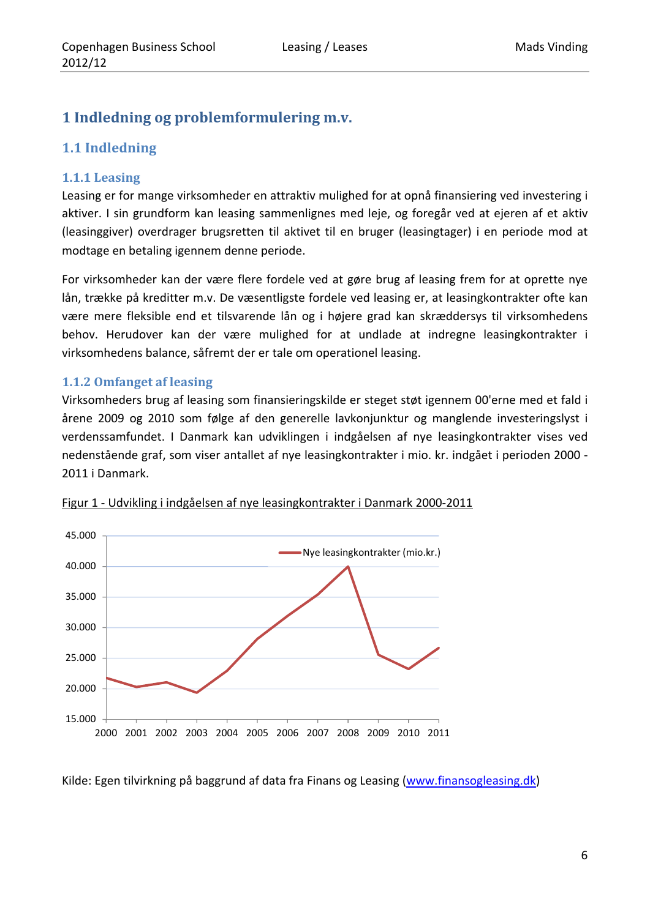## **1 Indledning og problemformulering m.v.**

## **1.1 Indledning**

## **1.1.1 Leasing**

Leasing er for mange virksomheder en attraktiv mulighed for at opnå finansiering ved investering i aktiver. I sin grundform kan leasing sammenlignes med leje, og foregår ved at ejeren af et aktiv (leasinggiver) overdrager brugsretten til aktivet til en bruger (leasingtager) i en periode mod at modtage en betaling igennem denne periode.

For virksomheder kan der være flere fordele ved at gøre brug af leasing frem for at oprette nye lån, trække på kreditter m.v. De væsentligste fordele ved leasing er, at leasingkontrakter ofte kan være mere fleksible end et tilsvarende lån og i højere grad kan skræddersys til virksomhedens behov. Herudover kan der være mulighed for at undlade at indregne leasingkontrakter i virksomhedens balance, såfremt der er tale om operationel leasing.

## **1.1.2 Omfanget af leasing**

Virksomheders brug af leasing som finansieringskilde er steget støt igennem 00'erne med et fald i årene 2009 og 2010 som følge af den generelle lavkonjunktur og manglende investeringslyst i verdenssamfundet. I Danmark kan udviklingen i indgåelsen af nye leasingkontrakter vises ved nedenstående graf, som viser antallet af nye leasingkontrakter i mio. kr. indgået i perioden 2000 ‐ 2011 i Danmark.



Figur 1 ‐ Udvikling i indgåelsen af nye leasingkontrakter i Danmark 2000‐2011

Kilde: Egen tilvirkning på baggrund af data fra Finans og Leasing (www.finansogleasing.dk)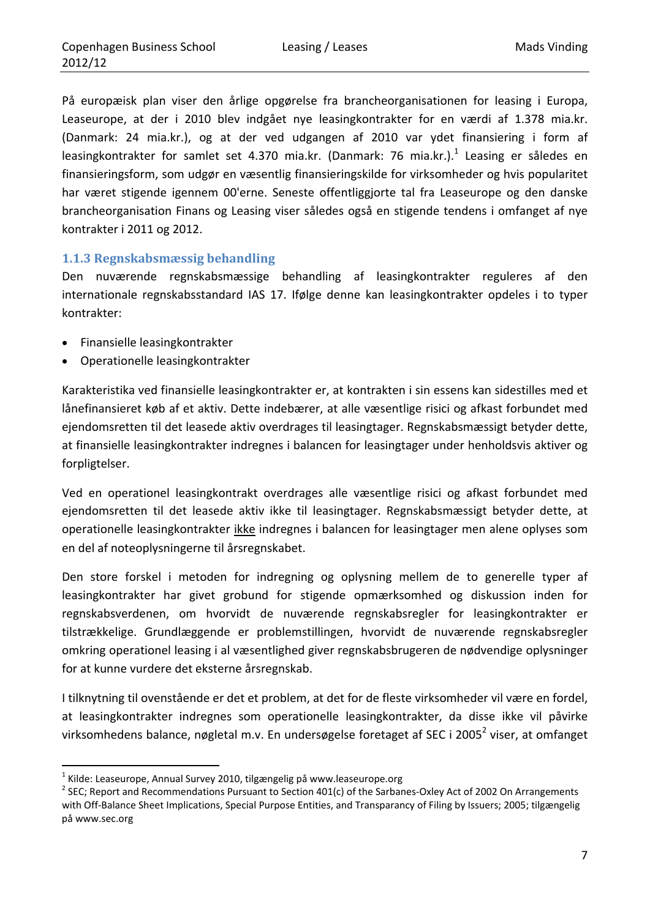På europæisk plan viser den årlige opgørelse fra brancheorganisationen for leasing i Europa, Leaseurope, at der i 2010 blev indgået nye leasingkontrakter for en værdi af 1.378 mia.kr. (Danmark: 24 mia.kr.), og at der ved udgangen af 2010 var ydet finansiering i form af leasingkontrakter for samlet set 4.370 mia.kr. (Danmark: 76 mia.kr.).<sup>1</sup> Leasing er således en finansieringsform, som udgør en væsentlig finansieringskilde for virksomheder og hvis popularitet har været stigende igennem 00'erne. Seneste offentliggjorte tal fra Leaseurope og den danske brancheorganisation Finans og Leasing viser således også en stigende tendens i omfanget af nye kontrakter i 2011 og 2012.

## **1.1.3 Regnskabsmæssig behandling**

Den nuværende regnskabsmæssige behandling af leasingkontrakter reguleres af den internationale regnskabsstandard IAS 17. Ifølge denne kan leasingkontrakter opdeles i to typer kontrakter:

Finansielle leasingkontrakter

<u> 1989 - Johann Barn, mars eta inperiodo</u>

Operationelle leasingkontrakter

Karakteristika ved finansielle leasingkontrakter er, at kontrakten i sin essens kan sidestilles med et lånefinansieret køb af et aktiv. Dette indebærer, at alle væsentlige risici og afkast forbundet med ejendomsretten til det leasede aktiv overdrages til leasingtager. Regnskabsmæssigt betyder dette, at finansielle leasingkontrakter indregnes i balancen for leasingtager under henholdsvis aktiver og forpligtelser.

Ved en operationel leasingkontrakt overdrages alle væsentlige risici og afkast forbundet med ejendomsretten til det leasede aktiv ikke til leasingtager. Regnskabsmæssigt betyder dette, at operationelle leasingkontrakter ikke indregnes i balancen for leasingtager men alene oplyses som en del af noteoplysningerne til årsregnskabet.

Den store forskel i metoden for indregning og oplysning mellem de to generelle typer af leasingkontrakter har givet grobund for stigende opmærksomhed og diskussion inden for regnskabsverdenen, om hvorvidt de nuværende regnskabsregler for leasingkontrakter er tilstrækkelige. Grundlæggende er problemstillingen, hvorvidt de nuværende regnskabsregler omkring operationel leasing i al væsentlighed giver regnskabsbrugeren de nødvendige oplysninger for at kunne vurdere det eksterne årsregnskab.

I tilknytning til ovenstående er det et problem, at det for de fleste virksomheder vil være en fordel, at leasingkontrakter indregnes som operationelle leasingkontrakter, da disse ikke vil påvirke virksomhedens balance, nøgletal m.v. En undersøgelse foretaget af SEC i 2005<sup>2</sup> viser, at omfanget

<sup>&</sup>lt;sup>1</sup> Kilde: Leaseurope, Annual Survey 2010, tilgængelig på www.leaseurope.org<br><sup>2</sup> SEC; Report and Recommendations Pursuant to Section 401(c) of the Sarbanes-Oxley Act of 2002 On Arrangements with Off-Balance Sheet Implications, Special Purpose Entities, and Transparancy of Filing by Issuers; 2005; tilgængelig på www.sec.org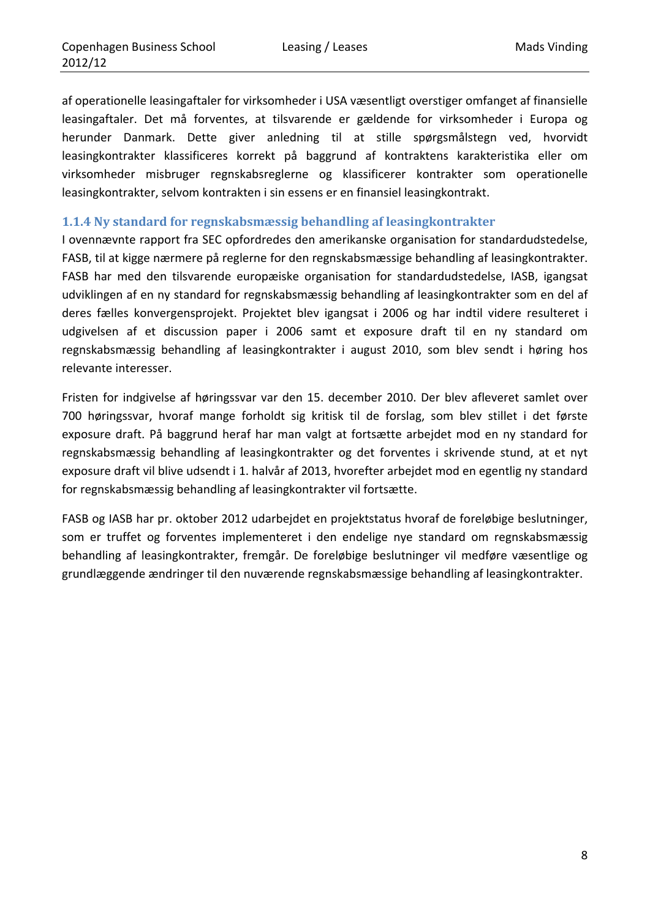af operationelle leasingaftaler for virksomheder i USA væsentligt overstiger omfanget af finansielle leasingaftaler. Det må forventes, at tilsvarende er gældende for virksomheder i Europa og herunder Danmark. Dette giver anledning til at stille spørgsmålstegn ved, hvorvidt leasingkontrakter klassificeres korrekt på baggrund af kontraktens karakteristika eller om virksomheder misbruger regnskabsreglerne og klassificerer kontrakter som operationelle leasingkontrakter, selvom kontrakten i sin essens er en finansiel leasingkontrakt.

#### **1.1.4 Ny standard for regnskabsmæssig behandling af leasingkontrakter**

I ovennævnte rapport fra SEC opfordredes den amerikanske organisation for standardudstedelse, FASB, til at kigge nærmere på reglerne for den regnskabsmæssige behandling af leasingkontrakter. FASB har med den tilsvarende europæiske organisation for standardudstedelse, IASB, igangsat udviklingen af en ny standard for regnskabsmæssig behandling af leasingkontrakter som en del af deres fælles konvergensprojekt. Projektet blev igangsat i 2006 og har indtil videre resulteret i udgivelsen af et discussion paper i 2006 samt et exposure draft til en ny standard om regnskabsmæssig behandling af leasingkontrakter i august 2010, som blev sendt i høring hos relevante interesser.

Fristen for indgivelse af høringssvar var den 15. december 2010. Der blev afleveret samlet over 700 høringssvar, hvoraf mange forholdt sig kritisk til de forslag, som blev stillet i det første exposure draft. På baggrund heraf har man valgt at fortsætte arbejdet mod en ny standard for regnskabsmæssig behandling af leasingkontrakter og det forventes i skrivende stund, at et nyt exposure draft vil blive udsendt i 1. halvår af 2013, hvorefter arbejdet mod en egentlig ny standard for regnskabsmæssig behandling af leasingkontrakter vil fortsætte.

FASB og IASB har pr. oktober 2012 udarbejdet en projektstatus hvoraf de foreløbige beslutninger, som er truffet og forventes implementeret i den endelige nye standard om regnskabsmæssig behandling af leasingkontrakter, fremgår. De foreløbige beslutninger vil medføre væsentlige og grundlæggende ændringer til den nuværende regnskabsmæssige behandling af leasingkontrakter.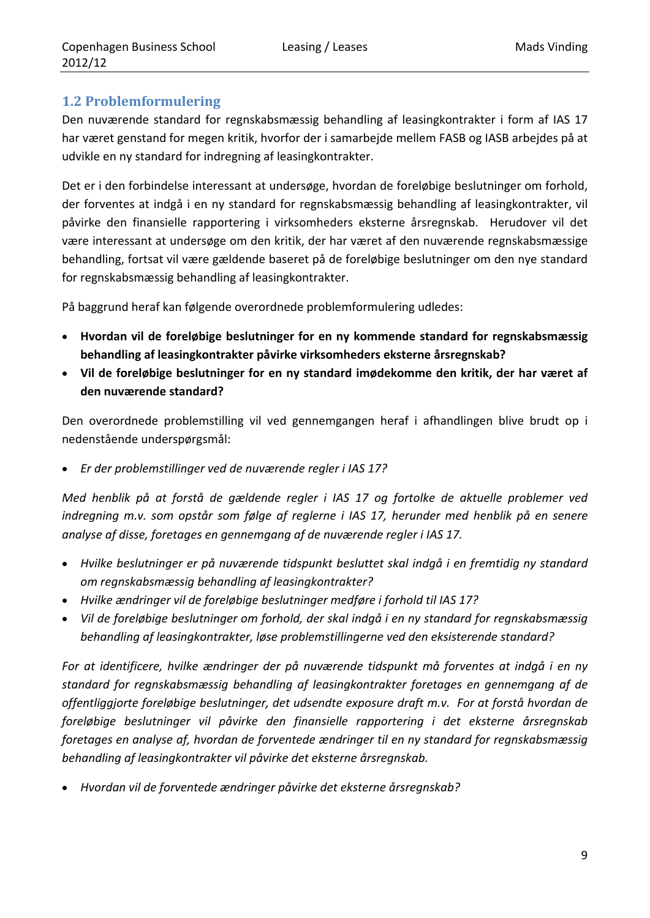## **1.2 Problemformulering**

Den nuværende standard for regnskabsmæssig behandling af leasingkontrakter i form af IAS 17 har været genstand for megen kritik, hvorfor der i samarbejde mellem FASB og IASB arbejdes på at udvikle en ny standard for indregning af leasingkontrakter.

Det er i den forbindelse interessant at undersøge, hvordan de foreløbige beslutninger om forhold, der forventes at indgå i en ny standard for regnskabsmæssig behandling af leasingkontrakter, vil påvirke den finansielle rapportering i virksomheders eksterne årsregnskab. Herudover vil det være interessant at undersøge om den kritik, der har været af den nuværende regnskabsmæssige behandling, fortsat vil være gældende baseret på de foreløbige beslutninger om den nye standard for regnskabsmæssig behandling af leasingkontrakter.

På baggrund heraf kan følgende overordnede problemformulering udledes:

- **Hvordan vil de foreløbige beslutninger for en ny kommende standard for regnskabsmæssig behandling af leasingkontrakter påvirke virksomheders eksterne årsregnskab?**
- **Vil de foreløbige beslutninger for en ny standard imødekomme den kritik, der har været af den nuværende standard?**

Den overordnede problemstilling vil ved gennemgangen heraf i afhandlingen blive brudt op i nedenstående underspørgsmål:

*Er der problemstillinger ved de nuværende regler i IAS 17?*

*Med henblik på at forstå de gældende regler i IAS 17 og fortolke de aktuelle problemer ved indregning m.v. som opstår som følge af reglerne i IAS 17, herunder med henblik på en senere analyse af disse, foretages en gennemgang af de nuværende regler i IAS 17.*

- *Hvilke beslutninger er på nuværende tidspunkt besluttet skal indgå i en fremtidig ny standard om regnskabsmæssig behandling af leasingkontrakter?*
- *Hvilke ændringer vil de foreløbige beslutninger medføre i forhold til IAS 17?*
- *Vil de foreløbige beslutninger om forhold, der skal indgå i en ny standard for regnskabsmæssig behandling af leasingkontrakter, løse problemstillingerne ved den eksisterende standard?*

*For at identificere, hvilke ændringer der på nuværende tidspunkt må forventes at indgå i en ny standard for regnskabsmæssig behandling af leasingkontrakter foretages en gennemgang af de offentliggjorte foreløbige beslutninger, det udsendte exposure draft m.v. For at forstå hvordan de foreløbige beslutninger vil påvirke den finansielle rapportering i det eksterne årsregnskab foretages en analyse af, hvordan de forventede ændringer til en ny standard for regnskabsmæssig behandling af leasingkontrakter vil påvirke det eksterne årsregnskab.*

*Hvordan vil de forventede ændringer påvirke det eksterne årsregnskab?*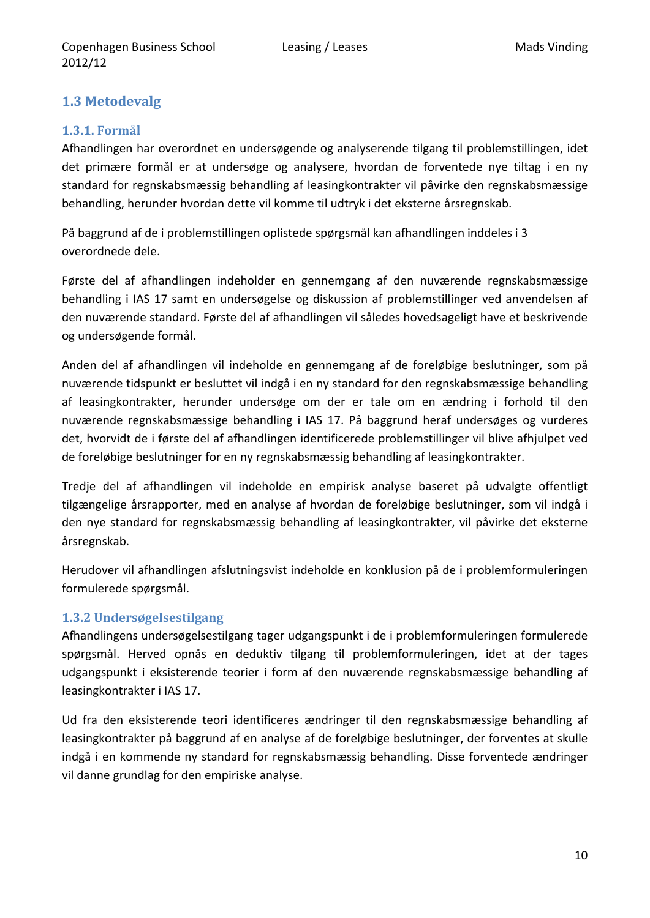## **1.3 Metodevalg**

## **1.3.1. Formål**

Afhandlingen har overordnet en undersøgende og analyserende tilgang til problemstillingen, idet det primære formål er at undersøge og analysere, hvordan de forventede nye tiltag i en ny standard for regnskabsmæssig behandling af leasingkontrakter vil påvirke den regnskabsmæssige behandling, herunder hvordan dette vil komme til udtryk i det eksterne årsregnskab.

På baggrund af de i problemstillingen oplistede spørgsmål kan afhandlingen inddeles i 3 overordnede dele.

Første del af afhandlingen indeholder en gennemgang af den nuværende regnskabsmæssige behandling i IAS 17 samt en undersøgelse og diskussion af problemstillinger ved anvendelsen af den nuværende standard. Første del af afhandlingen vil således hovedsageligt have et beskrivende og undersøgende formål.

Anden del af afhandlingen vil indeholde en gennemgang af de foreløbige beslutninger, som på nuværende tidspunkt er besluttet vil indgå i en ny standard for den regnskabsmæssige behandling af leasingkontrakter, herunder undersøge om der er tale om en ændring i forhold til den nuværende regnskabsmæssige behandling i IAS 17. På baggrund heraf undersøges og vurderes det, hvorvidt de i første del af afhandlingen identificerede problemstillinger vil blive afhjulpet ved de foreløbige beslutninger for en ny regnskabsmæssig behandling af leasingkontrakter.

Tredje del af afhandlingen vil indeholde en empirisk analyse baseret på udvalgte offentligt tilgængelige årsrapporter, med en analyse af hvordan de foreløbige beslutninger, som vil indgå i den nye standard for regnskabsmæssig behandling af leasingkontrakter, vil påvirke det eksterne årsregnskab.

Herudover vil afhandlingen afslutningsvist indeholde en konklusion på de i problemformuleringen formulerede spørgsmål.

## **1.3.2 Undersøgelsestilgang**

Afhandlingens undersøgelsestilgang tager udgangspunkt i de i problemformuleringen formulerede spørgsmål. Herved opnås en deduktiv tilgang til problemformuleringen, idet at der tages udgangspunkt i eksisterende teorier i form af den nuværende regnskabsmæssige behandling af leasingkontrakter i IAS 17.

Ud fra den eksisterende teori identificeres ændringer til den regnskabsmæssige behandling af leasingkontrakter på baggrund af en analyse af de foreløbige beslutninger, der forventes at skulle indgå i en kommende ny standard for regnskabsmæssig behandling. Disse forventede ændringer vil danne grundlag for den empiriske analyse.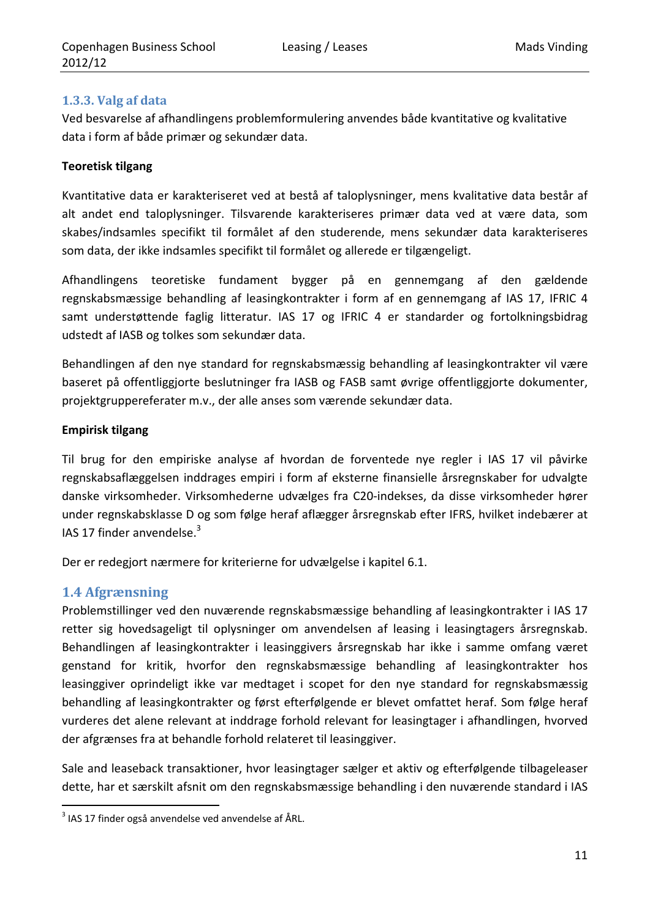## **1.3.3. Valg af data**

Ved besvarelse af afhandlingens problemformulering anvendes både kvantitative og kvalitative data i form af både primær og sekundær data.

## **Teoretisk tilgang**

Kvantitative data er karakteriseret ved at bestå af taloplysninger, mens kvalitative data består af alt andet end taloplysninger. Tilsvarende karakteriseres primær data ved at være data, som skabes/indsamles specifikt til formålet af den studerende, mens sekundær data karakteriseres som data, der ikke indsamles specifikt til formålet og allerede er tilgængeligt.

Afhandlingens teoretiske fundament bygger på en gennemgang af den gældende regnskabsmæssige behandling af leasingkontrakter i form af en gennemgang af IAS 17, IFRIC 4 samt understøttende faglig litteratur. IAS 17 og IFRIC 4 er standarder og fortolkningsbidrag udstedt af IASB og tolkes som sekundær data.

Behandlingen af den nye standard for regnskabsmæssig behandling af leasingkontrakter vil være baseret på offentliggjorte beslutninger fra IASB og FASB samt øvrige offentliggjorte dokumenter, projektgruppereferater m.v., der alle anses som værende sekundær data.

#### **Empirisk tilgang**

Til brug for den empiriske analyse af hvordan de forventede nye regler i IAS 17 vil påvirke regnskabsaflæggelsen inddrages empiri i form af eksterne finansielle årsregnskaber for udvalgte danske virksomheder. Virksomhederne udvælges fra C20‐indekses, da disse virksomheder hører under regnskabsklasse D og som følge heraf aflægger årsregnskab efter IFRS, hvilket indebærer at IAS 17 finder anvendelse. $3$ 

Der er redegjort nærmere for kriterierne for udvælgelse i kapitel 6.1.

## **1.4 Afgrænsning**

Problemstillinger ved den nuværende regnskabsmæssige behandling af leasingkontrakter i IAS 17 retter sig hovedsageligt til oplysninger om anvendelsen af leasing i leasingtagers årsregnskab. Behandlingen af leasingkontrakter i leasinggivers årsregnskab har ikke i samme omfang været genstand for kritik, hvorfor den regnskabsmæssige behandling af leasingkontrakter hos leasinggiver oprindeligt ikke var medtaget i scopet for den nye standard for regnskabsmæssig behandling af leasingkontrakter og først efterfølgende er blevet omfattet heraf. Som følge heraf vurderes det alene relevant at inddrage forhold relevant for leasingtager i afhandlingen, hvorved der afgrænses fra at behandle forhold relateret til leasinggiver.

Sale and leaseback transaktioner, hvor leasingtager sælger et aktiv og efterfølgende tilbageleaser dette, har et særskilt afsnit om den regnskabsmæssige behandling i den nuværende standard i IAS

 $3$  IAS 17 finder også anvendelse ved anvendelse af ÅRL.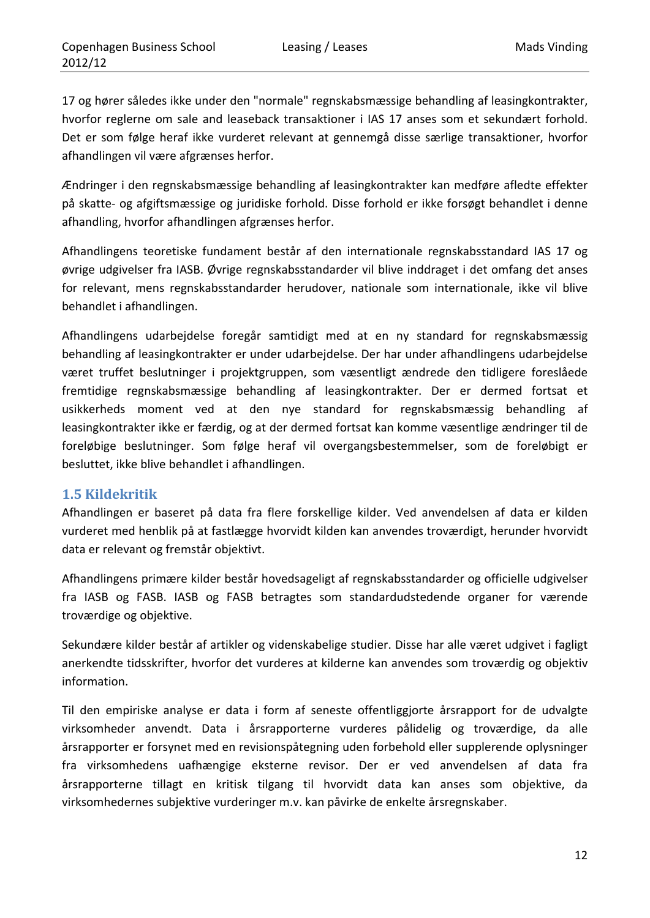17 og hører således ikke under den "normale" regnskabsmæssige behandling af leasingkontrakter, hvorfor reglerne om sale and leaseback transaktioner i IAS 17 anses som et sekundært forhold. Det er som følge heraf ikke vurderet relevant at gennemgå disse særlige transaktioner, hvorfor afhandlingen vil være afgrænses herfor.

Ændringer i den regnskabsmæssige behandling af leasingkontrakter kan medføre afledte effekter på skatte‐ og afgiftsmæssige og juridiske forhold. Disse forhold er ikke forsøgt behandlet i denne afhandling, hvorfor afhandlingen afgrænses herfor.

Afhandlingens teoretiske fundament består af den internationale regnskabsstandard IAS 17 og øvrige udgivelser fra IASB. Øvrige regnskabsstandarder vil blive inddraget i det omfang det anses for relevant, mens regnskabsstandarder herudover, nationale som internationale, ikke vil blive behandlet i afhandlingen.

Afhandlingens udarbejdelse foregår samtidigt med at en ny standard for regnskabsmæssig behandling af leasingkontrakter er under udarbejdelse. Der har under afhandlingens udarbejdelse været truffet beslutninger i projektgruppen, som væsentligt ændrede den tidligere foreslåede fremtidige regnskabsmæssige behandling af leasingkontrakter. Der er dermed fortsat et usikkerheds moment ved at den nye standard for regnskabsmæssig behandling af leasingkontrakter ikke er færdig, og at der dermed fortsat kan komme væsentlige ændringer til de foreløbige beslutninger. Som følge heraf vil overgangsbestemmelser, som de foreløbigt er besluttet, ikke blive behandlet i afhandlingen.

## **1.5 Kildekritik**

Afhandlingen er baseret på data fra flere forskellige kilder. Ved anvendelsen af data er kilden vurderet med henblik på at fastlægge hvorvidt kilden kan anvendes troværdigt, herunder hvorvidt data er relevant og fremstår objektivt.

Afhandlingens primære kilder består hovedsageligt af regnskabsstandarder og officielle udgivelser fra IASB og FASB. IASB og FASB betragtes som standardudstedende organer for værende troværdige og objektive.

Sekundære kilder består af artikler og videnskabelige studier. Disse har alle været udgivet i fagligt anerkendte tidsskrifter, hvorfor det vurderes at kilderne kan anvendes som troværdig og objektiv information.

Til den empiriske analyse er data i form af seneste offentliggjorte årsrapport for de udvalgte virksomheder anvendt. Data i årsrapporterne vurderes pålidelig og troværdige, da alle årsrapporter er forsynet med en revisionspåtegning uden forbehold eller supplerende oplysninger fra virksomhedens uafhængige eksterne revisor. Der er ved anvendelsen af data fra årsrapporterne tillagt en kritisk tilgang til hvorvidt data kan anses som objektive, da virksomhedernes subjektive vurderinger m.v. kan påvirke de enkelte årsregnskaber.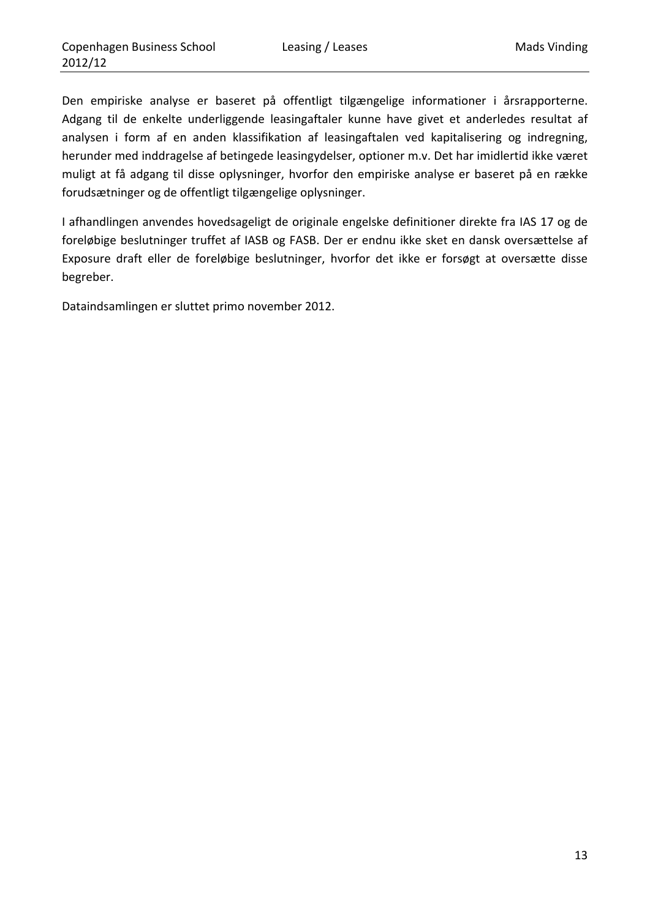Den empiriske analyse er baseret på offentligt tilgængelige informationer i årsrapporterne. Adgang til de enkelte underliggende leasingaftaler kunne have givet et anderledes resultat af analysen i form af en anden klassifikation af leasingaftalen ved kapitalisering og indregning, herunder med inddragelse af betingede leasingydelser, optioner m.v. Det har imidlertid ikke været muligt at få adgang til disse oplysninger, hvorfor den empiriske analyse er baseret på en række forudsætninger og de offentligt tilgængelige oplysninger.

I afhandlingen anvendes hovedsageligt de originale engelske definitioner direkte fra IAS 17 og de foreløbige beslutninger truffet af IASB og FASB. Der er endnu ikke sket en dansk oversættelse af Exposure draft eller de foreløbige beslutninger, hvorfor det ikke er forsøgt at oversætte disse begreber.

Dataindsamlingen er sluttet primo november 2012.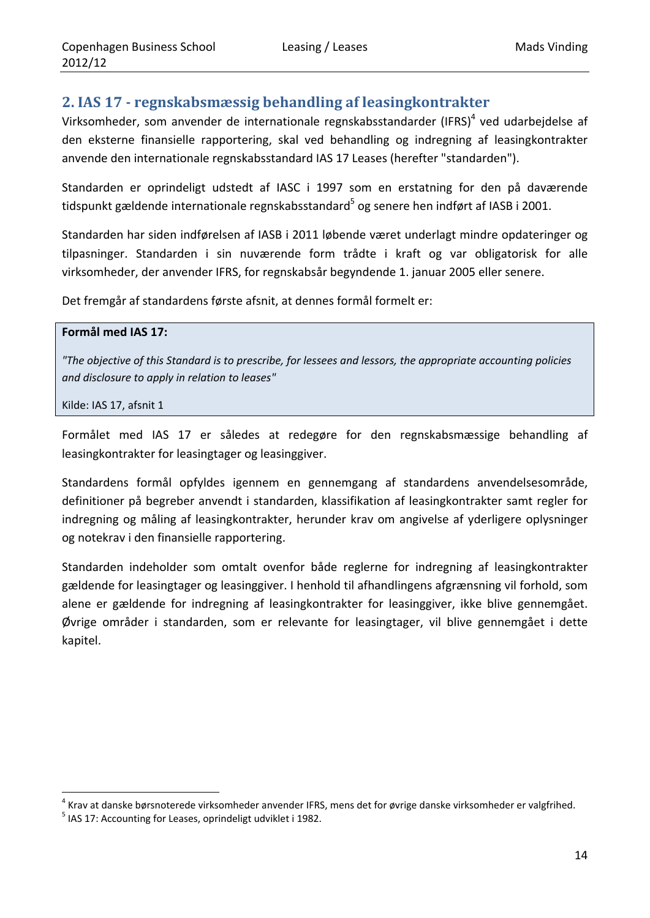## **2. IAS 17 ‐ regnskabsmæssig behandling af leasingkontrakter**

Virksomheder, som anvender de internationale regnskabsstandarder (IFRS)<sup>4</sup> ved udarbejdelse af den eksterne finansielle rapportering, skal ved behandling og indregning af leasingkontrakter anvende den internationale regnskabsstandard IAS 17 Leases (herefter "standarden").

Standarden er oprindeligt udstedt af IASC i 1997 som en erstatning for den på daværende tidspunkt gældende internationale regnskabsstandard<sup>5</sup> og senere hen indført af IASB i 2001.

Standarden har siden indførelsen af IASB i 2011 løbende været underlagt mindre opdateringer og tilpasninger. Standarden i sin nuværende form trådte i kraft og var obligatorisk for alle virksomheder, der anvender IFRS, for regnskabsår begyndende 1. januar 2005 eller senere.

Det fremgår af standardens første afsnit, at dennes formål formelt er:

#### **Formål med IAS 17:**

*"The objective of this Standard is to prescribe, for lessees and lessors, the appropriate accounting policies and disclosure to apply in relation to leases"*

Kilde: IAS 17, afsnit 1

Formålet med IAS 17 er således at redegøre for den regnskabsmæssige behandling af leasingkontrakter for leasingtager og leasinggiver.

Standardens formål opfyldes igennem en gennemgang af standardens anvendelsesområde, definitioner på begreber anvendt i standarden, klassifikation af leasingkontrakter samt regler for indregning og måling af leasingkontrakter, herunder krav om angivelse af yderligere oplysninger og notekrav i den finansielle rapportering.

Standarden indeholder som omtalt ovenfor både reglerne for indregning af leasingkontrakter gældende for leasingtager og leasinggiver. I henhold til afhandlingens afgrænsning vil forhold, som alene er gældende for indregning af leasingkontrakter for leasinggiver, ikke blive gennemgået. Øvrige områder i standarden, som er relevante for leasingtager, vil blive gennemgået i dette kapitel.

<sup>&</sup>lt;sup>4</sup> Krav at danske børsnoterede virksomheder anvender IFRS, mens det for øvrige danske virksomheder er valgfrihed.<br><sup>5</sup> IAS 17: Accounting for Leases, oprindeligt udviklet i 1982.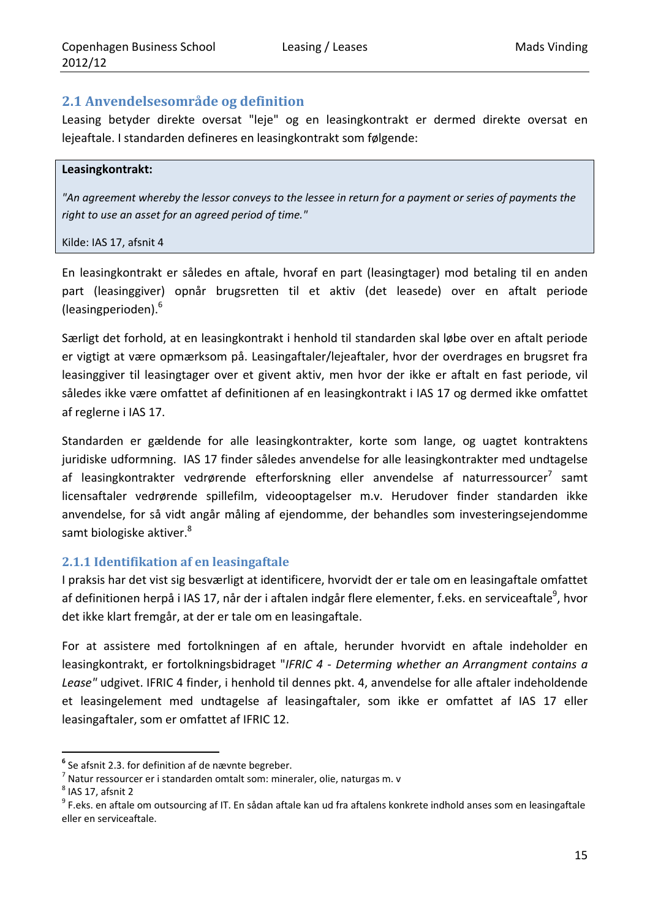## **2.1 Anvendelsesområde og definition**

Leasing betyder direkte oversat "leje" og en leasingkontrakt er dermed direkte oversat en lejeaftale. I standarden defineres en leasingkontrakt som følgende:

#### **Leasingkontrakt:**

"An agreement whereby the lessor conveys to the lessee in return for a payment or series of payments the *right to use an asset for an agreed period of time."*

#### Kilde: IAS 17, afsnit 4

En leasingkontrakt er således en aftale, hvoraf en part (leasingtager) mod betaling til en anden part (leasinggiver) opnår brugsretten til et aktiv (det leasede) over en aftalt periode (leasingperioden). $6\overline{6}$ 

Særligt det forhold, at en leasingkontrakt i henhold til standarden skal løbe over en aftalt periode er vigtigt at være opmærksom på. Leasingaftaler/lejeaftaler, hvor der overdrages en brugsret fra leasinggiver til leasingtager over et givent aktiv, men hvor der ikke er aftalt en fast periode, vil således ikke være omfattet af definitionen af en leasingkontrakt i IAS 17 og dermed ikke omfattet af reglerne i IAS 17.

Standarden er gældende for alle leasingkontrakter, korte som lange, og uagtet kontraktens juridiske udformning. IAS 17 finder således anvendelse for alle leasingkontrakter med undtagelse af leasingkontrakter vedrørende efterforskning eller anvendelse af naturressourcer<sup>7</sup> samt licensaftaler vedrørende spillefilm, videooptagelser m.v. Herudover finder standarden ikke anvendelse, for så vidt angår måling af ejendomme, der behandles som investeringsejendomme samt biologiske aktiver.<sup>8</sup>

## **2.1.1 Identifikation af en leasingaftale**

I praksis har det vist sig besværligt at identificere, hvorvidt der er tale om en leasingaftale omfattet af definitionen herpå i IAS 17, når der i aftalen indgår flere elementer, f.eks. en serviceaftale $^9$ , hvor det ikke klart fremgår, at der er tale om en leasingaftale.

For at assistere med fortolkningen af en aftale, herunder hvorvidt en aftale indeholder en leasingkontrakt, er fortolkningsbidraget "*IFRIC 4 ‐ Determing whether an Arrangment contains a Lease"* udgivet. IFRIC 4 finder, i henhold til dennes pkt. 4, anvendelse for alle aftaler indeholdende et leasingelement med undtagelse af leasingaftaler, som ikke er omfattet af IAS 17 eller leasingaftaler, som er omfattet af IFRIC 12.

<sup>&</sup>lt;sup>6</sup> Se afsnit 2.3. for definition af de nævnte begreber.<br><sup>7</sup> Natur ressourcer er i standarden omtalt som: mineraler, olie, naturgas m. v<br><sup>8</sup> IAS 17, afsnit 2<br><sup>9</sup> F.eks. en aftale om outsourcing af IT. En sådan aftale kan eller en serviceaftale.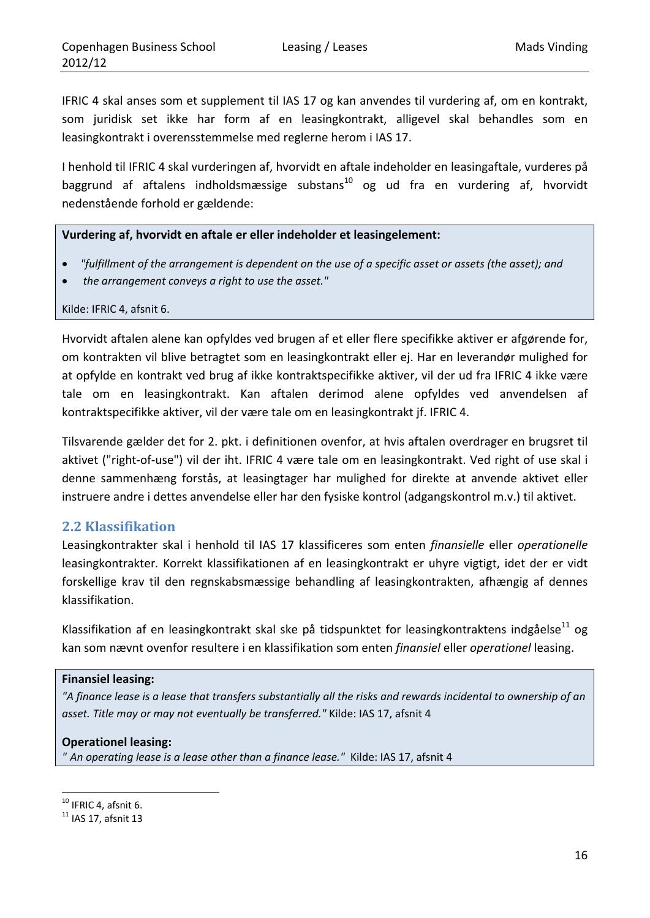IFRIC 4 skal anses som et supplement til IAS 17 og kan anvendes til vurdering af, om en kontrakt, som juridisk set ikke har form af en leasingkontrakt, alligevel skal behandles som en leasingkontrakt i overensstemmelse med reglerne herom i IAS 17.

I henhold til IFRIC 4 skal vurderingen af, hvorvidt en aftale indeholder en leasingaftale, vurderes på baggrund af aftalens indholdsmæssige substans<sup>10</sup> og ud fra en vurdering af, hvorvidt nedenstående forhold er gældende:

#### **Vurdering af, hvorvidt en aftale er eller indeholder et leasingelement:**

- "fulfillment of the arrangement is dependent on the use of a specific asset or assets (the asset); and
- *the arrangement conveys a right to use the asset."*

Kilde: IFRIC 4, afsnit 6.

Hvorvidt aftalen alene kan opfyldes ved brugen af et eller flere specifikke aktiver er afgørende for, om kontrakten vil blive betragtet som en leasingkontrakt eller ej. Har en leverandør mulighed for at opfylde en kontrakt ved brug af ikke kontraktspecifikke aktiver, vil der ud fra IFRIC 4 ikke være tale om en leasingkontrakt. Kan aftalen derimod alene opfyldes ved anvendelsen af kontraktspecifikke aktiver, vil der være tale om en leasingkontrakt jf. IFRIC 4.

Tilsvarende gælder det for 2. pkt. i definitionen ovenfor, at hvis aftalen overdrager en brugsret til aktivet ("right‐of‐use") vil der iht. IFRIC 4 være tale om en leasingkontrakt. Ved right of use skal i denne sammenhæng forstås, at leasingtager har mulighed for direkte at anvende aktivet eller instruere andre i dettes anvendelse eller har den fysiske kontrol (adgangskontrol m.v.) til aktivet.

#### **2.2 Klassifikation**

Leasingkontrakter skal i henhold til IAS 17 klassificeres som enten *finansielle* eller *operationelle* leasingkontrakter*.* Korrekt klassifikationen af en leasingkontrakt er uhyre vigtigt, idet der er vidt forskellige krav til den regnskabsmæssige behandling af leasingkontrakten, afhængig af dennes klassifikation.

Klassifikation af en leasingkontrakt skal ske på tidspunktet for leasingkontraktens indgåelse<sup>11</sup> og kan som nævnt ovenfor resultere i en klassifikation som enten *finansiel* eller *operationel* leasing.

#### **Finansiel leasing:**

"A finance lease is a lease that transfers substantially all the risks and rewards incidental to ownership of an *asset. Title may or may not eventually be transferred."* Kilde: IAS 17, afsnit 4

#### **Operationel leasing:**

*" An operating lease is a lease other than a finance lease."* Kilde: IAS 17, afsnit 4

<sup>&</sup>lt;u> 1989 - Johann Barn, mars eta inperiodo</u>  $10$  IFRIC 4, afsnit 6.<br> $11$  IAS 17, afsnit 13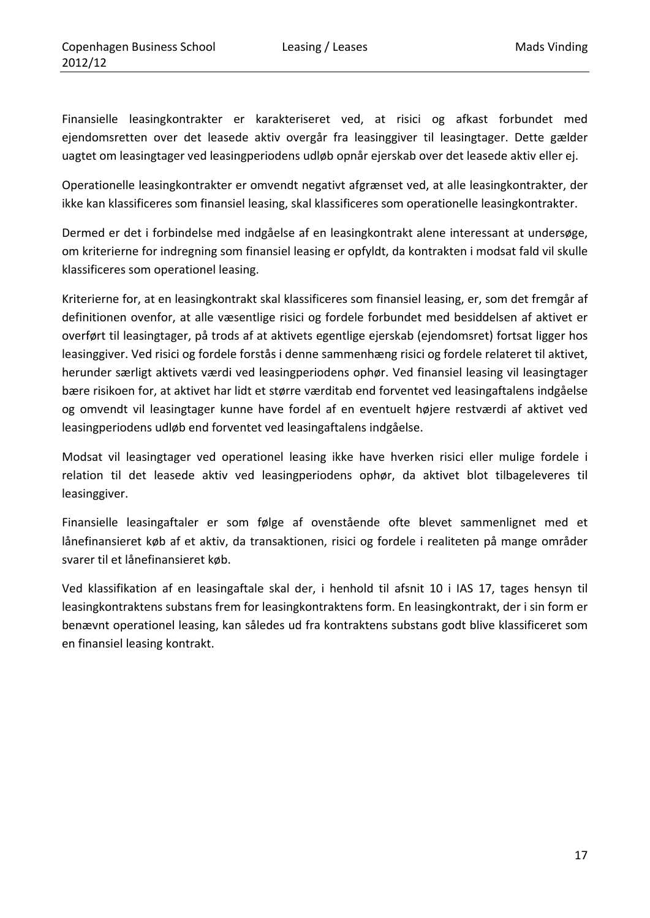Finansielle leasingkontrakter er karakteriseret ved, at risici og afkast forbundet med ejendomsretten over det leasede aktiv overgår fra leasinggiver til leasingtager. Dette gælder uagtet om leasingtager ved leasingperiodens udløb opnår ejerskab over det leasede aktiv eller ej.

Operationelle leasingkontrakter er omvendt negativt afgrænset ved, at alle leasingkontrakter, der ikke kan klassificeres som finansiel leasing, skal klassificeres som operationelle leasingkontrakter.

Dermed er det i forbindelse med indgåelse af en leasingkontrakt alene interessant at undersøge, om kriterierne for indregning som finansiel leasing er opfyldt, da kontrakten i modsat fald vil skulle klassificeres som operationel leasing.

Kriterierne for, at en leasingkontrakt skal klassificeres som finansiel leasing, er, som det fremgår af definitionen ovenfor, at alle væsentlige risici og fordele forbundet med besiddelsen af aktivet er overført til leasingtager, på trods af at aktivets egentlige ejerskab (ejendomsret) fortsat ligger hos leasinggiver. Ved risici og fordele forstås i denne sammenhæng risici og fordele relateret til aktivet, herunder særligt aktivets værdi ved leasingperiodens ophør. Ved finansiel leasing vil leasingtager bære risikoen for, at aktivet har lidt et større værditab end forventet ved leasingaftalens indgåelse og omvendt vil leasingtager kunne have fordel af en eventuelt højere restværdi af aktivet ved leasingperiodens udløb end forventet ved leasingaftalens indgåelse.

Modsat vil leasingtager ved operationel leasing ikke have hverken risici eller mulige fordele i relation til det leasede aktiv ved leasingperiodens ophør, da aktivet blot tilbageleveres til leasinggiver.

Finansielle leasingaftaler er som følge af ovenstående ofte blevet sammenlignet med et lånefinansieret køb af et aktiv, da transaktionen, risici og fordele i realiteten på mange områder svarer til et lånefinansieret køb.

Ved klassifikation af en leasingaftale skal der, i henhold til afsnit 10 i IAS 17, tages hensyn til leasingkontraktens substans frem for leasingkontraktens form. En leasingkontrakt, der i sin form er benævnt operationel leasing, kan således ud fra kontraktens substans godt blive klassificeret som en finansiel leasing kontrakt.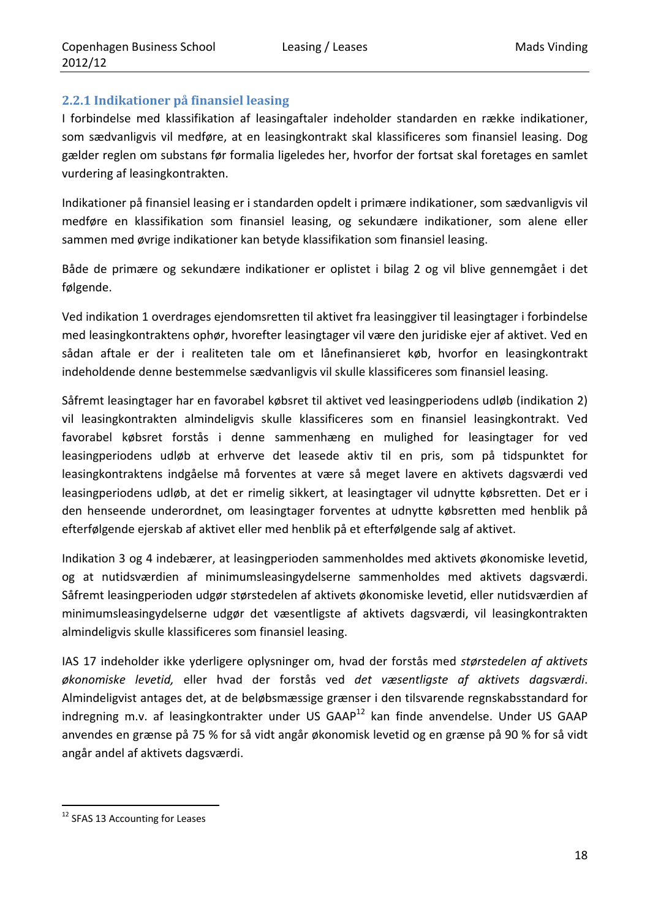## **2.2.1 Indikationer på finansiel leasing**

I forbindelse med klassifikation af leasingaftaler indeholder standarden en række indikationer, som sædvanligvis vil medføre, at en leasingkontrakt skal klassificeres som finansiel leasing. Dog gælder reglen om substans før formalia ligeledes her, hvorfor der fortsat skal foretages en samlet vurdering af leasingkontrakten.

Indikationer på finansiel leasing er i standarden opdelt i primære indikationer, som sædvanligvis vil medføre en klassifikation som finansiel leasing, og sekundære indikationer, som alene eller sammen med øvrige indikationer kan betyde klassifikation som finansiel leasing.

Både de primære og sekundære indikationer er oplistet i bilag 2 og vil blive gennemgået i det følgende.

Ved indikation 1 overdrages ejendomsretten til aktivet fra leasinggiver til leasingtager i forbindelse med leasingkontraktens ophør, hvorefter leasingtager vil være den juridiske ejer af aktivet. Ved en sådan aftale er der i realiteten tale om et lånefinansieret køb, hvorfor en leasingkontrakt indeholdende denne bestemmelse sædvanligvis vil skulle klassificeres som finansiel leasing.

Såfremt leasingtager har en favorabel købsret til aktivet ved leasingperiodens udløb (indikation 2) vil leasingkontrakten almindeligvis skulle klassificeres som en finansiel leasingkontrakt. Ved favorabel købsret forstås i denne sammenhæng en mulighed for leasingtager for ved leasingperiodens udløb at erhverve det leasede aktiv til en pris, som på tidspunktet for leasingkontraktens indgåelse må forventes at være så meget lavere en aktivets dagsværdi ved leasingperiodens udløb, at det er rimelig sikkert, at leasingtager vil udnytte købsretten. Det er i den henseende underordnet, om leasingtager forventes at udnytte købsretten med henblik på efterfølgende ejerskab af aktivet eller med henblik på et efterfølgende salg af aktivet.

Indikation 3 og 4 indebærer, at leasingperioden sammenholdes med aktivets økonomiske levetid, og at nutidsværdien af minimumsleasingydelserne sammenholdes med aktivets dagsværdi. Såfremt leasingperioden udgør størstedelen af aktivets økonomiske levetid, eller nutidsværdien af minimumsleasingydelserne udgør det væsentligste af aktivets dagsværdi, vil leasingkontrakten almindeligvis skulle klassificeres som finansiel leasing.

IAS 17 indeholder ikke yderligere oplysninger om, hvad der forstås med *størstedelen af aktivets økonomiske levetid,* eller hvad der forstås ved *det væsentligste af aktivets dagsværdi*. Almindeligvist antages det, at de beløbsmæssige grænser i den tilsvarende regnskabsstandard for indregning m.v. af leasingkontrakter under US GAAP<sup>12</sup> kan finde anvendelse. Under US GAAP anvendes en grænse på 75 % for så vidt angår økonomisk levetid og en grænse på 90 % for så vidt angår andel af aktivets dagsværdi.

<sup>&</sup>lt;u> 1989 - Johann Barn, mars eta inperiodo</u> <sup>12</sup> SFAS 13 Accounting for Leases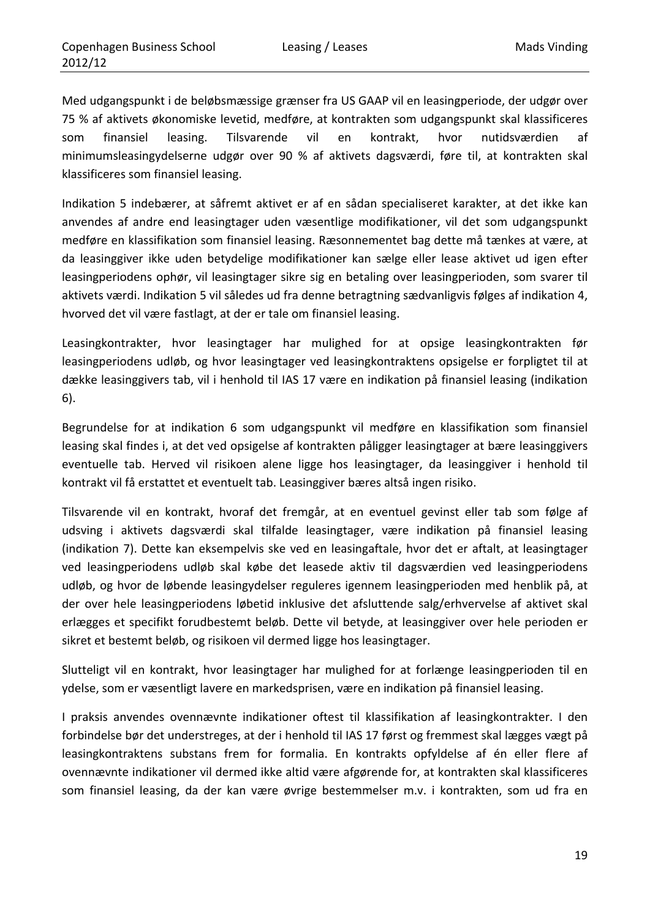Med udgangspunkt i de beløbsmæssige grænser fra US GAAP vil en leasingperiode, der udgør over 75 % af aktivets økonomiske levetid, medføre, at kontrakten som udgangspunkt skal klassificeres som finansiel leasing. Tilsvarende vil en kontrakt, hvor nutidsværdien af minimumsleasingydelserne udgør over 90 % af aktivets dagsværdi, føre til, at kontrakten skal klassificeres som finansiel leasing.

Indikation 5 indebærer, at såfremt aktivet er af en sådan specialiseret karakter, at det ikke kan anvendes af andre end leasingtager uden væsentlige modifikationer, vil det som udgangspunkt medføre en klassifikation som finansiel leasing. Ræsonnementet bag dette må tænkes at være, at da leasinggiver ikke uden betydelige modifikationer kan sælge eller lease aktivet ud igen efter leasingperiodens ophør, vil leasingtager sikre sig en betaling over leasingperioden, som svarer til aktivets værdi. Indikation 5 vil således ud fra denne betragtning sædvanligvis følges af indikation 4, hvorved det vil være fastlagt, at der er tale om finansiel leasing.

Leasingkontrakter, hvor leasingtager har mulighed for at opsige leasingkontrakten før leasingperiodens udløb, og hvor leasingtager ved leasingkontraktens opsigelse er forpligtet til at dække leasinggivers tab, vil i henhold til IAS 17 være en indikation på finansiel leasing (indikation 6).

Begrundelse for at indikation 6 som udgangspunkt vil medføre en klassifikation som finansiel leasing skal findes i, at det ved opsigelse af kontrakten påligger leasingtager at bære leasinggivers eventuelle tab. Herved vil risikoen alene ligge hos leasingtager, da leasinggiver i henhold til kontrakt vil få erstattet et eventuelt tab. Leasinggiver bæres altså ingen risiko.

Tilsvarende vil en kontrakt, hvoraf det fremgår, at en eventuel gevinst eller tab som følge af udsving i aktivets dagsværdi skal tilfalde leasingtager, være indikation på finansiel leasing (indikation 7). Dette kan eksempelvis ske ved en leasingaftale, hvor det er aftalt, at leasingtager ved leasingperiodens udløb skal købe det leasede aktiv til dagsværdien ved leasingperiodens udløb, og hvor de løbende leasingydelser reguleres igennem leasingperioden med henblik på, at der over hele leasingperiodens løbetid inklusive det afsluttende salg/erhvervelse af aktivet skal erlægges et specifikt forudbestemt beløb. Dette vil betyde, at leasinggiver over hele perioden er sikret et bestemt beløb, og risikoen vil dermed ligge hos leasingtager.

Slutteligt vil en kontrakt, hvor leasingtager har mulighed for at forlænge leasingperioden til en ydelse, som er væsentligt lavere en markedsprisen, være en indikation på finansiel leasing.

I praksis anvendes ovennævnte indikationer oftest til klassifikation af leasingkontrakter. I den forbindelse bør det understreges, at der i henhold til IAS 17 først og fremmest skal lægges vægt på leasingkontraktens substans frem for formalia. En kontrakts opfyldelse af én eller flere af ovennævnte indikationer vil dermed ikke altid være afgørende for, at kontrakten skal klassificeres som finansiel leasing, da der kan være øvrige bestemmelser m.v. i kontrakten, som ud fra en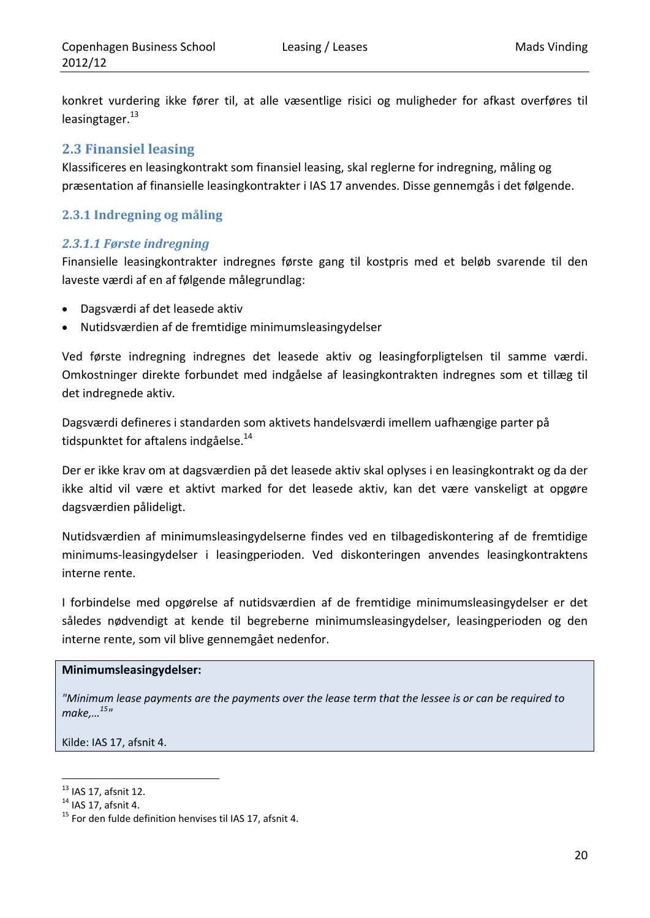konkret vurdering ikke fører til, at alle væsentlige risici og muligheder for afkast overføres til leasing tager. $^{13}$ 

## **2.3 Finansiel leasing**

Klassificeres en leasingkontrakt som finansiel leasing, skal reglerne for indregning, måling og præsentation af finansielle leasingkontrakter i IAS 17 anvendes. Disse gennemgås i det følgende.

## **2.3.1 Indregning og måling**

## *2.3.1.1 Første indregning*

Finansielle leasingkontrakter indregnes første gang til kostpris med et beløb svarende til den laveste værdi af en af følgende målegrundlag:

- Dagsværdi af det leasede aktiv
- Nutidsværdien af de fremtidige minimumsleasingydelser

Ved første indregning indregnes det leasede aktiv og leasingforpligtelsen til samme værdi. Omkostninger direkte forbundet med indgåelse af leasingkontrakten indregnes som et tillæg til det indregnede aktiv.

Dagsværdi defineres i standarden som aktivets handelsværdi imellem uafhængige parter på tidspunktet for aftalens indgåelse.<sup>14</sup>

Der er ikke krav om at dagsværdien på det leasede aktiv skal oplyses i en leasingkontrakt og da der ikke altid vil være et aktivt marked for det leasede aktiv, kan det være vanskeligt at opgøre dagsværdien pålideligt.

Nutidsværdien af minimumsleasingydelserne findes ved en tilbagediskontering af de fremtidige minimums‐leasingydelser i leasingperioden. Ved diskonteringen anvendes leasingkontraktens interne rente.

I forbindelse med opgørelse af nutidsværdien af de fremtidige minimumsleasingydelser er det således nødvendigt at kende til begreberne minimumsleasingydelser, leasingperioden og den interne rente, som vil blive gennemgået nedenfor.

#### **Minimumsleasingydelser:**

"Minimum lease payments are the payments over the lease term that the lessee is or can be required to *make,…15"*

Kilde: IAS 17, afsnit 4.

<sup>&</sup>lt;u> 1989 - Johann Barn, mars eta inperiodo</u>

<sup>&</sup>lt;sup>13</sup> IAS 17, afsnit 12.<br><sup>14</sup> IAS 17, afsnit 4.<br><sup>15</sup> For den fulde definition henvises til IAS 17, afsnit 4.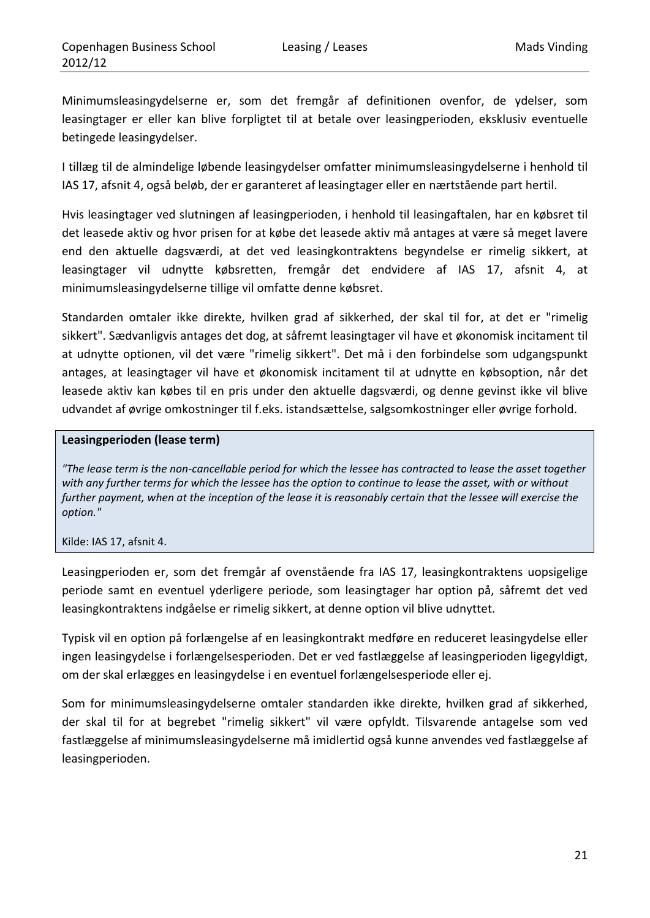Minimumsleasingydelserne er, som det fremgår af definitionen ovenfor, de ydelser, som leasingtager er eller kan blive forpligtet til at betale over leasingperioden, eksklusiv eventuelle betingede leasingydelser.

I tillæg til de almindelige løbende leasingydelser omfatter minimumsleasingydelserne i henhold til IAS 17, afsnit 4, også beløb, der er garanteret af leasingtager eller en nærtstående part hertil.

Hvis leasingtager ved slutningen af leasingperioden, i henhold til leasingaftalen, har en købsret til det leasede aktiv og hvor prisen for at købe det leasede aktiv må antages at være så meget lavere end den aktuelle dagsværdi, at det ved leasingkontraktens begyndelse er rimelig sikkert, at leasingtager vil udnytte købsretten, fremgår det endvidere af IAS 17, afsnit 4, at minimumsleasingydelserne tillige vil omfatte denne købsret.

Standarden omtaler ikke direkte, hvilken grad af sikkerhed, der skal til for, at det er "rimelig sikkert". Sædvanligvis antages det dog, at såfremt leasingtager vil have et økonomisk incitament til at udnytte optionen, vil det være "rimelig sikkert". Det må i den forbindelse som udgangspunkt antages, at leasingtager vil have et økonomisk incitament til at udnytte en købsoption, når det leasede aktiv kan købes til en pris under den aktuelle dagsværdi, og denne gevinst ikke vil blive udvandet af øvrige omkostninger til f.eks. istandsættelse, salgsomkostninger eller øvrige forhold.

#### **Leasingperioden (lease term)**

"The lease term is the non-cancellable period for which the lessee has contracted to lease the asset together with any further terms for which the lessee has the option to continue to lease the asset, with or without further payment, when at the inception of the lease it is reasonably certain that the lessee will exercise the *option."*

Kilde: IAS 17, afsnit 4.

Leasingperioden er, som det fremgår af ovenstående fra IAS 17, leasingkontraktens uopsigelige periode samt en eventuel yderligere periode, som leasingtager har option på, såfremt det ved leasingkontraktens indgåelse er rimelig sikkert, at denne option vil blive udnyttet.

Typisk vil en option på forlængelse af en leasingkontrakt medføre en reduceret leasingydelse eller ingen leasingydelse i forlængelsesperioden. Det er ved fastlæggelse af leasingperioden ligegyldigt, om der skal erlægges en leasingydelse i en eventuel forlængelsesperiode eller ej.

Som for minimumsleasingydelserne omtaler standarden ikke direkte, hvilken grad af sikkerhed, der skal til for at begrebet "rimelig sikkert" vil være opfyldt. Tilsvarende antagelse som ved fastlæggelse af minimumsleasingydelserne må imidlertid også kunne anvendes ved fastlæggelse af leasingperioden.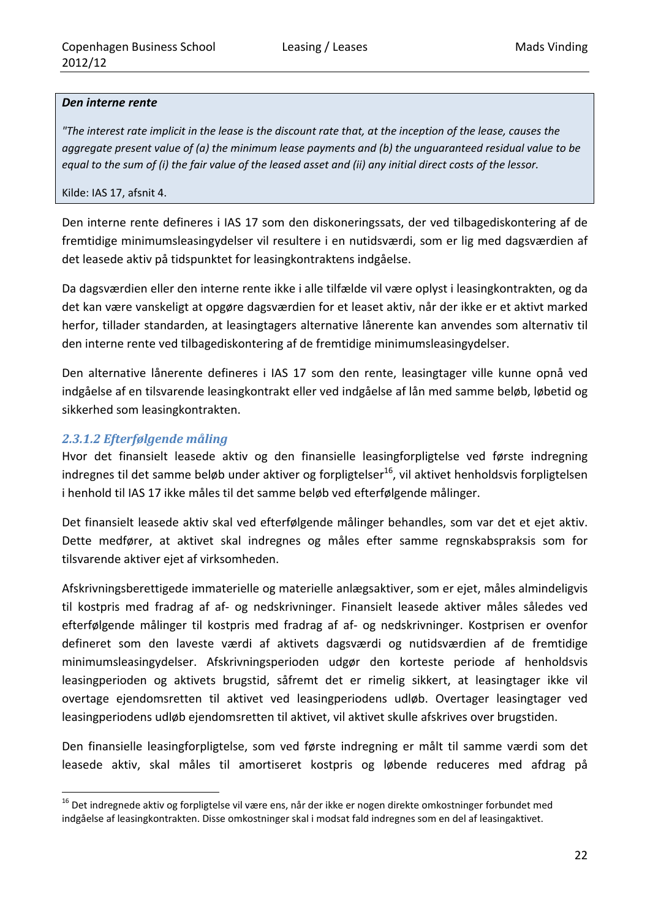#### *Den interne rente*

"The interest rate implicit in the lease is the discount rate that, at the inception of the lease, causes the *aggregate present value of (a) the minimum lease payments and (b) the unguaranteed residual value to be* equal to the sum of (i) the fair value of the leased asset and (ii) any initial direct costs of the lessor.

#### Kilde: IAS 17, afsnit 4.

Den interne rente defineres i IAS 17 som den diskoneringssats, der ved tilbagediskontering af de fremtidige minimumsleasingydelser vil resultere i en nutidsværdi, som er lig med dagsværdien af det leasede aktiv på tidspunktet for leasingkontraktens indgåelse.

Da dagsværdien eller den interne rente ikke i alle tilfælde vil være oplyst i leasingkontrakten, og da det kan være vanskeligt at opgøre dagsværdien for et leaset aktiv, når der ikke er et aktivt marked herfor, tillader standarden, at leasingtagers alternative lånerente kan anvendes som alternativ til den interne rente ved tilbagediskontering af de fremtidige minimumsleasingydelser.

Den alternative lånerente defineres i IAS 17 som den rente, leasingtager ville kunne opnå ved indgåelse af en tilsvarende leasingkontrakt eller ved indgåelse af lån med samme beløb, løbetid og sikkerhed som leasingkontrakten.

#### *2.3.1.2 Efterfølgende måling*

<u> 1989 - Johann Barn, mars eta inperiodo</u>

Hvor det finansielt leasede aktiv og den finansielle leasingforpligtelse ved første indregning indregnes til det samme beløb under aktiver og forpligtelser<sup>16</sup>, vil aktivet henholdsvis forpligtelsen i henhold til IAS 17 ikke måles til det samme beløb ved efterfølgende målinger.

Det finansielt leasede aktiv skal ved efterfølgende målinger behandles, som var det et ejet aktiv. Dette medfører, at aktivet skal indregnes og måles efter samme regnskabspraksis som for tilsvarende aktiver ejet af virksomheden.

Afskrivningsberettigede immaterielle og materielle anlægsaktiver, som er ejet, måles almindeligvis til kostpris med fradrag af af‐ og nedskrivninger. Finansielt leasede aktiver måles således ved efterfølgende målinger til kostpris med fradrag af af‐ og nedskrivninger. Kostprisen er ovenfor defineret som den laveste værdi af aktivets dagsværdi og nutidsværdien af de fremtidige minimumsleasingydelser. Afskrivningsperioden udgør den korteste periode af henholdsvis leasingperioden og aktivets brugstid, såfremt det er rimelig sikkert, at leasingtager ikke vil overtage ejendomsretten til aktivet ved leasingperiodens udløb. Overtager leasingtager ved leasingperiodens udløb ejendomsretten til aktivet, vil aktivet skulle afskrives over brugstiden.

Den finansielle leasingforpligtelse, som ved første indregning er målt til samme værdi som det leasede aktiv, skal måles til amortiseret kostpris og løbende reduceres med afdrag på

<sup>&</sup>lt;sup>16</sup> Det indregnede aktiv og forpligtelse vil være ens, når der ikke er nogen direkte omkostninger forbundet med indgåelse af leasingkontrakten. Disse omkostninger skal i modsat fald indregnes som en del af leasingaktivet.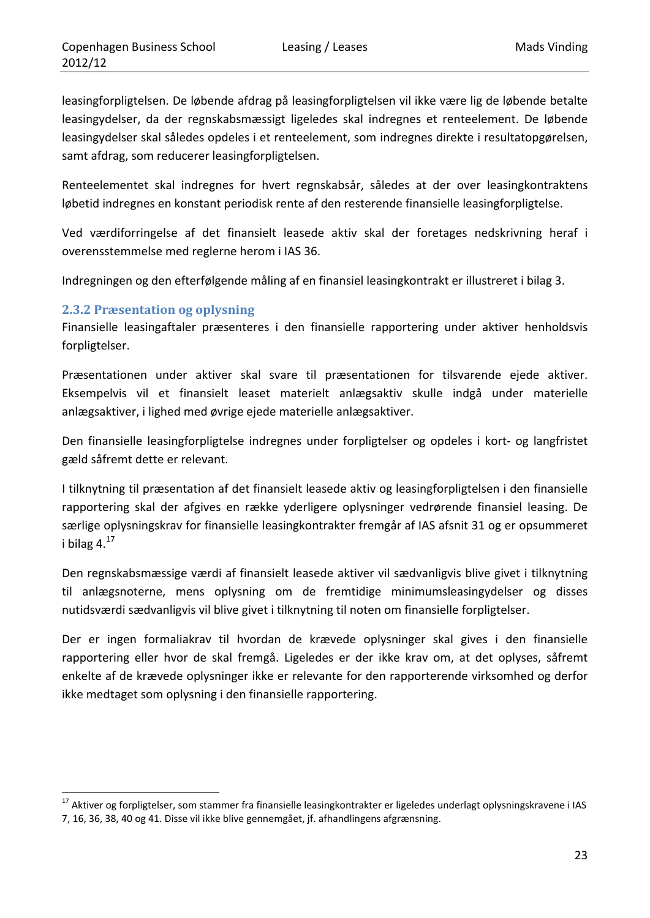leasingforpligtelsen. De løbende afdrag på leasingforpligtelsen vil ikke være lig de løbende betalte leasingydelser, da der regnskabsmæssigt ligeledes skal indregnes et renteelement. De løbende leasingydelser skal således opdeles i et renteelement, som indregnes direkte i resultatopgørelsen, samt afdrag, som reducerer leasingforpligtelsen.

Renteelementet skal indregnes for hvert regnskabsår, således at der over leasingkontraktens løbetid indregnes en konstant periodisk rente af den resterende finansielle leasingforpligtelse.

Ved værdiforringelse af det finansielt leasede aktiv skal der foretages nedskrivning heraf i overensstemmelse med reglerne herom i IAS 36.

Indregningen og den efterfølgende måling af en finansiel leasingkontrakt er illustreret i bilag 3.

#### **2.3.2 Præsentation og oplysning**

Finansielle leasingaftaler præsenteres i den finansielle rapportering under aktiver henholdsvis forpligtelser.

Præsentationen under aktiver skal svare til præsentationen for tilsvarende ejede aktiver. Eksempelvis vil et finansielt leaset materielt anlægsaktiv skulle indgå under materielle anlægsaktiver, i lighed med øvrige ejede materielle anlægsaktiver.

Den finansielle leasingforpligtelse indregnes under forpligtelser og opdeles i kort‐ og langfristet gæld såfremt dette er relevant.

I tilknytning til præsentation af det finansielt leasede aktiv og leasingforpligtelsen i den finansielle rapportering skal der afgives en række yderligere oplysninger vedrørende finansiel leasing. De særlige oplysningskrav for finansielle leasingkontrakter fremgår af IAS afsnit 31 og er opsummeret i bilag  $4.^{17}$ 

Den regnskabsmæssige værdi af finansielt leasede aktiver vil sædvanligvis blive givet i tilknytning til anlægsnoterne, mens oplysning om de fremtidige minimumsleasingydelser og disses nutidsværdi sædvanligvis vil blive givet i tilknytning til noten om finansielle forpligtelser.

Der er ingen formaliakrav til hvordan de krævede oplysninger skal gives i den finansielle rapportering eller hvor de skal fremgå. Ligeledes er der ikke krav om, at det oplyses, såfremt enkelte af de krævede oplysninger ikke er relevante for den rapporterende virksomhed og derfor ikke medtaget som oplysning i den finansielle rapportering.

<sup>&</sup>lt;sup>17</sup> Aktiver og forpligtelser, som stammer fra finansielle leasingkontrakter er ligeledes underlagt oplysningskravene i IAS

<sup>7,</sup> 16, 36, 38, 40 og 41. Disse vil ikke blive gennemgået, jf. afhandlingens afgrænsning.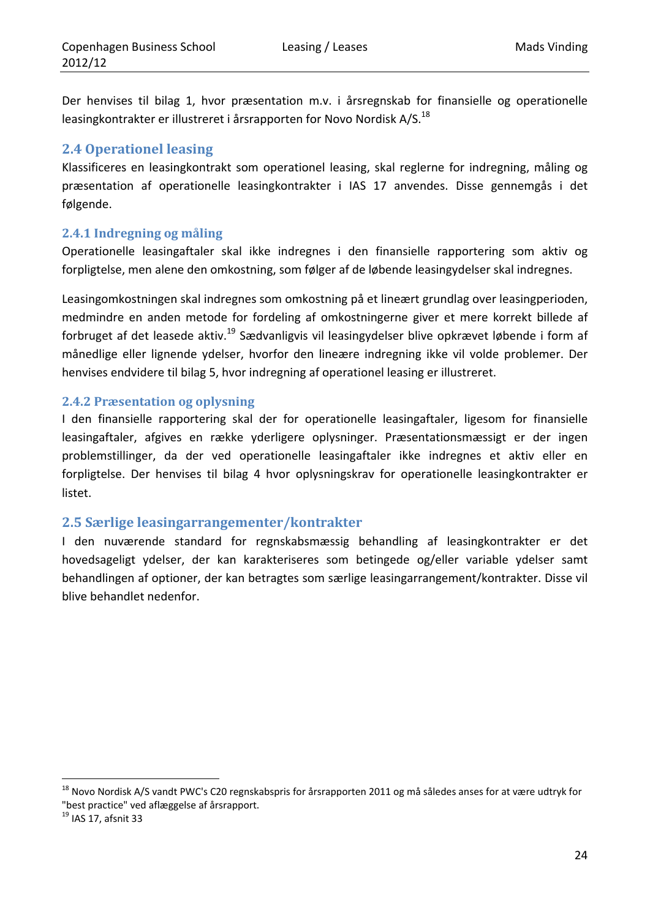Der henvises til bilag 1, hvor præsentation m.v. i årsregnskab for finansielle og operationelle leasingkontrakter er illustreret i årsrapporten for Novo Nordisk A/S.<sup>18</sup>

## **2.4 Operationel leasing**

Klassificeres en leasingkontrakt som operationel leasing, skal reglerne for indregning, måling og præsentation af operationelle leasingkontrakter i IAS 17 anvendes. Disse gennemgås i det følgende.

## **2.4.1 Indregning og måling**

Operationelle leasingaftaler skal ikke indregnes i den finansielle rapportering som aktiv og forpligtelse, men alene den omkostning, som følger af de løbende leasingydelser skal indregnes.

Leasingomkostningen skal indregnes som omkostning på et lineært grundlag over leasingperioden, medmindre en anden metode for fordeling af omkostningerne giver et mere korrekt billede af forbruget af det leasede aktiv.19 Sædvanligvis vil leasingydelser blive opkrævet løbende i form af månedlige eller lignende ydelser, hvorfor den lineære indregning ikke vil volde problemer. Der henvises endvidere til bilag 5, hvor indregning af operationel leasing er illustreret.

## **2.4.2 Præsentation og oplysning**

I den finansielle rapportering skal der for operationelle leasingaftaler, ligesom for finansielle leasingaftaler, afgives en række yderligere oplysninger. Præsentationsmæssigt er der ingen problemstillinger, da der ved operationelle leasingaftaler ikke indregnes et aktiv eller en forpligtelse. Der henvises til bilag 4 hvor oplysningskrav for operationelle leasingkontrakter er listet.

## **2.5 Særlige leasingarrangementer/kontrakter**

I den nuværende standard for regnskabsmæssig behandling af leasingkontrakter er det hovedsageligt ydelser, der kan karakteriseres som betingede og/eller variable ydelser samt behandlingen af optioner, der kan betragtes som særlige leasingarrangement/kontrakter. Disse vil blive behandlet nedenfor.

<sup>&</sup>lt;sup>18</sup> Novo Nordisk A/S vandt PWC's C20 regnskabspris for årsrapporten 2011 og må således anses for at være udtryk for "best practice" ved aflæggelse af årsrapport.<br><sup>19</sup> IAS 17, afsnit 33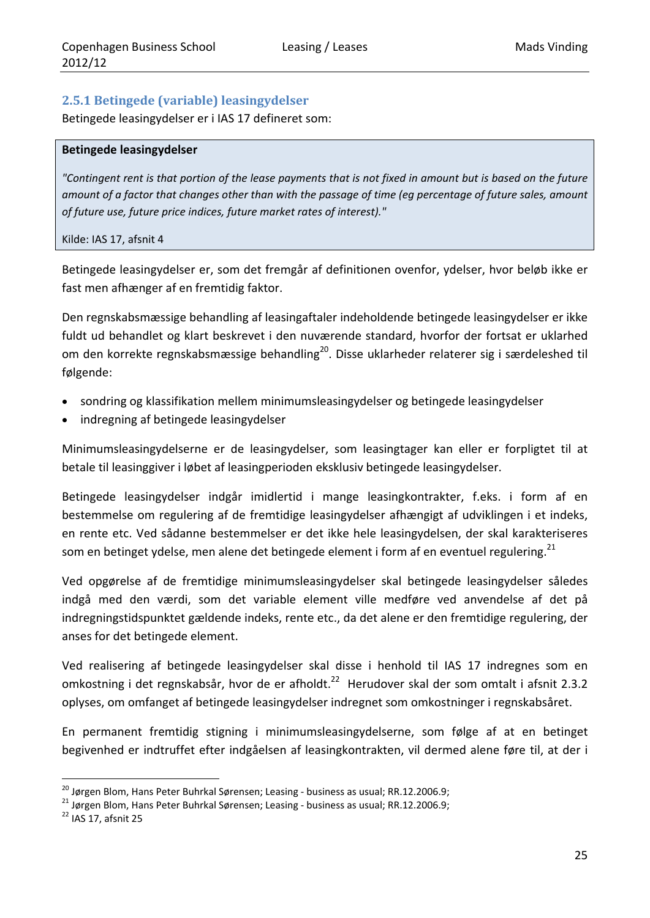## **2.5.1 Betingede (variable) leasingydelser**

Betingede leasingydelser er i IAS 17 defineret som:

#### **Betingede leasingydelser**

"Contingent rent is that portion of the lease payments that is not fixed in amount but is based on the future amount of a factor that changes other than with the passage of time (eq percentage of future sales, amount *of future use, future price indices, future market rates of interest)."*

#### Kilde: IAS 17, afsnit 4

Betingede leasingydelser er, som det fremgår af definitionen ovenfor, ydelser, hvor beløb ikke er fast men afhænger af en fremtidig faktor.

Den regnskabsmæssige behandling af leasingaftaler indeholdende betingede leasingydelser er ikke fuldt ud behandlet og klart beskrevet i den nuværende standard, hvorfor der fortsat er uklarhed om den korrekte regnskabsmæssige behandling<sup>20</sup>. Disse uklarheder relaterer sig i særdeleshed til følgende:

- sondring og klassifikation mellem minimumsleasingydelser og betingede leasingydelser
- indregning af betingede leasingydelser

Minimumsleasingydelserne er de leasingydelser, som leasingtager kan eller er forpligtet til at betale til leasinggiver i løbet af leasingperioden eksklusiv betingede leasingydelser.

Betingede leasingydelser indgår imidlertid i mange leasingkontrakter, f.eks. i form af en bestemmelse om regulering af de fremtidige leasingydelser afhængigt af udviklingen i et indeks, en rente etc. Ved sådanne bestemmelser er det ikke hele leasingydelsen, der skal karakteriseres som en betinget ydelse, men alene det betingede element i form af en eventuel regulering.<sup>21</sup>

Ved opgørelse af de fremtidige minimumsleasingydelser skal betingede leasingydelser således indgå med den værdi, som det variable element ville medføre ved anvendelse af det på indregningstidspunktet gældende indeks, rente etc., da det alene er den fremtidige regulering, der anses for det betingede element.

Ved realisering af betingede leasingydelser skal disse i henhold til IAS 17 indregnes som en omkostning i det regnskabsår, hvor de er afholdt.<sup>22</sup> Herudover skal der som omtalt i afsnit 2.3.2 oplyses, om omfanget af betingede leasingydelser indregnet som omkostninger i regnskabsåret.

En permanent fremtidig stigning i minimumsleasingydelserne, som følge af at en betinget begivenhed er indtruffet efter indgåelsen af leasingkontrakten, vil dermed alene føre til, at der i

<sup>&</sup>lt;sup>20</sup> Jørgen Blom, Hans Peter Buhrkal Sørensen; Leasing - business as usual; RR.12.2006.9;<br><sup>21</sup> Jørgen Blom, Hans Peter Buhrkal Sørensen; Leasing - business as usual; RR.12.2006.9;<br><sup>22</sup> IAS 17, afsnit 25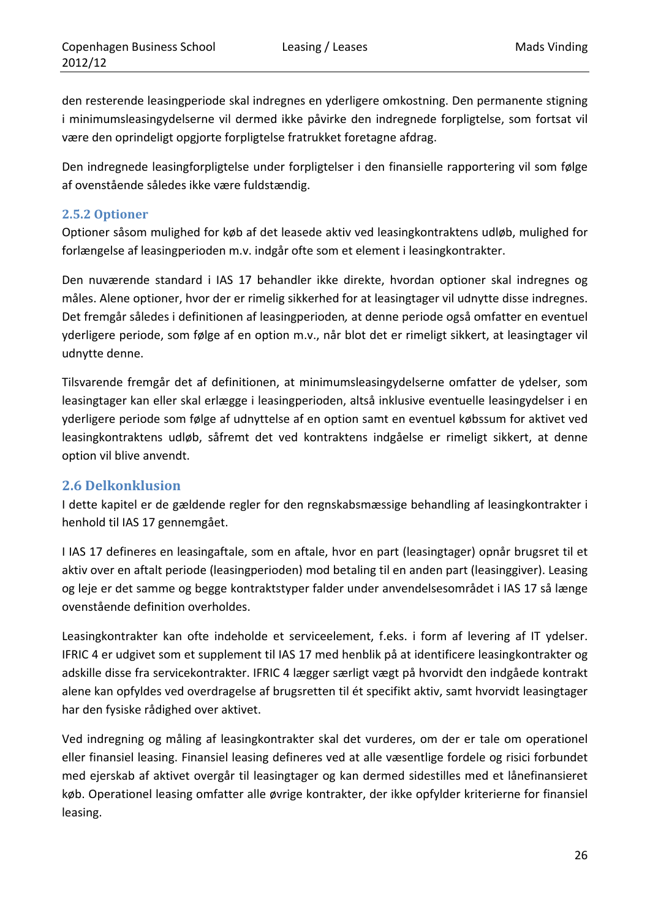den resterende leasingperiode skal indregnes en yderligere omkostning. Den permanente stigning i minimumsleasingydelserne vil dermed ikke påvirke den indregnede forpligtelse, som fortsat vil være den oprindeligt opgjorte forpligtelse fratrukket foretagne afdrag.

Den indregnede leasingforpligtelse under forpligtelser i den finansielle rapportering vil som følge af ovenstående således ikke være fuldstændig.

## **2.5.2 Optioner**

Optioner såsom mulighed for køb af det leasede aktiv ved leasingkontraktens udløb, mulighed for forlængelse af leasingperioden m.v. indgår ofte som et element i leasingkontrakter.

Den nuværende standard i IAS 17 behandler ikke direkte, hvordan optioner skal indregnes og måles. Alene optioner, hvor der er rimelig sikkerhed for at leasingtager vil udnytte disse indregnes. Det fremgår således i definitionen af leasingperioden*,* at denne periode også omfatter en eventuel yderligere periode, som følge af en option m.v., når blot det er rimeligt sikkert, at leasingtager vil udnytte denne.

Tilsvarende fremgår det af definitionen, at minimumsleasingydelserne omfatter de ydelser, som leasingtager kan eller skal erlægge i leasingperioden, altså inklusive eventuelle leasingydelser i en yderligere periode som følge af udnyttelse af en option samt en eventuel købssum for aktivet ved leasingkontraktens udløb, såfremt det ved kontraktens indgåelse er rimeligt sikkert, at denne option vil blive anvendt.

## **2.6 Delkonklusion**

I dette kapitel er de gældende regler for den regnskabsmæssige behandling af leasingkontrakter i henhold til IAS 17 gennemgået.

I IAS 17 defineres en leasingaftale, som en aftale, hvor en part (leasingtager) opnår brugsret til et aktiv over en aftalt periode (leasingperioden) mod betaling til en anden part (leasinggiver). Leasing og leje er det samme og begge kontraktstyper falder under anvendelsesområdet i IAS 17 så længe ovenstående definition overholdes.

Leasingkontrakter kan ofte indeholde et serviceelement, f.eks. i form af levering af IT ydelser. IFRIC 4 er udgivet som et supplement til IAS 17 med henblik på at identificere leasingkontrakter og adskille disse fra servicekontrakter. IFRIC 4 lægger særligt vægt på hvorvidt den indgåede kontrakt alene kan opfyldes ved overdragelse af brugsretten til ét specifikt aktiv, samt hvorvidt leasingtager har den fysiske rådighed over aktivet.

Ved indregning og måling af leasingkontrakter skal det vurderes, om der er tale om operationel eller finansiel leasing. Finansiel leasing defineres ved at alle væsentlige fordele og risici forbundet med ejerskab af aktivet overgår til leasingtager og kan dermed sidestilles med et lånefinansieret køb. Operationel leasing omfatter alle øvrige kontrakter, der ikke opfylder kriterierne for finansiel leasing.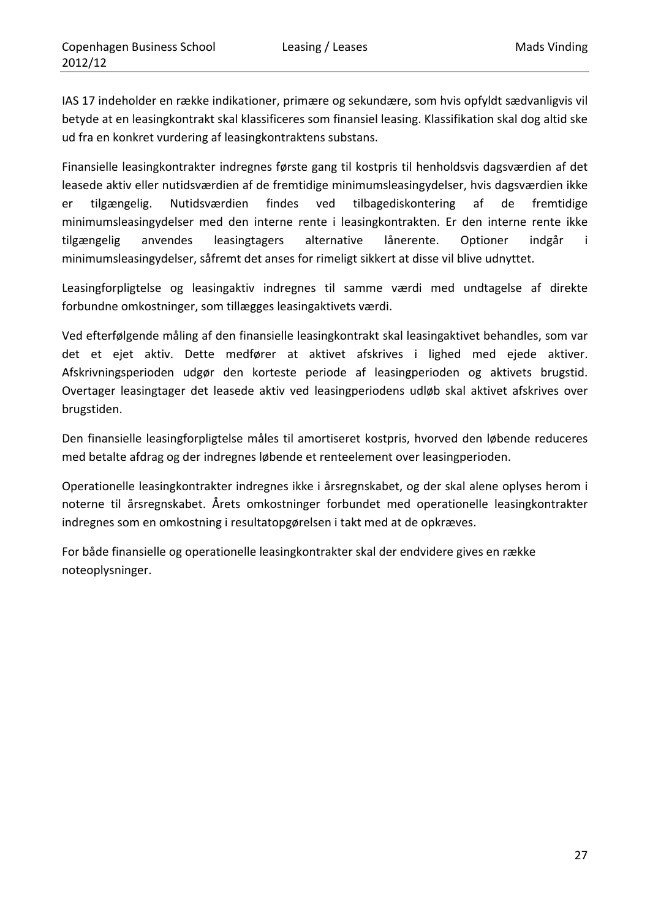IAS 17 indeholder en række indikationer, primære og sekundære, som hvis opfyldt sædvanligvis vil betyde at en leasingkontrakt skal klassificeres som finansiel leasing. Klassifikation skal dog altid ske ud fra en konkret vurdering af leasingkontraktens substans.

Finansielle leasingkontrakter indregnes første gang til kostpris til henholdsvis dagsværdien af det leasede aktiv eller nutidsværdien af de fremtidige minimumsleasingydelser, hvis dagsværdien ikke er tilgængelig. Nutidsværdien findes ved tilbagediskontering af de fremtidige minimumsleasingydelser med den interne rente i leasingkontrakten. Er den interne rente ikke tilgængelig anvendes leasingtagers alternative lånerente. Optioner indgår i minimumsleasingydelser, såfremt det anses for rimeligt sikkert at disse vil blive udnyttet.

Leasingforpligtelse og leasingaktiv indregnes til samme værdi med undtagelse af direkte forbundne omkostninger, som tillægges leasingaktivets værdi.

Ved efterfølgende måling af den finansielle leasingkontrakt skal leasingaktivet behandles, som var det et ejet aktiv. Dette medfører at aktivet afskrives i lighed med ejede aktiver. Afskrivningsperioden udgør den korteste periode af leasingperioden og aktivets brugstid. Overtager leasingtager det leasede aktiv ved leasingperiodens udløb skal aktivet afskrives over brugstiden.

Den finansielle leasingforpligtelse måles til amortiseret kostpris, hvorved den løbende reduceres med betalte afdrag og der indregnes løbende et renteelement over leasingperioden.

Operationelle leasingkontrakter indregnes ikke i årsregnskabet, og der skal alene oplyses herom i noterne til årsregnskabet. Årets omkostninger forbundet med operationelle leasingkontrakter indregnes som en omkostning i resultatopgørelsen i takt med at de opkræves.

For både finansielle og operationelle leasingkontrakter skal der endvidere gives en række noteoplysninger.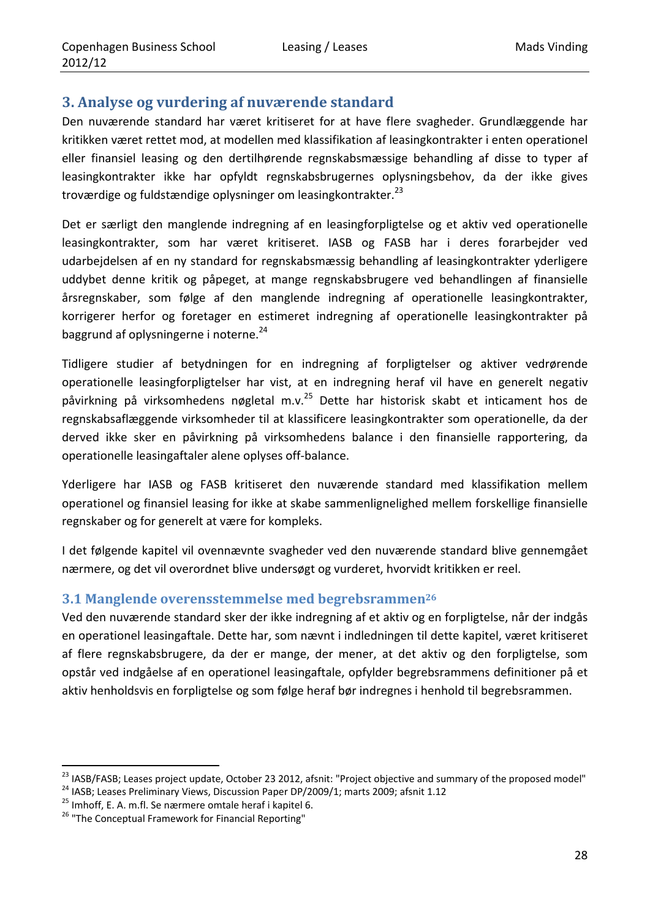## **3. Analyse og vurdering af nuværende standard**

Den nuværende standard har været kritiseret for at have flere svagheder. Grundlæggende har kritikken været rettet mod, at modellen med klassifikation af leasingkontrakter i enten operationel eller finansiel leasing og den dertilhørende regnskabsmæssige behandling af disse to typer af leasingkontrakter ikke har opfyldt regnskabsbrugernes oplysningsbehov, da der ikke gives troværdige og fuldstændige oplysninger om leasingkontrakter.<sup>23</sup>

Det er særligt den manglende indregning af en leasingforpligtelse og et aktiv ved operationelle leasingkontrakter, som har været kritiseret. IASB og FASB har i deres forarbejder ved udarbejdelsen af en ny standard for regnskabsmæssig behandling af leasingkontrakter yderligere uddybet denne kritik og påpeget, at mange regnskabsbrugere ved behandlingen af finansielle årsregnskaber, som følge af den manglende indregning af operationelle leasingkontrakter, korrigerer herfor og foretager en estimeret indregning af operationelle leasingkontrakter på baggrund af oplysningerne i noterne.<sup>24</sup>

Tidligere studier af betydningen for en indregning af forpligtelser og aktiver vedrørende operationelle leasingforpligtelser har vist, at en indregning heraf vil have en generelt negativ påvirkning på virksomhedens nøgletal m.v.<sup>25</sup> Dette har historisk skabt et inticament hos de regnskabsaflæggende virksomheder til at klassificere leasingkontrakter som operationelle, da der derved ikke sker en påvirkning på virksomhedens balance i den finansielle rapportering, da operationelle leasingaftaler alene oplyses off‐balance.

Yderligere har IASB og FASB kritiseret den nuværende standard med klassifikation mellem operationel og finansiel leasing for ikke at skabe sammenlignelighed mellem forskellige finansielle regnskaber og for generelt at være for kompleks.

I det følgende kapitel vil ovennævnte svagheder ved den nuværende standard blive gennemgået nærmere, og det vil overordnet blive undersøgt og vurderet, hvorvidt kritikken er reel.

## **3.1 Manglende overensstemmelse med begrebsrammen26**

Ved den nuværende standard sker der ikke indregning af et aktiv og en forpligtelse, når der indgås en operationel leasingaftale. Dette har, som nævnt i indledningen til dette kapitel, været kritiseret af flere regnskabsbrugere, da der er mange, der mener, at det aktiv og den forpligtelse, som opstår ved indgåelse af en operationel leasingaftale, opfylder begrebsrammens definitioner på et aktiv henholdsvis en forpligtelse og som følge heraf bør indregnes i henhold til begrebsrammen.

<sup>&</sup>lt;sup>23</sup> IASB/FASB; Leases project update, October 23 2012, afsnit: "Project objective and summary of the proposed model"<br><sup>24</sup> IASB; Leases Preliminary Views, Discussion Paper DP/2009/1; marts 2009; afsnit 1.12<br><sup>25</sup> Imhoff, E.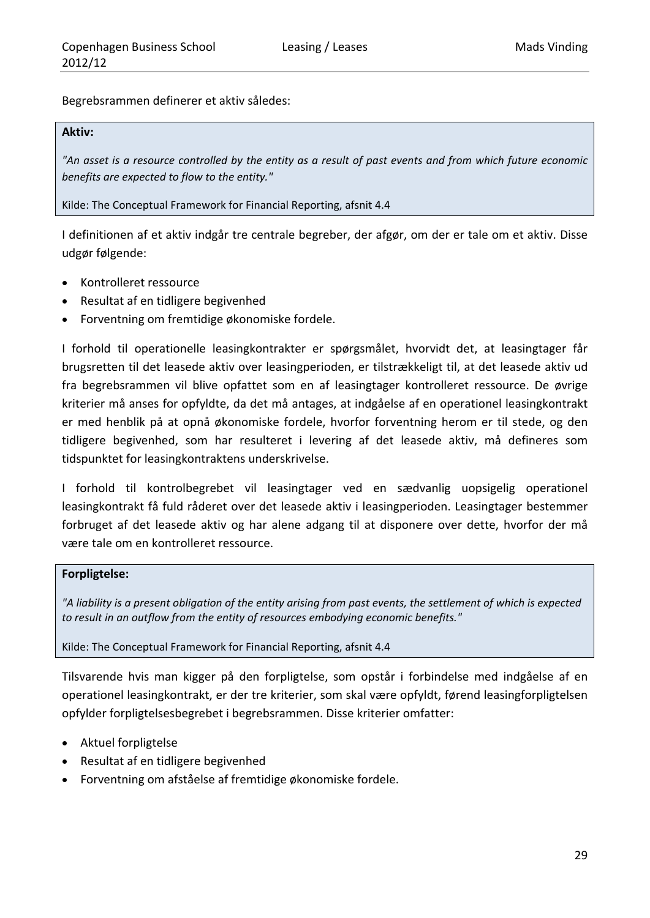Begrebsrammen definerer et aktiv således:

#### **Aktiv:**

"An asset is a resource controlled by the entity as a result of past events and from which future economic *benefits are expected to flow to the entity."*

Kilde: The Conceptual Framework for Financial Reporting, afsnit 4.4

I definitionen af et aktiv indgår tre centrale begreber, der afgør, om der er tale om et aktiv. Disse udgør følgende:

- Kontrolleret ressource
- Resultat af en tidligere begivenhed
- Forventning om fremtidige økonomiske fordele.

I forhold til operationelle leasingkontrakter er spørgsmålet, hvorvidt det, at leasingtager får brugsretten til det leasede aktiv over leasingperioden, er tilstrækkeligt til, at det leasede aktiv ud fra begrebsrammen vil blive opfattet som en af leasingtager kontrolleret ressource. De øvrige kriterier må anses for opfyldte, da det må antages, at indgåelse af en operationel leasingkontrakt er med henblik på at opnå økonomiske fordele, hvorfor forventning herom er til stede, og den tidligere begivenhed, som har resulteret i levering af det leasede aktiv, må defineres som tidspunktet for leasingkontraktens underskrivelse.

I forhold til kontrolbegrebet vil leasingtager ved en sædvanlig uopsigelig operationel leasingkontrakt få fuld råderet over det leasede aktiv i leasingperioden. Leasingtager bestemmer forbruget af det leasede aktiv og har alene adgang til at disponere over dette, hvorfor der må være tale om en kontrolleret ressource.

#### **Forpligtelse:**

"A liability is a present obligation of the entity arising from past events, the settlement of which is expected *to result in an outflow from the entity of resources embodying economic benefits."*

#### Kilde: The Conceptual Framework for Financial Reporting, afsnit 4.4

Tilsvarende hvis man kigger på den forpligtelse, som opstår i forbindelse med indgåelse af en operationel leasingkontrakt, er der tre kriterier, som skal være opfyldt, førend leasingforpligtelsen opfylder forpligtelsesbegrebet i begrebsrammen. Disse kriterier omfatter:

- Aktuel forpligtelse
- Resultat af en tidligere begivenhed
- Forventning om afståelse af fremtidige økonomiske fordele.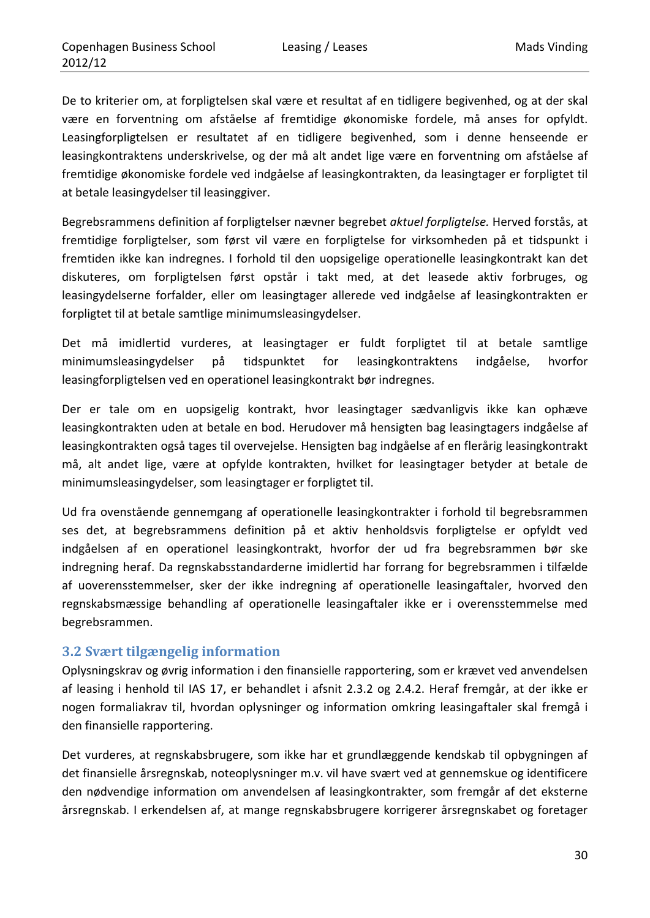De to kriterier om, at forpligtelsen skal være et resultat af en tidligere begivenhed, og at der skal være en forventning om afståelse af fremtidige økonomiske fordele, må anses for opfyldt. Leasingforpligtelsen er resultatet af en tidligere begivenhed, som i denne henseende er leasingkontraktens underskrivelse, og der må alt andet lige være en forventning om afståelse af fremtidige økonomiske fordele ved indgåelse af leasingkontrakten, da leasingtager er forpligtet til at betale leasingydelser til leasinggiver.

Begrebsrammens definition af forpligtelser nævner begrebet *aktuel forpligtelse.* Herved forstås, at fremtidige forpligtelser, som først vil være en forpligtelse for virksomheden på et tidspunkt i fremtiden ikke kan indregnes. I forhold til den uopsigelige operationelle leasingkontrakt kan det diskuteres, om forpligtelsen først opstår i takt med, at det leasede aktiv forbruges, og leasingydelserne forfalder, eller om leasingtager allerede ved indgåelse af leasingkontrakten er forpligtet til at betale samtlige minimumsleasingydelser.

Det må imidlertid vurderes, at leasingtager er fuldt forpligtet til at betale samtlige minimumsleasingydelser på tidspunktet for leasingkontraktens indgåelse, hvorfor leasingforpligtelsen ved en operationel leasingkontrakt bør indregnes.

Der er tale om en uopsigelig kontrakt, hvor leasingtager sædvanligvis ikke kan ophæve leasingkontrakten uden at betale en bod. Herudover må hensigten bag leasingtagers indgåelse af leasingkontrakten også tages til overvejelse. Hensigten bag indgåelse af en flerårig leasingkontrakt må, alt andet lige, være at opfylde kontrakten, hvilket for leasingtager betyder at betale de minimumsleasingydelser, som leasingtager er forpligtet til.

Ud fra ovenstående gennemgang af operationelle leasingkontrakter i forhold til begrebsrammen ses det, at begrebsrammens definition på et aktiv henholdsvis forpligtelse er opfyldt ved indgåelsen af en operationel leasingkontrakt, hvorfor der ud fra begrebsrammen bør ske indregning heraf. Da regnskabsstandarderne imidlertid har forrang for begrebsrammen i tilfælde af uoverensstemmelser, sker der ikke indregning af operationelle leasingaftaler, hvorved den regnskabsmæssige behandling af operationelle leasingaftaler ikke er i overensstemmelse med begrebsrammen.

## **3.2 Svært tilgængelig information**

Oplysningskrav og øvrig information i den finansielle rapportering, som er krævet ved anvendelsen af leasing i henhold til IAS 17, er behandlet i afsnit 2.3.2 og 2.4.2. Heraf fremgår, at der ikke er nogen formaliakrav til, hvordan oplysninger og information omkring leasingaftaler skal fremgå i den finansielle rapportering.

Det vurderes, at regnskabsbrugere, som ikke har et grundlæggende kendskab til opbygningen af det finansielle årsregnskab, noteoplysninger m.v. vil have svært ved at gennemskue og identificere den nødvendige information om anvendelsen af leasingkontrakter, som fremgår af det eksterne årsregnskab. I erkendelsen af, at mange regnskabsbrugere korrigerer årsregnskabet og foretager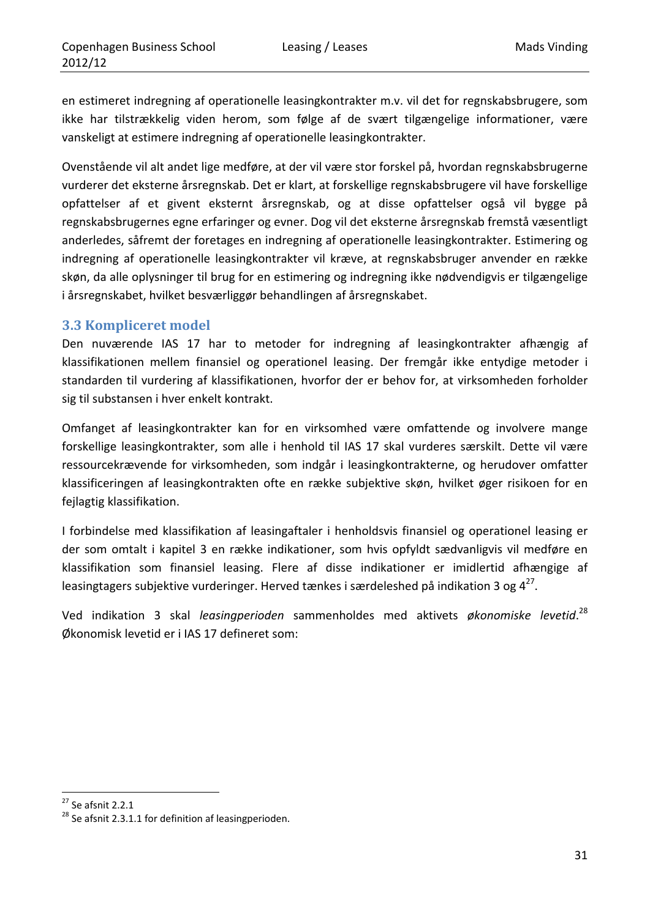en estimeret indregning af operationelle leasingkontrakter m.v. vil det for regnskabsbrugere, som ikke har tilstrækkelig viden herom, som følge af de svært tilgængelige informationer, være vanskeligt at estimere indregning af operationelle leasingkontrakter.

Ovenstående vil alt andet lige medføre, at der vil være stor forskel på, hvordan regnskabsbrugerne vurderer det eksterne årsregnskab. Det er klart, at forskellige regnskabsbrugere vil have forskellige opfattelser af et givent eksternt årsregnskab, og at disse opfattelser også vil bygge på regnskabsbrugernes egne erfaringer og evner. Dog vil det eksterne årsregnskab fremstå væsentligt anderledes, såfremt der foretages en indregning af operationelle leasingkontrakter. Estimering og indregning af operationelle leasingkontrakter vil kræve, at regnskabsbruger anvender en række skøn, da alle oplysninger til brug for en estimering og indregning ikke nødvendigvis er tilgængelige i årsregnskabet, hvilket besværliggør behandlingen af årsregnskabet.

#### **3.3 Kompliceret model**

Den nuværende IAS 17 har to metoder for indregning af leasingkontrakter afhængig af klassifikationen mellem finansiel og operationel leasing. Der fremgår ikke entydige metoder i standarden til vurdering af klassifikationen, hvorfor der er behov for, at virksomheden forholder sig til substansen i hver enkelt kontrakt.

Omfanget af leasingkontrakter kan for en virksomhed være omfattende og involvere mange forskellige leasingkontrakter, som alle i henhold til IAS 17 skal vurderes særskilt. Dette vil være ressourcekrævende for virksomheden, som indgår i leasingkontrakterne, og herudover omfatter klassificeringen af leasingkontrakten ofte en række subjektive skøn, hvilket øger risikoen for en fejlagtig klassifikation.

I forbindelse med klassifikation af leasingaftaler i henholdsvis finansiel og operationel leasing er der som omtalt i kapitel 3 en række indikationer, som hvis opfyldt sædvanligvis vil medføre en klassifikation som finansiel leasing. Flere af disse indikationer er imidlertid afhængige af leasingtagers subjektive vurderinger. Herved tænkes i særdeleshed på indikation 3 og  $4^{27}$ .

Ved indikation 3 skal *leasingperioden* sammenholdes med aktivets *økonomiske levetid*. 28 Økonomisk levetid er i IAS 17 defineret som:

<sup>&</sup>lt;u> 1989 - Johann Barn, mars eta inperiodo</u>

<sup>&</sup>lt;sup>27</sup> Se afsnit 2.2.1<br><sup>28</sup> Se afsnit 2.3.1.1 for definition af leasingperioden.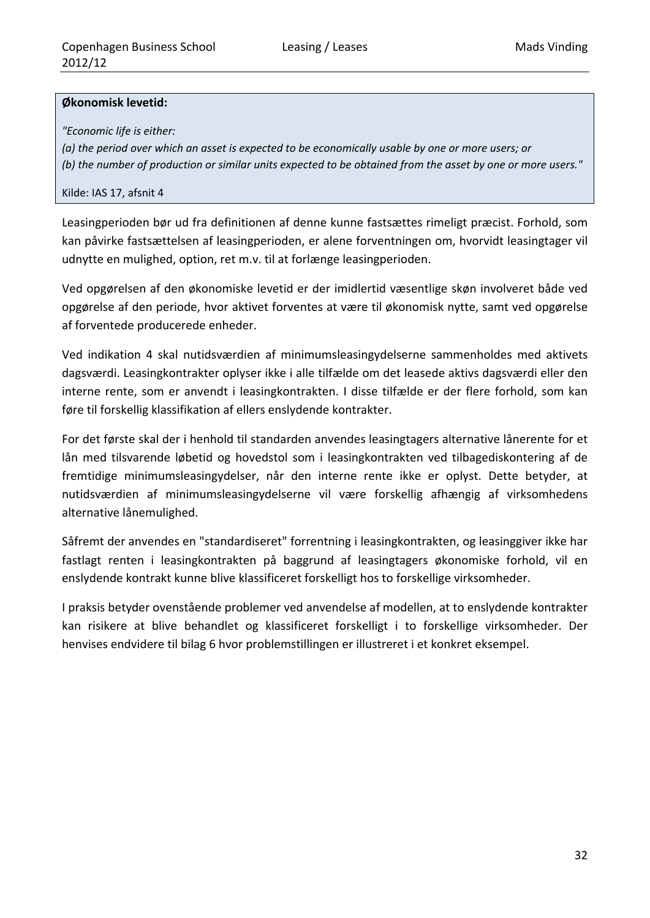#### **Økonomisk levetid:**

*"Economic life is either:*

(a) the period over which an asset is expected to be economically usable by one or more users; or (b) the number of production or similar units expected to be obtained from the asset by one or more users."

#### Kilde: IAS 17, afsnit 4

Leasingperioden bør ud fra definitionen af denne kunne fastsættes rimeligt præcist. Forhold, som kan påvirke fastsættelsen af leasingperioden, er alene forventningen om, hvorvidt leasingtager vil udnytte en mulighed, option, ret m.v. til at forlænge leasingperioden.

Ved opgørelsen af den økonomiske levetid er der imidlertid væsentlige skøn involveret både ved opgørelse af den periode, hvor aktivet forventes at være til økonomisk nytte, samt ved opgørelse af forventede producerede enheder.

Ved indikation 4 skal nutidsværdien af minimumsleasingydelserne sammenholdes med aktivets dagsværdi. Leasingkontrakter oplyser ikke i alle tilfælde om det leasede aktivs dagsværdi eller den interne rente, som er anvendt i leasingkontrakten. I disse tilfælde er der flere forhold, som kan føre til forskellig klassifikation af ellers enslydende kontrakter.

For det første skal der i henhold til standarden anvendes leasingtagers alternative lånerente for et lån med tilsvarende løbetid og hovedstol som i leasingkontrakten ved tilbagediskontering af de fremtidige minimumsleasingydelser, når den interne rente ikke er oplyst. Dette betyder, at nutidsværdien af minimumsleasingydelserne vil være forskellig afhængig af virksomhedens alternative lånemulighed.

Såfremt der anvendes en "standardiseret" forrentning i leasingkontrakten, og leasinggiver ikke har fastlagt renten i leasingkontrakten på baggrund af leasingtagers økonomiske forhold, vil en enslydende kontrakt kunne blive klassificeret forskelligt hos to forskellige virksomheder.

I praksis betyder ovenstående problemer ved anvendelse af modellen, at to enslydende kontrakter kan risikere at blive behandlet og klassificeret forskelligt i to forskellige virksomheder. Der henvises endvidere til bilag 6 hvor problemstillingen er illustreret i et konkret eksempel.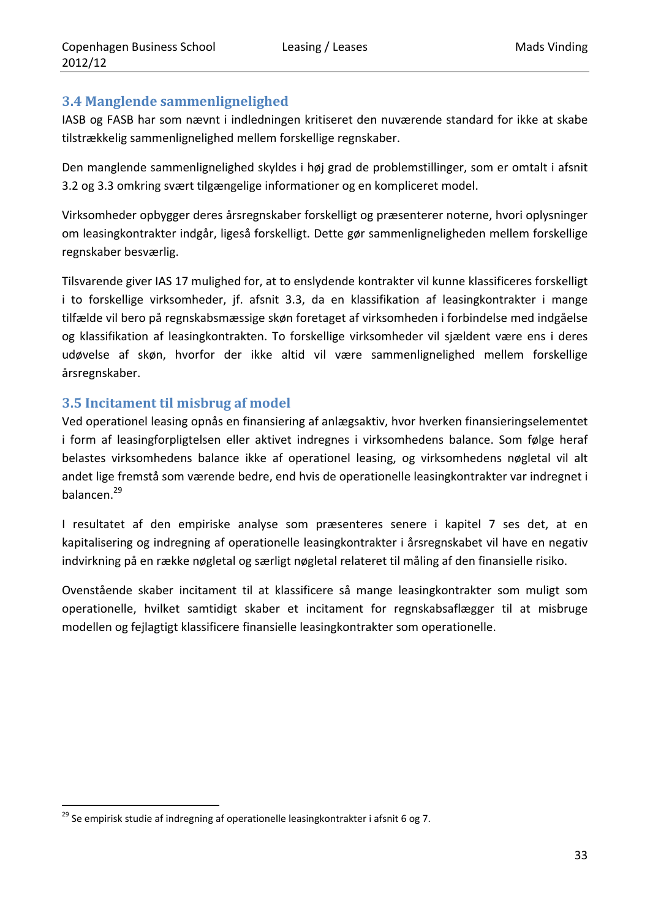## **3.4 Manglende sammenlignelighed**

IASB og FASB har som nævnt i indledningen kritiseret den nuværende standard for ikke at skabe tilstrækkelig sammenlignelighed mellem forskellige regnskaber.

Den manglende sammenlignelighed skyldes i høj grad de problemstillinger, som er omtalt i afsnit 3.2 og 3.3 omkring svært tilgængelige informationer og en kompliceret model.

Virksomheder opbygger deres årsregnskaber forskelligt og præsenterer noterne, hvori oplysninger om leasingkontrakter indgår, ligeså forskelligt. Dette gør sammenligneligheden mellem forskellige regnskaber besværlig.

Tilsvarende giver IAS 17 mulighed for, at to enslydende kontrakter vil kunne klassificeres forskelligt i to forskellige virksomheder, jf. afsnit 3.3, da en klassifikation af leasingkontrakter i mange tilfælde vil bero på regnskabsmæssige skøn foretaget af virksomheden i forbindelse med indgåelse og klassifikation af leasingkontrakten. To forskellige virksomheder vil sjældent være ens i deres udøvelse af skøn, hvorfor der ikke altid vil være sammenlignelighed mellem forskellige årsregnskaber.

## **3.5 Incitament til misbrug af model**

Ved operationel leasing opnås en finansiering af anlægsaktiv, hvor hverken finansieringselementet i form af leasingforpligtelsen eller aktivet indregnes i virksomhedens balance. Som følge heraf belastes virksomhedens balance ikke af operationel leasing, og virksomhedens nøgletal vil alt andet lige fremstå som værende bedre, end hvis de operationelle leasingkontrakter var indregnet i balancen.29

I resultatet af den empiriske analyse som præsenteres senere i kapitel 7 ses det, at en kapitalisering og indregning af operationelle leasingkontrakter i årsregnskabet vil have en negativ indvirkning på en række nøgletal og særligt nøgletal relateret til måling af den finansielle risiko.

Ovenstående skaber incitament til at klassificere så mange leasingkontrakter som muligt som operationelle, hvilket samtidigt skaber et incitament for regnskabsaflægger til at misbruge modellen og fejlagtigt klassificere finansielle leasingkontrakter som operationelle.

<sup>&</sup>lt;u> 1989 - Johann Barn, mars eta inperiodo</u> <sup>29</sup> Se empirisk studie af indregning af operationelle leasingkontrakter i afsnit 6 og 7.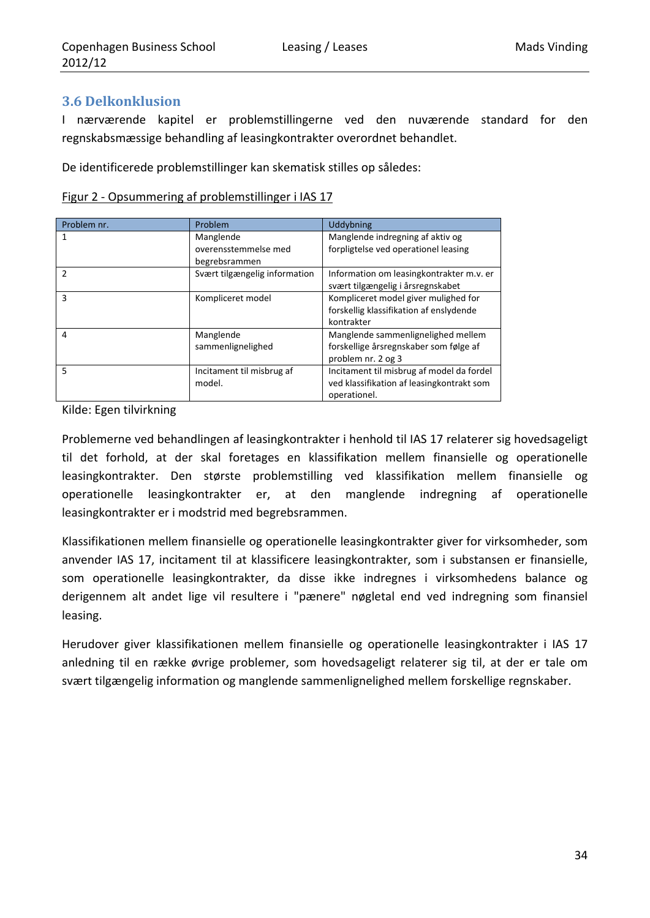## **3.6 Delkonklusion**

I nærværende kapitel er problemstillingerne ved den nuværende standard for den regnskabsmæssige behandling af leasingkontrakter overordnet behandlet.

De identificerede problemstillinger kan skematisk stilles op således:

| Figur 2 - Opsummering af problemstillinger i IAS 17 |
|-----------------------------------------------------|
|-----------------------------------------------------|

| Problem nr.    | Problem                       | Uddybning                                 |
|----------------|-------------------------------|-------------------------------------------|
| 1              | Manglende                     | Manglende indregning af aktiv og          |
|                | overensstemmelse med          | forpligtelse ved operationel leasing      |
|                | begrebsrammen                 |                                           |
| $\mathfrak{p}$ | Svært tilgængelig information | Information om leasingkontrakter m.v. er  |
|                |                               | svært tilgængelig i årsregnskabet         |
| 3              | Kompliceret model             | Kompliceret model giver mulighed for      |
|                |                               | forskellig klassifikation af enslydende   |
|                |                               | kontrakter                                |
| 4              | Manglende                     | Manglende sammenlignelighed mellem        |
|                | sammenlignelighed             | forskellige årsregnskaber som følge af    |
|                |                               | problem nr. 2 og 3                        |
| 5              | Incitament til misbrug af     | Incitament til misbrug af model da fordel |
|                | model.                        | ved klassifikation af leasingkontrakt som |
|                |                               | operationel.                              |

Kilde: Egen tilvirkning

Problemerne ved behandlingen af leasingkontrakter i henhold til IAS 17 relaterer sig hovedsageligt til det forhold, at der skal foretages en klassifikation mellem finansielle og operationelle leasingkontrakter. Den største problemstilling ved klassifikation mellem finansielle og operationelle leasingkontrakter er, at den manglende indregning af operationelle leasingkontrakter er i modstrid med begrebsrammen.

Klassifikationen mellem finansielle og operationelle leasingkontrakter giver for virksomheder, som anvender IAS 17, incitament til at klassificere leasingkontrakter, som i substansen er finansielle, som operationelle leasingkontrakter, da disse ikke indregnes i virksomhedens balance og derigennem alt andet lige vil resultere i "pænere" nøgletal end ved indregning som finansiel leasing.

Herudover giver klassifikationen mellem finansielle og operationelle leasingkontrakter i IAS 17 anledning til en række øvrige problemer, som hovedsageligt relaterer sig til, at der er tale om svært tilgængelig information og manglende sammenlignelighed mellem forskellige regnskaber.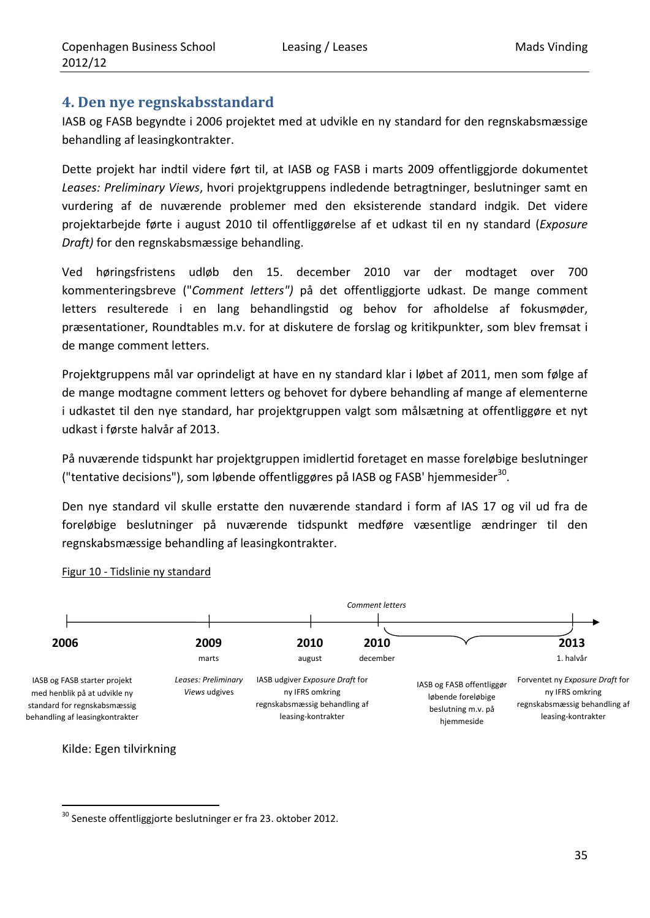## **4. Den nye regnskabsstandard**

IASB og FASB begyndte i 2006 projektet med at udvikle en ny standard for den regnskabsmæssige behandling af leasingkontrakter.

Dette projekt har indtil videre ført til, at IASB og FASB i marts 2009 offentliggjorde dokumentet *Leases: Preliminary Views*, hvori projektgruppens indledende betragtninger, beslutninger samt en vurdering af de nuværende problemer med den eksisterende standard indgik. Det videre projektarbejde førte i august 2010 til offentliggørelse af et udkast til en ny standard (*Exposure Draft)* for den regnskabsmæssige behandling.

Ved høringsfristens udløb den 15. december 2010 var der modtaget over 700 kommenteringsbreve ("*Comment letters")* på det offentliggjorte udkast. De mange comment letters resulterede i en lang behandlingstid og behov for afholdelse af fokusmøder, præsentationer, Roundtables m.v. for at diskutere de forslag og kritikpunkter, som blev fremsat i de mange comment letters.

Projektgruppens mål var oprindeligt at have en ny standard klar i løbet af 2011, men som følge af de mange modtagne comment letters og behovet for dybere behandling af mange af elementerne i udkastet til den nye standard, har projektgruppen valgt som målsætning at offentliggøre et nyt udkast i første halvår af 2013.

På nuværende tidspunkt har projektgruppen imidlertid foretaget en masse foreløbige beslutninger ("tentative decisions"), som løbende offentliggøres på IASB og FASB' hjemmesider<sup>30</sup>.

Den nye standard vil skulle erstatte den nuværende standard i form af IAS 17 og vil ud fra de foreløbige beslutninger på nuværende tidspunkt medføre væsentlige ændringer til den regnskabsmæssige behandling af leasingkontrakter.



Figur 10 ‐ Tidslinie ny standard

Kilde: Egen tilvirkning

<sup>&</sup>lt;u> 1989 - Johann Barn, mars eta inperiodo</u>  $^{30}$  Seneste offentliggjorte beslutninger er fra 23. oktober 2012.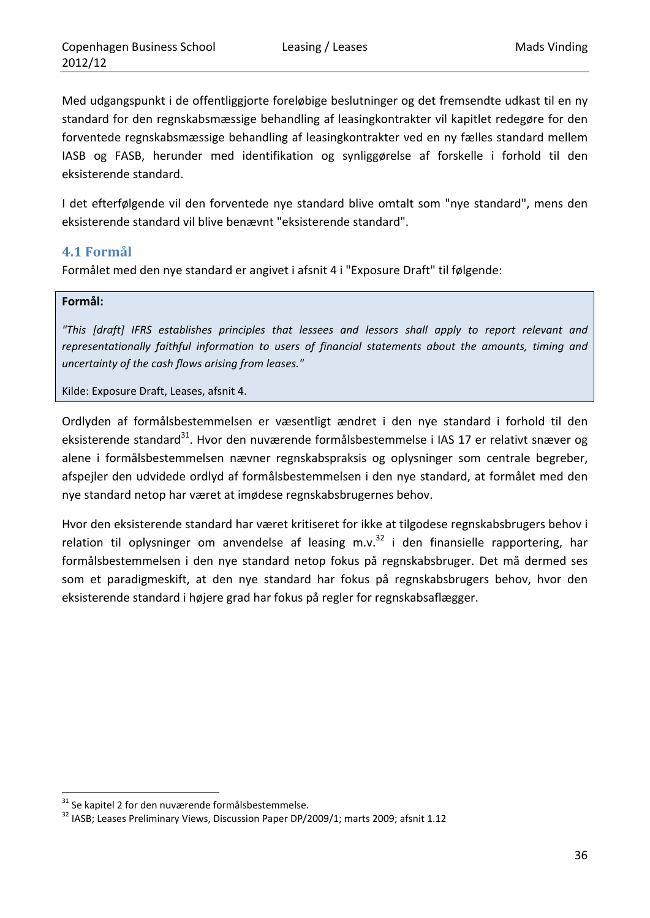Med udgangspunkt i de offentliggjorte foreløbige beslutninger og det fremsendte udkast til en ny standard for den regnskabsmæssige behandling af leasingkontrakter vil kapitlet redegøre for den forventede regnskabsmæssige behandling af leasingkontrakter ved en ny fælles standard mellem IASB og FASB, herunder med identifikation og synliggørelse af forskelle i forhold til den eksisterende standard.

I det efterfølgende vil den forventede nye standard blive omtalt som "nye standard", mens den eksisterende standard vil blive benævnt "eksisterende standard".

#### **4.1 Formål**

Formålet med den nye standard er angivet i afsnit 4 i "Exposure Draft" til følgende:

#### **Formål:**

*"This [draft] IFRS establishes principles that lessees and lessors shall apply to report relevant and representationally faithful information to users of financial statements about the amounts, timing and uncertainty of the cash flows arising from leases."*

Kilde: Exposure Draft, Leases, afsnit 4.

Ordlyden af formålsbestemmelsen er væsentligt ændret i den nye standard i forhold til den eksisterende standard<sup>31</sup>. Hvor den nuværende formålsbestemmelse i IAS 17 er relativt snæver og alene i formålsbestemmelsen nævner regnskabspraksis og oplysninger som centrale begreber, afspejler den udvidede ordlyd af formålsbestemmelsen i den nye standard, at formålet med den nye standard netop har været at imødese regnskabsbrugernes behov.

Hvor den eksisterende standard har været kritiseret for ikke at tilgodese regnskabsbrugers behov i relation til oplysninger om anvendelse af leasing m.v.<sup>32</sup> i den finansielle rapportering, har formålsbestemmelsen i den nye standard netop fokus på regnskabsbruger. Det må dermed ses som et paradigmeskift, at den nye standard har fokus på regnskabsbrugers behov, hvor den eksisterende standard i højere grad har fokus på regler for regnskabsaflægger.

<sup>&</sup>lt;sup>31</sup> Se kapitel 2 for den nuværende formålsbestemmelse.<br><sup>32</sup> IASB; Leases Preliminary Views, Discussion Paper DP/2009/1; marts 2009; afsnit 1.12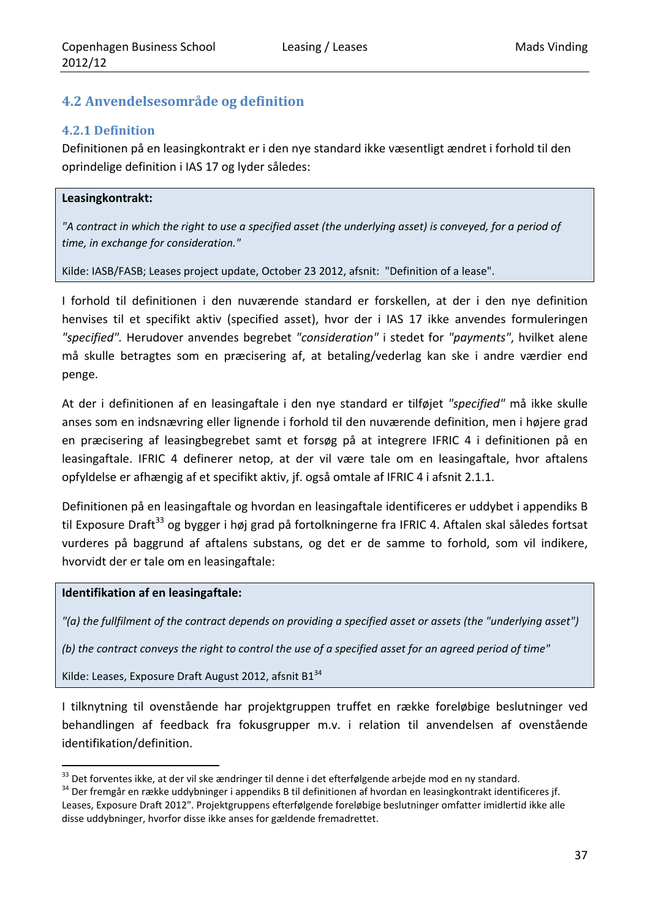## **4.2 Anvendelsesområde og definition**

#### **4.2.1 Definition**

Definitionen på en leasingkontrakt er i den nye standard ikke væsentligt ændret i forhold til den oprindelige definition i IAS 17 og lyder således:

#### **Leasingkontrakt:**

"A contract in which the right to use a specified asset (the underlying asset) is conveyed, for a period of *time, in exchange for consideration."* 

Kilde: IASB/FASB; Leases project update, October 23 2012, afsnit: "Definition of a lease".

I forhold til definitionen i den nuværende standard er forskellen, at der i den nye definition henvises til et specifikt aktiv (specified asset), hvor der i IAS 17 ikke anvendes formuleringen *"specified".* Herudover anvendes begrebet *"consideration"* i stedet for *"payments"*, hvilket alene må skulle betragtes som en præcisering af, at betaling/vederlag kan ske i andre værdier end penge.

At der i definitionen af en leasingaftale i den nye standard er tilføjet *"specified"* må ikke skulle anses som en indsnævring eller lignende i forhold til den nuværende definition, men i højere grad en præcisering af leasingbegrebet samt et forsøg på at integrere IFRIC 4 i definitionen på en leasingaftale. IFRIC 4 definerer netop, at der vil være tale om en leasingaftale, hvor aftalens opfyldelse er afhængig af et specifikt aktiv, jf. også omtale af IFRIC 4 i afsnit 2.1.1.

Definitionen på en leasingaftale og hvordan en leasingaftale identificeres er uddybet i appendiks B til Exposure Draft<sup>33</sup> og bygger i høj grad på fortolkningerne fra IFRIC 4. Aftalen skal således fortsat vurderes på baggrund af aftalens substans, og det er de samme to forhold, som vil indikere, hvorvidt der er tale om en leasingaftale:

#### **Identifikation af en leasingaftale:**

<u> 1989 - Johann Barn, mars eta inperiodo</u>

"(a) the fullfilment of the contract depends on providing a specified asset or assets (the "underlying asset")

(b) the contract conveys the right to control the use of a specified asset for an agreed period of time"

Kilde: Leases, Exposure Draft August 2012, afsnit B1<sup>34</sup>

I tilknytning til ovenstående har projektgruppen truffet en række foreløbige beslutninger ved behandlingen af feedback fra fokusgrupper m.v. i relation til anvendelsen af ovenstående identifikation/definition.

<sup>&</sup>lt;sup>33</sup> Det forventes ikke, at der vil ske ændringer til denne i det efterfølgende arbejde mod en ny standard.<br><sup>34</sup> Der fremgår en række uddybninger i appendiks B til definitionen af hvordan en leasingkontrakt identificeres j Leases, Exposure Draft 2012". Projektgruppens efterfølgende foreløbige beslutninger omfatter imidlertid ikke alle disse uddybninger, hvorfor disse ikke anses for gældende fremadrettet.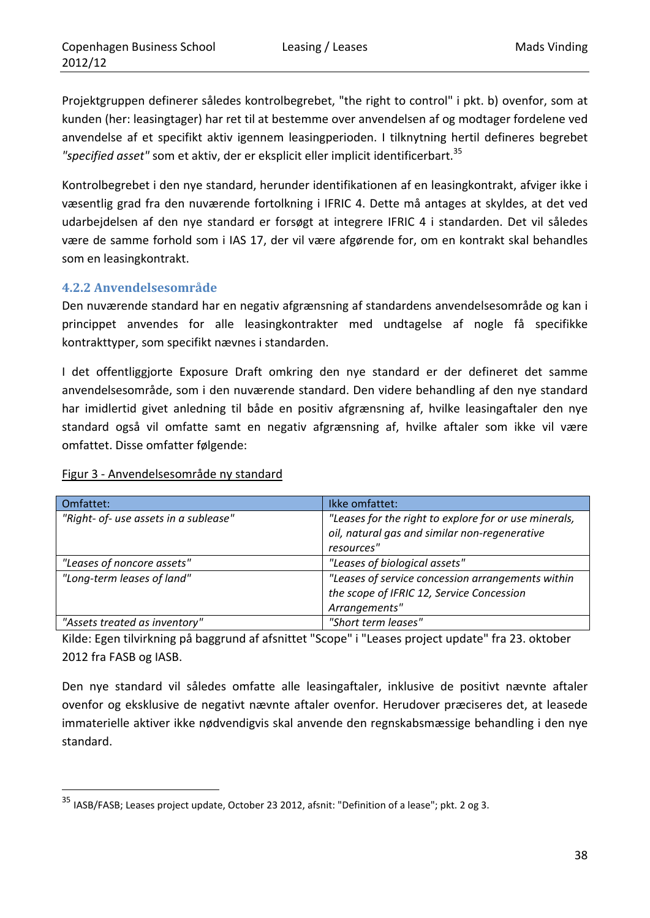Projektgruppen definerer således kontrolbegrebet, "the right to control" i pkt. b) ovenfor, som at kunden (her: leasingtager) har ret til at bestemme over anvendelsen af og modtager fordelene ved anvendelse af et specifikt aktiv igennem leasingperioden. I tilknytning hertil defineres begrebet *"specified asset"* som et aktiv, der er eksplicit eller implicit identificerbart.35

Kontrolbegrebet i den nye standard, herunder identifikationen af en leasingkontrakt, afviger ikke i væsentlig grad fra den nuværende fortolkning i IFRIC 4. Dette må antages at skyldes, at det ved udarbejdelsen af den nye standard er forsøgt at integrere IFRIC 4 i standarden. Det vil således være de samme forhold som i IAS 17, der vil være afgørende for, om en kontrakt skal behandles som en leasingkontrakt.

#### **4.2.2 Anvendelsesområde**

Den nuværende standard har en negativ afgrænsning af standardens anvendelsesområde og kan i princippet anvendes for alle leasingkontrakter med undtagelse af nogle få specifikke kontrakttyper, som specifikt nævnes i standarden.

I det offentliggjorte Exposure Draft omkring den nye standard er der defineret det samme anvendelsesområde, som i den nuværende standard. Den videre behandling af den nye standard har imidlertid givet anledning til både en positiv afgrænsning af, hvilke leasingaftaler den nye standard også vil omfatte samt en negativ afgrænsning af, hvilke aftaler som ikke vil være omfattet. Disse omfatter følgende:

| Omfattet:                             | Ikke omfattet:                                                                                                       |
|---------------------------------------|----------------------------------------------------------------------------------------------------------------------|
| "Right- of- use assets in a sublease" | "Leases for the right to explore for or use minerals,<br>oil, natural gas and similar non-regenerative<br>resources" |
| "Leases of noncore assets"            | "Leases of biological assets"                                                                                        |
| "Long-term leases of land"            | "Leases of service concession arrangements within<br>the scope of IFRIC 12, Service Concession<br>Arrangements"      |
| "Assets treated as inventory"         | "Short term leases"                                                                                                  |

#### Figur 3 ‐ Anvendelsesområde ny standard

<u> 1989 - Johann Barn, mars eta inperiodo</u>

Kilde: Egen tilvirkning på baggrund af afsnittet "Scope" i "Leases project update" fra 23. oktober 2012 fra FASB og IASB.

Den nye standard vil således omfatte alle leasingaftaler, inklusive de positivt nævnte aftaler ovenfor og eksklusive de negativt nævnte aftaler ovenfor. Herudover præciseres det, at leasede immaterielle aktiver ikke nødvendigvis skal anvende den regnskabsmæssige behandling i den nye standard.

<sup>35</sup> IASB/FASB; Leases project update, October 23 2012, afsnit: "Definition of a lease"; pkt. 2 og 3.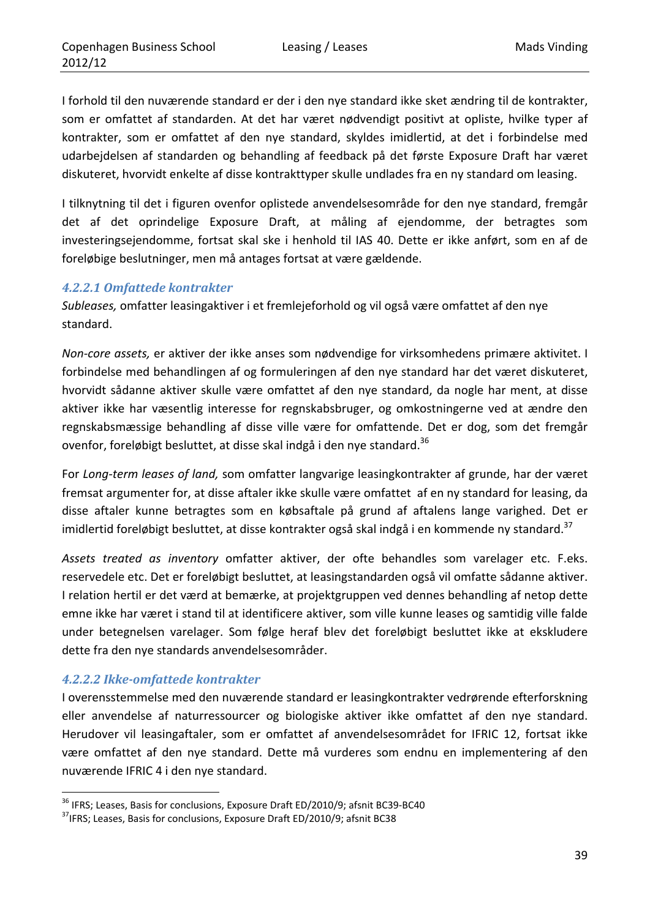I forhold til den nuværende standard er der i den nye standard ikke sket ændring til de kontrakter, som er omfattet af standarden. At det har været nødvendigt positivt at opliste, hvilke typer af kontrakter, som er omfattet af den nye standard, skyldes imidlertid, at det i forbindelse med udarbejdelsen af standarden og behandling af feedback på det første Exposure Draft har været diskuteret, hvorvidt enkelte af disse kontrakttyper skulle undlades fra en ny standard om leasing.

I tilknytning til det i figuren ovenfor oplistede anvendelsesområde for den nye standard, fremgår det af det oprindelige Exposure Draft, at måling af ejendomme, der betragtes som investeringsejendomme, fortsat skal ske i henhold til IAS 40. Dette er ikke anført, som en af de foreløbige beslutninger, men må antages fortsat at være gældende.

#### *4.2.2.1 Omfattede kontrakter*

*Subleases,* omfatter leasingaktiver i et fremlejeforhold og vil også være omfattet af den nye standard.

*Non‐core assets,* er aktiver der ikke anses som nødvendige for virksomhedens primære aktivitet. I forbindelse med behandlingen af og formuleringen af den nye standard har det været diskuteret, hvorvidt sådanne aktiver skulle være omfattet af den nye standard, da nogle har ment, at disse aktiver ikke har væsentlig interesse for regnskabsbruger, og omkostningerne ved at ændre den regnskabsmæssige behandling af disse ville være for omfattende. Det er dog, som det fremgår ovenfor, foreløbigt besluttet, at disse skal indgå i den nye standard.<sup>36</sup>

For *Long‐term leases of land,* som omfatter langvarige leasingkontrakter af grunde, har der været fremsat argumenter for, at disse aftaler ikke skulle være omfattet af en ny standard for leasing, da disse aftaler kunne betragtes som en købsaftale på grund af aftalens lange varighed. Det er imidlertid foreløbigt besluttet, at disse kontrakter også skal indgå i en kommende ny standard.<sup>37</sup>

*Assets treated as inventory* omfatter aktiver, der ofte behandles som varelager etc. F.eks. reservedele etc. Det er foreløbigt besluttet, at leasingstandarden også vil omfatte sådanne aktiver. I relation hertil er det værd at bemærke, at projektgruppen ved dennes behandling af netop dette emne ikke har været i stand til at identificere aktiver, som ville kunne leases og samtidig ville falde under betegnelsen varelager. Som følge heraf blev det foreløbigt besluttet ikke at ekskludere dette fra den nye standards anvendelsesområder.

#### *4.2.2.2 Ikke‐omfattede kontrakter*

<u> 1989 - Johann Barn, mars eta inperiodo</u>

I overensstemmelse med den nuværende standard er leasingkontrakter vedrørende efterforskning eller anvendelse af naturressourcer og biologiske aktiver ikke omfattet af den nye standard. Herudover vil leasingaftaler, som er omfattet af anvendelsesområdet for IFRIC 12, fortsat ikke være omfattet af den nye standard. Dette må vurderes som endnu en implementering af den nuværende IFRIC 4 i den nye standard.

<sup>&</sup>lt;sup>36</sup> IFRS; Leases, Basis for conclusions, Exposure Draft ED/2010/9; afsnit BC39-BC40  $^{37}$ IFRS; Leases, Basis for conclusions, Exposure Draft ED/2010/9; afsnit BC38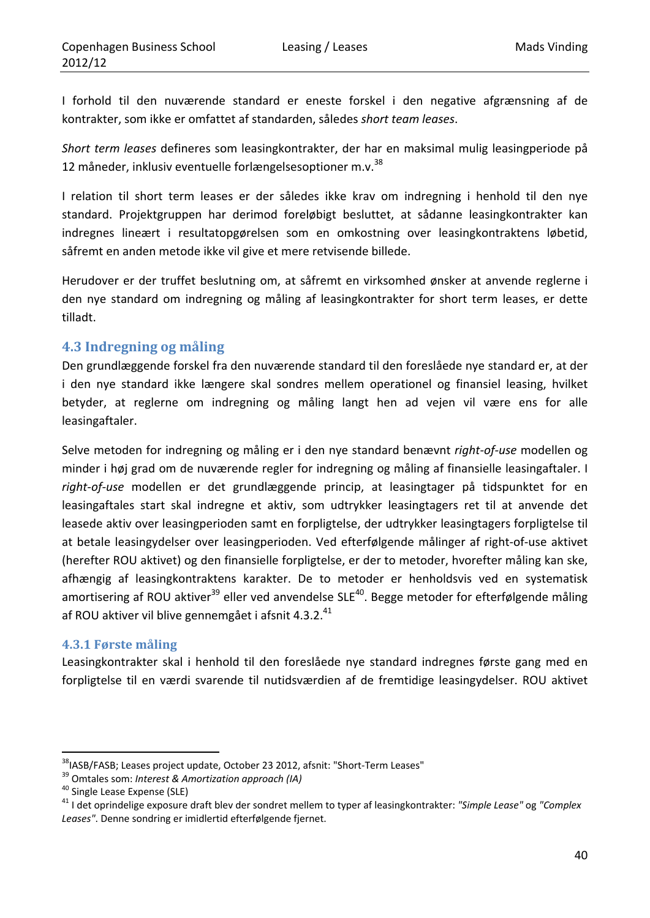I forhold til den nuværende standard er eneste forskel i den negative afgrænsning af de kontrakter, som ikke er omfattet af standarden, således *short team leases*.

*Short term leases* defineres som leasingkontrakter, der har en maksimal mulig leasingperiode på 12 måneder, inklusiv eventuelle forlængelsesoptioner m.v.<sup>38</sup>

I relation til short term leases er der således ikke krav om indregning i henhold til den nye standard. Projektgruppen har derimod foreløbigt besluttet, at sådanne leasingkontrakter kan indregnes lineært i resultatopgørelsen som en omkostning over leasingkontraktens løbetid, såfremt en anden metode ikke vil give et mere retvisende billede.

Herudover er der truffet beslutning om, at såfremt en virksomhed ønsker at anvende reglerne i den nye standard om indregning og måling af leasingkontrakter for short term leases, er dette tilladt.

### **4.3 Indregning og måling**

Den grundlæggende forskel fra den nuværende standard til den foreslåede nye standard er, at der i den nye standard ikke længere skal sondres mellem operationel og finansiel leasing, hvilket betyder, at reglerne om indregning og måling langt hen ad vejen vil være ens for alle leasingaftaler.

Selve metoden for indregning og måling er i den nye standard benævnt *right‐of‐use* modellen og minder i høj grad om de nuværende regler for indregning og måling af finansielle leasingaftaler. I *right‐of‐use* modellen er det grundlæggende princip, at leasingtager på tidspunktet for en leasingaftales start skal indregne et aktiv, som udtrykker leasingtagers ret til at anvende det leasede aktiv over leasingperioden samt en forpligtelse, der udtrykker leasingtagers forpligtelse til at betale leasingydelser over leasingperioden. Ved efterfølgende målinger af right‐of‐use aktivet (herefter ROU aktivet) og den finansielle forpligtelse, er der to metoder, hvorefter måling kan ske, afhængig af leasingkontraktens karakter. De to metoder er henholdsvis ved en systematisk amortisering af ROU aktiver<sup>39</sup> eller ved anvendelse SLE<sup>40</sup>. Begge metoder for efterfølgende måling af ROU aktiver vil blive gennemgået i afsnit 4.3.2.<sup>41</sup>

### **4.3.1 Første måling**

Leasingkontrakter skal i henhold til den foreslåede nye standard indregnes første gang med en forpligtelse til en værdi svarende til nutidsværdien af de fremtidige leasingydelser. ROU aktivet

<sup>&</sup>lt;sup>38</sup>IASB/FASB; Leases project update, October 23 2012, afsnit: "Short-Term Leases"<br><sup>39</sup> Omtales som: *Interest & Amortization approach (IA)*<br><sup>40</sup> Single Lease Expense (SLE)<br><sup>41</sup> I det oprindelige exposure draft blev der s *Leases"*. Denne sondring er imidlertid efterfølgende fjernet.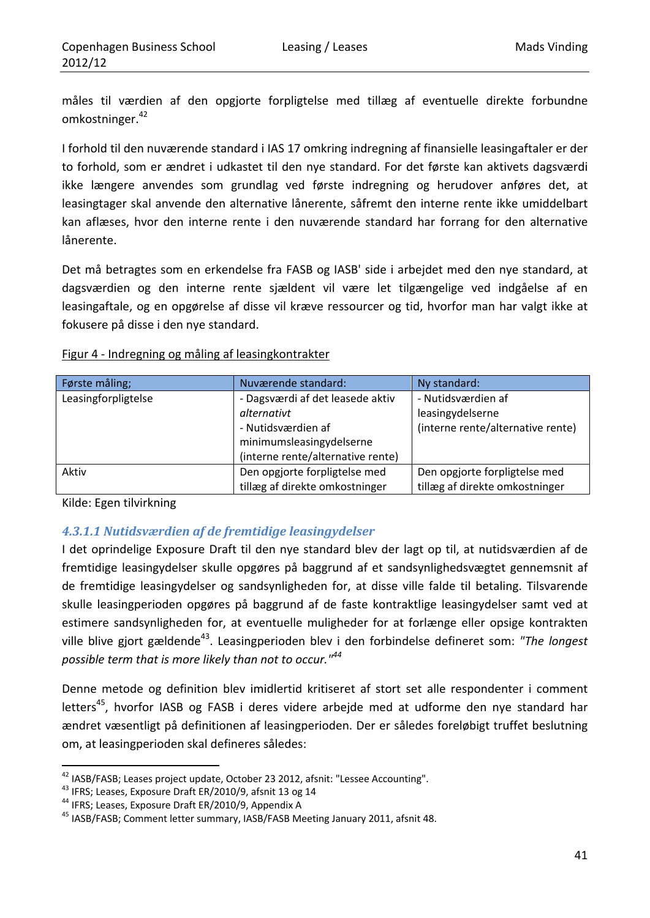måles til værdien af den opgjorte forpligtelse med tillæg af eventuelle direkte forbundne omkostninger.<sup>42</sup>

I forhold til den nuværende standard i IAS 17 omkring indregning af finansielle leasingaftaler er der to forhold, som er ændret i udkastet til den nye standard. For det første kan aktivets dagsværdi ikke længere anvendes som grundlag ved første indregning og herudover anføres det, at leasingtager skal anvende den alternative lånerente, såfremt den interne rente ikke umiddelbart kan aflæses, hvor den interne rente i den nuværende standard har forrang for den alternative lånerente.

Det må betragtes som en erkendelse fra FASB og IASB' side i arbejdet med den nye standard, at dagsværdien og den interne rente sjældent vil være let tilgængelige ved indgåelse af en leasingaftale, og en opgørelse af disse vil kræve ressourcer og tid, hvorfor man har valgt ikke at fokusere på disse i den nye standard.

| Figur 4 - Indregning og måling af leasingkontrakter |
|-----------------------------------------------------|
|-----------------------------------------------------|

| Første måling;      | Nuværende standard:                                    | Ny standard:                      |
|---------------------|--------------------------------------------------------|-----------------------------------|
| Leasingforpligtelse | - Nutidsværdien af<br>- Dagsværdi af det leasede aktiv |                                   |
|                     | alternativt                                            | leasingydelserne                  |
|                     | - Nutidsværdien af                                     | (interne rente/alternative rente) |
|                     | minimumsleasingydelserne                               |                                   |
|                     | (interne rente/alternative rente)                      |                                   |
| Aktiv               | Den opgjorte forpligtelse med                          | Den opgjorte forpligtelse med     |
|                     | tillæg af direkte omkostninger                         | tillæg af direkte omkostninger    |

Kilde: Egen tilvirkning

## *4.3.1.1 Nutidsværdien af de fremtidige leasingydelser*

I det oprindelige Exposure Draft til den nye standard blev der lagt op til, at nutidsværdien af de fremtidige leasingydelser skulle opgøres på baggrund af et sandsynlighedsvægtet gennemsnit af de fremtidige leasingydelser og sandsynligheden for, at disse ville falde til betaling. Tilsvarende skulle leasingperioden opgøres på baggrund af de faste kontraktlige leasingydelser samt ved at estimere sandsynligheden for, at eventuelle muligheder for at forlænge eller opsige kontrakten ville blive gjort gældende43. Leasingperioden blev i den forbindelse defineret som: *"The longest possible term that is more likely than not to occur."44*

Denne metode og definition blev imidlertid kritiseret af stort set alle respondenter i comment letters<sup>45</sup>, hvorfor IASB og FASB i deres videre arbejde med at udforme den nye standard har ændret væsentligt på definitionen af leasingperioden. Der er således foreløbigt truffet beslutning om, at leasingperioden skal defineres således:

<sup>&</sup>lt;sup>42</sup> IASB/FASB; Leases project update, October 23 2012, afsnit: "Lessee Accounting".<br><sup>43</sup> IFRS; Leases, Exposure Draft ER/2010/9, afsnit 13 og 14<br><sup>44</sup> IFRS; Leases, Exposure Draft ER/2010/9, Appendix A<br><sup>45</sup> IASB/FASB; Comm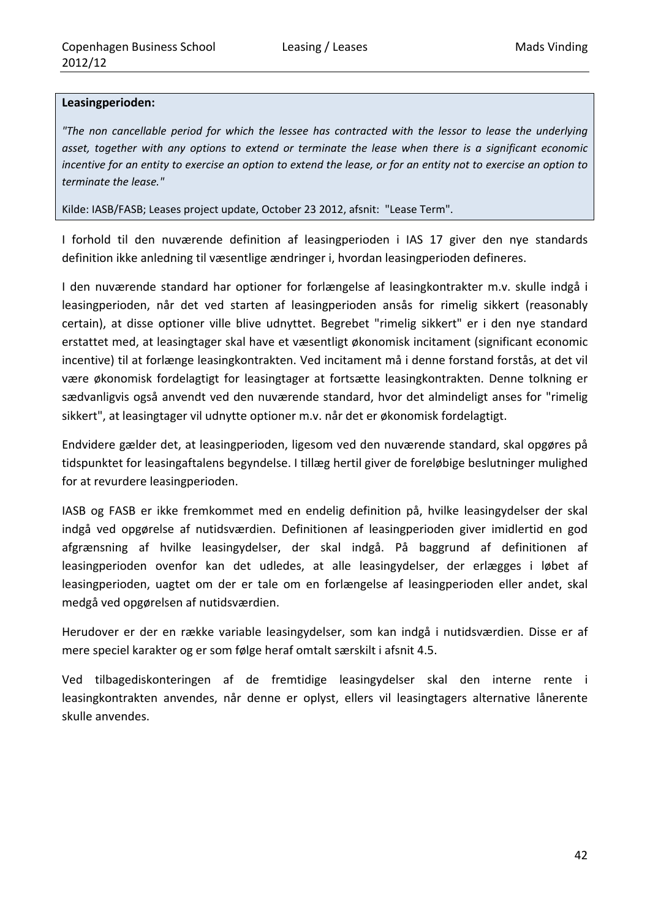#### **Leasingperioden:**

*"The non cancellable period for which the lessee has contracted with the lessor to lease the underlying asset, together with any options to extend or terminate the lease when there is a significant economic* incentive for an entity to exercise an option to extend the lease, or for an entity not to exercise an option to *terminate the lease."*

Kilde: IASB/FASB; Leases project update, October 23 2012, afsnit: "Lease Term".

I forhold til den nuværende definition af leasingperioden i IAS 17 giver den nye standards definition ikke anledning til væsentlige ændringer i, hvordan leasingperioden defineres.

I den nuværende standard har optioner for forlængelse af leasingkontrakter m.v. skulle indgå i leasingperioden, når det ved starten af leasingperioden ansås for rimelig sikkert (reasonably certain), at disse optioner ville blive udnyttet. Begrebet "rimelig sikkert" er i den nye standard erstattet med, at leasingtager skal have et væsentligt økonomisk incitament (significant economic incentive) til at forlænge leasingkontrakten. Ved incitament må i denne forstand forstås, at det vil være økonomisk fordelagtigt for leasingtager at fortsætte leasingkontrakten. Denne tolkning er sædvanligvis også anvendt ved den nuværende standard, hvor det almindeligt anses for "rimelig sikkert", at leasingtager vil udnytte optioner m.v. når det er økonomisk fordelagtigt.

Endvidere gælder det, at leasingperioden, ligesom ved den nuværende standard, skal opgøres på tidspunktet for leasingaftalens begyndelse. I tillæg hertil giver de foreløbige beslutninger mulighed for at revurdere leasingperioden.

IASB og FASB er ikke fremkommet med en endelig definition på, hvilke leasingydelser der skal indgå ved opgørelse af nutidsværdien. Definitionen af leasingperioden giver imidlertid en god afgrænsning af hvilke leasingydelser, der skal indgå. På baggrund af definitionen af leasingperioden ovenfor kan det udledes, at alle leasingydelser, der erlægges i løbet af leasingperioden, uagtet om der er tale om en forlængelse af leasingperioden eller andet, skal medgå ved opgørelsen af nutidsværdien.

Herudover er der en række variable leasingydelser, som kan indgå i nutidsværdien. Disse er af mere speciel karakter og er som følge heraf omtalt særskilt i afsnit 4.5.

Ved tilbagediskonteringen af de fremtidige leasingydelser skal den interne rente i leasingkontrakten anvendes, når denne er oplyst, ellers vil leasingtagers alternative lånerente skulle anvendes.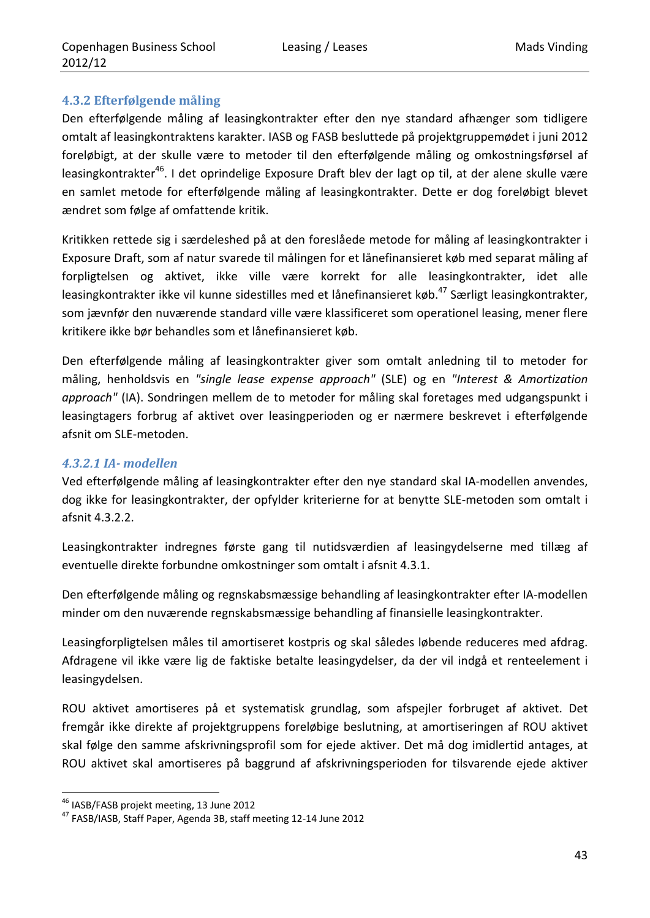#### **4.3.2 Efterfølgende måling**

Den efterfølgende måling af leasingkontrakter efter den nye standard afhænger som tidligere omtalt af leasingkontraktens karakter. IASB og FASB besluttede på projektgruppemødet i juni 2012 foreløbigt, at der skulle være to metoder til den efterfølgende måling og omkostningsførsel af leasingkontrakter<sup>46</sup>. I det oprindelige Exposure Draft blev der lagt op til, at der alene skulle være en samlet metode for efterfølgende måling af leasingkontrakter. Dette er dog foreløbigt blevet ændret som følge af omfattende kritik.

Kritikken rettede sig i særdeleshed på at den foreslåede metode for måling af leasingkontrakter i Exposure Draft, som af natur svarede til målingen for et lånefinansieret køb med separat måling af forpligtelsen og aktivet, ikke ville være korrekt for alle leasingkontrakter, idet alle leasingkontrakter ikke vil kunne sidestilles med et lånefinansieret køb.<sup>47</sup> Særligt leasingkontrakter, som jævnfør den nuværende standard ville være klassificeret som operationel leasing, mener flere kritikere ikke bør behandles som et lånefinansieret køb.

Den efterfølgende måling af leasingkontrakter giver som omtalt anledning til to metoder for måling, henholdsvis en *"single lease expense approach"* (SLE) og en *"Interest & Amortization approach"* (IA). Sondringen mellem de to metoder for måling skal foretages med udgangspunkt i leasingtagers forbrug af aktivet over leasingperioden og er nærmere beskrevet i efterfølgende afsnit om SLE‐metoden.

### *4.3.2.1 IA‐ modellen*

Ved efterfølgende måling af leasingkontrakter efter den nye standard skal IA‐modellen anvendes, dog ikke for leasingkontrakter, der opfylder kriterierne for at benytte SLE‐metoden som omtalt i afsnit 4.3.2.2.

Leasingkontrakter indregnes første gang til nutidsværdien af leasingydelserne med tillæg af eventuelle direkte forbundne omkostninger som omtalt i afsnit 4.3.1.

Den efterfølgende måling og regnskabsmæssige behandling af leasingkontrakter efter IA‐modellen minder om den nuværende regnskabsmæssige behandling af finansielle leasingkontrakter.

Leasingforpligtelsen måles til amortiseret kostpris og skal således løbende reduceres med afdrag. Afdragene vil ikke være lig de faktiske betalte leasingydelser, da der vil indgå et renteelement i leasingydelsen.

ROU aktivet amortiseres på et systematisk grundlag, som afspejler forbruget af aktivet. Det fremgår ikke direkte af projektgruppens foreløbige beslutning, at amortiseringen af ROU aktivet skal følge den samme afskrivningsprofil som for ejede aktiver. Det må dog imidlertid antages, at ROU aktivet skal amortiseres på baggrund af afskrivningsperioden for tilsvarende ejede aktiver

<sup>&</sup>lt;u> 1989 - Johann Barn, mars eta inperiodo</u>

<sup>&</sup>lt;sup>46</sup> IASB/FASB projekt meeting, 13 June 2012<br><sup>47</sup> FASB/IASB, Staff Paper, Agenda 3B, staff meeting 12-14 June 2012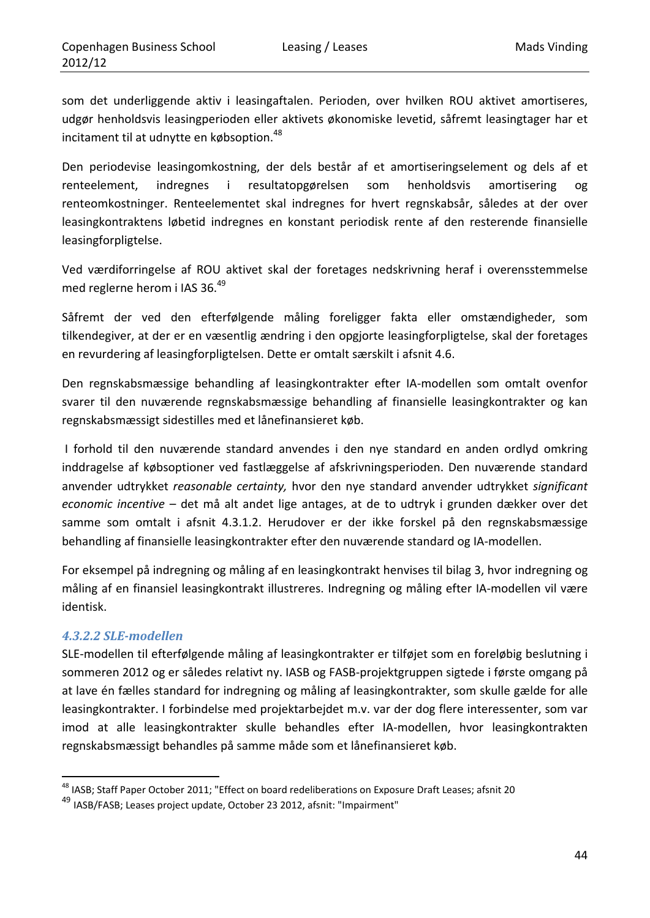som det underliggende aktiv i leasingaftalen. Perioden, over hvilken ROU aktivet amortiseres, udgør henholdsvis leasingperioden eller aktivets økonomiske levetid, såfremt leasingtager har et incitament til at udnytte en købsoption.<sup>48</sup>

Den periodevise leasingomkostning, der dels består af et amortiseringselement og dels af et renteelement, indregnes i resultatopgørelsen som henholdsvis amortisering og renteomkostninger. Renteelementet skal indregnes for hvert regnskabsår, således at der over leasingkontraktens løbetid indregnes en konstant periodisk rente af den resterende finansielle leasingforpligtelse.

Ved værdiforringelse af ROU aktivet skal der foretages nedskrivning heraf i overensstemmelse med reglerne herom i IAS 36.<sup>49</sup>

Såfremt der ved den efterfølgende måling foreligger fakta eller omstændigheder, som tilkendegiver, at der er en væsentlig ændring i den opgjorte leasingforpligtelse, skal der foretages en revurdering af leasingforpligtelsen. Dette er omtalt særskilt i afsnit 4.6.

Den regnskabsmæssige behandling af leasingkontrakter efter IA‐modellen som omtalt ovenfor svarer til den nuværende regnskabsmæssige behandling af finansielle leasingkontrakter og kan regnskabsmæssigt sidestilles med et lånefinansieret køb.

I forhold til den nuværende standard anvendes i den nye standard en anden ordlyd omkring inddragelse af købsoptioner ved fastlæggelse af afskrivningsperioden. Den nuværende standard anvender udtrykket *reasonable certainty,* hvor den nye standard anvender udtrykket *significant economic incentive* – det må alt andet lige antages, at de to udtryk i grunden dækker over det samme som omtalt i afsnit 4.3.1.2. Herudover er der ikke forskel på den regnskabsmæssige behandling af finansielle leasingkontrakter efter den nuværende standard og IA‐modellen.

For eksempel på indregning og måling af en leasingkontrakt henvises til bilag 3, hvor indregning og måling af en finansiel leasingkontrakt illustreres. Indregning og måling efter IA‐modellen vil være identisk.

#### *4.3.2.2 SLE‐modellen*

SLE‐modellen til efterfølgende måling af leasingkontrakter er tilføjet som en foreløbig beslutning i sommeren 2012 og er således relativt ny. IASB og FASB‐projektgruppen sigtede i første omgang på at lave én fælles standard for indregning og måling af leasingkontrakter, som skulle gælde for alle leasingkontrakter. I forbindelse med projektarbejdet m.v. var der dog flere interessenter, som var imod at alle leasingkontrakter skulle behandles efter IA-modellen, hvor leasingkontrakten regnskabsmæssigt behandles på samme måde som et lånefinansieret køb.

 <sup>48</sup> IASB; Staff Paper October 2011; "Effect on board redeliberations on Exposure Draft Leases; afsnit 20

<sup>49</sup> IASB/FASB; Leases project update, October 23 2012, afsnit: "Impairment"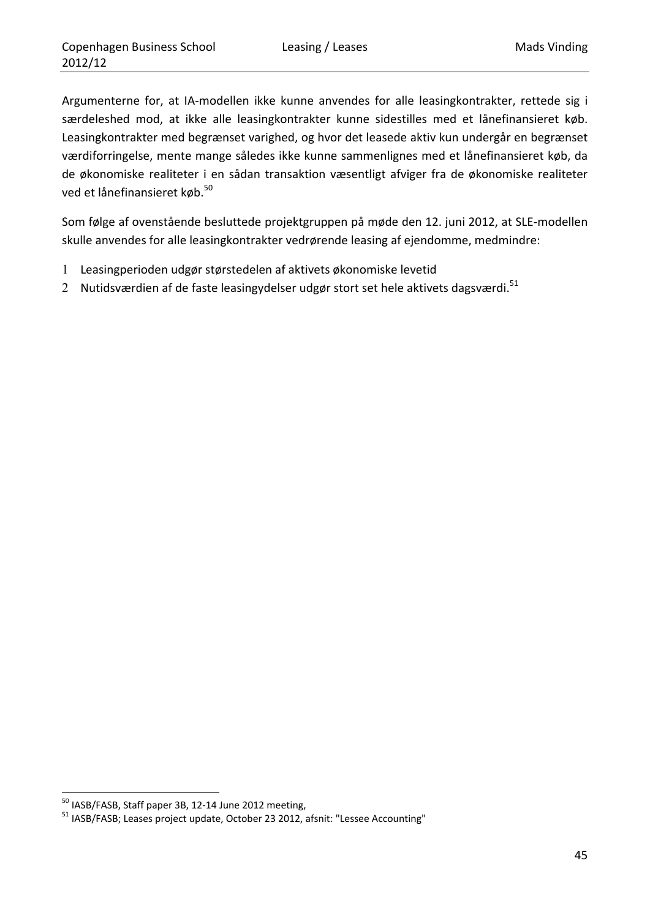Argumenterne for, at IA‐modellen ikke kunne anvendes for alle leasingkontrakter, rettede sig i særdeleshed mod, at ikke alle leasingkontrakter kunne sidestilles med et lånefinansieret køb. Leasingkontrakter med begrænset varighed, og hvor det leasede aktiv kun undergår en begrænset værdiforringelse, mente mange således ikke kunne sammenlignes med et lånefinansieret køb, da de økonomiske realiteter i en sådan transaktion væsentligt afviger fra de økonomiske realiteter ved et lånefinansieret køb.<sup>50</sup>

Som følge af ovenstående besluttede projektgruppen på møde den 12. juni 2012, at SLE‐modellen skulle anvendes for alle leasingkontrakter vedrørende leasing af ejendomme, medmindre:

- 1 Leasingperioden udgør størstedelen af aktivets økonomiske levetid
- 2 Nutidsværdien af de faste leasingydelser udgør stort set hele aktivets dagsværdi.<sup>51</sup>

<sup>&</sup>lt;u> 1989 - Johann Barn, mars eta inperiodo</u>

<sup>&</sup>lt;sup>50</sup> IASB/FASB, Staff paper 3B, 12-14 June 2012 meeting,<br><sup>51</sup> IASB/FASB; Leases project update, October 23 2012, afsnit: "Lessee Accounting"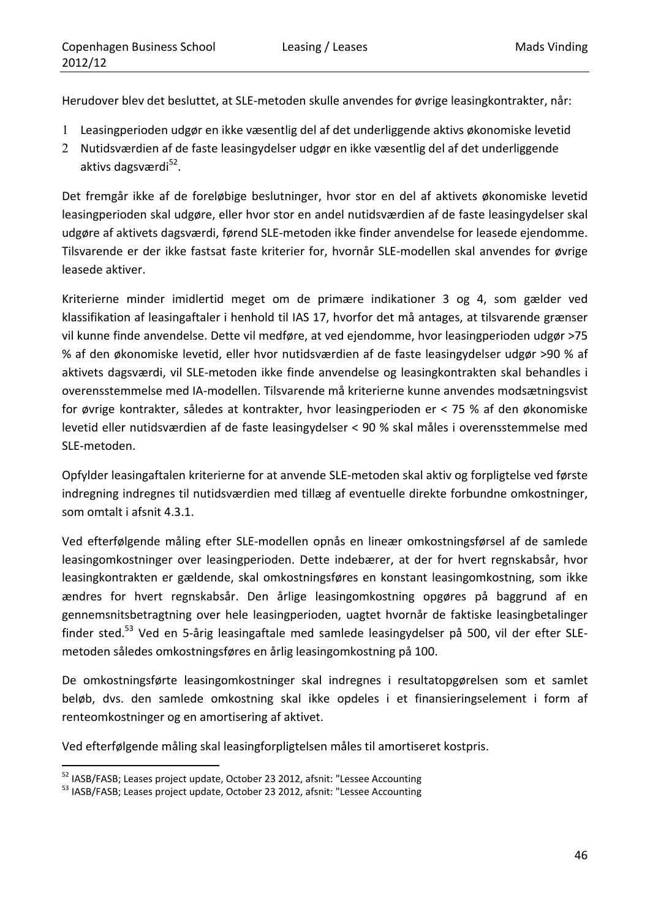Herudover blev det besluttet, at SLE‐metoden skulle anvendes for øvrige leasingkontrakter, når:

- 1 Leasingperioden udgør en ikke væsentlig del af det underliggende aktivs økonomiske levetid
- 2 Nutidsværdien af de faste leasingydelser udgør en ikke væsentlig del af det underliggende aktivs dagsværdi<sup>52</sup>.

Det fremgår ikke af de foreløbige beslutninger, hvor stor en del af aktivets økonomiske levetid leasingperioden skal udgøre, eller hvor stor en andel nutidsværdien af de faste leasingydelser skal udgøre af aktivets dagsværdi, førend SLE‐metoden ikke finder anvendelse for leasede ejendomme. Tilsvarende er der ikke fastsat faste kriterier for, hvornår SLE‐modellen skal anvendes for øvrige leasede aktiver.

Kriterierne minder imidlertid meget om de primære indikationer 3 og 4, som gælder ved klassifikation af leasingaftaler i henhold til IAS 17, hvorfor det må antages, at tilsvarende grænser vil kunne finde anvendelse. Dette vil medføre, at ved ejendomme, hvor leasingperioden udgør >75 % af den økonomiske levetid, eller hvor nutidsværdien af de faste leasingydelser udgør >90 % af aktivets dagsværdi, vil SLE‐metoden ikke finde anvendelse og leasingkontrakten skal behandles i overensstemmelse med IA‐modellen. Tilsvarende må kriterierne kunne anvendes modsætningsvist for øvrige kontrakter, således at kontrakter, hvor leasingperioden er < 75 % af den økonomiske levetid eller nutidsværdien af de faste leasingydelser < 90 % skal måles i overensstemmelse med SLE‐metoden.

Opfylder leasingaftalen kriterierne for at anvende SLE‐metoden skal aktiv og forpligtelse ved første indregning indregnes til nutidsværdien med tillæg af eventuelle direkte forbundne omkostninger, som omtalt i afsnit 4.3.1.

Ved efterfølgende måling efter SLE‐modellen opnås en lineær omkostningsførsel af de samlede leasingomkostninger over leasingperioden. Dette indebærer, at der for hvert regnskabsår, hvor leasingkontrakten er gældende, skal omkostningsføres en konstant leasingomkostning, som ikke ændres for hvert regnskabsår. Den årlige leasingomkostning opgøres på baggrund af en gennemsnitsbetragtning over hele leasingperioden, uagtet hvornår de faktiske leasingbetalinger finder sted.<sup>53</sup> Ved en 5-årig leasingaftale med samlede leasingydelser på 500, vil der efter SLEmetoden således omkostningsføres en årlig leasingomkostning på 100.

De omkostningsførte leasingomkostninger skal indregnes i resultatopgørelsen som et samlet beløb, dvs. den samlede omkostning skal ikke opdeles i et finansieringselement i form af renteomkostninger og en amortisering af aktivet.

Ved efterfølgende måling skal leasingforpligtelsen måles til amortiseret kostpris.

<sup>&</sup>lt;sup>52</sup> IASB/FASB; Leases project update, October 23 2012, afsnit: "Lessee Accounting<br><sup>53</sup> IASB/FASB; Leases project update, October 23 2012, afsnit: "Lessee Accounting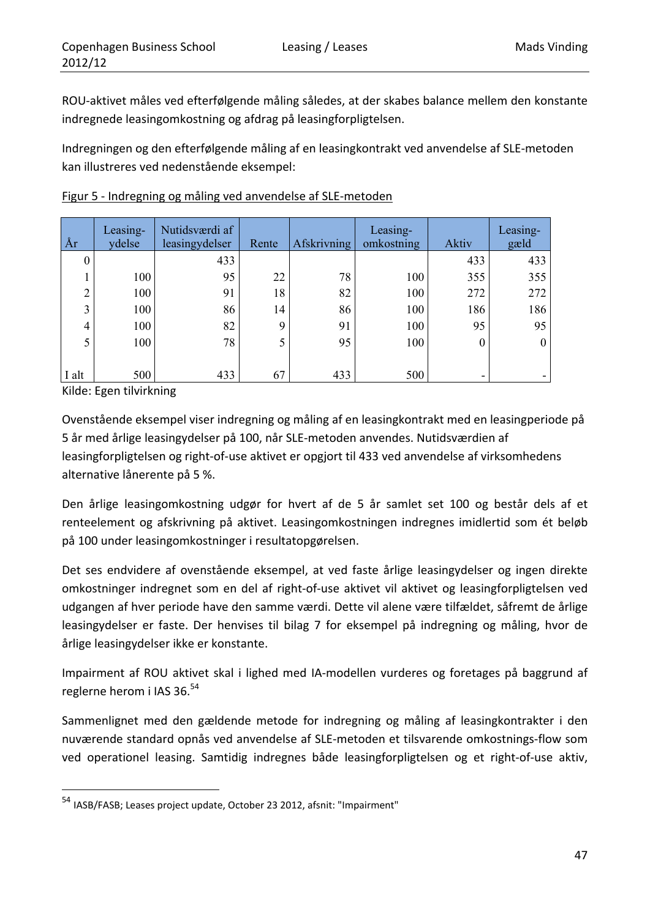ROU‐aktivet måles ved efterfølgende måling således, at der skabes balance mellem den konstante indregnede leasingomkostning og afdrag på leasingforpligtelsen.

Indregningen og den efterfølgende måling af en leasingkontrakt ved anvendelse af SLE‐metoden kan illustreres ved nedenstående eksempel:

| År             | Leasing-<br>ydelse | Nutidsværdi af<br>leasingydelser | Rente | <b>Afskrivning</b> | Leasing-<br>omkostning | Aktiv | Leasing-<br>gæld |
|----------------|--------------------|----------------------------------|-------|--------------------|------------------------|-------|------------------|
|                |                    | 433                              |       |                    |                        | 433   | 433              |
|                | 100                | 95                               | 22    | 78                 | 100                    | 355   | 355              |
| $\bigcirc$     | 100                | 91                               | 18    | 82                 | 100                    | 272   | 272              |
| $\overline{3}$ | 100                | 86                               | 14    | 86                 | 100                    | 186   | 186              |
| 4              | 100                | 82                               | 9     | 91                 | 100                    | 95    | 95               |
| 5              | 100                | 78                               |       | 95                 | 100                    | 0     |                  |
|                |                    |                                  |       |                    |                        |       |                  |
| I alt          | 500                | 433                              | 67    | 433                | 500                    | ۰     |                  |

Figur 5 ‐ Indregning og måling ved anvendelse af SLE‐metoden

Kilde: Egen tilvirkning

Ovenstående eksempel viser indregning og måling af en leasingkontrakt med en leasingperiode på 5 år med årlige leasingydelser på 100, når SLE‐metoden anvendes. Nutidsværdien af leasingforpligtelsen og right‐of‐use aktivet er opgjort til 433 ved anvendelse af virksomhedens alternative lånerente på 5 %.

Den årlige leasingomkostning udgør for hvert af de 5 år samlet set 100 og består dels af et renteelement og afskrivning på aktivet. Leasingomkostningen indregnes imidlertid som ét beløb på 100 under leasingomkostninger i resultatopgørelsen.

Det ses endvidere af ovenstående eksempel, at ved faste årlige leasingydelser og ingen direkte omkostninger indregnet som en del af right‐of‐use aktivet vil aktivet og leasingforpligtelsen ved udgangen af hver periode have den samme værdi. Dette vil alene være tilfældet, såfremt de årlige leasingydelser er faste. Der henvises til bilag 7 for eksempel på indregning og måling, hvor de årlige leasingydelser ikke er konstante.

Impairment af ROU aktivet skal i lighed med IA‐modellen vurderes og foretages på baggrund af reglerne herom i IAS 36.<sup>54</sup>

Sammenlignet med den gældende metode for indregning og måling af leasingkontrakter i den nuværende standard opnås ved anvendelse af SLE‐metoden et tilsvarende omkostnings‐flow som ved operationel leasing. Samtidig indregnes både leasingforpligtelsen og et right‐of‐use aktiv,

<sup>54</sup> IASB/FASB; Leases project update, October 23 2012, afsnit: "Impairment"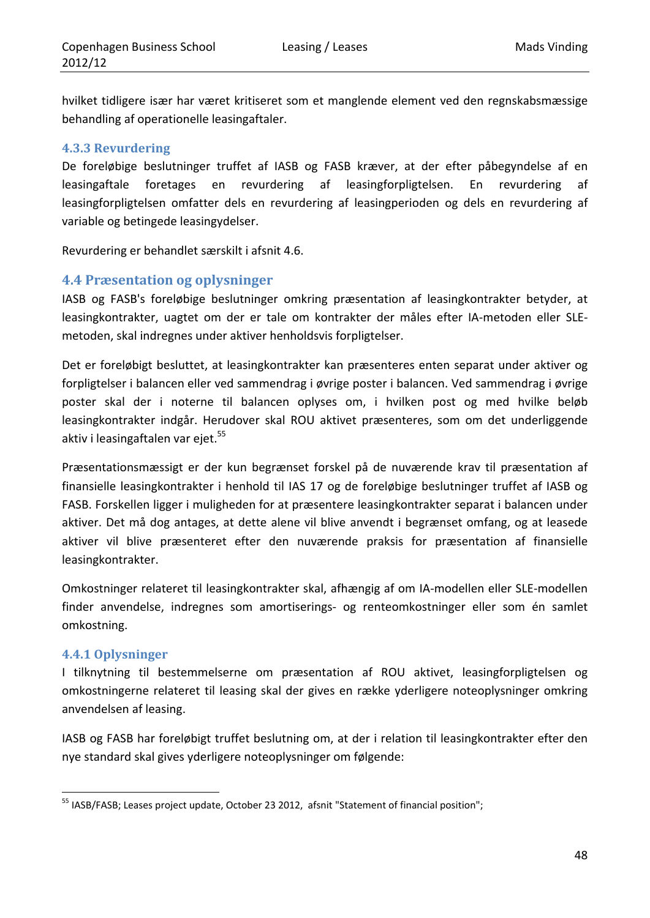hvilket tidligere især har været kritiseret som et manglende element ved den regnskabsmæssige behandling af operationelle leasingaftaler.

#### **4.3.3 Revurdering**

De foreløbige beslutninger truffet af IASB og FASB kræver, at der efter påbegyndelse af en leasingaftale foretages en revurdering af leasingforpligtelsen. En revurdering af leasingforpligtelsen omfatter dels en revurdering af leasingperioden og dels en revurdering af variable og betingede leasingydelser.

Revurdering er behandlet særskilt i afsnit 4.6.

### **4.4 Præsentation og oplysninger**

IASB og FASB's foreløbige beslutninger omkring præsentation af leasingkontrakter betyder, at leasingkontrakter, uagtet om der er tale om kontrakter der måles efter IA‐metoden eller SLE‐ metoden, skal indregnes under aktiver henholdsvis forpligtelser.

Det er foreløbigt besluttet, at leasingkontrakter kan præsenteres enten separat under aktiver og forpligtelser i balancen eller ved sammendrag i øvrige poster i balancen. Ved sammendrag i øvrige poster skal der i noterne til balancen oplyses om, i hvilken post og med hvilke beløb leasingkontrakter indgår. Herudover skal ROU aktivet præsenteres, som om det underliggende aktiv i leasingaftalen var ejet.<sup>55</sup>

Præsentationsmæssigt er der kun begrænset forskel på de nuværende krav til præsentation af finansielle leasingkontrakter i henhold til IAS 17 og de foreløbige beslutninger truffet af IASB og FASB. Forskellen ligger i muligheden for at præsentere leasingkontrakter separat i balancen under aktiver. Det må dog antages, at dette alene vil blive anvendt i begrænset omfang, og at leasede aktiver vil blive præsenteret efter den nuværende praksis for præsentation af finansielle leasingkontrakter.

Omkostninger relateret til leasingkontrakter skal, afhængig af om IA‐modellen eller SLE‐modellen finder anvendelse, indregnes som amortiserings- og renteomkostninger eller som én samlet omkostning.

#### **4.4.1 Oplysninger**

I tilknytning til bestemmelserne om præsentation af ROU aktivet, leasingforpligtelsen og omkostningerne relateret til leasing skal der gives en række yderligere noteoplysninger omkring anvendelsen af leasing.

IASB og FASB har foreløbigt truffet beslutning om, at der i relation til leasingkontrakter efter den nye standard skal gives yderligere noteoplysninger om følgende:

<sup>&</sup>lt;u> 1989 - Johann Barn, mars eta inperiodo</u> <sup>55</sup> IASB/FASB; Leases project update, October 23 2012, afsnit "Statement of financial position";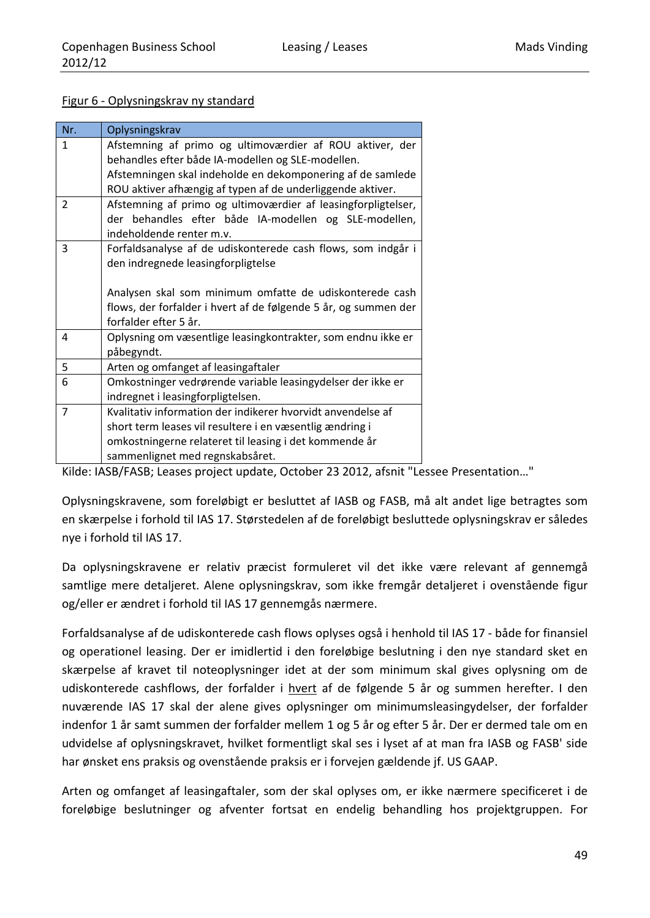#### Figur 6 - Oplysningskrav ny standard

| Nr.            | Oplysningskrav                                                  |  |  |  |  |  |  |  |  |
|----------------|-----------------------------------------------------------------|--|--|--|--|--|--|--|--|
| 1              | Afstemning af primo og ultimoværdier af ROU aktiver, der        |  |  |  |  |  |  |  |  |
|                | behandles efter både IA-modellen og SLE-modellen.               |  |  |  |  |  |  |  |  |
|                | Afstemningen skal indeholde en dekomponering af de samlede      |  |  |  |  |  |  |  |  |
|                | ROU aktiver afhængig af typen af de underliggende aktiver.      |  |  |  |  |  |  |  |  |
| $\overline{2}$ | Afstemning af primo og ultimoværdier af leasingforpligtelser,   |  |  |  |  |  |  |  |  |
|                | der behandles efter både IA-modellen og SLE-modellen,           |  |  |  |  |  |  |  |  |
|                | indeholdende renter m.v.                                        |  |  |  |  |  |  |  |  |
| 3              | Forfaldsanalyse af de udiskonterede cash flows, som indgår i    |  |  |  |  |  |  |  |  |
|                | den indregnede leasingforpligtelse                              |  |  |  |  |  |  |  |  |
|                |                                                                 |  |  |  |  |  |  |  |  |
|                | Analysen skal som minimum omfatte de udiskonterede cash         |  |  |  |  |  |  |  |  |
|                | flows, der forfalder i hvert af de følgende 5 år, og summen der |  |  |  |  |  |  |  |  |
|                | forfalder efter 5 år.                                           |  |  |  |  |  |  |  |  |
| 4              | Oplysning om væsentlige leasingkontrakter, som endnu ikke er    |  |  |  |  |  |  |  |  |
|                | påbegyndt.                                                      |  |  |  |  |  |  |  |  |
| 5              | Arten og omfanget af leasingaftaler                             |  |  |  |  |  |  |  |  |
| 6              | Omkostninger vedrørende variable leasingydelser der ikke er     |  |  |  |  |  |  |  |  |
|                | indregnet i leasingforpligtelsen.                               |  |  |  |  |  |  |  |  |
| $\overline{7}$ | Kvalitativ information der indikerer hvorvidt anvendelse af     |  |  |  |  |  |  |  |  |
|                | short term leases vil resultere i en væsentlig ændring i        |  |  |  |  |  |  |  |  |
|                | omkostningerne relateret til leasing i det kommende år          |  |  |  |  |  |  |  |  |
|                | sammenlignet med regnskabsåret.                                 |  |  |  |  |  |  |  |  |

Kilde: IASB/FASB; Leases project update, October 23 2012, afsnit "Lessee Presentation…"

Oplysningskravene, som foreløbigt er besluttet af IASB og FASB, må alt andet lige betragtes som en skærpelse i forhold til IAS 17. Størstedelen af de foreløbigt besluttede oplysningskrav er således nye i forhold til IAS 17.

Da oplysningskravene er relativ præcist formuleret vil det ikke være relevant af gennemgå samtlige mere detaljeret. Alene oplysningskrav, som ikke fremgår detaljeret i ovenstående figur og/eller er ændret i forhold til IAS 17 gennemgås nærmere.

Forfaldsanalyse af de udiskonterede cash flows oplyses også i henhold til IAS 17 ‐ både for finansiel og operationel leasing. Der er imidlertid i den foreløbige beslutning i den nye standard sket en skærpelse af kravet til noteoplysninger idet at der som minimum skal gives oplysning om de udiskonterede cashflows, der forfalder i hvert af de følgende 5 år og summen herefter. I den nuværende IAS 17 skal der alene gives oplysninger om minimumsleasingydelser, der forfalder indenfor 1 år samt summen der forfalder mellem 1 og 5 år og efter 5 år. Der er dermed tale om en udvidelse af oplysningskravet, hvilket formentligt skal ses i lyset af at man fra IASB og FASB' side har ønsket ens praksis og ovenstående praksis er i forvejen gældende jf. US GAAP.

Arten og omfanget af leasingaftaler, som der skal oplyses om, er ikke nærmere specificeret i de foreløbige beslutninger og afventer fortsat en endelig behandling hos projektgruppen. For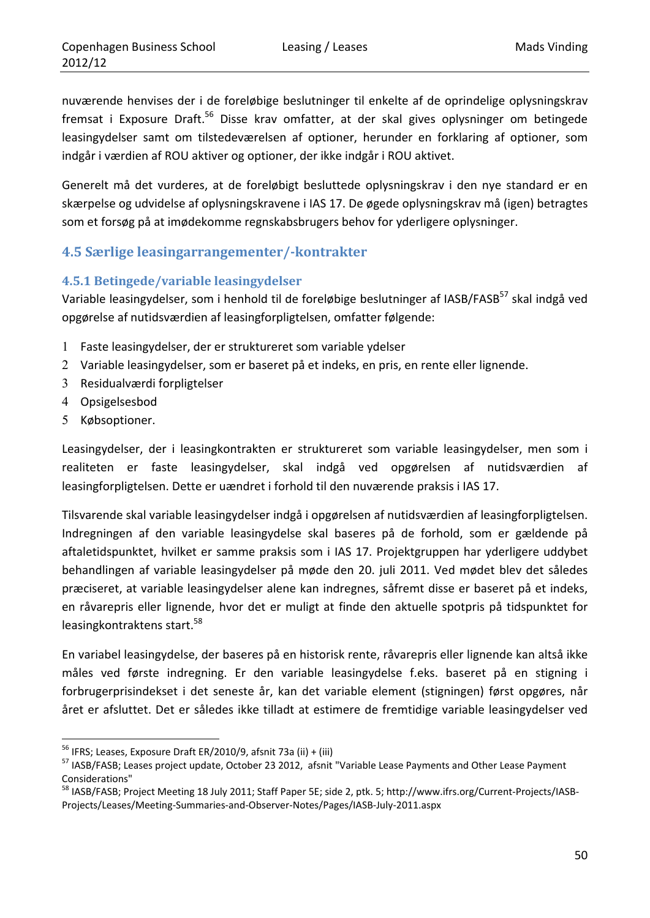nuværende henvises der i de foreløbige beslutninger til enkelte af de oprindelige oplysningskrav fremsat i Exposure Draft.<sup>56</sup> Disse krav omfatter, at der skal gives oplysninger om betingede leasingydelser samt om tilstedeværelsen af optioner, herunder en forklaring af optioner, som indgår i værdien af ROU aktiver og optioner, der ikke indgår i ROU aktivet.

Generelt må det vurderes, at de foreløbigt besluttede oplysningskrav i den nye standard er en skærpelse og udvidelse af oplysningskravene i IAS 17. De øgede oplysningskrav må (igen) betragtes som et forsøg på at imødekomme regnskabsbrugers behov for yderligere oplysninger.

# **4.5 Særlige leasingarrangementer/‐kontrakter**

## **4.5.1 Betingede/variable leasingydelser**

Variable leasingydelser, som i henhold til de foreløbige beslutninger af IASB/FASB<sup>57</sup> skal indgå ved opgørelse af nutidsværdien af leasingforpligtelsen, omfatter følgende:

- 1 Faste leasingydelser, der er struktureret som variable ydelser
- 2 Variable leasingydelser, som er baseret på et indeks, en pris, en rente eller lignende.
- 3 Residualværdi forpligtelser
- 4 Opsigelsesbod
- 5 Købsoptioner.

Leasingydelser, der i leasingkontrakten er struktureret som variable leasingydelser, men som i realiteten er faste leasingydelser, skal indgå ved opgørelsen af nutidsværdien af leasingforpligtelsen. Dette er uændret i forhold til den nuværende praksis i IAS 17.

Tilsvarende skal variable leasingydelser indgå i opgørelsen af nutidsværdien af leasingforpligtelsen. Indregningen af den variable leasingydelse skal baseres på de forhold, som er gældende på aftaletidspunktet, hvilket er samme praksis som i IAS 17. Projektgruppen har yderligere uddybet behandlingen af variable leasingydelser på møde den 20. juli 2011. Ved mødet blev det således præciseret, at variable leasingydelser alene kan indregnes, såfremt disse er baseret på et indeks, en råvarepris eller lignende, hvor det er muligt at finde den aktuelle spotpris på tidspunktet for leasingkontraktens start.<sup>58</sup>

En variabel leasingydelse, der baseres på en historisk rente, råvarepris eller lignende kan altså ikke måles ved første indregning. Er den variable leasingydelse f.eks. baseret på en stigning i forbrugerprisindekset i det seneste år, kan det variable element (stigningen) først opgøres, når året er afsluttet. Det er således ikke tilladt at estimere de fremtidige variable leasingydelser ved

<sup>&</sup>lt;u> 1989 - Johann Barn, mars eta inperiodo</u>

<sup>&</sup>lt;sup>56</sup> IFRS; Leases, Exposure Draft ER/2010/9, afsnit 73a (ii) + (iii)<br><sup>57</sup> IASB/FASB; Leases project update, October 23 2012, afsnit "Variable Lease Payments and Other Lease Payment Considerations"

<sup>58</sup> IASB/FASB; Project Meeting 18 July 2011; Staff Paper 5E; side 2, ptk. 5; http://www.ifrs.org/Current-Projects/IASB-Projects/Leases/Meeting‐Summaries‐and‐Observer‐Notes/Pages/IASB‐July‐2011.aspx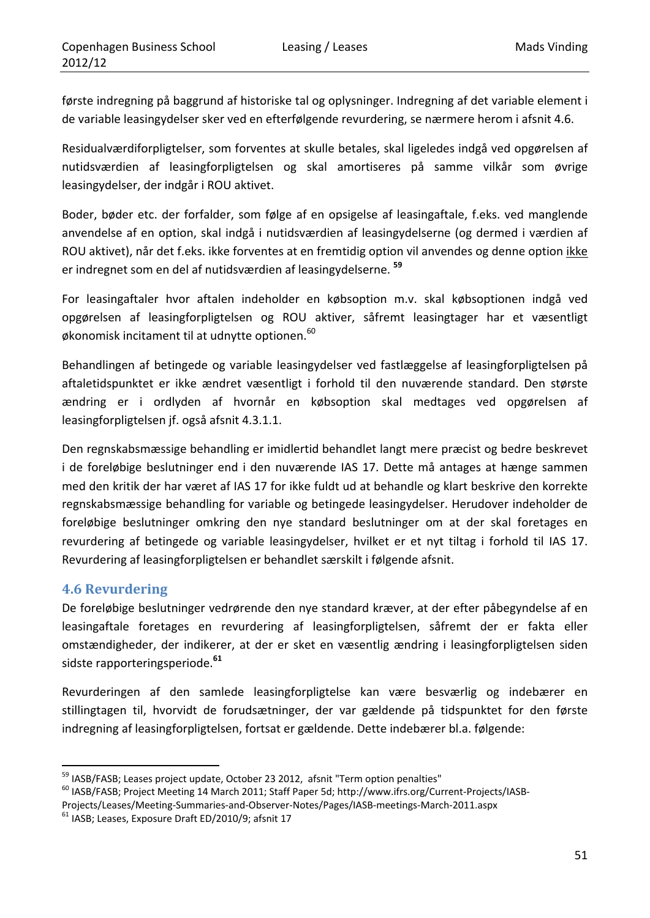første indregning på baggrund af historiske tal og oplysninger. Indregning af det variable element i de variable leasingydelser sker ved en efterfølgende revurdering, se nærmere herom i afsnit 4.6.

Residualværdiforpligtelser, som forventes at skulle betales, skal ligeledes indgå ved opgørelsen af nutidsværdien af leasingforpligtelsen og skal amortiseres på samme vilkår som øvrige leasingydelser, der indgår i ROU aktivet.

Boder, bøder etc. der forfalder, som følge af en opsigelse af leasingaftale, f.eks. ved manglende anvendelse af en option, skal indgå i nutidsværdien af leasingydelserne (og dermed i værdien af ROU aktivet), når det f.eks. ikke forventes at en fremtidig option vil anvendes og denne option ikke er indregnet som en del af nutidsværdien af leasingydelserne. **<sup>59</sup>**

For leasingaftaler hvor aftalen indeholder en købsoption m.v. skal købsoptionen indgå ved opgørelsen af leasingforpligtelsen og ROU aktiver, såfremt leasingtager har et væsentligt økonomisk incitament til at udnytte optionen.<sup>60</sup>

Behandlingen af betingede og variable leasingydelser ved fastlæggelse af leasingforpligtelsen på aftaletidspunktet er ikke ændret væsentligt i forhold til den nuværende standard. Den største ændring er i ordlyden af hvornår en købsoption skal medtages ved opgørelsen af leasingforpligtelsen jf. også afsnit 4.3.1.1.

Den regnskabsmæssige behandling er imidlertid behandlet langt mere præcist og bedre beskrevet i de foreløbige beslutninger end i den nuværende IAS 17. Dette må antages at hænge sammen med den kritik der har været af IAS 17 for ikke fuldt ud at behandle og klart beskrive den korrekte regnskabsmæssige behandling for variable og betingede leasingydelser. Herudover indeholder de foreløbige beslutninger omkring den nye standard beslutninger om at der skal foretages en revurdering af betingede og variable leasingydelser, hvilket er et nyt tiltag i forhold til IAS 17. Revurdering af leasingforpligtelsen er behandlet særskilt i følgende afsnit.

### **4.6 Revurdering**

De foreløbige beslutninger vedrørende den nye standard kræver, at der efter påbegyndelse af en leasingaftale foretages en revurdering af leasingforpligtelsen, såfremt der er fakta eller omstændigheder, der indikerer, at der er sket en væsentlig ændring i leasingforpligtelsen siden sidste rapporteringsperiode.**<sup>61</sup>**

Revurderingen af den samlede leasingforpligtelse kan være besværlig og indebærer en stillingtagen til, hvorvidt de forudsætninger, der var gældende på tidspunktet for den første indregning af leasingforpligtelsen, fortsat er gældende. Dette indebærer bl.a. følgende:

<sup>&</sup>lt;sup>59</sup> IASB/FASB; Leases project update, October 23 2012, afsnit "Term option penalties"<br><sup>60</sup> IASB/FASB; Project Meeting 14 March 2011; Staff Paper 5d; http://www.ifrs.org/Current-Projects/IASB-

Projects/Leases/Meeting-Summaries-and-Observer-Notes/Pages/IASB-meetings-March-2011.aspx 61<br>61 IASB; Leases, Exposure Draft ED/2010/9; afsnit 17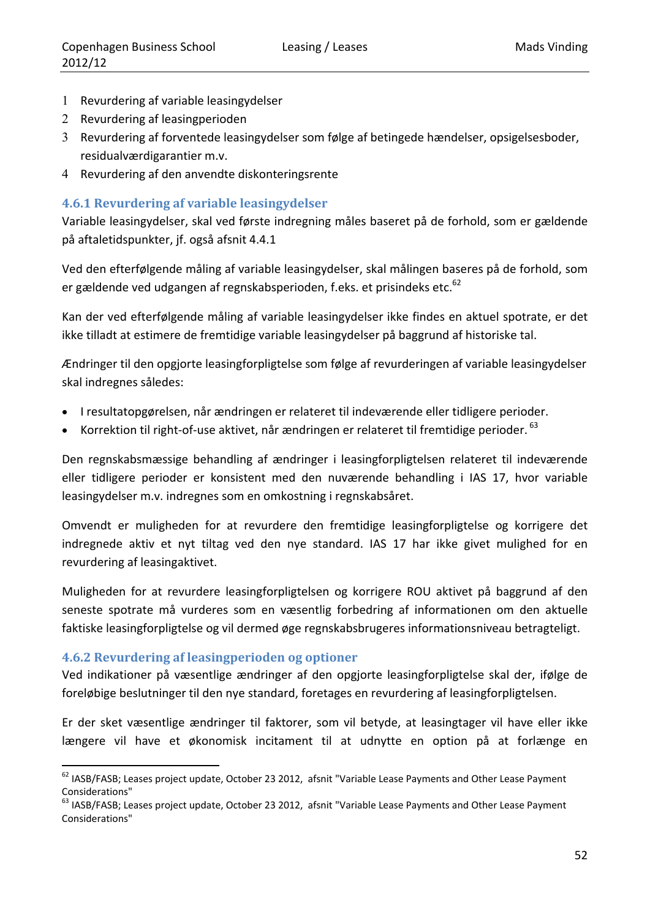- 1 Revurdering af variable leasingydelser
- 2 Revurdering af leasingperioden
- 3 Revurdering af forventede leasingydelser som følge af betingede hændelser, opsigelsesboder, residualværdigarantier m.v.
- 4 Revurdering af den anvendte diskonteringsrente

### **4.6.1 Revurdering af variable leasingydelser**

Variable leasingydelser, skal ved første indregning måles baseret på de forhold, som er gældende på aftaletidspunkter, jf. også afsnit 4.4.1

Ved den efterfølgende måling af variable leasingydelser, skal målingen baseres på de forhold, som er gældende ved udgangen af regnskabsperioden, f.eks. et prisindeks etc.<sup>62</sup>

Kan der ved efterfølgende måling af variable leasingydelser ikke findes en aktuel spotrate, er det ikke tilladt at estimere de fremtidige variable leasingydelser på baggrund af historiske tal.

Ændringer til den opgjorte leasingforpligtelse som følge af revurderingen af variable leasingydelser skal indregnes således:

- I resultatopgørelsen, når ændringen er relateret til indeværende eller tidligere perioder.
- Korrektion til right-of-use aktivet, når ændringen er relateret til fremtidige perioder. <sup>63</sup>

Den regnskabsmæssige behandling af ændringer i leasingforpligtelsen relateret til indeværende eller tidligere perioder er konsistent med den nuværende behandling i IAS 17, hvor variable leasingydelser m.v. indregnes som en omkostning i regnskabsåret.

Omvendt er muligheden for at revurdere den fremtidige leasingforpligtelse og korrigere det indregnede aktiv et nyt tiltag ved den nye standard. IAS 17 har ikke givet mulighed for en revurdering af leasingaktivet.

Muligheden for at revurdere leasingforpligtelsen og korrigere ROU aktivet på baggrund af den seneste spotrate må vurderes som en væsentlig forbedring af informationen om den aktuelle faktiske leasingforpligtelse og vil dermed øge regnskabsbrugeres informationsniveau betragteligt.

### **4.6.2 Revurdering af leasingperioden og optioner**

<u> 1989 - Johann Barn, mars eta inperiodo</u>

Ved indikationer på væsentlige ændringer af den opgjorte leasingforpligtelse skal der, ifølge de foreløbige beslutninger til den nye standard, foretages en revurdering af leasingforpligtelsen.

Er der sket væsentlige ændringer til faktorer, som vil betyde, at leasingtager vil have eller ikke længere vil have et økonomisk incitament til at udnytte en option på at forlænge en

<sup>&</sup>lt;sup>62</sup> IASB/FASB; Leases project update, October 23 2012, afsnit "Variable Lease Payments and Other Lease Payment Considerations"

<sup>&</sup>lt;sup>63</sup> IASB/FASB; Leases project update, October 23 2012, afsnit "Variable Lease Payments and Other Lease Payment Considerations"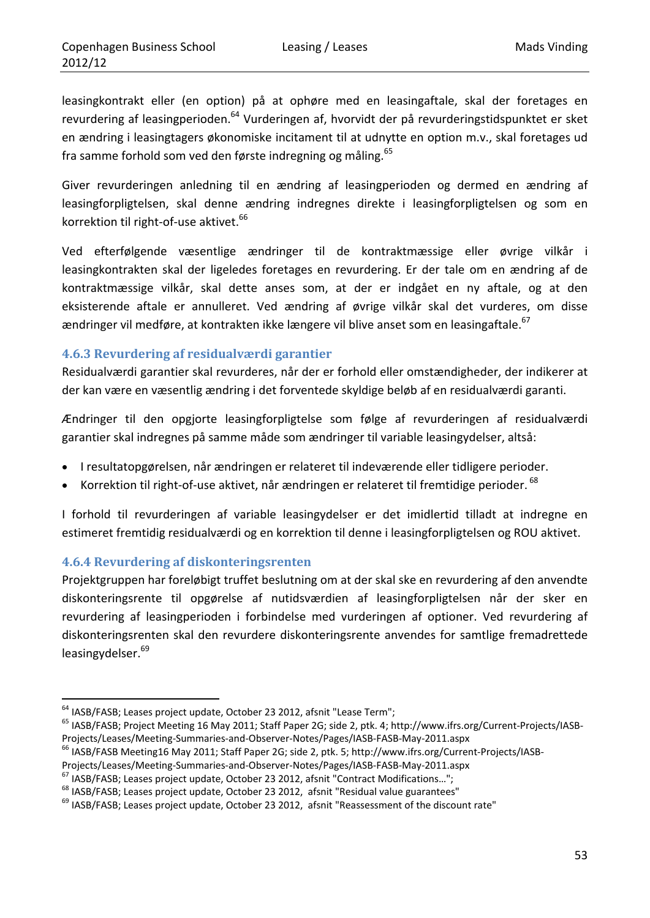leasingkontrakt eller (en option) på at ophøre med en leasingaftale, skal der foretages en revurdering af leasingperioden.<sup>64</sup> Vurderingen af, hvorvidt der på revurderingstidspunktet er sket en ændring i leasingtagers økonomiske incitament til at udnytte en option m.v., skal foretages ud fra samme forhold som ved den første indregning og måling.<sup>65</sup>

Giver revurderingen anledning til en ændring af leasingperioden og dermed en ændring af leasingforpligtelsen, skal denne ændring indregnes direkte i leasingforpligtelsen og som en korrektion til right-of-use aktivet.<sup>66</sup>

Ved efterfølgende væsentlige ændringer til de kontraktmæssige eller øvrige vilkår i leasingkontrakten skal der ligeledes foretages en revurdering. Er der tale om en ændring af de kontraktmæssige vilkår, skal dette anses som, at der er indgået en ny aftale, og at den eksisterende aftale er annulleret. Ved ændring af øvrige vilkår skal det vurderes, om disse ændringer vil medføre, at kontrakten ikke længere vil blive anset som en leasingaftale.<sup>67</sup>

### **4.6.3 Revurdering af residualværdi garantier**

Residualværdi garantier skal revurderes, når der er forhold eller omstændigheder, der indikerer at der kan være en væsentlig ændring i det forventede skyldige beløb af en residualværdi garanti.

Ændringer til den opgjorte leasingforpligtelse som følge af revurderingen af residualværdi garantier skal indregnes på samme måde som ændringer til variable leasingydelser, altså:

- I resultatopgørelsen, når ændringen er relateret til indeværende eller tidligere perioder.
- Korrektion til right-of-use aktivet, når ændringen er relateret til fremtidige perioder. <sup>68</sup>

I forhold til revurderingen af variable leasingydelser er det imidlertid tilladt at indregne en estimeret fremtidig residualværdi og en korrektion til denne i leasingforpligtelsen og ROU aktivet.

### **4.6.4 Revurdering af diskonteringsrenten**

<u> 1989 - Johann Barn, mars eta inperiodo</u>

Projektgruppen har foreløbigt truffet beslutning om at der skal ske en revurdering af den anvendte diskonteringsrente til opgørelse af nutidsværdien af leasingforpligtelsen når der sker en revurdering af leasingperioden i forbindelse med vurderingen af optioner. Ved revurdering af diskonteringsrenten skal den revurdere diskonteringsrente anvendes for samtlige fremadrettede leasingydelser.<sup>69</sup>

<sup>&</sup>lt;sup>64</sup> IASB/FASB; Leases project update, October 23 2012, afsnit "Lease Term";<br><sup>65</sup> IASB/FASB; Project Meeting 16 May 2011; Staff Paper 2G; side 2, ptk. 4; http://www.ifrs.org/Current-Projects/IASB-Projects/Leases/Meeting-Summaries-and-Observer-Notes/Pages/IASB-FASB-May-2011.aspx<br><sup>66</sup> IASB/FASB Meeting16 May 2011; Staff Paper 2G; side 2, ptk. 5; http://www.ifrs.org/Current-Projects/IASB-

Projects/Leases/Meeting-Summaries-and-Observer-Notes/Pages/IASB-FASB-May-2011.aspx<br><sup>67</sup> IASB/FASB; Leases project update, October 23 2012, afsnit "Contract Modifications...";<br><sup>68</sup> IASB/FASB; Leases project update, October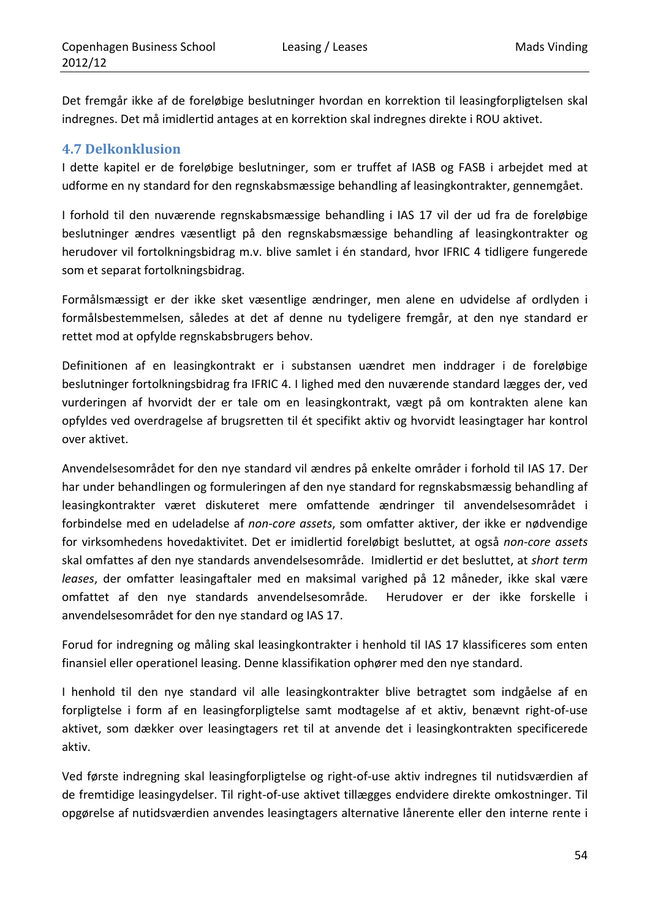Det fremgår ikke af de foreløbige beslutninger hvordan en korrektion til leasingforpligtelsen skal indregnes. Det må imidlertid antages at en korrektion skal indregnes direkte i ROU aktivet.

### **4.7 Delkonklusion**

I dette kapitel er de foreløbige beslutninger, som er truffet af IASB og FASB i arbejdet med at udforme en ny standard for den regnskabsmæssige behandling af leasingkontrakter, gennemgået.

I forhold til den nuværende regnskabsmæssige behandling i IAS 17 vil der ud fra de foreløbige beslutninger ændres væsentligt på den regnskabsmæssige behandling af leasingkontrakter og herudover vil fortolkningsbidrag m.v. blive samlet i én standard, hvor IFRIC 4 tidligere fungerede som et separat fortolkningsbidrag.

Formålsmæssigt er der ikke sket væsentlige ændringer, men alene en udvidelse af ordlyden i formålsbestemmelsen, således at det af denne nu tydeligere fremgår, at den nye standard er rettet mod at opfylde regnskabsbrugers behov.

Definitionen af en leasingkontrakt er i substansen uændret men inddrager i de foreløbige beslutninger fortolkningsbidrag fra IFRIC 4. I lighed med den nuværende standard lægges der, ved vurderingen af hvorvidt der er tale om en leasingkontrakt, vægt på om kontrakten alene kan opfyldes ved overdragelse af brugsretten til ét specifikt aktiv og hvorvidt leasingtager har kontrol over aktivet.

Anvendelsesområdet for den nye standard vil ændres på enkelte områder i forhold til IAS 17. Der har under behandlingen og formuleringen af den nye standard for regnskabsmæssig behandling af leasingkontrakter været diskuteret mere omfattende ændringer til anvendelsesområdet i forbindelse med en udeladelse af *non‐core assets*, som omfatter aktiver, der ikke er nødvendige for virksomhedens hovedaktivitet. Det er imidlertid foreløbigt besluttet, at også *non‐core assets* skal omfattes af den nye standards anvendelsesområde. Imidlertid er det besluttet, at *short term leases*, der omfatter leasingaftaler med en maksimal varighed på 12 måneder, ikke skal være omfattet af den nye standards anvendelsesområde. Herudover er der ikke forskelle i anvendelsesområdet for den nye standard og IAS 17.

Forud for indregning og måling skal leasingkontrakter i henhold til IAS 17 klassificeres som enten finansiel eller operationel leasing. Denne klassifikation ophører med den nye standard.

I henhold til den nye standard vil alle leasingkontrakter blive betragtet som indgåelse af en forpligtelse i form af en leasingforpligtelse samt modtagelse af et aktiv, benævnt right‐of‐use aktivet, som dækker over leasingtagers ret til at anvende det i leasingkontrakten specificerede aktiv.

Ved første indregning skal leasingforpligtelse og right‐of‐use aktiv indregnes til nutidsværdien af de fremtidige leasingydelser. Til right‐of‐use aktivet tillægges endvidere direkte omkostninger. Til opgørelse af nutidsværdien anvendes leasingtagers alternative lånerente eller den interne rente i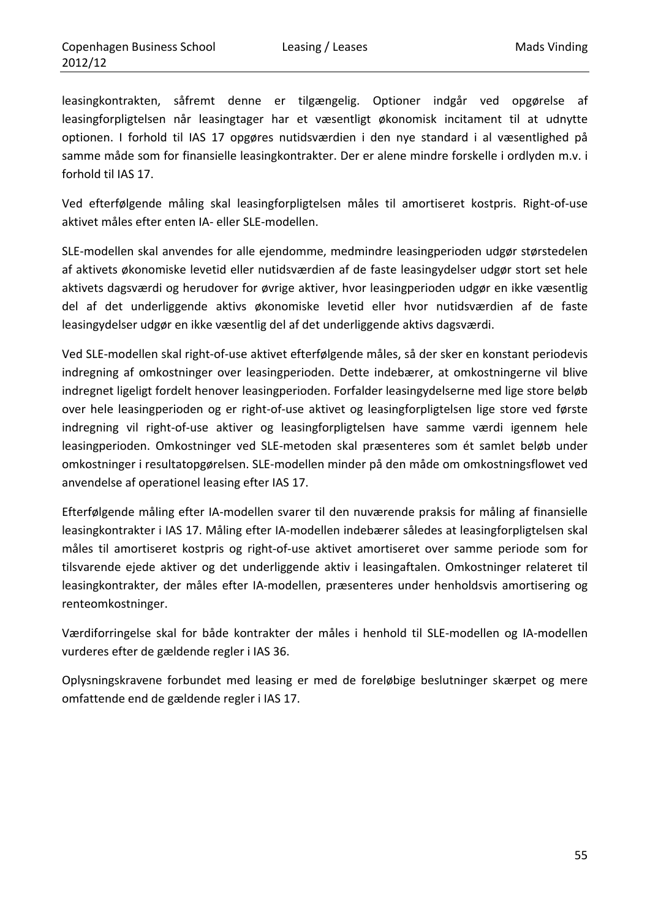leasingkontrakten, såfremt denne er tilgængelig. Optioner indgår ved opgørelse af leasingforpligtelsen når leasingtager har et væsentligt økonomisk incitament til at udnytte optionen. I forhold til IAS 17 opgøres nutidsværdien i den nye standard i al væsentlighed på samme måde som for finansielle leasingkontrakter. Der er alene mindre forskelle i ordlyden m.v. i forhold til IAS 17.

Ved efterfølgende måling skal leasingforpligtelsen måles til amortiseret kostpris. Right‐of‐use aktivet måles efter enten IA‐ eller SLE‐modellen.

SLE‐modellen skal anvendes for alle ejendomme, medmindre leasingperioden udgør størstedelen af aktivets økonomiske levetid eller nutidsværdien af de faste leasingydelser udgør stort set hele aktivets dagsværdi og herudover for øvrige aktiver, hvor leasingperioden udgør en ikke væsentlig del af det underliggende aktivs økonomiske levetid eller hvor nutidsværdien af de faste leasingydelser udgør en ikke væsentlig del af det underliggende aktivs dagsværdi.

Ved SLE‐modellen skal right‐of‐use aktivet efterfølgende måles, så der sker en konstant periodevis indregning af omkostninger over leasingperioden. Dette indebærer, at omkostningerne vil blive indregnet ligeligt fordelt henover leasingperioden. Forfalder leasingydelserne med lige store beløb over hele leasingperioden og er right‐of‐use aktivet og leasingforpligtelsen lige store ved første indregning vil right‐of‐use aktiver og leasingforpligtelsen have samme værdi igennem hele leasingperioden. Omkostninger ved SLE‐metoden skal præsenteres som ét samlet beløb under omkostninger i resultatopgørelsen. SLE‐modellen minder på den måde om omkostningsflowet ved anvendelse af operationel leasing efter IAS 17.

Efterfølgende måling efter IA‐modellen svarer til den nuværende praksis for måling af finansielle leasingkontrakter i IAS 17. Måling efter IA‐modellen indebærer således at leasingforpligtelsen skal måles til amortiseret kostpris og right‐of‐use aktivet amortiseret over samme periode som for tilsvarende ejede aktiver og det underliggende aktiv i leasingaftalen. Omkostninger relateret til leasingkontrakter, der måles efter IA‐modellen, præsenteres under henholdsvis amortisering og renteomkostninger.

Værdiforringelse skal for både kontrakter der måles i henhold til SLE‐modellen og IA‐modellen vurderes efter de gældende regler i IAS 36.

Oplysningskravene forbundet med leasing er med de foreløbige beslutninger skærpet og mere omfattende end de gældende regler i IAS 17.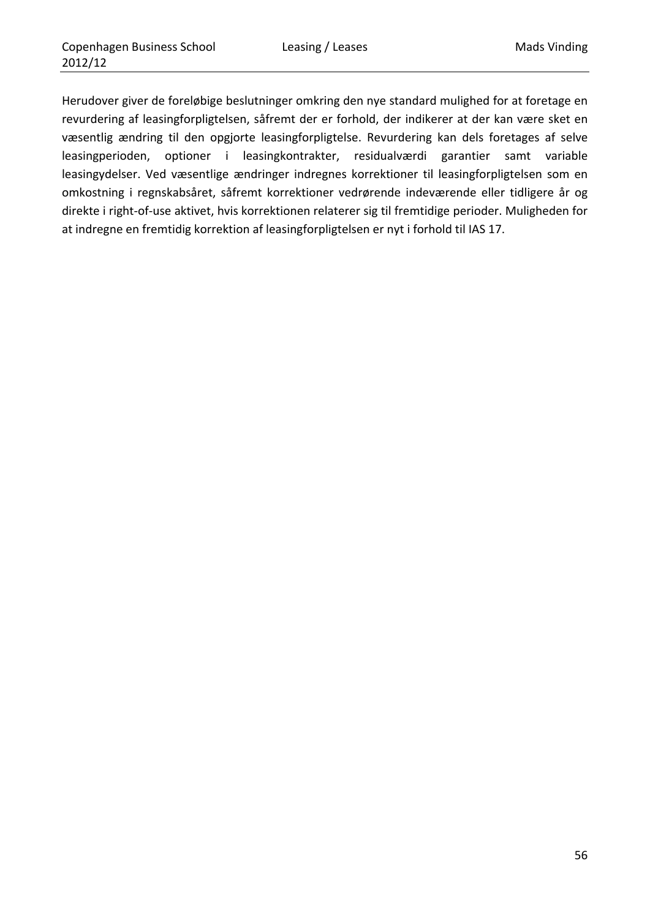Herudover giver de foreløbige beslutninger omkring den nye standard mulighed for at foretage en revurdering af leasingforpligtelsen, såfremt der er forhold, der indikerer at der kan være sket en væsentlig ændring til den opgjorte leasingforpligtelse. Revurdering kan dels foretages af selve leasingperioden, optioner i leasingkontrakter, residualværdi garantier samt variable leasingydelser. Ved væsentlige ændringer indregnes korrektioner til leasingforpligtelsen som en omkostning i regnskabsåret, såfremt korrektioner vedrørende indeværende eller tidligere år og direkte i right‐of‐use aktivet, hvis korrektionen relaterer sig til fremtidige perioder. Muligheden for at indregne en fremtidig korrektion af leasingforpligtelsen er nyt i forhold til IAS 17.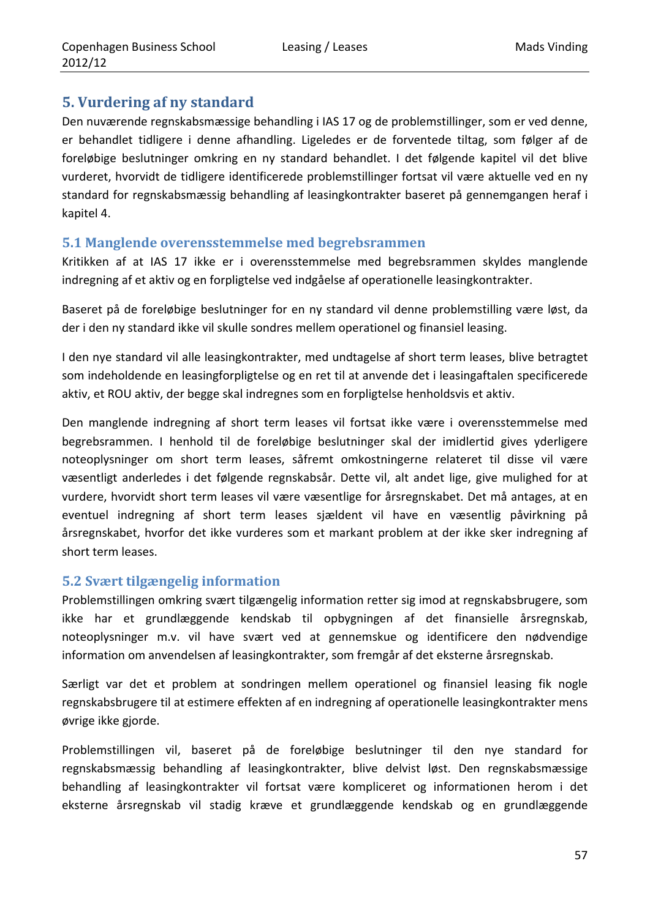# **5. Vurdering af ny standard**

Den nuværende regnskabsmæssige behandling i IAS 17 og de problemstillinger, som er ved denne, er behandlet tidligere i denne afhandling. Ligeledes er de forventede tiltag, som følger af de foreløbige beslutninger omkring en ny standard behandlet. I det følgende kapitel vil det blive vurderet, hvorvidt de tidligere identificerede problemstillinger fortsat vil være aktuelle ved en ny standard for regnskabsmæssig behandling af leasingkontrakter baseret på gennemgangen heraf i kapitel 4.

### **5.1 Manglende overensstemmelse med begrebsrammen**

Kritikken af at IAS 17 ikke er i overensstemmelse med begrebsrammen skyldes manglende indregning af et aktiv og en forpligtelse ved indgåelse af operationelle leasingkontrakter.

Baseret på de foreløbige beslutninger for en ny standard vil denne problemstilling være løst, da der i den ny standard ikke vil skulle sondres mellem operationel og finansiel leasing.

I den nye standard vil alle leasingkontrakter, med undtagelse af short term leases, blive betragtet som indeholdende en leasingforpligtelse og en ret til at anvende det i leasingaftalen specificerede aktiv, et ROU aktiv, der begge skal indregnes som en forpligtelse henholdsvis et aktiv.

Den manglende indregning af short term leases vil fortsat ikke være i overensstemmelse med begrebsrammen. I henhold til de foreløbige beslutninger skal der imidlertid gives yderligere noteoplysninger om short term leases, såfremt omkostningerne relateret til disse vil være væsentligt anderledes i det følgende regnskabsår. Dette vil, alt andet lige, give mulighed for at vurdere, hvorvidt short term leases vil være væsentlige for årsregnskabet. Det må antages, at en eventuel indregning af short term leases sjældent vil have en væsentlig påvirkning på årsregnskabet, hvorfor det ikke vurderes som et markant problem at der ikke sker indregning af short term leases.

## **5.2 Svært tilgængelig information**

Problemstillingen omkring svært tilgængelig information retter sig imod at regnskabsbrugere, som ikke har et grundlæggende kendskab til opbygningen af det finansielle årsregnskab, noteoplysninger m.v. vil have svært ved at gennemskue og identificere den nødvendige information om anvendelsen af leasingkontrakter, som fremgår af det eksterne årsregnskab.

Særligt var det et problem at sondringen mellem operationel og finansiel leasing fik nogle regnskabsbrugere til at estimere effekten af en indregning af operationelle leasingkontrakter mens øvrige ikke gjorde.

Problemstillingen vil, baseret på de foreløbige beslutninger til den nye standard for regnskabsmæssig behandling af leasingkontrakter, blive delvist løst. Den regnskabsmæssige behandling af leasingkontrakter vil fortsat være kompliceret og informationen herom i det eksterne årsregnskab vil stadig kræve et grundlæggende kendskab og en grundlæggende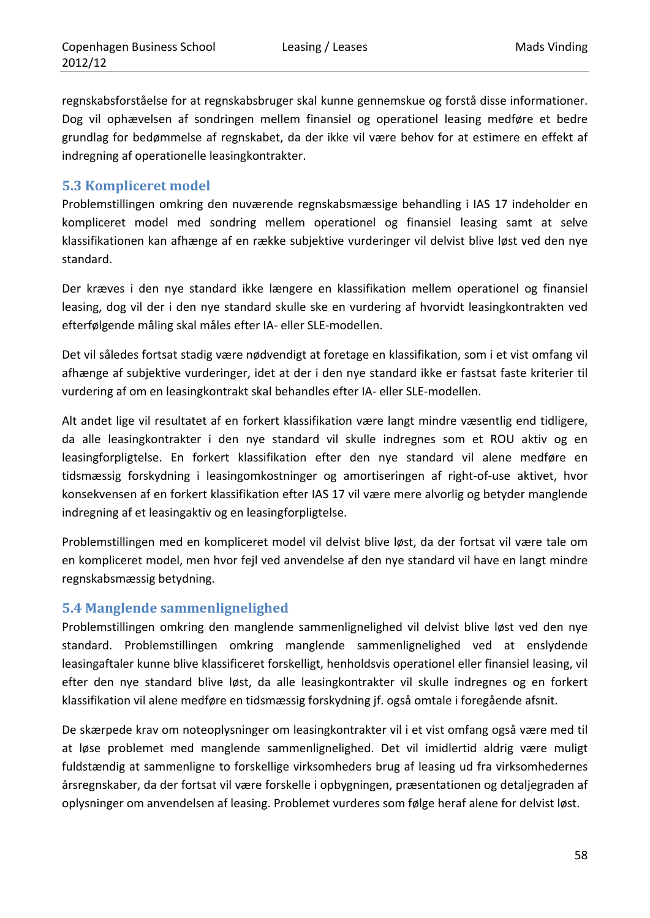regnskabsforståelse for at regnskabsbruger skal kunne gennemskue og forstå disse informationer. Dog vil ophævelsen af sondringen mellem finansiel og operationel leasing medføre et bedre grundlag for bedømmelse af regnskabet, da der ikke vil være behov for at estimere en effekt af indregning af operationelle leasingkontrakter.

### **5.3 Kompliceret model**

Problemstillingen omkring den nuværende regnskabsmæssige behandling i IAS 17 indeholder en kompliceret model med sondring mellem operationel og finansiel leasing samt at selve klassifikationen kan afhænge af en række subjektive vurderinger vil delvist blive løst ved den nye standard.

Der kræves i den nye standard ikke længere en klassifikation mellem operationel og finansiel leasing, dog vil der i den nye standard skulle ske en vurdering af hvorvidt leasingkontrakten ved efterfølgende måling skal måles efter IA‐ eller SLE‐modellen.

Det vil således fortsat stadig være nødvendigt at foretage en klassifikation, som i et vist omfang vil afhænge af subjektive vurderinger, idet at der i den nye standard ikke er fastsat faste kriterier til vurdering af om en leasingkontrakt skal behandles efter IA‐ eller SLE‐modellen.

Alt andet lige vil resultatet af en forkert klassifikation være langt mindre væsentlig end tidligere, da alle leasingkontrakter i den nye standard vil skulle indregnes som et ROU aktiv og en leasingforpligtelse. En forkert klassifikation efter den nye standard vil alene medføre en tidsmæssig forskydning i leasingomkostninger og amortiseringen af right‐of‐use aktivet, hvor konsekvensen af en forkert klassifikation efter IAS 17 vil være mere alvorlig og betyder manglende indregning af et leasingaktiv og en leasingforpligtelse.

Problemstillingen med en kompliceret model vil delvist blive løst, da der fortsat vil være tale om en kompliceret model, men hvor fejl ved anvendelse af den nye standard vil have en langt mindre regnskabsmæssig betydning.

### **5.4 Manglende sammenlignelighed**

Problemstillingen omkring den manglende sammenlignelighed vil delvist blive løst ved den nye standard. Problemstillingen omkring manglende sammenlignelighed ved at enslydende leasingaftaler kunne blive klassificeret forskelligt, henholdsvis operationel eller finansiel leasing, vil efter den nye standard blive løst, da alle leasingkontrakter vil skulle indregnes og en forkert klassifikation vil alene medføre en tidsmæssig forskydning jf. også omtale i foregående afsnit.

De skærpede krav om noteoplysninger om leasingkontrakter vil i et vist omfang også være med til at løse problemet med manglende sammenlignelighed. Det vil imidlertid aldrig være muligt fuldstændig at sammenligne to forskellige virksomheders brug af leasing ud fra virksomhedernes årsregnskaber, da der fortsat vil være forskelle i opbygningen, præsentationen og detaljegraden af oplysninger om anvendelsen af leasing. Problemet vurderes som følge heraf alene for delvist løst.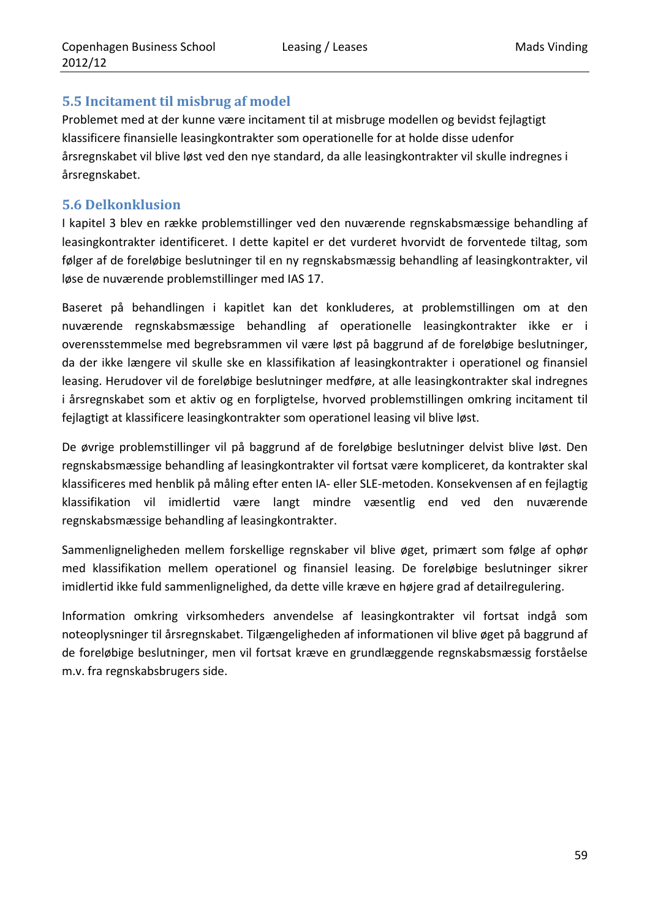## **5.5 Incitament til misbrug af model**

Problemet med at der kunne være incitament til at misbruge modellen og bevidst fejlagtigt klassificere finansielle leasingkontrakter som operationelle for at holde disse udenfor årsregnskabet vil blive løst ved den nye standard, da alle leasingkontrakter vil skulle indregnes i årsregnskabet.

### **5.6 Delkonklusion**

I kapitel 3 blev en række problemstillinger ved den nuværende regnskabsmæssige behandling af leasingkontrakter identificeret. I dette kapitel er det vurderet hvorvidt de forventede tiltag, som følger af de foreløbige beslutninger til en ny regnskabsmæssig behandling af leasingkontrakter, vil løse de nuværende problemstillinger med IAS 17.

Baseret på behandlingen i kapitlet kan det konkluderes, at problemstillingen om at den nuværende regnskabsmæssige behandling af operationelle leasingkontrakter ikke er i overensstemmelse med begrebsrammen vil være løst på baggrund af de foreløbige beslutninger, da der ikke længere vil skulle ske en klassifikation af leasingkontrakter i operationel og finansiel leasing. Herudover vil de foreløbige beslutninger medføre, at alle leasingkontrakter skal indregnes i årsregnskabet som et aktiv og en forpligtelse, hvorved problemstillingen omkring incitament til fejlagtigt at klassificere leasingkontrakter som operationel leasing vil blive løst.

De øvrige problemstillinger vil på baggrund af de foreløbige beslutninger delvist blive løst. Den regnskabsmæssige behandling af leasingkontrakter vil fortsat være kompliceret, da kontrakter skal klassificeres med henblik på måling efter enten IA‐ eller SLE‐metoden. Konsekvensen af en fejlagtig klassifikation vil imidlertid være langt mindre væsentlig end ved den nuværende regnskabsmæssige behandling af leasingkontrakter.

Sammenligneligheden mellem forskellige regnskaber vil blive øget, primært som følge af ophør med klassifikation mellem operationel og finansiel leasing. De foreløbige beslutninger sikrer imidlertid ikke fuld sammenlignelighed, da dette ville kræve en højere grad af detailregulering.

Information omkring virksomheders anvendelse af leasingkontrakter vil fortsat indgå som noteoplysninger til årsregnskabet. Tilgængeligheden af informationen vil blive øget på baggrund af de foreløbige beslutninger, men vil fortsat kræve en grundlæggende regnskabsmæssig forståelse m.v. fra regnskabsbrugers side.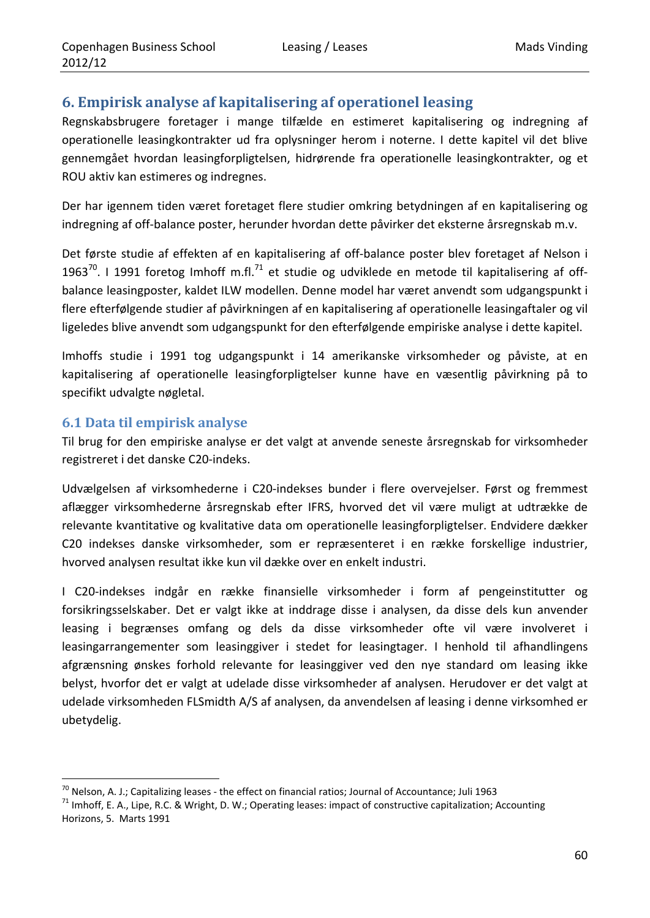# **6. Empirisk analyse af kapitalisering af operationel leasing**

Regnskabsbrugere foretager i mange tilfælde en estimeret kapitalisering og indregning af operationelle leasingkontrakter ud fra oplysninger herom i noterne. I dette kapitel vil det blive gennemgået hvordan leasingforpligtelsen, hidrørende fra operationelle leasingkontrakter, og et ROU aktiv kan estimeres og indregnes.

Der har igennem tiden været foretaget flere studier omkring betydningen af en kapitalisering og indregning af off‐balance poster, herunder hvordan dette påvirker det eksterne årsregnskab m.v.

Det første studie af effekten af en kapitalisering af off‐balance poster blev foretaget af Nelson i 1963 $^{70}$ . I 1991 foretog Imhoff m.fl. $^{71}$  et studie og udviklede en metode til kapitalisering af offbalance leasingposter, kaldet ILW modellen. Denne model har været anvendt som udgangspunkt i flere efterfølgende studier af påvirkningen af en kapitalisering af operationelle leasingaftaler og vil ligeledes blive anvendt som udgangspunkt for den efterfølgende empiriske analyse i dette kapitel.

Imhoffs studie i 1991 tog udgangspunkt i 14 amerikanske virksomheder og påviste, at en kapitalisering af operationelle leasingforpligtelser kunne have en væsentlig påvirkning på to specifikt udvalgte nøgletal.

## **6.1 Data til empirisk analyse**

Til brug for den empiriske analyse er det valgt at anvende seneste årsregnskab for virksomheder registreret i det danske C20‐indeks.

Udvælgelsen af virksomhederne i C20‐indekses bunder i flere overvejelser. Først og fremmest aflægger virksomhederne årsregnskab efter IFRS, hvorved det vil være muligt at udtrække de relevante kvantitative og kvalitative data om operationelle leasingforpligtelser. Endvidere dækker C20 indekses danske virksomheder, som er repræsenteret i en række forskellige industrier, hvorved analysen resultat ikke kun vil dække over en enkelt industri.

I C20‐indekses indgår en række finansielle virksomheder i form af pengeinstitutter og forsikringsselskaber. Det er valgt ikke at inddrage disse i analysen, da disse dels kun anvender leasing i begrænses omfang og dels da disse virksomheder ofte vil være involveret i leasingarrangementer som leasinggiver i stedet for leasingtager. I henhold til afhandlingens afgrænsning ønskes forhold relevante for leasinggiver ved den nye standard om leasing ikke belyst, hvorfor det er valgt at udelade disse virksomheder af analysen. Herudover er det valgt at udelade virksomheden FLSmidth A/S af analysen, da anvendelsen af leasing i denne virksomhed er ubetydelig.

<sup>&</sup>lt;u> 1989 - Johann Barn, mars eta inperiodo</u> <sup>70</sup> Nelson, A. J.; Capitalizing leases - the effect on financial ratios; Journal of Accountance; Juli 1963<br><sup>71</sup> Imhoff, E. A., Lipe, R.C. & Wright, D. W.; Operating leases: impact of constructive capitalization; Accounti

Horizons, 5. Marts 1991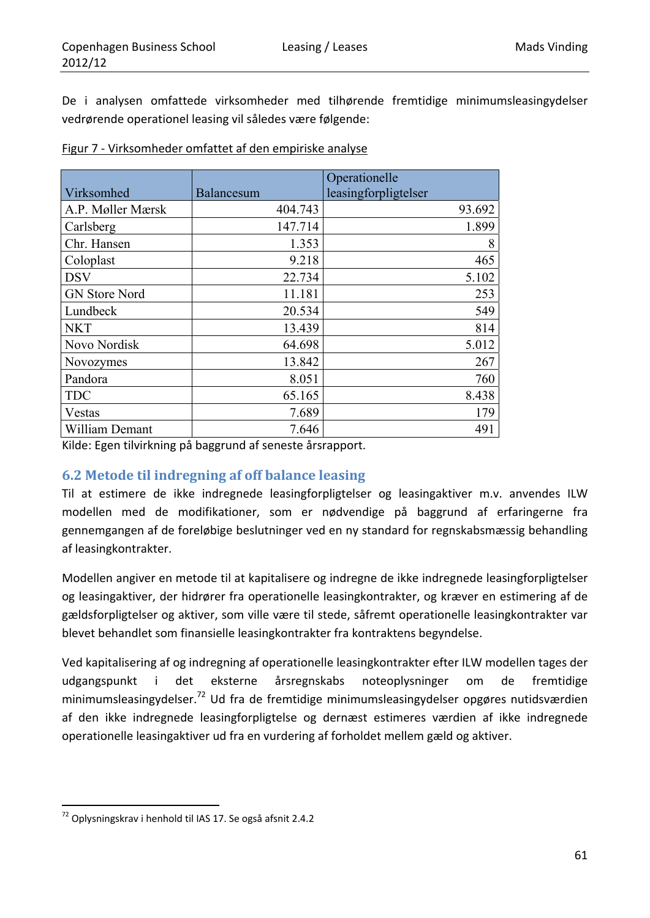De i analysen omfattede virksomheder med tilhørende fremtidige minimumsleasingydelser vedrørende operationel leasing vil således være følgende:

|                      |                   | Operationelle        |
|----------------------|-------------------|----------------------|
| Virksomhed           | <b>Balancesum</b> | leasingforpligtelser |
| A.P. Møller Mærsk    | 404.743           | 93.692               |
| Carlsberg            | 147.714           | 1.899                |
| Chr. Hansen          | 1.353             | 8                    |
| Coloplast            | 9.218             | 465                  |
| <b>DSV</b>           | 22.734            | 5.102                |
| <b>GN Store Nord</b> | 11.181            | 253                  |
| Lundbeck             | 20.534            | 549                  |
| <b>NKT</b>           | 13.439            | 814                  |
| Novo Nordisk         | 64.698            | 5.012                |
| Novozymes            | 13.842            | 267                  |
| Pandora              | 8.051             | 760                  |
| <b>TDC</b>           | 65.165            | 8.438                |
| Vestas               | 7.689             | 179                  |
| William Demant       | 7.646             | 491                  |

| Figur 7 - Virksomheder omfattet af den empiriske analyse |
|----------------------------------------------------------|
|----------------------------------------------------------|

Kilde: Egen tilvirkning på baggrund af seneste årsrapport.

## **6.2 Metode til indregning af off balance leasing**

Til at estimere de ikke indregnede leasingforpligtelser og leasingaktiver m.v. anvendes ILW modellen med de modifikationer, som er nødvendige på baggrund af erfaringerne fra gennemgangen af de foreløbige beslutninger ved en ny standard for regnskabsmæssig behandling af leasingkontrakter.

Modellen angiver en metode til at kapitalisere og indregne de ikke indregnede leasingforpligtelser og leasingaktiver, der hidrører fra operationelle leasingkontrakter, og kræver en estimering af de gældsforpligtelser og aktiver, som ville være til stede, såfremt operationelle leasingkontrakter var blevet behandlet som finansielle leasingkontrakter fra kontraktens begyndelse.

Ved kapitalisering af og indregning af operationelle leasingkontrakter efter ILW modellen tages der udgangspunkt i det eksterne årsregnskabs noteoplysninger om de fremtidige minimumsleasingydelser.72 Ud fra de fremtidige minimumsleasingydelser opgøres nutidsværdien af den ikke indregnede leasingforpligtelse og dernæst estimeres værdien af ikke indregnede operationelle leasingaktiver ud fra en vurdering af forholdet mellem gæld og aktiver.

<sup>72</sup> Oplysningskrav i henhold til IAS 17. Se også afsnit 2.4.2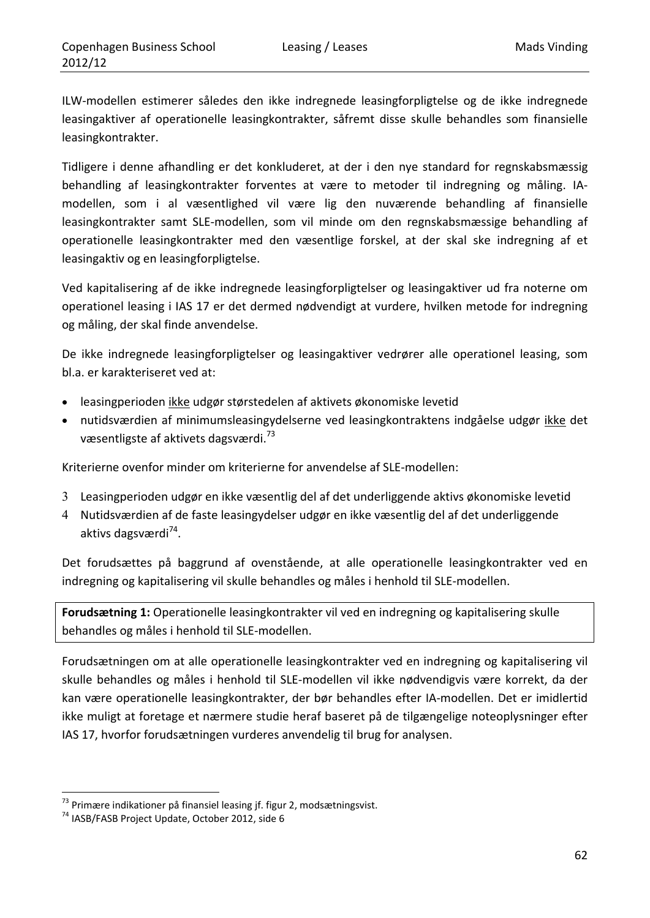ILW‐modellen estimerer således den ikke indregnede leasingforpligtelse og de ikke indregnede leasingaktiver af operationelle leasingkontrakter, såfremt disse skulle behandles som finansielle leasingkontrakter.

Tidligere i denne afhandling er det konkluderet, at der i den nye standard for regnskabsmæssig behandling af leasingkontrakter forventes at være to metoder til indregning og måling. IA‐ modellen, som i al væsentlighed vil være lig den nuværende behandling af finansielle leasingkontrakter samt SLE‐modellen, som vil minde om den regnskabsmæssige behandling af operationelle leasingkontrakter med den væsentlige forskel, at der skal ske indregning af et leasingaktiv og en leasingforpligtelse.

Ved kapitalisering af de ikke indregnede leasingforpligtelser og leasingaktiver ud fra noterne om operationel leasing i IAS 17 er det dermed nødvendigt at vurdere, hvilken metode for indregning og måling, der skal finde anvendelse.

De ikke indregnede leasingforpligtelser og leasingaktiver vedrører alle operationel leasing, som bl.a. er karakteriseret ved at:

- leasingperioden ikke udgør størstedelen af aktivets økonomiske levetid
- nutidsværdien af minimumsleasingydelserne ved leasingkontraktens indgåelse udgør ikke det væsentligste af aktivets dagsværdi.<sup>73</sup>

Kriterierne ovenfor minder om kriterierne for anvendelse af SLE‐modellen:

- 3 Leasingperioden udgør en ikke væsentlig del af det underliggende aktivs økonomiske levetid
- 4 Nutidsværdien af de faste leasingydelser udgør en ikke væsentlig del af det underliggende aktivs dagsværdi<sup>74</sup>.

Det forudsættes på baggrund af ovenstående, at alle operationelle leasingkontrakter ved en indregning og kapitalisering vil skulle behandles og måles i henhold til SLE‐modellen.

**Forudsætning 1:** Operationelle leasingkontrakter vil ved en indregning og kapitalisering skulle behandles og måles i henhold til SLE‐modellen.

Forudsætningen om at alle operationelle leasingkontrakter ved en indregning og kapitalisering vil skulle behandles og måles i henhold til SLE‐modellen vil ikke nødvendigvis være korrekt, da der kan være operationelle leasingkontrakter, der bør behandles efter IA‐modellen. Det er imidlertid ikke muligt at foretage et nærmere studie heraf baseret på de tilgængelige noteoplysninger efter IAS 17, hvorfor forudsætningen vurderes anvendelig til brug for analysen.

<sup>&</sup>lt;u> 1989 - Johann Barn, mars eta inperiodo</u> <sup>73</sup> Primære indikationer på finansiel leasing jf. figur 2, modsætningsvist.<br><sup>74</sup> IASB/FASB Project Update, October 2012, side 6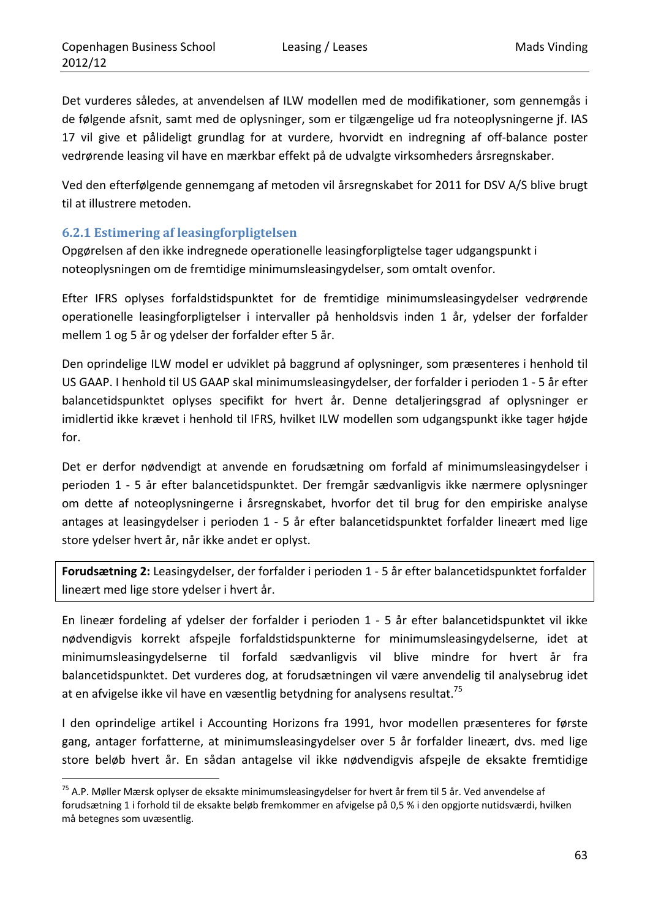Det vurderes således, at anvendelsen af ILW modellen med de modifikationer, som gennemgås i de følgende afsnit, samt med de oplysninger, som er tilgængelige ud fra noteoplysningerne jf. IAS 17 vil give et pålideligt grundlag for at vurdere, hvorvidt en indregning af off-balance poster vedrørende leasing vil have en mærkbar effekt på de udvalgte virksomheders årsregnskaber.

Ved den efterfølgende gennemgang af metoden vil årsregnskabet for 2011 for DSV A/S blive brugt til at illustrere metoden.

## **6.2.1 Estimering af leasingforpligtelsen**

Opgørelsen af den ikke indregnede operationelle leasingforpligtelse tager udgangspunkt i noteoplysningen om de fremtidige minimumsleasingydelser, som omtalt ovenfor.

Efter IFRS oplyses forfaldstidspunktet for de fremtidige minimumsleasingydelser vedrørende operationelle leasingforpligtelser i intervaller på henholdsvis inden 1 år, ydelser der forfalder mellem 1 og 5 år og ydelser der forfalder efter 5 år.

Den oprindelige ILW model er udviklet på baggrund af oplysninger, som præsenteres i henhold til US GAAP. I henhold til US GAAP skal minimumsleasingydelser, der forfalder i perioden 1 ‐ 5 år efter balancetidspunktet oplyses specifikt for hvert år. Denne detaljeringsgrad af oplysninger er imidlertid ikke krævet i henhold til IFRS, hvilket ILW modellen som udgangspunkt ikke tager højde for.

Det er derfor nødvendigt at anvende en forudsætning om forfald af minimumsleasingydelser i perioden 1 ‐ 5 år efter balancetidspunktet. Der fremgår sædvanligvis ikke nærmere oplysninger om dette af noteoplysningerne i årsregnskabet, hvorfor det til brug for den empiriske analyse antages at leasingydelser i perioden 1 - 5 år efter balancetidspunktet forfalder lineært med lige store ydelser hvert år, når ikke andet er oplyst.

**Forudsætning 2:** Leasingydelser, der forfalder i perioden 1 ‐ 5 år efter balancetidspunktet forfalder lineært med lige store ydelser i hvert år.

En lineær fordeling af ydelser der forfalder i perioden 1 ‐ 5 år efter balancetidspunktet vil ikke nødvendigvis korrekt afspejle forfaldstidspunkterne for minimumsleasingydelserne, idet at minimumsleasingydelserne til forfald sædvanligvis vil blive mindre for hvert år fra balancetidspunktet. Det vurderes dog, at forudsætningen vil være anvendelig til analysebrug idet at en afvigelse ikke vil have en væsentlig betydning for analysens resultat.<sup>75</sup>

I den oprindelige artikel i Accounting Horizons fra 1991, hvor modellen præsenteres for første gang, antager forfatterne, at minimumsleasingydelser over 5 år forfalder lineært, dvs. med lige store beløb hvert år. En sådan antagelse vil ikke nødvendigvis afspejle de eksakte fremtidige

<sup>&</sup>lt;u> 1989 - Johann Barn, mars eta inperiodo</u> <sup>75</sup> A.P. Møller Mærsk oplyser de eksakte minimumsleasingydelser for hvert år frem til 5 år. Ved anvendelse af forudsætning 1 i forhold til de eksakte beløb fremkommer en afvigelse på 0,5 % i den opgjorte nutidsværdi, hvilken må betegnes som uvæsentlig.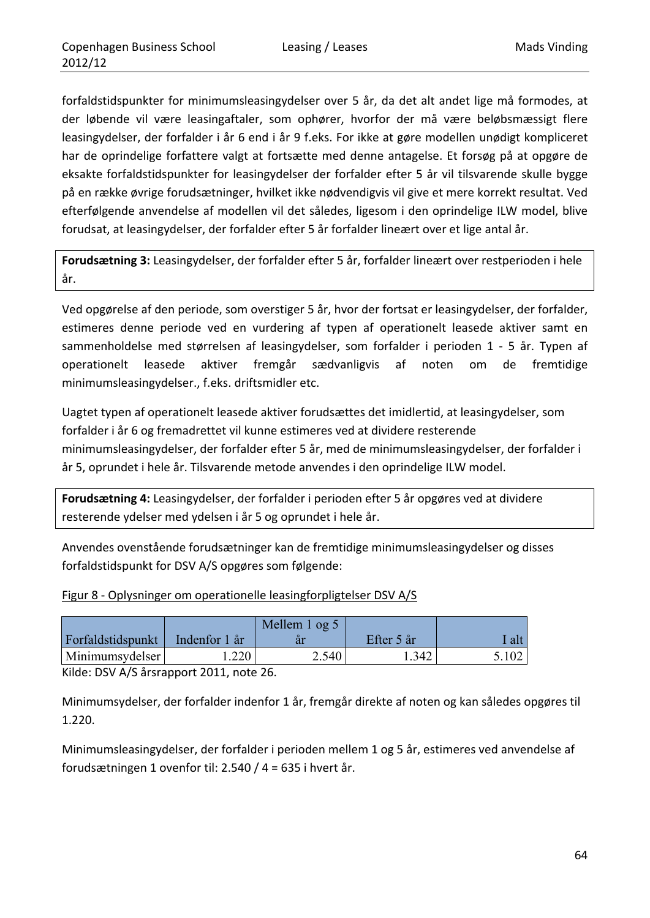forfaldstidspunkter for minimumsleasingydelser over 5 år, da det alt andet lige må formodes, at der løbende vil være leasingaftaler, som ophører, hvorfor der må være beløbsmæssigt flere leasingydelser, der forfalder i år 6 end i år 9 f.eks. For ikke at gøre modellen unødigt kompliceret har de oprindelige forfattere valgt at fortsætte med denne antagelse. Et forsøg på at opgøre de eksakte forfaldstidspunkter for leasingydelser der forfalder efter 5 år vil tilsvarende skulle bygge på en række øvrige forudsætninger, hvilket ikke nødvendigvis vil give et mere korrekt resultat. Ved efterfølgende anvendelse af modellen vil det således, ligesom i den oprindelige ILW model, blive forudsat, at leasingydelser, der forfalder efter 5 år forfalder lineært over et lige antal år.

**Forudsætning 3:** Leasingydelser, der forfalder efter 5 år, forfalder lineært over restperioden i hele år.

Ved opgørelse af den periode, som overstiger 5 år, hvor der fortsat er leasingydelser, der forfalder, estimeres denne periode ved en vurdering af typen af operationelt leasede aktiver samt en sammenholdelse med størrelsen af leasingydelser, som forfalder i perioden 1 ‐ 5 år. Typen af operationelt leasede aktiver fremgår sædvanligvis af noten om de fremtidige minimumsleasingydelser., f.eks. driftsmidler etc.

Uagtet typen af operationelt leasede aktiver forudsættes det imidlertid, at leasingydelser, som forfalder i år 6 og fremadrettet vil kunne estimeres ved at dividere resterende minimumsleasingydelser, der forfalder efter 5 år, med de minimumsleasingydelser, der forfalder i år 5, oprundet i hele år. Tilsvarende metode anvendes i den oprindelige ILW model.

**Forudsætning 4:** Leasingydelser, der forfalder i perioden efter 5 år opgøres ved at dividere resterende ydelser med ydelsen i år 5 og oprundet i hele år.

Anvendes ovenstående forudsætninger kan de fremtidige minimumsleasingydelser og disses forfaldstidspunkt for DSV A/S opgøres som følgende:

| Figur 8 - Oplysninger om operationelle leasingforpligtelser DSV A/S |
|---------------------------------------------------------------------|
|---------------------------------------------------------------------|

|                                   |      | Mellem 1 og 5 |            |       |
|-----------------------------------|------|---------------|------------|-------|
| Forfaldstidspunkt   Indenfor 1 år |      |               | Efter 5 år | ' alt |
| Minimumsydelser                   | .220 | 2.540         | 1.342      | 5.102 |

Kilde: DSV A/S årsrapport 2011, note 26.

Minimumsydelser, der forfalder indenfor 1 år, fremgår direkte af noten og kan således opgøres til 1.220.

Minimumsleasingydelser, der forfalder i perioden mellem 1 og 5 år, estimeres ved anvendelse af forudsætningen 1 ovenfor til: 2.540 / 4 = 635 i hvert år.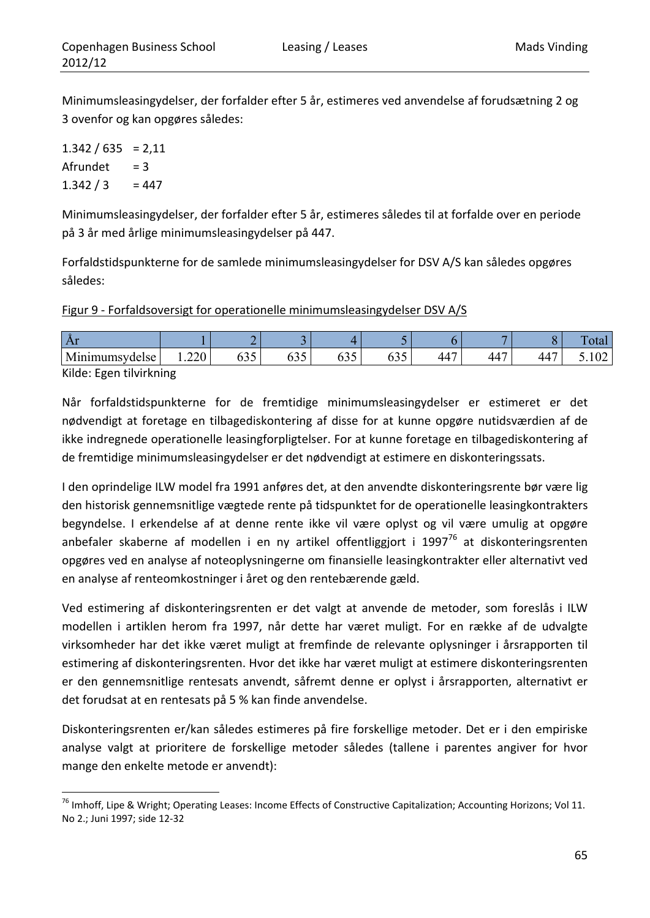Minimumsleasingydelser, der forfalder efter 5 år, estimeres ved anvendelse af forudsætning 2 og 3 ovenfor og kan opgøres således:

 $1.342 / 635 = 2,11$  $A$ frundet = 3  $1.342 / 3 = 447$ 

Minimumsleasingydelser, der forfalder efter 5 år, estimeres således til at forfalde over en periode på 3 år med årlige minimumsleasingydelser på 447.

Forfaldstidspunkterne for de samlede minimumsleasingydelser for DSV A/S kan således opgøres således:

Figur 9 - Forfaldsoversigt for operationelle minimumsleasingydelser DSV A/S

| Af                                  |                              |                   |                    |                              |                             |                      |            |                | . .<br>ulai       |
|-------------------------------------|------------------------------|-------------------|--------------------|------------------------------|-----------------------------|----------------------|------------|----------------|-------------------|
| $\mathbf{r}$<br>.<br>umsvdelse<br>M | $\sim$ $\sim$<br>$1.22 \cup$ | ---<br>v <i>.</i> | $\sim$<br>-<br>∪⊃ັ | $\sim$ $\sim$ $\sim$<br>◡◡ ◡ | $\sim$ $\sim$<br>v <i>.</i> | $\overline{A}$<br>44 | $\sqrt{2}$ | $\Delta\Delta$ | $\sim$<br>, $104$ |

Kilde: Egen tilvirkning

<u> 1989 - Johann Barn, mars eta inperiodo</u>

Når forfaldstidspunkterne for de fremtidige minimumsleasingydelser er estimeret er det nødvendigt at foretage en tilbagediskontering af disse for at kunne opgøre nutidsværdien af de ikke indregnede operationelle leasingforpligtelser. For at kunne foretage en tilbagediskontering af de fremtidige minimumsleasingydelser er det nødvendigt at estimere en diskonteringssats.

I den oprindelige ILW model fra 1991 anføres det, at den anvendte diskonteringsrente bør være lig den historisk gennemsnitlige vægtede rente på tidspunktet for de operationelle leasingkontrakters begyndelse. I erkendelse af at denne rente ikke vil være oplyst og vil være umulig at opgøre anbefaler skaberne af modellen i en ny artikel offentliggjort i 1997 $^{76}$  at diskonteringsrenten opgøres ved en analyse af noteoplysningerne om finansielle leasingkontrakter eller alternativt ved en analyse af renteomkostninger i året og den rentebærende gæld.

Ved estimering af diskonteringsrenten er det valgt at anvende de metoder, som foreslås i ILW modellen i artiklen herom fra 1997, når dette har været muligt. For en række af de udvalgte virksomheder har det ikke været muligt at fremfinde de relevante oplysninger i årsrapporten til estimering af diskonteringsrenten. Hvor det ikke har været muligt at estimere diskonteringsrenten er den gennemsnitlige rentesats anvendt, såfremt denne er oplyst i årsrapporten, alternativt er det forudsat at en rentesats på 5 % kan finde anvendelse.

Diskonteringsrenten er/kan således estimeres på fire forskellige metoder. Det er i den empiriske analyse valgt at prioritere de forskellige metoder således (tallene i parentes angiver for hvor mange den enkelte metode er anvendt):

<sup>&</sup>lt;sup>76</sup> Imhoff, Lipe & Wright; Operating Leases: Income Effects of Constructive Capitalization; Accounting Horizons; Vol 11. No 2.; Juni 1997; side 12‐32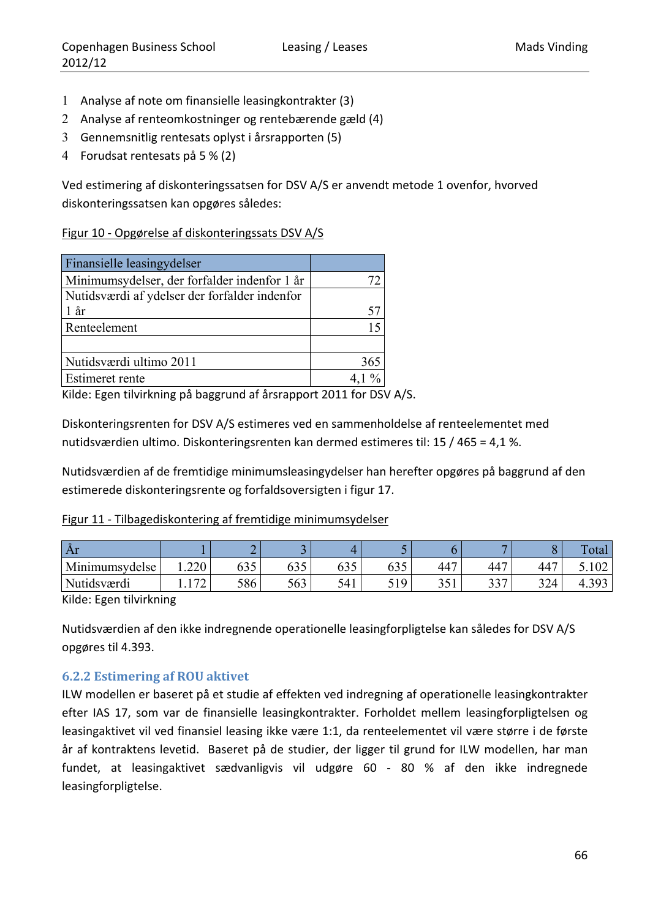- 1 Analyse af note om finansielle leasingkontrakter (3)
- 2 Analyse af renteomkostninger og rentebærende gæld (4)
- 3 Gennemsnitlig rentesats oplyst i årsrapporten (5)
- 4 Forudsat rentesats på 5 % (2)

Ved estimering af diskonteringssatsen for DSV A/S er anvendt metode 1 ovenfor, hvorved diskonteringssatsen kan opgøres således:

#### Figur 10 ‐ Opgørelse af diskonteringssats DSV A/S

| Finansielle leasingydelser                    |     |
|-----------------------------------------------|-----|
| Minimumsydelser, der forfalder indenfor 1 år  |     |
| Nutidsværdi af ydelser der forfalder indenfor |     |
| $1$ år                                        | 57  |
| Renteelement                                  |     |
|                                               |     |
| Nutidsværdi ultimo 2011                       | 365 |
| <b>Estimeret rente</b>                        |     |

Kilde: Egen tilvirkning på baggrund af årsrapport 2011 for DSV A/S.

Diskonteringsrenten for DSV A/S estimeres ved en sammenholdelse af renteelementet med nutidsværdien ultimo. Diskonteringsrenten kan dermed estimeres til: 15 / 465 = 4,1 %.

Nutidsværdien af de fremtidige minimumsleasingydelser han herefter opgøres på baggrund af den estimerede diskonteringsrente og forfaldsoversigten i figur 17.

#### Figur 11 ‐ Tilbagediskontering af fremtidige minimumsydelser

| $\rm Ar$       |                   |               |               |                                  |                                 |           | =         |     | $\overline{\phantom{0}}$<br>`otal |
|----------------|-------------------|---------------|---------------|----------------------------------|---------------------------------|-----------|-----------|-----|-----------------------------------|
| Minimumsydelse | 1.220             | $\sim$<br>633 | $\sim$<br>635 | $\epsilon \cap \epsilon$<br>09 J | $\epsilon \cap \epsilon$<br>633 | 447       | 447       | 447 | .102                              |
| Nutidsværdi    | $\sqrt{2}$<br>ے ا | 586           | 563           | 541<br>ັ                         | 10<br><u>Jiy</u>                | 251<br>ັບ | 227<br>JJ | 324 | 4.393<br>⊿                        |

Kilde: Egen tilvirkning

Nutidsværdien af den ikke indregnende operationelle leasingforpligtelse kan således for DSV A/S opgøres til 4.393.

### **6.2.2 Estimering af ROU aktivet**

ILW modellen er baseret på et studie af effekten ved indregning af operationelle leasingkontrakter efter IAS 17, som var de finansielle leasingkontrakter. Forholdet mellem leasingforpligtelsen og leasingaktivet vil ved finansiel leasing ikke være 1:1, da renteelementet vil være større i de første år af kontraktens levetid. Baseret på de studier, der ligger til grund for ILW modellen, har man fundet, at leasingaktivet sædvanligvis vil udgøre 60 ‐ 80 % af den ikke indregnede leasingforpligtelse.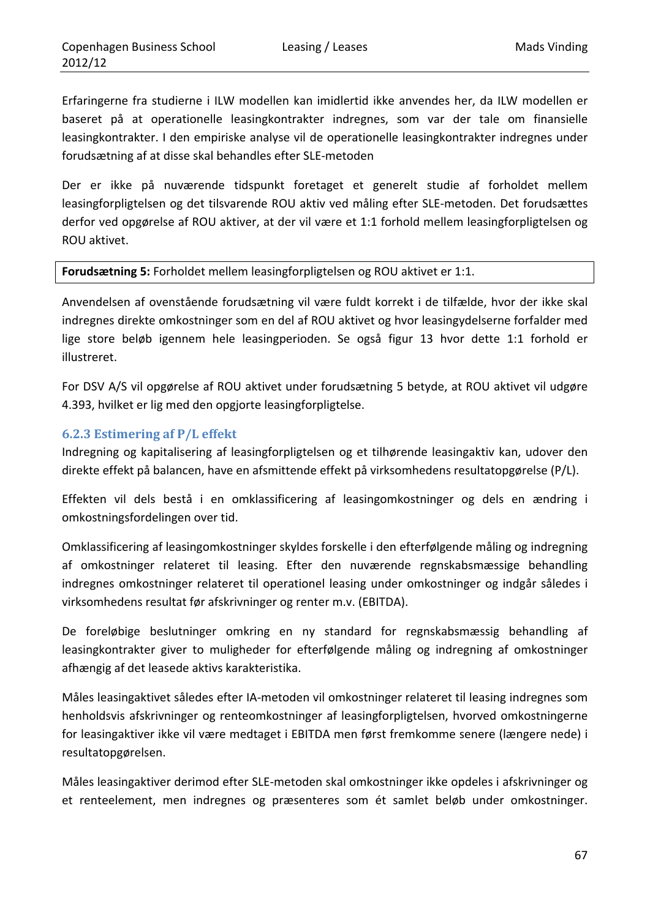Erfaringerne fra studierne i ILW modellen kan imidlertid ikke anvendes her, da ILW modellen er baseret på at operationelle leasingkontrakter indregnes, som var der tale om finansielle leasingkontrakter. I den empiriske analyse vil de operationelle leasingkontrakter indregnes under forudsætning af at disse skal behandles efter SLE‐metoden

Der er ikke på nuværende tidspunkt foretaget et generelt studie af forholdet mellem leasingforpligtelsen og det tilsvarende ROU aktiv ved måling efter SLE‐metoden. Det forudsættes derfor ved opgørelse af ROU aktiver, at der vil være et 1:1 forhold mellem leasingforpligtelsen og ROU aktivet.

**Forudsætning 5:** Forholdet mellem leasingforpligtelsen og ROU aktivet er 1:1.

Anvendelsen af ovenstående forudsætning vil være fuldt korrekt i de tilfælde, hvor der ikke skal indregnes direkte omkostninger som en del af ROU aktivet og hvor leasingydelserne forfalder med lige store beløb igennem hele leasingperioden. Se også figur 13 hvor dette 1:1 forhold er illustreret.

For DSV A/S vil opgørelse af ROU aktivet under forudsætning 5 betyde, at ROU aktivet vil udgøre 4.393, hvilket er lig med den opgjorte leasingforpligtelse.

#### **6.2.3 Estimering af P/L effekt**

Indregning og kapitalisering af leasingforpligtelsen og et tilhørende leasingaktiv kan, udover den direkte effekt på balancen, have en afsmittende effekt på virksomhedens resultatopgørelse (P/L).

Effekten vil dels bestå i en omklassificering af leasingomkostninger og dels en ændring i omkostningsfordelingen over tid.

Omklassificering af leasingomkostninger skyldes forskelle i den efterfølgende måling og indregning af omkostninger relateret til leasing. Efter den nuværende regnskabsmæssige behandling indregnes omkostninger relateret til operationel leasing under omkostninger og indgår således i virksomhedens resultat før afskrivninger og renter m.v. (EBITDA).

De foreløbige beslutninger omkring en ny standard for regnskabsmæssig behandling af leasingkontrakter giver to muligheder for efterfølgende måling og indregning af omkostninger afhængig af det leasede aktivs karakteristika.

Måles leasingaktivet således efter IA‐metoden vil omkostninger relateret til leasing indregnes som henholdsvis afskrivninger og renteomkostninger af leasingforpligtelsen, hvorved omkostningerne for leasingaktiver ikke vil være medtaget i EBITDA men først fremkomme senere (længere nede) i resultatopgørelsen.

Måles leasingaktiver derimod efter SLE‐metoden skal omkostninger ikke opdeles i afskrivninger og et renteelement, men indregnes og præsenteres som ét samlet beløb under omkostninger.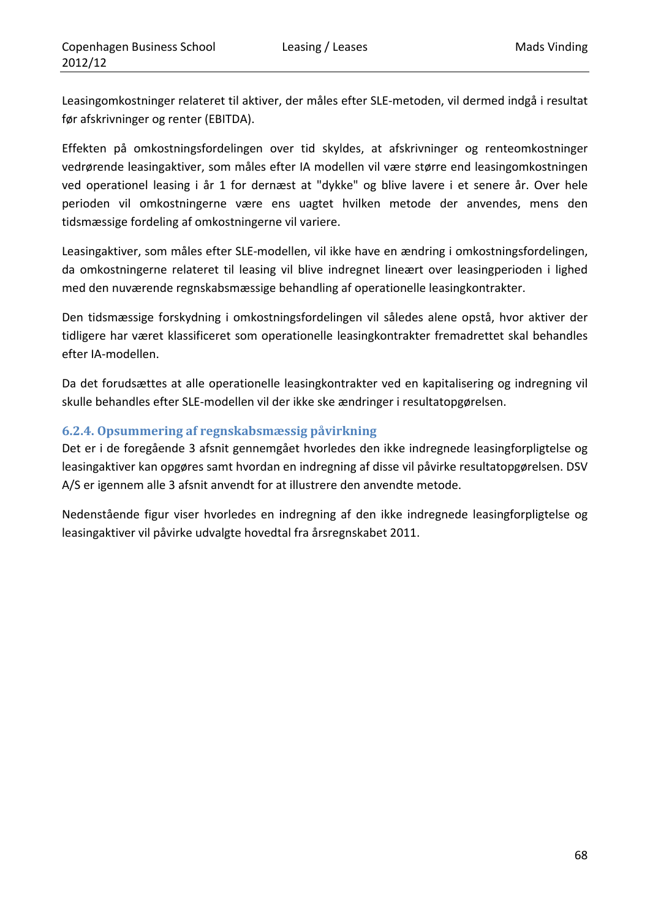Leasingomkostninger relateret til aktiver, der måles efter SLE‐metoden, vil dermed indgå i resultat før afskrivninger og renter (EBITDA).

Effekten på omkostningsfordelingen over tid skyldes, at afskrivninger og renteomkostninger vedrørende leasingaktiver, som måles efter IA modellen vil være større end leasingomkostningen ved operationel leasing i år 1 for dernæst at "dykke" og blive lavere i et senere år. Over hele perioden vil omkostningerne være ens uagtet hvilken metode der anvendes, mens den tidsmæssige fordeling af omkostningerne vil variere.

Leasingaktiver, som måles efter SLE‐modellen, vil ikke have en ændring i omkostningsfordelingen, da omkostningerne relateret til leasing vil blive indregnet lineært over leasingperioden i lighed med den nuværende regnskabsmæssige behandling af operationelle leasingkontrakter.

Den tidsmæssige forskydning i omkostningsfordelingen vil således alene opstå, hvor aktiver der tidligere har været klassificeret som operationelle leasingkontrakter fremadrettet skal behandles efter IA‐modellen.

Da det forudsættes at alle operationelle leasingkontrakter ved en kapitalisering og indregning vil skulle behandles efter SLE‐modellen vil der ikke ske ændringer i resultatopgørelsen.

## **6.2.4. Opsummering af regnskabsmæssig påvirkning**

Det er i de foregående 3 afsnit gennemgået hvorledes den ikke indregnede leasingforpligtelse og leasingaktiver kan opgøres samt hvordan en indregning af disse vil påvirke resultatopgørelsen. DSV A/S er igennem alle 3 afsnit anvendt for at illustrere den anvendte metode.

Nedenstående figur viser hvorledes en indregning af den ikke indregnede leasingforpligtelse og leasingaktiver vil påvirke udvalgte hovedtal fra årsregnskabet 2011.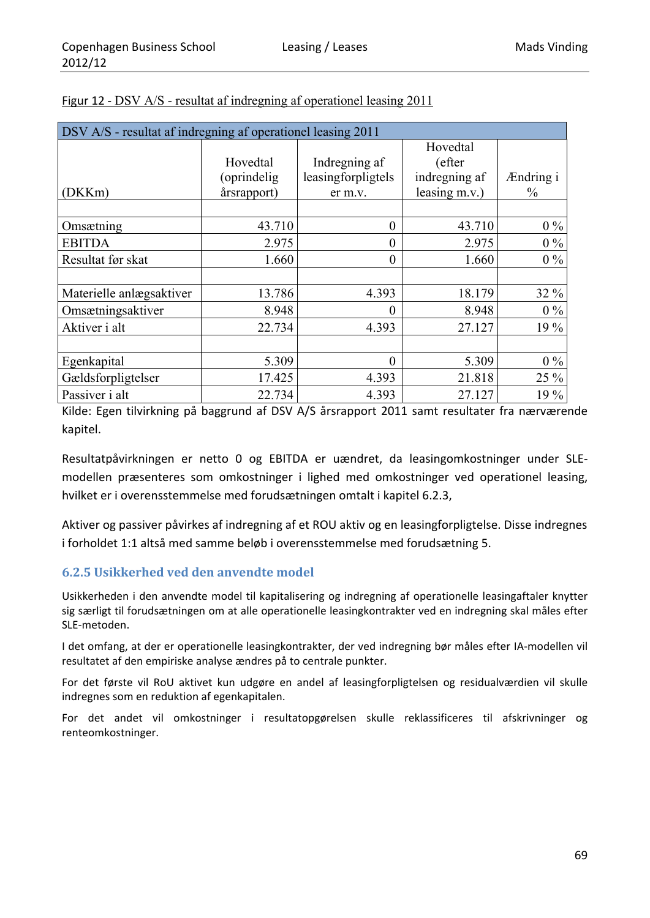| DSV A/S - resultat af indregning af operationel leasing 2011 |              |                    |                  |           |  |  |  |  |  |
|--------------------------------------------------------------|--------------|--------------------|------------------|-----------|--|--|--|--|--|
|                                                              |              |                    | Hovedtal         |           |  |  |  |  |  |
|                                                              | Hovedtal     | Indregning af      | (efter           |           |  |  |  |  |  |
|                                                              | (oprindelig) | leasingforpligtels | indregning af    | Ændring i |  |  |  |  |  |
| (DKKm)                                                       | årsrapport)  | er m.v.            | leasing $m.v.$ ) | $\%$      |  |  |  |  |  |
|                                                              |              |                    |                  |           |  |  |  |  |  |
| Omsætning                                                    | 43.710       | $\boldsymbol{0}$   | 43.710           | $0\%$     |  |  |  |  |  |
| <b>EBITDA</b>                                                | 2.975        | $\theta$           | 2.975            | $0\%$     |  |  |  |  |  |
| Resultat før skat                                            | 1.660        | $\theta$           | 1.660            | $0\%$     |  |  |  |  |  |
|                                                              |              |                    |                  |           |  |  |  |  |  |
| Materielle anlægsaktiver                                     | 13.786       | 4.393              | 18.179           | 32 %      |  |  |  |  |  |
| Omsætningsaktiver                                            | 8.948        | $\overline{0}$     | 8.948            | $0\%$     |  |  |  |  |  |
| Aktiver i alt                                                | 22.734       | 4.393              | 27.127           | 19 %      |  |  |  |  |  |
|                                                              |              |                    |                  |           |  |  |  |  |  |
| Egenkapital                                                  | 5.309        | $\theta$           | 5.309            | $0\%$     |  |  |  |  |  |
| Gældsforpligtelser                                           | 17.425       | 4.393              | 21.818           | 25 %      |  |  |  |  |  |
| Passiver i alt                                               | 22.734       | 4.393              | 27.127           | 19 %      |  |  |  |  |  |

| Figur 12 - DSV A/S - resultat af indregning af operationel leasing 2011 |  |
|-------------------------------------------------------------------------|--|
|-------------------------------------------------------------------------|--|

Kilde: Egen tilvirkning på baggrund af DSV A/S årsrapport 2011 samt resultater fra nærværende kapitel.

Resultatpåvirkningen er netto 0 og EBITDA er uændret, da leasingomkostninger under SLE‐ modellen præsenteres som omkostninger i lighed med omkostninger ved operationel leasing, hvilket er i overensstemmelse med forudsætningen omtalt i kapitel 6.2.3,

Aktiver og passiver påvirkes af indregning af et ROU aktiv og en leasingforpligtelse. Disse indregnes i forholdet 1:1 altså med samme beløb i overensstemmelse med forudsætning 5.

### **6.2.5 Usikkerhed ved den anvendte model**

Usikkerheden i den anvendte model til kapitalisering og indregning af operationelle leasingaftaler knytter sig særligt til forudsætningen om at alle operationelle leasingkontrakter ved en indregning skal måles efter SLE‐metoden.

I det omfang, at der er operationelle leasingkontrakter, der ved indregning bør måles efter IA‐modellen vil resultatet af den empiriske analyse ændres på to centrale punkter.

For det første vil RoU aktivet kun udgøre en andel af leasingforpligtelsen og residualværdien vil skulle indregnes som en reduktion af egenkapitalen.

For det andet vil omkostninger i resultatopgørelsen skulle reklassificeres til afskrivninger og renteomkostninger.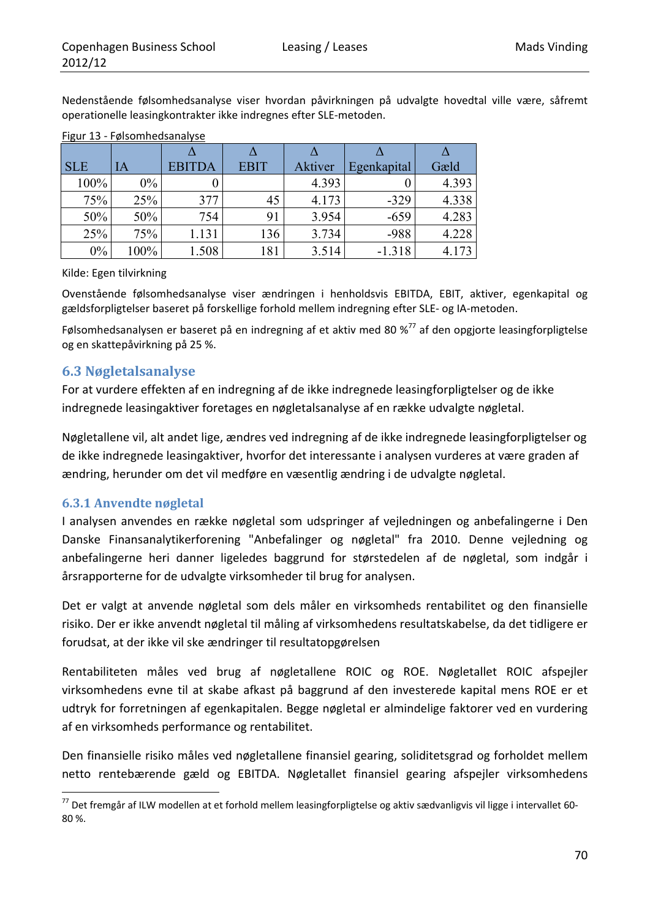Nedenstående følsomhedsanalyse viser hvordan påvirkningen på udvalgte hovedtal ville være, såfremt operationelle leasingkontrakter ikke indregnes efter SLE‐metoden.

| $\cdot$    |       |               |             |         |             |       |
|------------|-------|---------------|-------------|---------|-------------|-------|
|            |       |               |             |         |             |       |
| <b>SLE</b> | IA    | <b>EBITDA</b> | <b>EBIT</b> | Aktiver | Egenkapital | Gæld  |
| 100%       | $0\%$ |               |             | 4.393   |             | 4.393 |
| 75%        | 25%   | 377           | 45          | 4.173   | $-329$      | 4.338 |
| 50%        | 50%   | 754           | 91          | 3.954   | $-659$      | 4.283 |
| 25%        | 75%   | 1.131         | 136         | 3.734   | $-988$      | 4.228 |
| $0\%$      | 100%  | 1.508         | 181         | 3.514   | $-1.318$    | 4.173 |

#### Figur 13 ‐ Følsomhedsanalyse

Kilde: Egen tilvirkning

Ovenstående følsomhedsanalyse viser ændringen i henholdsvis EBITDA, EBIT, aktiver, egenkapital og gældsforpligtelser baseret på forskellige forhold mellem indregning efter SLE‐ og IA‐metoden.

Følsomhedsanalysen er baseret på en indregning af et aktiv med 80 %<sup>77</sup> af den opgjorte leasingforpligtelse og en skattepåvirkning på 25 %.

### **6.3 Nøgletalsanalyse**

For at vurdere effekten af en indregning af de ikke indregnede leasingforpligtelser og de ikke indregnede leasingaktiver foretages en nøgletalsanalyse af en række udvalgte nøgletal.

Nøgletallene vil, alt andet lige, ændres ved indregning af de ikke indregnede leasingforpligtelser og de ikke indregnede leasingaktiver, hvorfor det interessante i analysen vurderes at være graden af ændring, herunder om det vil medføre en væsentlig ændring i de udvalgte nøgletal.

#### **6.3.1 Anvendte nøgletal**

<u> 1989 - Johann Barn, mars eta inperiodo</u>

I analysen anvendes en række nøgletal som udspringer af vejledningen og anbefalingerne i Den Danske Finansanalytikerforening "Anbefalinger og nøgletal" fra 2010. Denne vejledning og anbefalingerne heri danner ligeledes baggrund for størstedelen af de nøgletal, som indgår i årsrapporterne for de udvalgte virksomheder til brug for analysen.

Det er valgt at anvende nøgletal som dels måler en virksomheds rentabilitet og den finansielle risiko. Der er ikke anvendt nøgletal til måling af virksomhedens resultatskabelse, da det tidligere er forudsat, at der ikke vil ske ændringer til resultatopgørelsen

Rentabiliteten måles ved brug af nøgletallene ROIC og ROE. Nøgletallet ROIC afspejler virksomhedens evne til at skabe afkast på baggrund af den investerede kapital mens ROE er et udtryk for forretningen af egenkapitalen. Begge nøgletal er almindelige faktorer ved en vurdering af en virksomheds performance og rentabilitet.

Den finansielle risiko måles ved nøgletallene finansiel gearing, soliditetsgrad og forholdet mellem netto rentebærende gæld og EBITDA. Nøgletallet finansiel gearing afspejler virksomhedens

<sup>77</sup> Det fremgår af ILW modellen at et forhold mellem leasingforpligtelse og aktiv sædvanligvis vil ligge i intervallet 60‐ 80 %.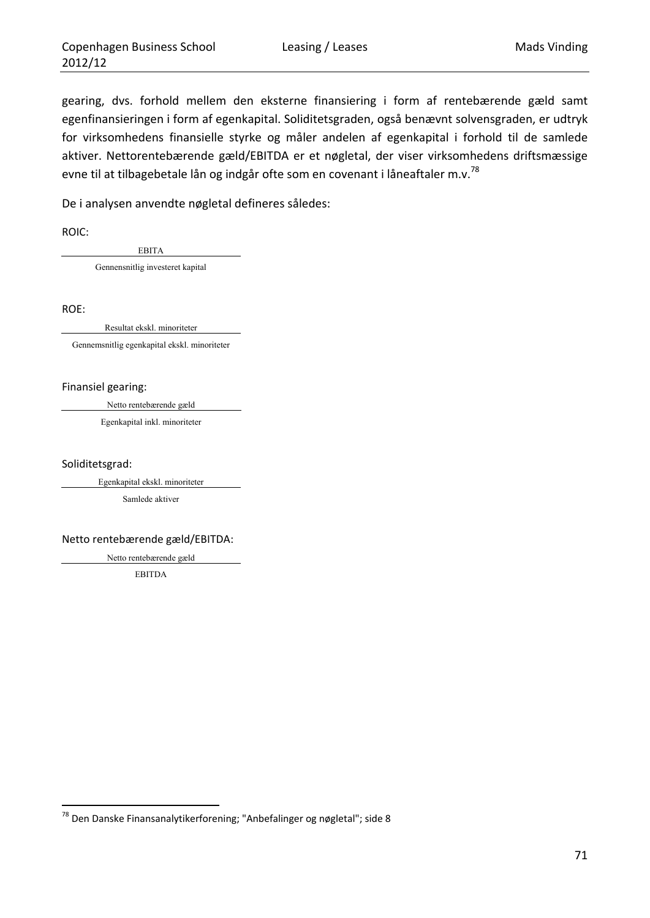gearing, dvs. forhold mellem den eksterne finansiering i form af rentebærende gæld samt egenfinansieringen i form af egenkapital. Soliditetsgraden, også benævnt solvensgraden, er udtryk for virksomhedens finansielle styrke og måler andelen af egenkapital i forhold til de samlede aktiver. Nettorentebærende gæld/EBITDA er et nøgletal, der viser virksomhedens driftsmæssige evne til at tilbagebetale lån og indgår ofte som en covenant i låneaftaler m.v.<sup>78</sup>

De i analysen anvendte nøgletal defineres således:

ROIC:

EBITA

Gennensnitlig investeret kapital

ROE:

Resultat ekskl. minoriteter

Gennemsnitlig egenkapital ekskl. minoriteter

Finansiel gearing:

Netto rentebærende gæld

Egenkapital inkl. minoriteter

Soliditetsgrad:

Egenkapital ekskl. minoriteter

Samlede aktiver

Netto rentebærende gæld/EBITDA:

Netto rentebærende gæld

EBITDA

<sup>&</sup>lt;sup>78</sup> Den Danske Finansanalytikerforening; "Anbefalinger og nøgletal"; side 8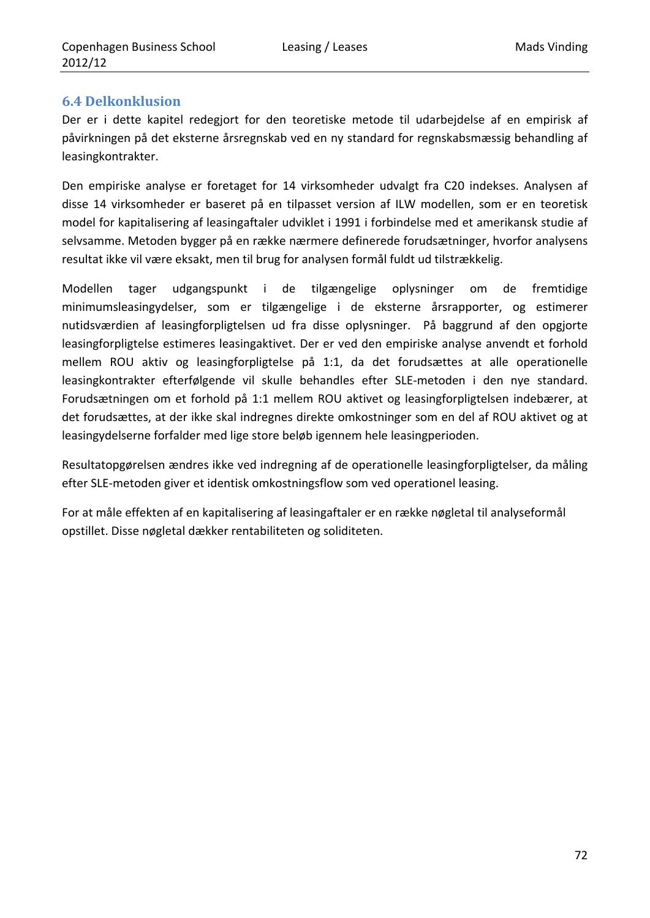### **6.4 Delkonklusion**

Der er i dette kapitel redegjort for den teoretiske metode til udarbejdelse af en empirisk af påvirkningen på det eksterne årsregnskab ved en ny standard for regnskabsmæssig behandling af leasingkontrakter.

Den empiriske analyse er foretaget for 14 virksomheder udvalgt fra C20 indekses. Analysen af disse 14 virksomheder er baseret på en tilpasset version af ILW modellen, som er en teoretisk model for kapitalisering af leasingaftaler udviklet i 1991 i forbindelse med et amerikansk studie af selvsamme. Metoden bygger på en række nærmere definerede forudsætninger, hvorfor analysens resultat ikke vil være eksakt, men til brug for analysen formål fuldt ud tilstrækkelig.

Modellen tager udgangspunkt i de tilgængelige oplysninger om de fremtidige minimumsleasingydelser, som er tilgængelige i de eksterne årsrapporter, og estimerer nutidsværdien af leasingforpligtelsen ud fra disse oplysninger. På baggrund af den opgjorte leasingforpligtelse estimeres leasingaktivet. Der er ved den empiriske analyse anvendt et forhold mellem ROU aktiv og leasingforpligtelse på 1:1, da det forudsættes at alle operationelle leasingkontrakter efterfølgende vil skulle behandles efter SLE‐metoden i den nye standard. Forudsætningen om et forhold på 1:1 mellem ROU aktivet og leasingforpligtelsen indebærer, at det forudsættes, at der ikke skal indregnes direkte omkostninger som en del af ROU aktivet og at leasingydelserne forfalder med lige store beløb igennem hele leasingperioden.

Resultatopgørelsen ændres ikke ved indregning af de operationelle leasingforpligtelser, da måling efter SLE‐metoden giver et identisk omkostningsflow som ved operationel leasing.

For at måle effekten af en kapitalisering af leasingaftaler er en række nøgletal til analyseformål opstillet. Disse nøgletal dækker rentabiliteten og soliditeten.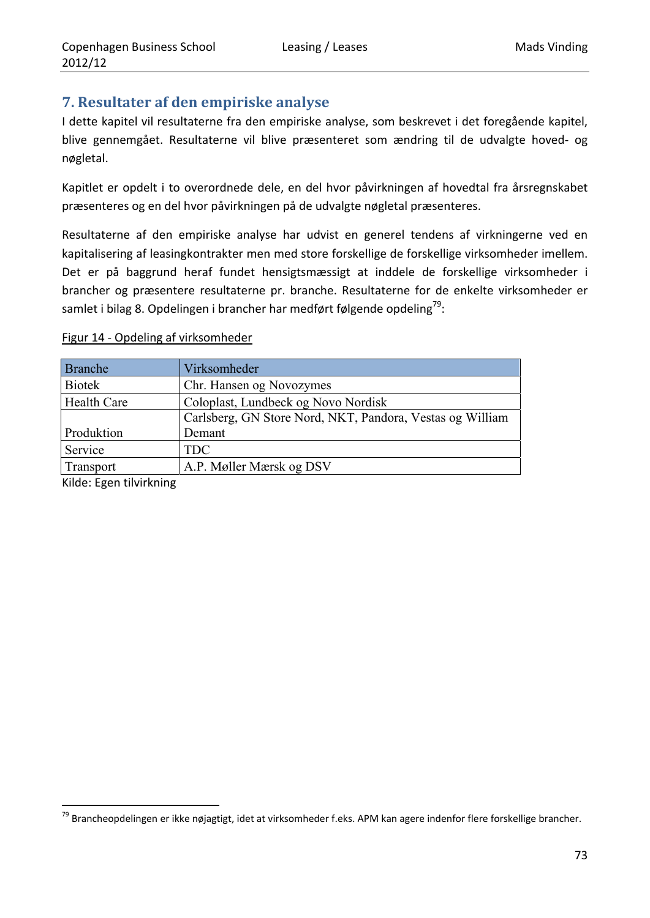## **7. Resultater af den empiriske analyse**

I dette kapitel vil resultaterne fra den empiriske analyse, som beskrevet i det foregående kapitel, blive gennemgået. Resultaterne vil blive præsenteret som ændring til de udvalgte hoved‐ og nøgletal.

Kapitlet er opdelt i to overordnede dele, en del hvor påvirkningen af hovedtal fra årsregnskabet præsenteres og en del hvor påvirkningen på de udvalgte nøgletal præsenteres.

Resultaterne af den empiriske analyse har udvist en generel tendens af virkningerne ved en kapitalisering af leasingkontrakter men med store forskellige de forskellige virksomheder imellem. Det er på baggrund heraf fundet hensigtsmæssigt at inddele de forskellige virksomheder i brancher og præsentere resultaterne pr. branche. Resultaterne for de enkelte virksomheder er samlet i bilag 8. Opdelingen i brancher har medført følgende opdeling<sup>79</sup>:

### Figur 14 ‐ Opdeling af virksomheder

| Branche            | Virksomheder                                              |
|--------------------|-----------------------------------------------------------|
| <b>Biotek</b>      | Chr. Hansen og Novozymes                                  |
| <b>Health Care</b> | Coloplast, Lundbeck og Novo Nordisk                       |
|                    | Carlsberg, GN Store Nord, NKT, Pandora, Vestas og William |
| Produktion         | Demant                                                    |
| Service            | <b>TDC</b>                                                |
| Transport          | A.P. Møller Mærsk og DSV                                  |

Kilde: Egen tilvirkning

<u> 1989 - Johann Barbara, martxa al</u>

<sup>&</sup>lt;sup>79</sup> Brancheopdelingen er ikke nøjagtigt, idet at virksomheder f.eks. APM kan agere indenfor flere forskellige brancher.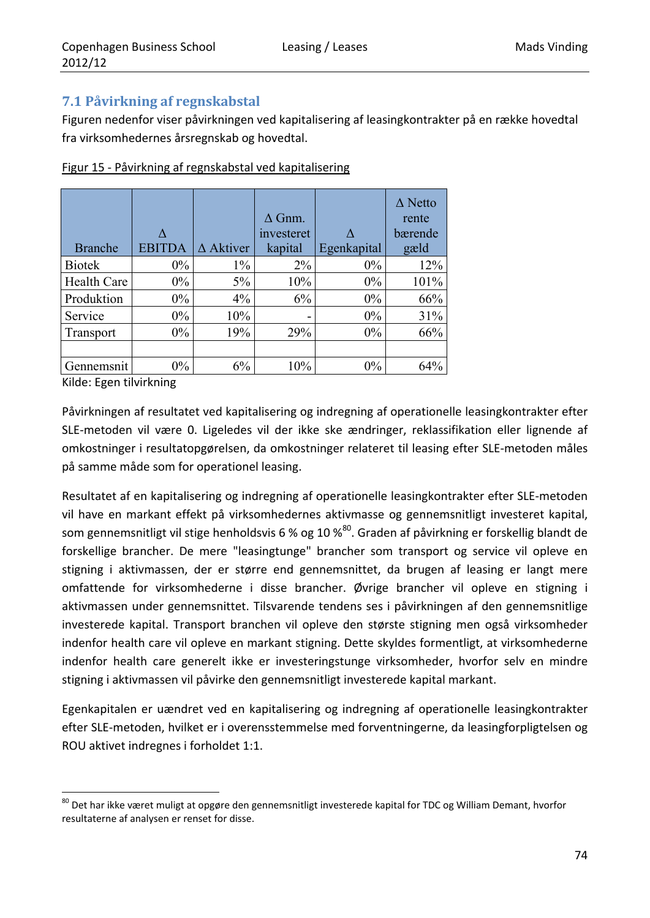## **7.1 Påvirkning af regnskabstal**

Figuren nedenfor viser påvirkningen ved kapitalisering af leasingkontrakter på en række hovedtal fra virksomhedernes årsregnskab og hovedtal.

| <b>Branche</b>     | <b>EBITDA</b> | $\Delta$ Aktiver | $\Delta$ Gnm.<br>investeret<br>kapital | Egenkapital | $\triangle$ Netto<br>rente<br>bærende<br>gæld |
|--------------------|---------------|------------------|----------------------------------------|-------------|-----------------------------------------------|
| <b>Biotek</b>      | $0\%$         | $1\%$            | $2\%$                                  | $0\%$       | 12%                                           |
| <b>Health Care</b> | $0\%$         | $5\%$            | 10%                                    | $0\%$       | 101%                                          |
| Produktion         | $0\%$         | $4\%$            | 6%                                     | $0\%$       | 66%                                           |
| Service            | $0\%$         | 10%              | -                                      | $0\%$       | 31%                                           |
| Transport          | $0\%$         | 19%              | 29%                                    | $0\%$       | 66%                                           |
|                    |               |                  |                                        |             |                                               |
| Gennemsnit         | $0\%$         | 6%               | 10%                                    | $0\%$       | 64%                                           |

Figur 15 ‐ Påvirkning af regnskabstal ved kapitalisering

Kilde: Egen tilvirkning

<u> 1989 - Johann Barbara, martxa al</u>

Påvirkningen af resultatet ved kapitalisering og indregning af operationelle leasingkontrakter efter SLE‐metoden vil være 0. Ligeledes vil der ikke ske ændringer, reklassifikation eller lignende af omkostninger i resultatopgørelsen, da omkostninger relateret til leasing efter SLE‐metoden måles på samme måde som for operationel leasing.

Resultatet af en kapitalisering og indregning af operationelle leasingkontrakter efter SLE‐metoden vil have en markant effekt på virksomhedernes aktivmasse og gennemsnitligt investeret kapital, som gennemsnitligt vil stige henholdsvis 6 % og 10 %<sup>80</sup>. Graden af påvirkning er forskellig blandt de forskellige brancher. De mere "leasingtunge" brancher som transport og service vil opleve en stigning i aktivmassen, der er større end gennemsnittet, da brugen af leasing er langt mere omfattende for virksomhederne i disse brancher. Øvrige brancher vil opleve en stigning i aktivmassen under gennemsnittet. Tilsvarende tendens ses i påvirkningen af den gennemsnitlige investerede kapital. Transport branchen vil opleve den største stigning men også virksomheder indenfor health care vil opleve en markant stigning. Dette skyldes formentligt, at virksomhederne indenfor health care generelt ikke er investeringstunge virksomheder, hvorfor selv en mindre stigning i aktivmassen vil påvirke den gennemsnitligt investerede kapital markant.

Egenkapitalen er uændret ved en kapitalisering og indregning af operationelle leasingkontrakter efter SLE‐metoden, hvilket er i overensstemmelse med forventningerne, da leasingforpligtelsen og ROU aktivet indregnes i forholdet 1:1.

<sup>&</sup>lt;sup>80</sup> Det har ikke været muligt at opgøre den gennemsnitligt investerede kapital for TDC og William Demant, hvorfor resultaterne af analysen er renset for disse.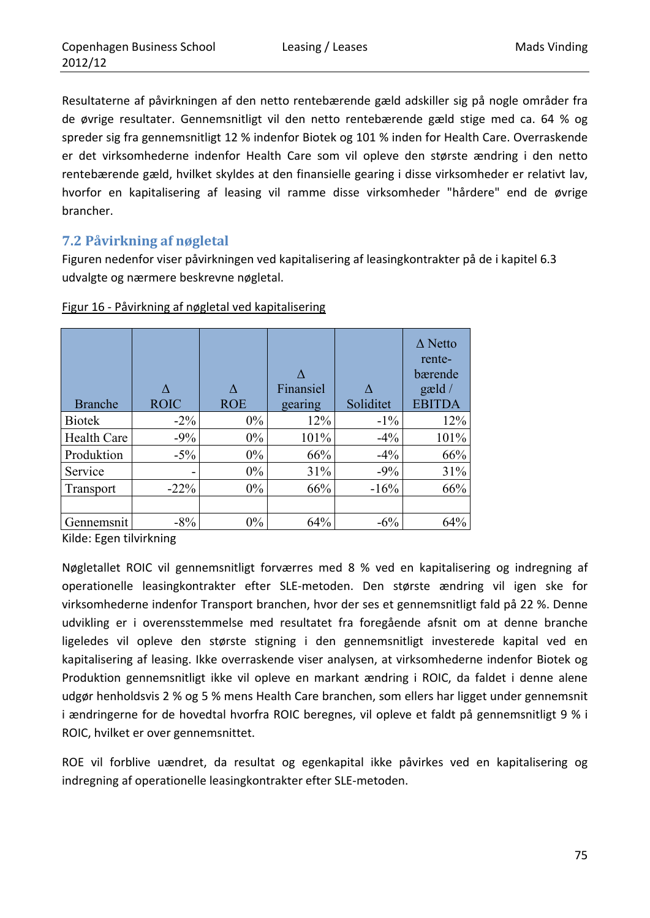Resultaterne af påvirkningen af den netto rentebærende gæld adskiller sig på nogle områder fra de øvrige resultater. Gennemsnitligt vil den netto rentebærende gæld stige med ca. 64 % og spreder sig fra gennemsnitligt 12 % indenfor Biotek og 101 % inden for Health Care. Overraskende er det virksomhederne indenfor Health Care som vil opleve den største ændring i den netto rentebærende gæld, hvilket skyldes at den finansielle gearing i disse virksomheder er relativt lav, hvorfor en kapitalisering af leasing vil ramme disse virksomheder "hårdere" end de øvrige brancher.

## **7.2 Påvirkning af nøgletal**

Figuren nedenfor viser påvirkningen ved kapitalisering af leasingkontrakter på de i kapitel 6.3 udvalgte og nærmere beskrevne nøgletal.

| <b>Branche</b>     | $\Lambda$<br><b>ROIC</b> | <b>ROE</b> | Finansiel<br>gearing | Soliditet | $\Delta$ Netto<br>rente-<br>bærende<br>$\text{gæld}/$<br><b>EBITDA</b> |
|--------------------|--------------------------|------------|----------------------|-----------|------------------------------------------------------------------------|
| <b>Biotek</b>      | $-2\%$                   | $0\%$      | 12%                  | $-1\%$    | 12%                                                                    |
| <b>Health Care</b> | $-9%$                    | $0\%$      | 101%                 | $-4%$     | 101%                                                                   |
| Produktion         | $-5\%$                   | $0\%$      | 66%                  | $-4\%$    | 66%                                                                    |
| Service            | $\overline{\phantom{0}}$ | $0\%$      | 31%                  | $-9\%$    | 31%                                                                    |
| Transport          | $-22\%$                  | $0\%$      | 66%                  | $-16%$    | 66%                                                                    |
|                    |                          |            |                      |           |                                                                        |
| Gennemsnit         | $-8%$                    | $0\%$      | 64%                  | $-6%$     | 64%                                                                    |

#### Figur 16 ‐ Påvirkning af nøgletal ved kapitalisering

Kilde: Egen tilvirkning

Nøgletallet ROIC vil gennemsnitligt forværres med 8 % ved en kapitalisering og indregning af operationelle leasingkontrakter efter SLE‐metoden. Den største ændring vil igen ske for virksomhederne indenfor Transport branchen, hvor der ses et gennemsnitligt fald på 22 %. Denne udvikling er i overensstemmelse med resultatet fra foregående afsnit om at denne branche ligeledes vil opleve den største stigning i den gennemsnitligt investerede kapital ved en kapitalisering af leasing. Ikke overraskende viser analysen, at virksomhederne indenfor Biotek og Produktion gennemsnitligt ikke vil opleve en markant ændring i ROIC, da faldet i denne alene udgør henholdsvis 2 % og 5 % mens Health Care branchen, som ellers har ligget under gennemsnit i ændringerne for de hovedtal hvorfra ROIC beregnes, vil opleve et faldt på gennemsnitligt 9 % i ROIC, hvilket er over gennemsnittet.

ROE vil forblive uændret, da resultat og egenkapital ikke påvirkes ved en kapitalisering og indregning af operationelle leasingkontrakter efter SLE‐metoden.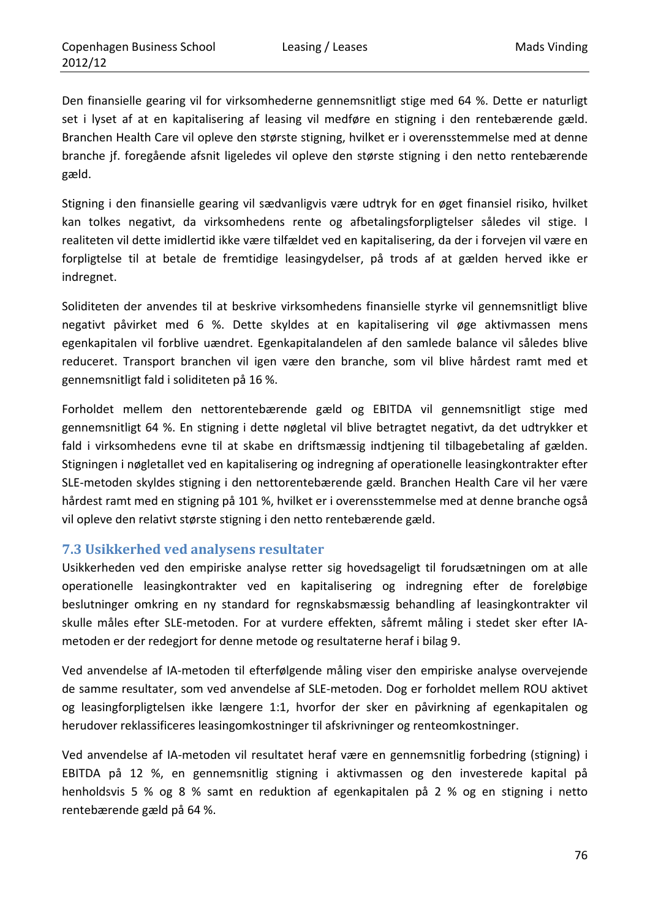Den finansielle gearing vil for virksomhederne gennemsnitligt stige med 64 %. Dette er naturligt set i lyset af at en kapitalisering af leasing vil medføre en stigning i den rentebærende gæld. Branchen Health Care vil opleve den største stigning, hvilket er i overensstemmelse med at denne branche jf. foregående afsnit ligeledes vil opleve den største stigning i den netto rentebærende gæld.

Stigning i den finansielle gearing vil sædvanligvis være udtryk for en øget finansiel risiko, hvilket kan tolkes negativt, da virksomhedens rente og afbetalingsforpligtelser således vil stige. I realiteten vil dette imidlertid ikke være tilfældet ved en kapitalisering, da der i forvejen vil være en forpligtelse til at betale de fremtidige leasingydelser, på trods af at gælden herved ikke er indregnet.

Soliditeten der anvendes til at beskrive virksomhedens finansielle styrke vil gennemsnitligt blive negativt påvirket med 6 %. Dette skyldes at en kapitalisering vil øge aktivmassen mens egenkapitalen vil forblive uændret. Egenkapitalandelen af den samlede balance vil således blive reduceret. Transport branchen vil igen være den branche, som vil blive hårdest ramt med et gennemsnitligt fald i soliditeten på 16 %.

Forholdet mellem den nettorentebærende gæld og EBITDA vil gennemsnitligt stige med gennemsnitligt 64 %. En stigning i dette nøgletal vil blive betragtet negativt, da det udtrykker et fald i virksomhedens evne til at skabe en driftsmæssig indtjening til tilbagebetaling af gælden. Stigningen i nøgletallet ved en kapitalisering og indregning af operationelle leasingkontrakter efter SLE‐metoden skyldes stigning i den nettorentebærende gæld. Branchen Health Care vil her være hårdest ramt med en stigning på 101 %, hvilket er i overensstemmelse med at denne branche også vil opleve den relativt største stigning i den netto rentebærende gæld.

### **7.3 Usikkerhed ved analysens resultater**

Usikkerheden ved den empiriske analyse retter sig hovedsageligt til forudsætningen om at alle operationelle leasingkontrakter ved en kapitalisering og indregning efter de foreløbige beslutninger omkring en ny standard for regnskabsmæssig behandling af leasingkontrakter vil skulle måles efter SLE‐metoden. For at vurdere effekten, såfremt måling i stedet sker efter IA‐ metoden er der redegjort for denne metode og resultaterne heraf i bilag 9.

Ved anvendelse af IA‐metoden til efterfølgende måling viser den empiriske analyse overvejende de samme resultater, som ved anvendelse af SLE‐metoden. Dog er forholdet mellem ROU aktivet og leasingforpligtelsen ikke længere 1:1, hvorfor der sker en påvirkning af egenkapitalen og herudover reklassificeres leasingomkostninger til afskrivninger og renteomkostninger.

Ved anvendelse af IA‐metoden vil resultatet heraf være en gennemsnitlig forbedring (stigning) i EBITDA på 12 %, en gennemsnitlig stigning i aktivmassen og den investerede kapital på henholdsvis 5 % og 8 % samt en reduktion af egenkapitalen på 2 % og en stigning i netto rentebærende gæld på 64 %.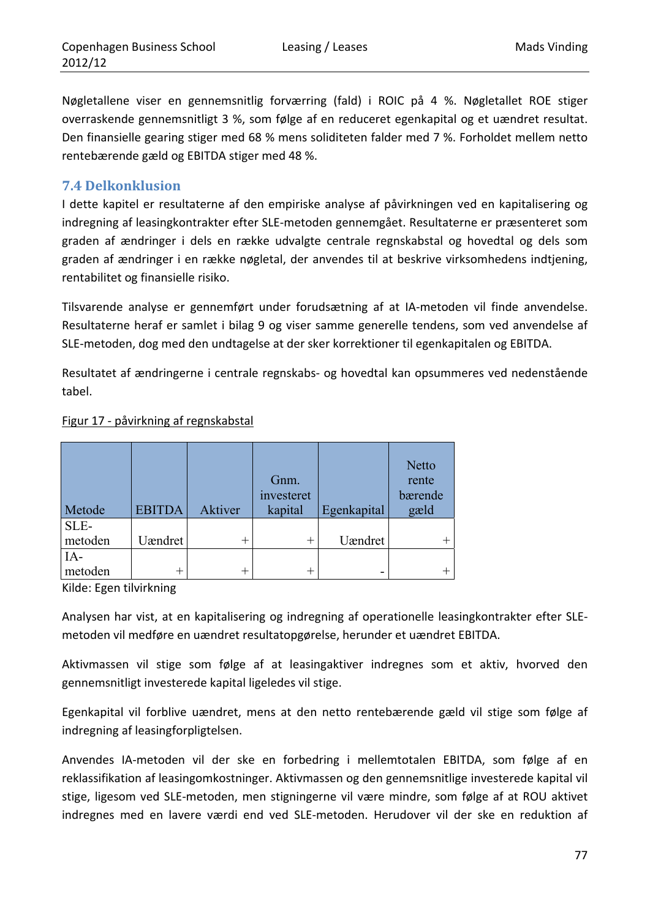Nøgletallene viser en gennemsnitlig forværring (fald) i ROIC på 4 %. Nøgletallet ROE stiger overraskende gennemsnitligt 3 %, som følge af en reduceret egenkapital og et uændret resultat. Den finansielle gearing stiger med 68 % mens soliditeten falder med 7 %. Forholdet mellem netto rentebærende gæld og EBITDA stiger med 48 %.

### **7.4 Delkonklusion**

I dette kapitel er resultaterne af den empiriske analyse af påvirkningen ved en kapitalisering og indregning af leasingkontrakter efter SLE‐metoden gennemgået. Resultaterne er præsenteret som graden af ændringer i dels en række udvalgte centrale regnskabstal og hovedtal og dels som graden af ændringer i en række nøgletal, der anvendes til at beskrive virksomhedens indtjening, rentabilitet og finansielle risiko.

Tilsvarende analyse er gennemført under forudsætning af at IA‐metoden vil finde anvendelse. Resultaterne heraf er samlet i bilag 9 og viser samme generelle tendens, som ved anvendelse af SLE‐metoden, dog med den undtagelse at der sker korrektioner til egenkapitalen og EBITDA.

Resultatet af ændringerne i centrale regnskabs‐ og hovedtal kan opsummeres ved nedenstående tabel.

|         |               |         |            |             | <b>Netto</b> |
|---------|---------------|---------|------------|-------------|--------------|
|         |               |         | Gnm.       |             | rente        |
|         |               |         | investeret |             | bærende      |
| Metode  | <b>EBITDA</b> | Aktiver | kapital    | Egenkapital | gæld         |
| SLE-    |               |         |            |             |              |
| metoden | Uændret       |         |            | Uændret     |              |
| $IA-$   |               |         |            |             |              |
| metoden | ┿             |         |            |             |              |

#### Figur 17 ‐ påvirkning af regnskabstal

Kilde: Egen tilvirkning

Analysen har vist, at en kapitalisering og indregning af operationelle leasingkontrakter efter SLE‐ metoden vil medføre en uændret resultatopgørelse, herunder et uændret EBITDA.

Aktivmassen vil stige som følge af at leasingaktiver indregnes som et aktiv, hvorved den gennemsnitligt investerede kapital ligeledes vil stige.

Egenkapital vil forblive uændret, mens at den netto rentebærende gæld vil stige som følge af indregning af leasingforpligtelsen.

Anvendes IA‐metoden vil der ske en forbedring i mellemtotalen EBITDA, som følge af en reklassifikation af leasingomkostninger. Aktivmassen og den gennemsnitlige investerede kapital vil stige, ligesom ved SLE‐metoden, men stigningerne vil være mindre, som følge af at ROU aktivet indregnes med en lavere værdi end ved SLE‐metoden. Herudover vil der ske en reduktion af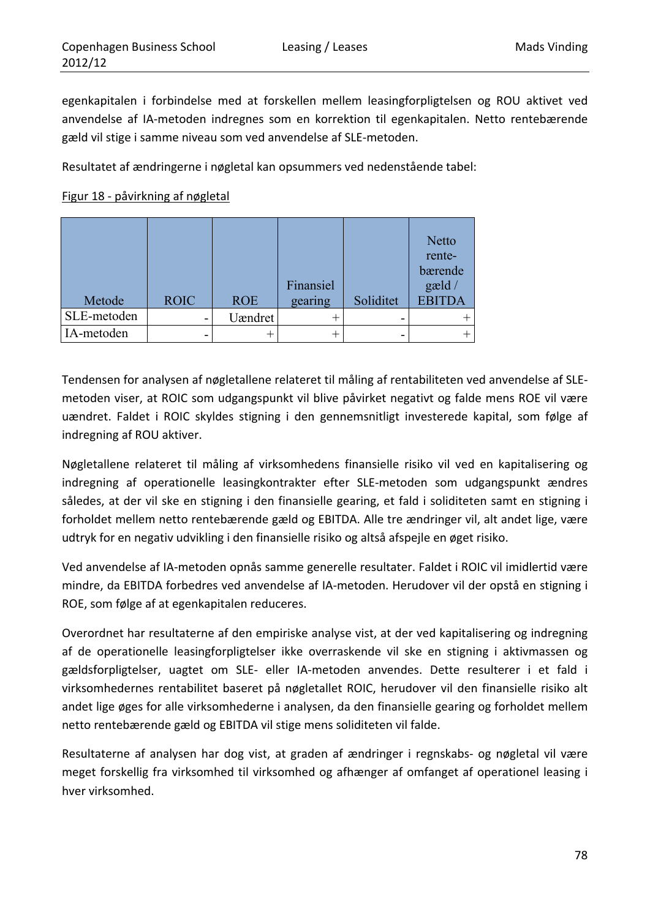egenkapitalen i forbindelse med at forskellen mellem leasingforpligtelsen og ROU aktivet ved anvendelse af IA‐metoden indregnes som en korrektion til egenkapitalen. Netto rentebærende gæld vil stige i samme niveau som ved anvendelse af SLE‐metoden.

Resultatet af ændringerne i nøgletal kan opsummers ved nedenstående tabel:

### Figur 18 ‐ påvirkning af nøgletal

| Metode      | <b>ROIC</b> | <b>ROE</b> | Finansiel<br>gearing | Soliditet | <b>Netto</b><br>rente-<br>bærende<br>gæld/<br><b>EBITDA</b> |
|-------------|-------------|------------|----------------------|-----------|-------------------------------------------------------------|
| SLE-metoden |             | Uændret    |                      |           |                                                             |
| IA-metoden  | -           |            |                      |           |                                                             |

Tendensen for analysen af nøgletallene relateret til måling af rentabiliteten ved anvendelse af SLE‐ metoden viser, at ROIC som udgangspunkt vil blive påvirket negativt og falde mens ROE vil være uændret. Faldet i ROIC skyldes stigning i den gennemsnitligt investerede kapital, som følge af indregning af ROU aktiver.

Nøgletallene relateret til måling af virksomhedens finansielle risiko vil ved en kapitalisering og indregning af operationelle leasingkontrakter efter SLE‐metoden som udgangspunkt ændres således, at der vil ske en stigning i den finansielle gearing, et fald i soliditeten samt en stigning i forholdet mellem netto rentebærende gæld og EBITDA. Alle tre ændringer vil, alt andet lige, være udtryk for en negativ udvikling i den finansielle risiko og altså afspejle en øget risiko.

Ved anvendelse af IA‐metoden opnås samme generelle resultater. Faldet i ROIC vil imidlertid være mindre, da EBITDA forbedres ved anvendelse af IA‐metoden. Herudover vil der opstå en stigning i ROE, som følge af at egenkapitalen reduceres.

Overordnet har resultaterne af den empiriske analyse vist, at der ved kapitalisering og indregning af de operationelle leasingforpligtelser ikke overraskende vil ske en stigning i aktivmassen og gældsforpligtelser, uagtet om SLE‐ eller IA‐metoden anvendes. Dette resulterer i et fald i virksomhedernes rentabilitet baseret på nøgletallet ROIC, herudover vil den finansielle risiko alt andet lige øges for alle virksomhederne i analysen, da den finansielle gearing og forholdet mellem netto rentebærende gæld og EBITDA vil stige mens soliditeten vil falde.

Resultaterne af analysen har dog vist, at graden af ændringer i regnskabs- og nøgletal vil være meget forskellig fra virksomhed til virksomhed og afhænger af omfanget af operationel leasing i hver virksomhed.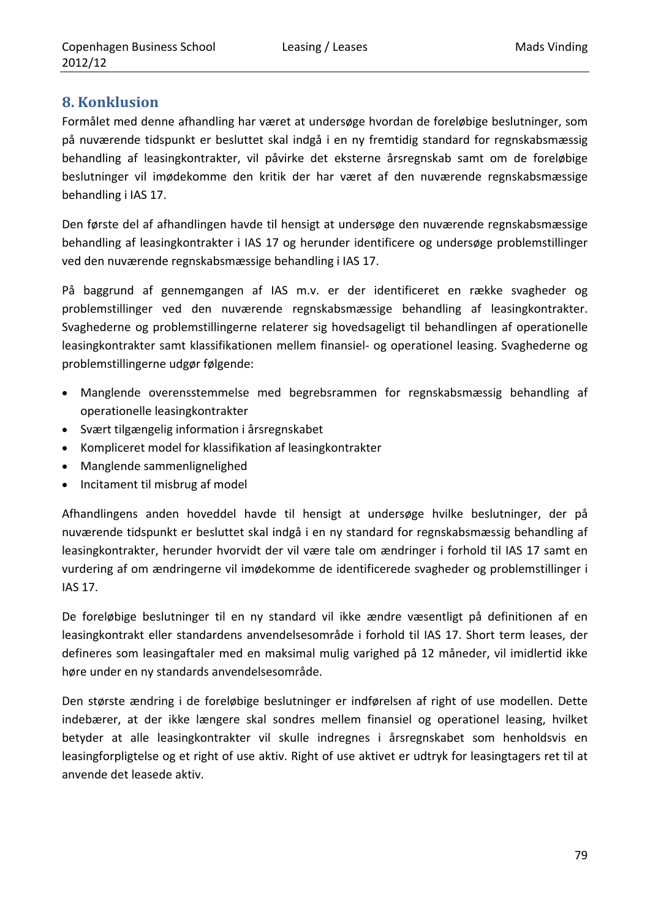## **8. Konklusion**

Formålet med denne afhandling har været at undersøge hvordan de foreløbige beslutninger, som på nuværende tidspunkt er besluttet skal indgå i en ny fremtidig standard for regnskabsmæssig behandling af leasingkontrakter, vil påvirke det eksterne årsregnskab samt om de foreløbige beslutninger vil imødekomme den kritik der har været af den nuværende regnskabsmæssige behandling i IAS 17.

Den første del af afhandlingen havde til hensigt at undersøge den nuværende regnskabsmæssige behandling af leasingkontrakter i IAS 17 og herunder identificere og undersøge problemstillinger ved den nuværende regnskabsmæssige behandling i IAS 17.

På baggrund af gennemgangen af IAS m.v. er der identificeret en række svagheder og problemstillinger ved den nuværende regnskabsmæssige behandling af leasingkontrakter. Svaghederne og problemstillingerne relaterer sig hovedsageligt til behandlingen af operationelle leasingkontrakter samt klassifikationen mellem finansiel‐ og operationel leasing. Svaghederne og problemstillingerne udgør følgende:

- Manglende overensstemmelse med begrebsrammen for regnskabsmæssig behandling af operationelle leasingkontrakter
- Svært tilgængelig information i årsregnskabet
- Kompliceret model for klassifikation af leasingkontrakter
- Manglende sammenlignelighed
- Incitament til misbrug af model

Afhandlingens anden hoveddel havde til hensigt at undersøge hvilke beslutninger, der på nuværende tidspunkt er besluttet skal indgå i en ny standard for regnskabsmæssig behandling af leasingkontrakter, herunder hvorvidt der vil være tale om ændringer i forhold til IAS 17 samt en vurdering af om ændringerne vil imødekomme de identificerede svagheder og problemstillinger i IAS 17.

De foreløbige beslutninger til en ny standard vil ikke ændre væsentligt på definitionen af en leasingkontrakt eller standardens anvendelsesområde i forhold til IAS 17. Short term leases, der defineres som leasingaftaler med en maksimal mulig varighed på 12 måneder, vil imidlertid ikke høre under en ny standards anvendelsesområde.

Den største ændring i de foreløbige beslutninger er indførelsen af right of use modellen. Dette indebærer, at der ikke længere skal sondres mellem finansiel og operationel leasing, hvilket betyder at alle leasingkontrakter vil skulle indregnes i årsregnskabet som henholdsvis en leasingforpligtelse og et right of use aktiv. Right of use aktivet er udtryk for leasingtagers ret til at anvende det leasede aktiv.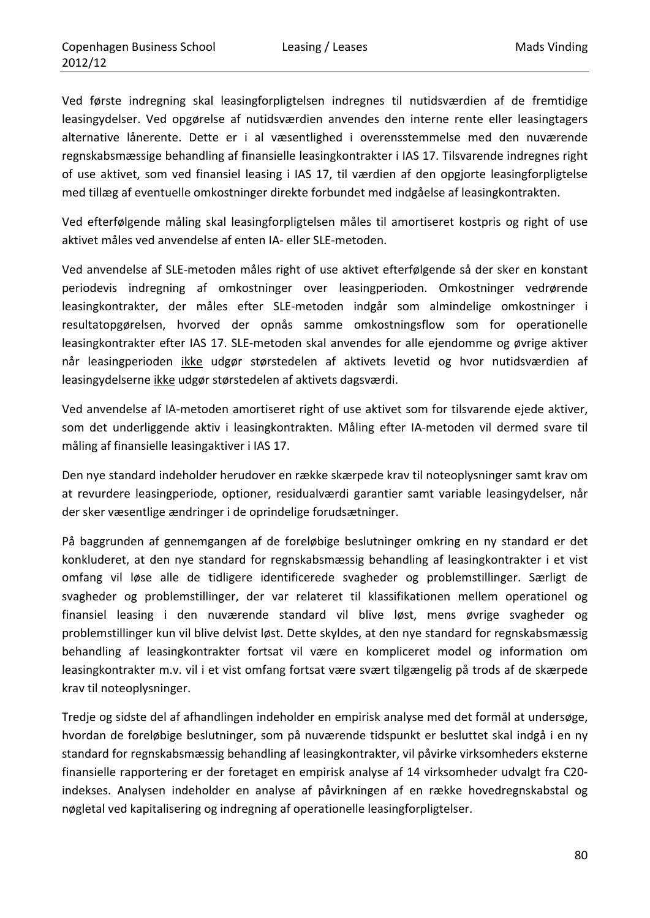Ved første indregning skal leasingforpligtelsen indregnes til nutidsværdien af de fremtidige leasingydelser. Ved opgørelse af nutidsværdien anvendes den interne rente eller leasingtagers alternative lånerente. Dette er i al væsentlighed i overensstemmelse med den nuværende regnskabsmæssige behandling af finansielle leasingkontrakter i IAS 17. Tilsvarende indregnes right of use aktivet, som ved finansiel leasing i IAS 17, til værdien af den opgjorte leasingforpligtelse med tillæg af eventuelle omkostninger direkte forbundet med indgåelse af leasingkontrakten.

Ved efterfølgende måling skal leasingforpligtelsen måles til amortiseret kostpris og right of use aktivet måles ved anvendelse af enten IA‐ eller SLE‐metoden.

Ved anvendelse af SLE‐metoden måles right of use aktivet efterfølgende så der sker en konstant periodevis indregning af omkostninger over leasingperioden. Omkostninger vedrørende leasingkontrakter, der måles efter SLE‐metoden indgår som almindelige omkostninger i resultatopgørelsen, hvorved der opnås samme omkostningsflow som for operationelle leasingkontrakter efter IAS 17. SLE‐metoden skal anvendes for alle ejendomme og øvrige aktiver når leasingperioden ikke udgør størstedelen af aktivets levetid og hvor nutidsværdien af leasingydelserne ikke udgør størstedelen af aktivets dagsværdi.

Ved anvendelse af IA‐metoden amortiseret right of use aktivet som for tilsvarende ejede aktiver, som det underliggende aktiv i leasingkontrakten. Måling efter IA‐metoden vil dermed svare til måling af finansielle leasingaktiver i IAS 17.

Den nye standard indeholder herudover en række skærpede krav til noteoplysninger samt krav om at revurdere leasingperiode, optioner, residualværdi garantier samt variable leasingydelser, når der sker væsentlige ændringer i de oprindelige forudsætninger.

På baggrunden af gennemgangen af de foreløbige beslutninger omkring en ny standard er det konkluderet, at den nye standard for regnskabsmæssig behandling af leasingkontrakter i et vist omfang vil løse alle de tidligere identificerede svagheder og problemstillinger. Særligt de svagheder og problemstillinger, der var relateret til klassifikationen mellem operationel og finansiel leasing i den nuværende standard vil blive løst, mens øvrige svagheder og problemstillinger kun vil blive delvist løst. Dette skyldes, at den nye standard for regnskabsmæssig behandling af leasingkontrakter fortsat vil være en kompliceret model og information om leasingkontrakter m.v. vil i et vist omfang fortsat være svært tilgængelig på trods af de skærpede krav til noteoplysninger.

Tredje og sidste del af afhandlingen indeholder en empirisk analyse med det formål at undersøge, hvordan de foreløbige beslutninger, som på nuværende tidspunkt er besluttet skal indgå i en ny standard for regnskabsmæssig behandling af leasingkontrakter, vil påvirke virksomheders eksterne finansielle rapportering er der foretaget en empirisk analyse af 14 virksomheder udvalgt fra C20‐ indekses. Analysen indeholder en analyse af påvirkningen af en række hovedregnskabstal og nøgletal ved kapitalisering og indregning af operationelle leasingforpligtelser.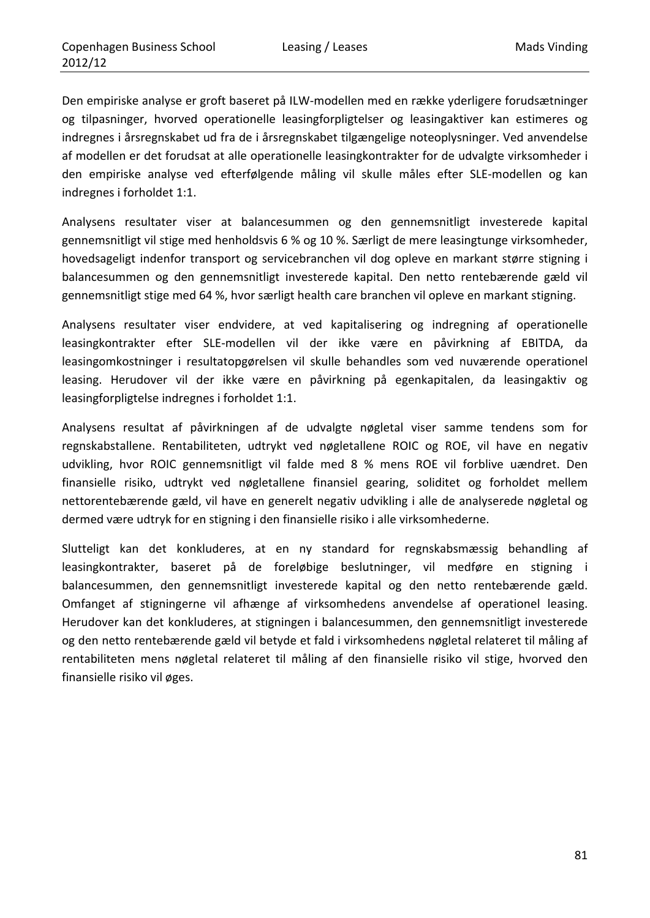Den empiriske analyse er groft baseret på ILW‐modellen med en række yderligere forudsætninger og tilpasninger, hvorved operationelle leasingforpligtelser og leasingaktiver kan estimeres og indregnes i årsregnskabet ud fra de i årsregnskabet tilgængelige noteoplysninger. Ved anvendelse af modellen er det forudsat at alle operationelle leasingkontrakter for de udvalgte virksomheder i den empiriske analyse ved efterfølgende måling vil skulle måles efter SLE‐modellen og kan indregnes i forholdet 1:1.

Analysens resultater viser at balancesummen og den gennemsnitligt investerede kapital gennemsnitligt vil stige med henholdsvis 6 % og 10 %. Særligt de mere leasingtunge virksomheder, hovedsageligt indenfor transport og servicebranchen vil dog opleve en markant større stigning i balancesummen og den gennemsnitligt investerede kapital. Den netto rentebærende gæld vil gennemsnitligt stige med 64 %, hvor særligt health care branchen vil opleve en markant stigning.

Analysens resultater viser endvidere, at ved kapitalisering og indregning af operationelle leasingkontrakter efter SLE‐modellen vil der ikke være en påvirkning af EBITDA, da leasingomkostninger i resultatopgørelsen vil skulle behandles som ved nuværende operationel leasing. Herudover vil der ikke være en påvirkning på egenkapitalen, da leasingaktiv og leasingforpligtelse indregnes i forholdet 1:1.

Analysens resultat af påvirkningen af de udvalgte nøgletal viser samme tendens som for regnskabstallene. Rentabiliteten, udtrykt ved nøgletallene ROIC og ROE, vil have en negativ udvikling, hvor ROIC gennemsnitligt vil falde med 8 % mens ROE vil forblive uændret. Den finansielle risiko, udtrykt ved nøgletallene finansiel gearing, soliditet og forholdet mellem nettorentebærende gæld, vil have en generelt negativ udvikling i alle de analyserede nøgletal og dermed være udtryk for en stigning i den finansielle risiko i alle virksomhederne.

Slutteligt kan det konkluderes, at en ny standard for regnskabsmæssig behandling af leasingkontrakter, baseret på de foreløbige beslutninger, vil medføre en stigning i balancesummen, den gennemsnitligt investerede kapital og den netto rentebærende gæld. Omfanget af stigningerne vil afhænge af virksomhedens anvendelse af operationel leasing. Herudover kan det konkluderes, at stigningen i balancesummen, den gennemsnitligt investerede og den netto rentebærende gæld vil betyde et fald i virksomhedens nøgletal relateret til måling af rentabiliteten mens nøgletal relateret til måling af den finansielle risiko vil stige, hvorved den finansielle risiko vil øges.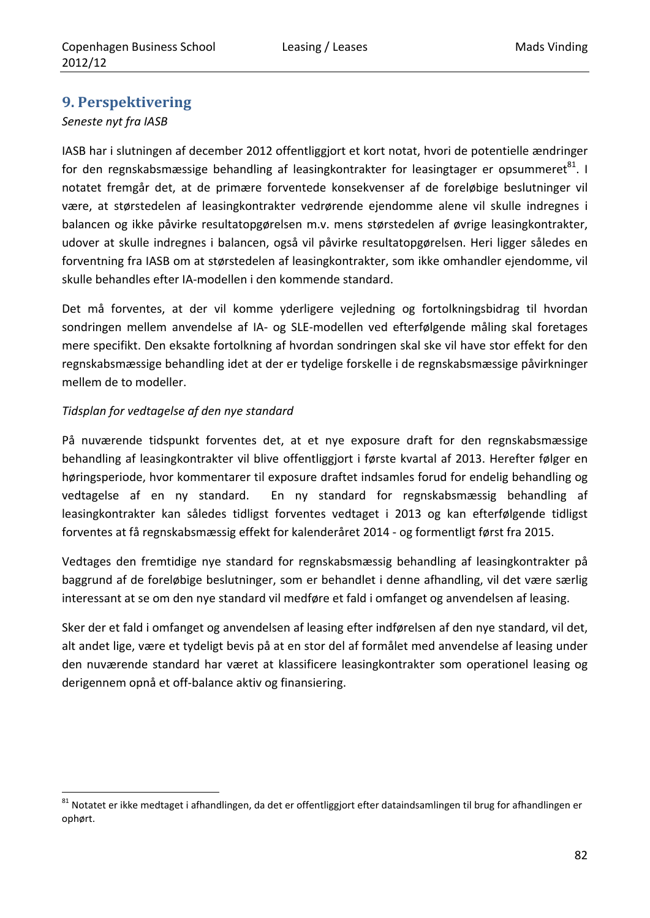## **9. Perspektivering**

### *Seneste nyt fra IASB*

IASB har i slutningen af december 2012 offentliggjort et kort notat, hvori de potentielle ændringer for den regnskabsmæssige behandling af leasingkontrakter for leasingtager er opsummeret $^{81}$ . I notatet fremgår det, at de primære forventede konsekvenser af de foreløbige beslutninger vil være, at størstedelen af leasingkontrakter vedrørende ejendomme alene vil skulle indregnes i balancen og ikke påvirke resultatopgørelsen m.v. mens størstedelen af øvrige leasingkontrakter, udover at skulle indregnes i balancen, også vil påvirke resultatopgørelsen. Heri ligger således en forventning fra IASB om at størstedelen af leasingkontrakter, som ikke omhandler ejendomme, vil skulle behandles efter IA‐modellen i den kommende standard.

Det må forventes, at der vil komme yderligere vejledning og fortolkningsbidrag til hvordan sondringen mellem anvendelse af IA‐ og SLE‐modellen ved efterfølgende måling skal foretages mere specifikt. Den eksakte fortolkning af hvordan sondringen skal ske vil have stor effekt for den regnskabsmæssige behandling idet at der er tydelige forskelle i de regnskabsmæssige påvirkninger mellem de to modeller.

### *Tidsplan for vedtagelse af den nye standard*

<u> 1989 - Johann Barbara, martxa al</u>

På nuværende tidspunkt forventes det, at et nye exposure draft for den regnskabsmæssige behandling af leasingkontrakter vil blive offentliggjort i første kvartal af 2013. Herefter følger en høringsperiode, hvor kommentarer til exposure draftet indsamles forud for endelig behandling og vedtagelse af en ny standard. En ny standard for regnskabsmæssig behandling af leasingkontrakter kan således tidligst forventes vedtaget i 2013 og kan efterfølgende tidligst forventes at få regnskabsmæssig effekt for kalenderåret 2014 ‐ og formentligt først fra 2015.

Vedtages den fremtidige nye standard for regnskabsmæssig behandling af leasingkontrakter på baggrund af de foreløbige beslutninger, som er behandlet i denne afhandling, vil det være særlig interessant at se om den nye standard vil medføre et fald i omfanget og anvendelsen af leasing.

Sker der et fald i omfanget og anvendelsen af leasing efter indførelsen af den nye standard, vil det, alt andet lige, være et tydeligt bevis på at en stor del af formålet med anvendelse af leasing under den nuværende standard har været at klassificere leasingkontrakter som operationel leasing og derigennem opnå et off‐balance aktiv og finansiering.

 $81$  Notatet er ikke medtaget i afhandlingen, da det er offentliggjort efter dataindsamlingen til brug for afhandlingen er ophørt.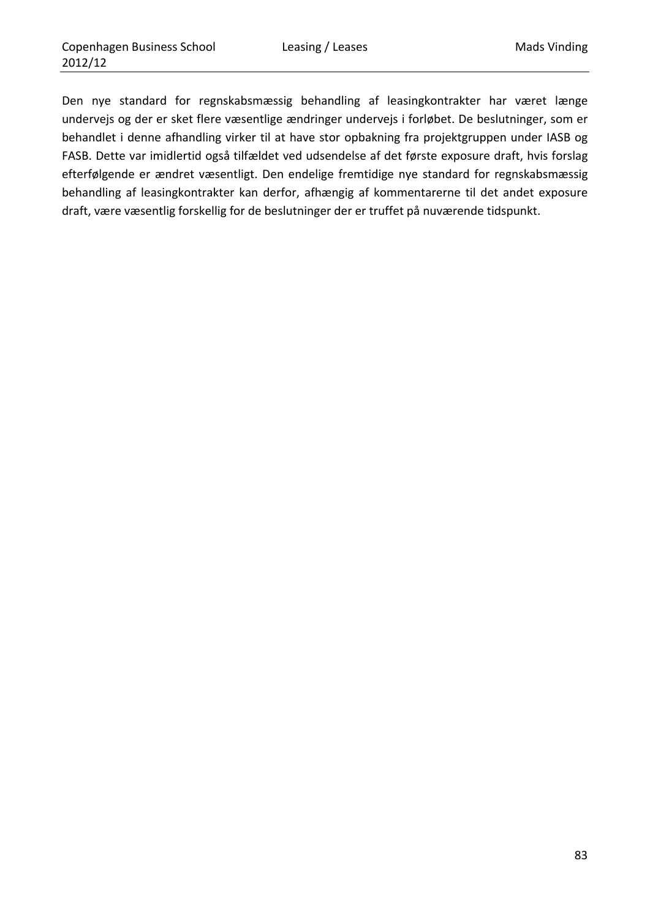Den nye standard for regnskabsmæssig behandling af leasingkontrakter har været længe undervejs og der er sket flere væsentlige ændringer undervejs i forløbet. De beslutninger, som er behandlet i denne afhandling virker til at have stor opbakning fra projektgruppen under IASB og FASB. Dette var imidlertid også tilfældet ved udsendelse af det første exposure draft, hvis forslag efterfølgende er ændret væsentligt. Den endelige fremtidige nye standard for regnskabsmæssig behandling af leasingkontrakter kan derfor, afhængig af kommentarerne til det andet exposure draft, være væsentlig forskellig for de beslutninger der er truffet på nuværende tidspunkt.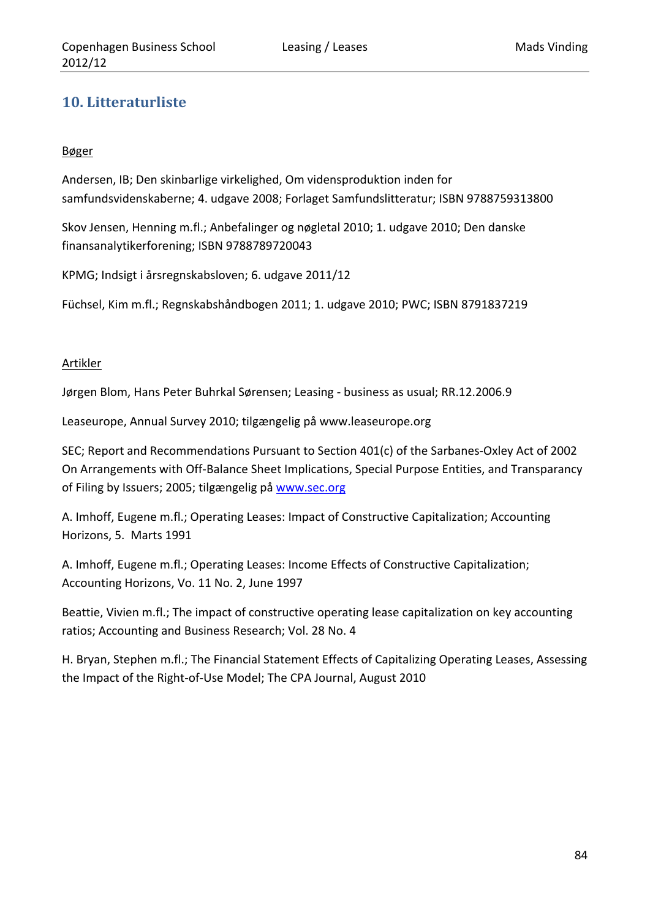# **10. Litteraturliste**

### Bøger

Andersen, IB; Den skinbarlige virkelighed, Om vidensproduktion inden for samfundsvidenskaberne; 4. udgave 2008; Forlaget Samfundslitteratur; ISBN 9788759313800

Skov Jensen, Henning m.fl.; Anbefalinger og nøgletal 2010; 1. udgave 2010; Den danske finansanalytikerforening; ISBN 9788789720043

KPMG; Indsigt i årsregnskabsloven; 6. udgave 2011/12

Füchsel, Kim m.fl.; Regnskabshåndbogen 2011; 1. udgave 2010; PWC; ISBN 8791837219

### Artikler

Jørgen Blom, Hans Peter Buhrkal Sørensen; Leasing ‐ business as usual; RR.12.2006.9

Leaseurope, Annual Survey 2010; tilgængelig på www.leaseurope.org

SEC; Report and Recommendations Pursuant to Section 401(c) of the Sarbanes‐Oxley Act of 2002 On Arrangements with Off‐Balance Sheet Implications, Special Purpose Entities, and Transparancy of Filing by Issuers; 2005; tilgængelig på www.sec.org

A. Imhoff, Eugene m.fl.; Operating Leases: Impact of Constructive Capitalization; Accounting Horizons, 5. Marts 1991

A. Imhoff, Eugene m.fl.; Operating Leases: Income Effects of Constructive Capitalization; Accounting Horizons, Vo. 11 No. 2, June 1997

Beattie, Vivien m.fl.; The impact of constructive operating lease capitalization on key accounting ratios; Accounting and Business Research; Vol. 28 No. 4

H. Bryan, Stephen m.fl.; The Financial Statement Effects of Capitalizing Operating Leases, Assessing the Impact of the Right‐of‐Use Model; The CPA Journal, August 2010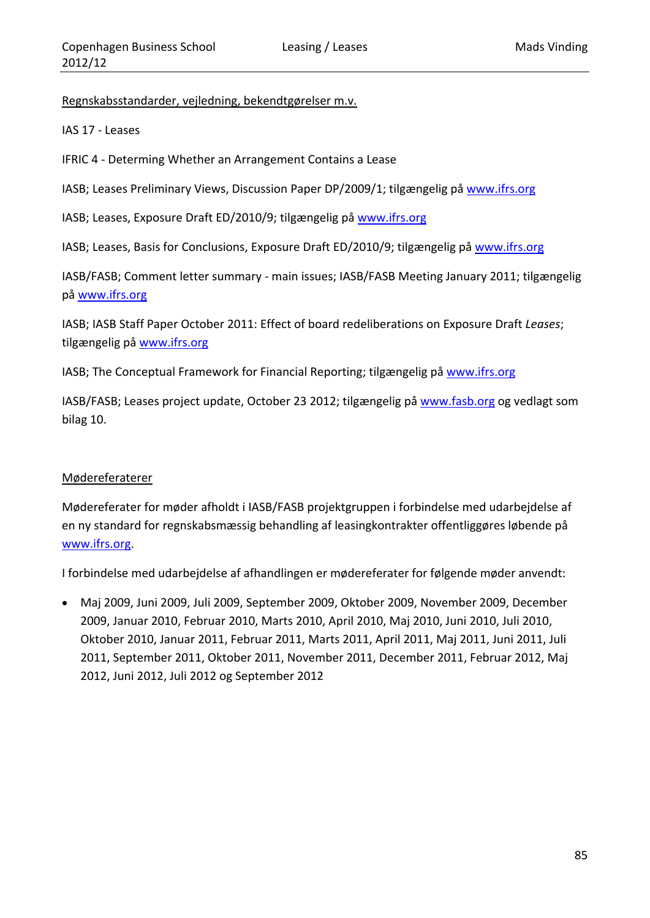Regnskabsstandarder, vejledning, bekendtgørelser m.v.

IAS 17 ‐ Leases

IFRIC 4 ‐ Determing Whether an Arrangement Contains a Lease

IASB; Leases Preliminary Views, Discussion Paper DP/2009/1; tilgængelig på www.ifrs.org

IASB; Leases, Exposure Draft ED/2010/9; tilgængelig på www.ifrs.org

IASB; Leases, Basis for Conclusions, Exposure Draft ED/2010/9; tilgængelig på www.ifrs.org

IASB/FASB; Comment letter summary ‐ main issues; IASB/FASB Meeting January 2011; tilgængelig på www.ifrs.org

IASB; IASB Staff Paper October 2011: Effect of board redeliberations on Exposure Draft *Leases*; tilgængelig på www.ifrs.org

IASB; The Conceptual Framework for Financial Reporting; tilgængelig på www.ifrs.org

IASB/FASB; Leases project update, October 23 2012; tilgængelig på www.fasb.org og vedlagt som bilag 10.

#### Mødereferaterer

Mødereferater for møder afholdt i IASB/FASB projektgruppen i forbindelse med udarbejdelse af en ny standard for regnskabsmæssig behandling af leasingkontrakter offentliggøres løbende på www.ifrs.org.

I forbindelse med udarbejdelse af afhandlingen er mødereferater for følgende møder anvendt:

 Maj 2009, Juni 2009, Juli 2009, September 2009, Oktober 2009, November 2009, December 2009, Januar 2010, Februar 2010, Marts 2010, April 2010, Maj 2010, Juni 2010, Juli 2010, Oktober 2010, Januar 2011, Februar 2011, Marts 2011, April 2011, Maj 2011, Juni 2011, Juli 2011, September 2011, Oktober 2011, November 2011, December 2011, Februar 2012, Maj 2012, Juni 2012, Juli 2012 og September 2012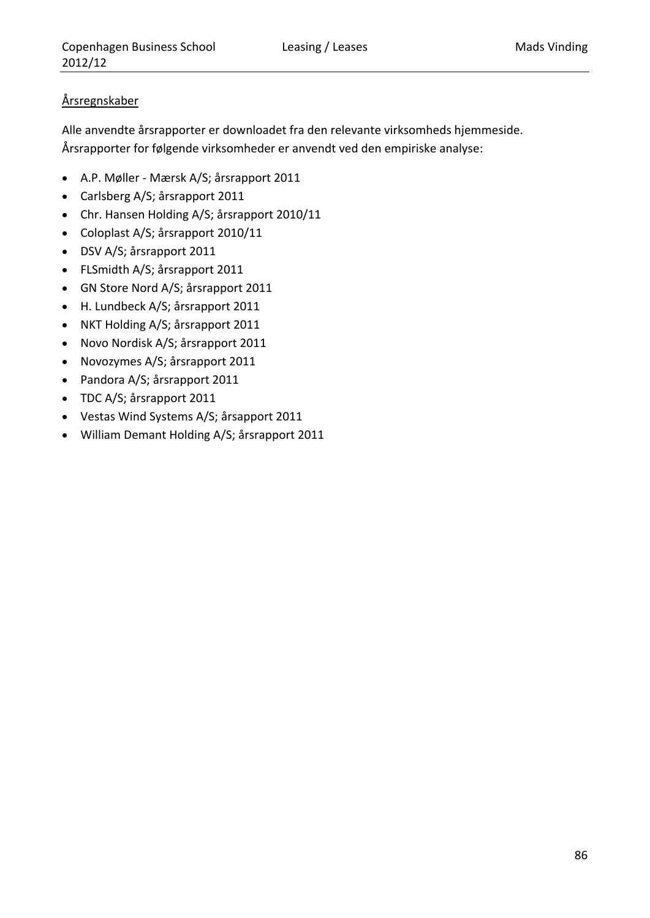### Årsregnskaber

Alle anvendte årsrapporter er downloadet fra den relevante virksomheds hjemmeside. Årsrapporter for følgende virksomheder er anvendt ved den empiriske analyse:

- A.P. Møller ‐ Mærsk A/S; årsrapport 2011
- Carlsberg A/S; årsrapport 2011
- Chr. Hansen Holding A/S; årsrapport 2010/11
- Coloplast A/S; årsrapport 2010/11
- DSV A/S; årsrapport 2011
- FLSmidth A/S; årsrapport 2011
- GN Store Nord A/S; årsrapport 2011
- H. Lundbeck A/S; årsrapport 2011
- NKT Holding A/S; årsrapport 2011
- Novo Nordisk A/S; årsrapport 2011
- Novozymes A/S; årsrapport 2011
- Pandora A/S; årsrapport 2011
- TDC A/S; årsrapport 2011
- Vestas Wind Systems A/S; årsapport 2011
- William Demant Holding A/S; årsrapport 2011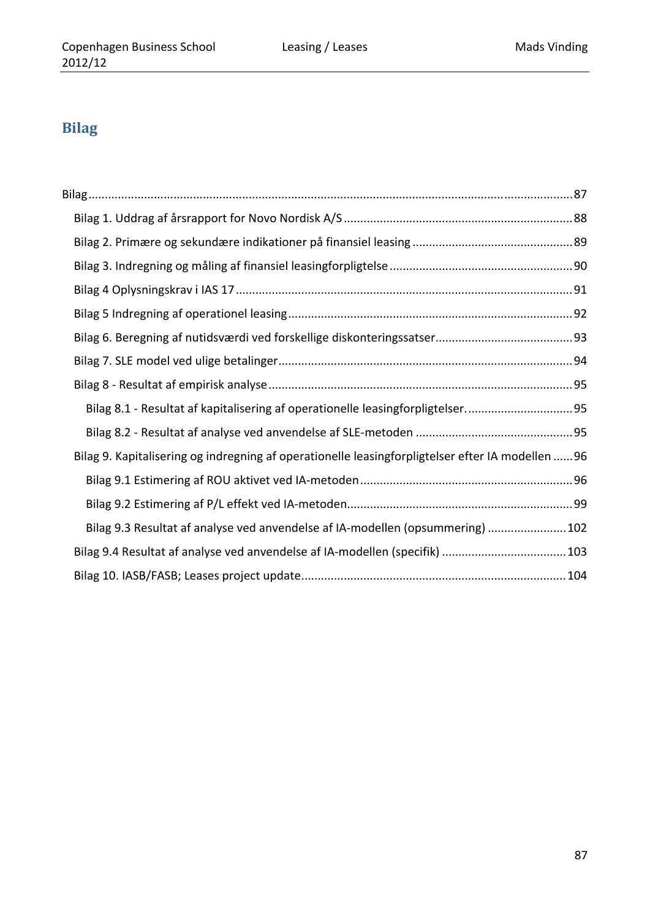# **Bilag**

| Bilag 8.1 - Resultat af kapitalisering af operationelle leasingforpligtelser95                    |  |
|---------------------------------------------------------------------------------------------------|--|
|                                                                                                   |  |
| Bilag 9. Kapitalisering og indregning af operationelle leasingforpligtelser efter IA modellen  96 |  |
|                                                                                                   |  |
|                                                                                                   |  |
| Bilag 9.3 Resultat af analyse ved anvendelse af IA-modellen (opsummering) 102                     |  |
| Bilag 9.4 Resultat af analyse ved anvendelse af IA-modellen (specifik) 103                        |  |
|                                                                                                   |  |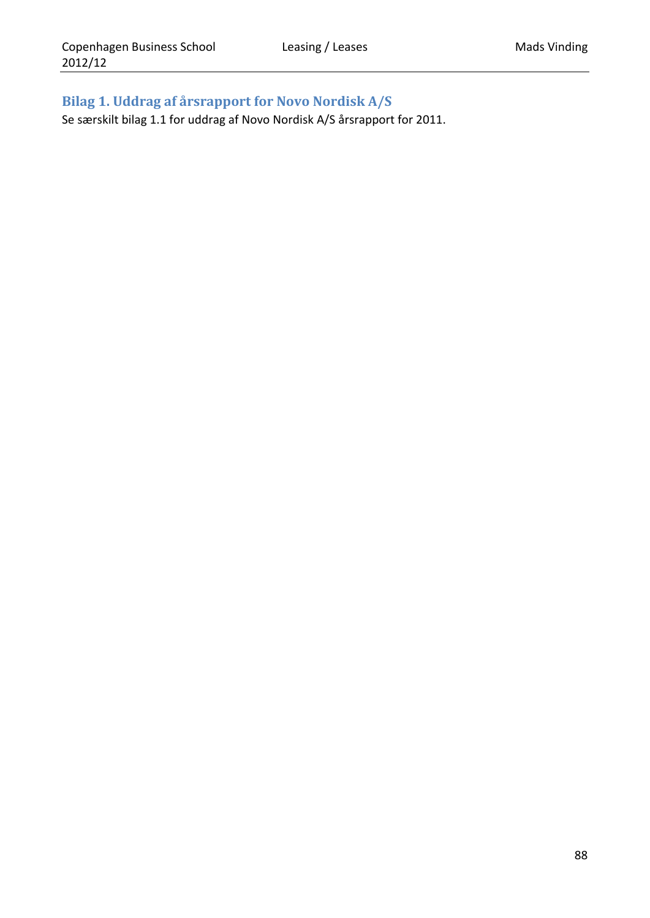# **Bilag 1. Uddrag af årsrapport for Novo Nordisk A/S**

Se særskilt bilag 1.1 for uddrag af Novo Nordisk A/S årsrapport for 2011.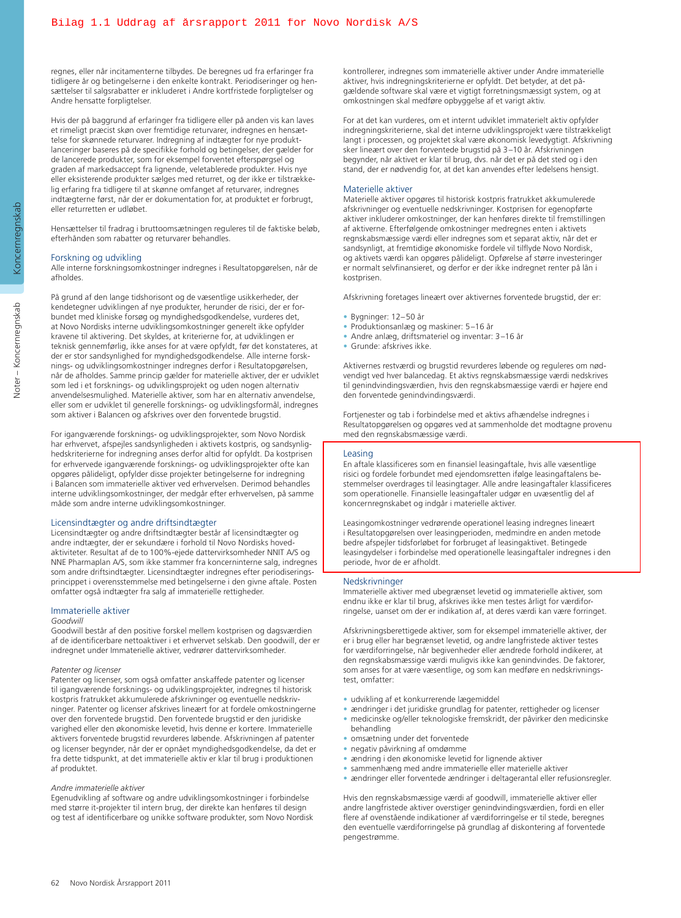regnes, eller når incitamenterne tilbydes. De beregnes ud fra erfaringer fra tidligere år og betingelserne i den enkelte kontrakt. Periodiseringer og hensættelser til salgsrabatter er inkluderet i Andre kortfristede forpligtelser og Andre hensatte forpligtelser.

Hvis der på baggrund af erfaringer fra tidligere eller på anden vis kan laves et rimeligt præcist skøn over fremtidige returvarer, indregnes en hensættelse for skønnede returvarer. Indregning af indtægter for nye produktlanceringer baseres på de specifikke forhold og betingelser, der gælder for de lancerede produkter, som for eksempel forventet efterspørgsel og graden af markedsaccept fra lignende, veletablerede produkter. Hvis nye eller eksisterende produkter sælges med returret, og der ikke er tilstrækkelig erfaring fra tidligere til at skønne omfanget af returvarer, indregnes indtægterne først, når der er dokumentation for, at produktet er forbrugt, eller returretten er udløbet.

Hensættelser til fradrag i bruttoomsætningen reguleres til de faktiske beløb, efterhånden som rabatter og returvarer behandles.

#### Forskning og udvikling

Alle interne forskningsomkostninger indregnes i Resultatopgørelsen, når de afholdes.

På grund af den lange tidshorisont og de væsentlige usikkerheder, der kendetegner udviklingen af nye produkter, herunder de risici, der er forbundet med kliniske forsøg og myndighedsgodkendelse, vurderes det, at Novo Nordisks interne udviklingsomkostninger generelt ikke opfylder kravene til aktivering. Det skyldes, at kriterierne for, at udviklingen er teknisk gennemførlig, ikke anses for at være opfyldt, før det konstateres, at der er stor sandsynlighed for myndighedsgodkendelse. Alle interne forsknings- og udviklingsomkostninger indregnes derfor i Resultatopgørelsen, når de afholdes. Samme princip gælder for materielle aktiver, der er udviklet som led i et forsknings- og udviklingsprojekt og uden nogen alternativ anvendelsesmulighed. Materielle aktiver, som har en alternativ anvendelse, eller som er udviklet til generelle forsknings- og udviklingsformål, indregnes som aktiver i Balancen og afskrives over den forventede brugstid.

For igangværende forsknings- og udviklingsprojekter, som Novo Nordisk har erhvervet, afspejles sandsynligheden i aktivets kostpris, og sandsynlighedskriterierne for indregning anses derfor altid for opfyldt. Da kostprisen for erhvervede igangværende forsknings- og udviklingsprojekter ofte kan opgøres pålideligt, opfylder disse projekter betingelserne for indregning i Balancen som immaterielle aktiver ved erhvervelsen. Derimod behandles interne udviklingsomkostninger, der medgår efter erhvervelsen, på samme måde som andre interne udviklingsomkostninger.

#### Licensindtægter og andre driftsindtægter

Licensindtægter og andre driftsindtægter består af licensindtægter og andre indtægter, der er sekundære i forhold til Novo Nordisks hovedaktiviteter. Resultat af de to 100%-ejede dattervirksomheder NNIT A/S og NNE Pharmaplan A/S, som ikke stammer fra koncerninterne salg, indregnes som andre driftsindtægter. Licensindtægter indregnes efter periodiseringsprincippet i overensstemmelse med betingelserne i den givne aftale. Posten omfatter også indtægter fra salg af immaterielle rettigheder.

#### Immaterielle aktiver

#### *Goodwill*

Goodwill består af den positive forskel mellem kostprisen og dagsværdien af de identificerbare nettoaktiver i et erhvervet selskab. Den goodwill, der er indregnet under Immaterielle aktiver, vedrører dattervirksomheder.

#### *Patenter og licenser*

Patenter og licenser, som også omfatter anskaffede patenter og licenser til igangværende forsknings- og udviklingsprojekter, indregnes til historisk kostpris fratrukket akkumulerede afskrivninger og eventuelle nedskrivninger. Patenter og licenser afskrives lineært for at fordele omkostningerne over den forventede brugstid. Den forventede brugstid er den juridiske varighed eller den økonomiske levetid, hvis denne er kortere. Immaterielle aktivers forventede brugstid revurderes løbende. Afskrivningen af patenter og licenser begynder, når der er opnået myndighedsgodkendelse, da det er fra dette tidspunkt, at det immaterielle aktiv er klar til brug i produktionen af produktet.

#### *Andre immaterielle aktiver*

Egenudvikling af software og andre udviklingsomkostninger i forbindelse med større it-projekter til intern brug, der direkte kan henføres til design og test af identificerbare og unikke software produkter, som Novo Nordisk kontrollerer, indregnes som immaterielle aktiver under Andre immaterielle aktiver, hvis indregningskriterierne er opfyldt. Det betyder, at det pågældende software skal være et vigtigt forretningsmæssigt system, og at omkostningen skal medføre opbyggelse af et varigt aktiv.

For at det kan vurderes, om et internt udviklet immaterielt aktiv opfylder indregningskriterierne, skal det interne udviklingsprojekt være tilstrækkeligt langt i processen, og projektet skal være økonomisk levedygtigt. Afskrivning sker lineært over den forventede brugstid på 3–10 år. Afskrivningen be gynder, når aktivet er klar til brug, dvs. når det er på det sted og i den stand, der er nødvendig for, at det kan anvendes efter ledelsens hensigt.

#### Materielle aktiver

Materielle aktiver opgøres til historisk kostpris fratrukket akkumulerede afskrivninger og eventuelle nedskrivninger. Kostprisen for egenopførte aktiver inkluderer omkostninger, der kan henføres direkte til fremstillingen af aktiverne. Efterfølgende omkostninger medregnes enten i aktivets regnskabsmæssige værdi eller indregnes som et separat aktiv, når det er sandsynligt, at fremtidige økonomiske fordele vil tilflyde Novo Nordisk, og aktivets værdi kan opgøres pålideligt. Opførelse af større investeringer er normalt selvfinansieret, og derfor er der ikke indregnet renter på lån i kostprisen.

Afskrivning foretages lineært over aktivernes forventede brugstid, der er:

- Bygninger: 12–50 år
- Produktionsanlæg og maskiner: 5–16 år
- Andre anlæg, driftsmateriel og inventar: 3–16 år
- Grunde: afskrives ikke.

Aktivernes restværdi og brugstid revurderes løbende og reguleres om nødvendigt ved hver balancedag. Et aktivs regnskabsmæssige værdi nedskrives til genindvindingsværdien, hvis den regnskabsmæssige værdi er højere end den forventede genindvindingsværdi.

Fortjenester og tab i forbindelse med et aktivs afhændelse indregnes i Resultatopgørelsen og opgøres ved at sammenholde det modtagne provenu med den regnskabsmæssige værdi.

#### Leasing

En aftale klassificeres som en finansiel leasingaftale, hvis alle væsentlige risici og fordele forbundet med ejendomsretten ifølge leasingaftalens bestemmelser overdrages til leasingtager. Alle andre leasingaftaler klassificeres som operationelle. Finansielle leasingaftaler udgør en uvæsentlig del af koncernregnskabet og indgår i materielle aktiver.

Leasingomkostninger vedrørende operationel leasing indregnes lineært i Resultatopgørelsen over leasingperioden, medmindre en anden metode bedre afspejler tidsforløbet for forbruget af leasingaktivet. Betingede leasingydelser i forbindelse med operationelle leasingaftaler indregnes i den periode, hvor de er afholdt.

#### Nedskrivninger

Immaterielle aktiver med ubegrænset levetid og immaterielle aktiver, som endnu ikke er klar til brug, afskrives ikke men testes årligt for værdiforringelse, uanset om der er indikation af, at deres værdi kan være forringet.

Afskrivningsberettigede aktiver, som for eksempel immaterielle aktiver, der er i brug eller har begrænset levetid, og andre langfristede aktiver testes for værdiforringelse, når begivenheder eller ændrede forhold indikerer, at den regnskabsmæssige værdi muligvis ikke kan genindvindes. De faktorer, som anses for at være væsentlige, og som kan medføre en nedskrivningstest, omfatter:

- udvikling af et konkurrerende lægemiddel
- ændringer i det juridiske grundlag for patenter, rettigheder og licenser
- medicinske og/eller teknologiske fremskridt, der påvirker den medicinske behandling
- omsætning under det forventede
- negativ påvirkning af omdømme
- ændring i den økonomiske levetid for lignende aktiver
- sammenhæng med andre immaterielle eller materielle aktiver
- ændringer eller forventede ændringer i deltagerantal eller refusionsregler.

Hvis den regnskabsmæssige værdi af goodwill, immaterielle aktiver eller andre langfristede aktiver overstiger genindvindingsværdien, fordi en eller flere af ovenstående indikationer af værdiforringelse er til stede, beregnes den eventuelle værdiforringelse på grundlag af diskontering af forventede pengestrømme.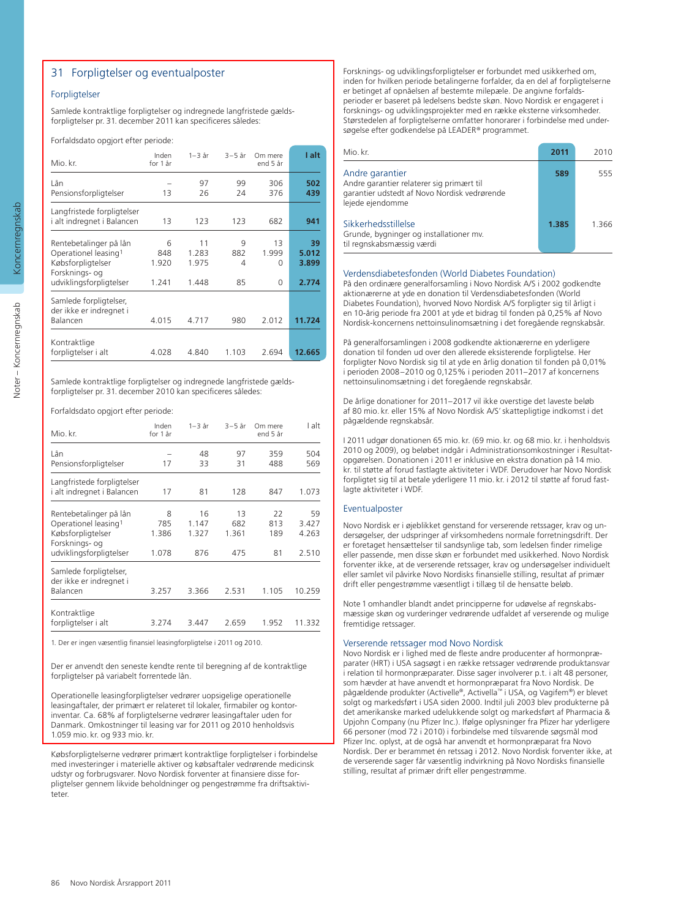#### 31 Forpligtelser og eventualposter

#### Forpligtelser

Samlede kontraktlige forpligtelser og indregnede langfristede gældsforpligtelser pr. 31. december 2011 kan specificeres således:

Forfaldsdato opgjort efter periode:

| Mio. kr.                                                                                                                     | Inden<br>for 1 år          | 1–3 år                        | $3-5$ år            | Om mere<br>end 5 år          | I alt                         |
|------------------------------------------------------------------------------------------------------------------------------|----------------------------|-------------------------------|---------------------|------------------------------|-------------------------------|
| Lån<br>Pensionsforpligtelser                                                                                                 | 13                         | 97<br>26                      | 99<br>24            | 306<br>376                   | 502<br>439                    |
| Langfristede forpligtelser<br>i alt indregnet i Balancen                                                                     | 13                         | 123                           | 123                 | 682                          | 941                           |
| Rentebetalinger på lån<br>Operationel leasing <sup>1</sup><br>Købsforpligtelser<br>Forsknings- og<br>udviklingsforpligtelser | 6<br>848<br>1.920<br>1.241 | 11<br>1.283<br>1.975<br>1.448 | 9<br>882<br>4<br>85 | 13<br>1.999<br>0<br>$\Omega$ | 39<br>5.012<br>3.899<br>2.774 |
| Samlede forpligtelser,<br>der ikke er indregnet i<br>Balancen                                                                | 4.015                      | 4.717                         | 980                 | 2.012                        | 11.724                        |
| Kontraktlige<br>forpligtelser i alt                                                                                          | 4.028                      | 4.840                         | 1.103               | 2.694                        | 12.665                        |

Samlede kontraktlige forpligtelser og indregnede langfristede gældsforpligtelser pr. 31. december 2010 kan specificeres således:

Forfaldsdato opgjort efter periode:

| Mio. kr.                                                                                                                     | Inden<br>for 1 år          | 1–3 år                      | $3-5$ år                  | Om mere<br>end 5 år    | I alt                         |
|------------------------------------------------------------------------------------------------------------------------------|----------------------------|-----------------------------|---------------------------|------------------------|-------------------------------|
| Lån<br>Pensionsforpligtelser                                                                                                 | 17                         | 48<br>33                    | 97<br>31                  | 359<br>488             | 504<br>569                    |
| Langfristede forpligtelser<br>i alt indregnet i Balancen                                                                     | 17                         | 81                          | 128                       | 847                    | 1.073                         |
| Rentebetalinger på lån<br>Operationel leasing <sup>1</sup><br>Købsforpligtelser<br>Forsknings- og<br>udviklingsforpligtelser | 8<br>785<br>1.386<br>1.078 | 16<br>1.147<br>1.327<br>876 | 13<br>682<br>1.361<br>475 | 22<br>813<br>189<br>81 | 59<br>3.427<br>4.263<br>2.510 |
| Samlede forpligtelser,<br>der ikke er indregnet i<br>Balancen                                                                | 3.257                      | 3.366                       | 2.531                     | 1.105                  | 10.259                        |
| Kontraktlige<br>forpligtelser i alt                                                                                          | 3.274                      | 3.447                       | 2.659                     | 1.952                  | 11.332                        |

1. Der er ingen væsentlig finansiel leasingforpligtelse i 2011 og 2010.

Der er anvendt den seneste kendte rente til beregning af de kontraktlige forpligtelser på variabelt forrentede lån.

Operationelle leasingforpligtelser vedrører uopsigelige operationelle leasingaftaler, der primært er relateret til lokaler, firmabiler og kontorinventar. Ca. 68% af forpligtelserne vedrører leasingaftaler uden for Danmark. Omkostninger til leasing var for 2011 og 2010 henholdsvis 1.059 mio. kr. og 933 mio. kr.

Købsforpligtelserne vedrører primært kontraktlige forpligtelser i forbindelse med investeringer i materielle aktiver og købsaftaler vedrørende medicinsk udstyr og forbrugsvarer. Novo Nordisk forventer at finansiere disse forpligtelser gennem likvide beholdninger og pengestrømme fra driftsaktiviteter.

Forsknings- og udviklingsforpligtelser er forbundet med usikkerhed om, inden for hvilken periode betalingerne forfalder, da en del af forpligtelserne er betinget af opnåelsen af bestemte milepæle. De angivne forfaldsperioder er baseret på ledelsens bedste skøn. Novo Nordisk er engageret i forsknings- og udviklingsprojekter med en række eksterne virksomheder. Størstedelen af forpligtelserne omfatter honorarer i forbindelse med undersøgelse efter godkendelse på LEADER® programmet.

| Mio. kr.                                                                                                                         | 2011  | 2010  |
|----------------------------------------------------------------------------------------------------------------------------------|-------|-------|
| Andre garantier<br>Andre garantier relaterer sig primært til<br>garantier udstedt af Novo Nordisk vedrørende<br>lejede ejendomme | 589   | 555   |
| Sikkerhedsstillelse<br>Grunde, bygninger og installationer mv.<br>til regnskabsmæssig værdi                                      | 1.385 | 1.366 |

#### Verdensdiabetesfonden (World Diabetes Foundation)

På den ordinære generalforsamling i Novo Nordisk A/S i 2002 godkendte aktionærerne at yde en donation til Verdensdiabetesfonden (World Diabetes Foundation), hvorved Novo Nordisk A/S forpligter sig til årligt i en 10-årig periode fra 2001 at yde et bidrag til fonden på 0,25% af Novo Nordisk-koncernens nettoinsulinomsætning i det foregående regnskabsår.

På generalforsamlingen i 2008 godkendte aktionærerne en yderligere donation til fonden ud over den allerede eksisterende forpligtelse. Her forpligter Novo Nordisk sig til at yde en årlig donation til fonden på 0,01% i perioden 2008–2010 og 0,125% i perioden 2011–2017 af koncernens nettoinsulinomsætning i det foregående regnskabsår.

De årlige donationer for 2011–2017 vil ikke overstige det laveste beløb af 80 mio. kr. eller 15% af Novo Nordisk A/S' skattepligtige indkomst i det pågældende regnskabsår.

I 2011 udgør donationen 65 mio. kr. (69 mio. kr. og 68 mio. kr. i henholdsvis 2010 og 2009), og beløbet indgår i Administrationsomkostninger i Resultatopgørelsen. Donationen i 2011 er inklusive en ekstra donation på 14 mio. kr. til støtte af forud fastlagte aktiviteter i WDF. Derudover har Novo Nordisk forpligtet sig til at betale yderligere 11 mio. kr. i 2012 til støtte af forud fastlagte aktiviteter i WDF.

#### Eventualposter

Novo Nordisk er i øjeblikket genstand for verserende retssager, krav og undersøgelser, der udspringer af virksomhedens normale forretningsdrift. Der er foretaget hensættelser til sandsynlige tab, som ledelsen finder rimelige eller passende, men disse skøn er forbundet med usikkerhed. Novo Nordisk forventer ikke, at de verserende retssager, krav og undersøgelser individuelt eller samlet vil påvirke Novo Nordisks finansielle stilling, resultat af primær drift eller pengestrømme væsentligt i tillæg til de hensatte beløb.

Note 1 omhandler blandt andet principperne for udøvelse af regnskabsmæssige skøn og vurderinger vedrørende udfaldet af verserende og mulige fremtidige retssager.

#### Verserende retssager mod Novo Nordisk

Novo Nordisk er i lighed med de fleste andre producenter af hormonpræparater (HRT) i USA sagsøgt i en række retssager vedrørende produktansvar i relation til hormonpræparater. Disse sager involverer p.t. i alt 48 personer, som hævder at have anvendt et hormonpræparat fra Novo Nordisk. De pågældende produkter (Activelle®, Activella™ i USA, og Vagifem®) er blevet solgt og markedsført i USA siden 2000. Indtil juli 2003 blev produkterne på det amerikanske marked udelukkende solgt og markedsført af Pharmacia & Upjohn Company (nu Pfizer Inc.). Ifølge oplysninger fra Pfizer har yderligere 66 personer (mod 72 i 2010) i forbindelse med tilsvarende søgsmål mod Pfizer Inc. oplyst, at de også har anvendt et hormonpræparat fra Novo Nordisk. Der er berammet én retssag i 2012. Novo Nordisk forventer ikke, at de verserende sager får væsentlig indvirkning på Novo Nordisks finansielle stilling, resultat af primær drift eller pengestrømme.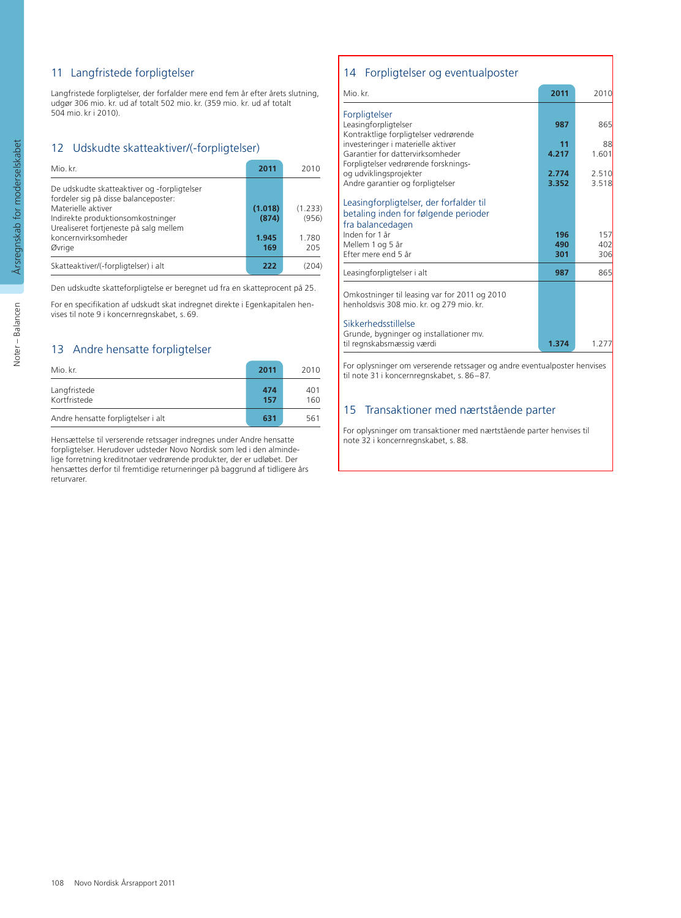#### 11 Langfristede forpligtelser

Langfristede forpligtelser, der forfalder mere end fem år efter årets slutning, udgør 306 mio. kr. ud af totalt 502 mio. kr. (359 mio. kr. ud af totalt 504 mio. kr i 2010).

#### 12 Udskudte skatteaktiver/(-forpligtelser)

| Mio. kr.                                                                                                                                                                                                                  | 2011                             | 2010                             |
|---------------------------------------------------------------------------------------------------------------------------------------------------------------------------------------------------------------------------|----------------------------------|----------------------------------|
| De udskudte skatteaktiver og -forpligtelser<br>fordeler sig på disse balanceposter:<br>Materielle aktiver<br>Indirekte produktionsomkostninger<br>Urealiseret fortjeneste på salg mellem<br>koncernvirksomheder<br>Øvrige | (1.018)<br>(874)<br>1.945<br>169 | (1.233)<br>(956)<br>1.780<br>205 |
| Skatteaktiver/(-forpligtelser) i alt                                                                                                                                                                                      | 222                              |                                  |

Den udskudte skatteforpligtelse er beregnet ud fra en skatteprocent på 25.

For en specifikation af udskudt skat indregnet direkte i Egenkapitalen henvises til note 9 i koncernregnskabet, s. 69.

#### 13 Andre hensatte forpligtelser

| Mio. kr.                           | 2011       | 2010       |
|------------------------------------|------------|------------|
| Langfristede<br>Kortfristede       | 474<br>157 | 401<br>160 |
| Andre hensatte forpligtelser i alt | 631        | 561        |

Hensættelse til verserende retssager indregnes under Andre hensatte forpligtelser. Herudover udsteder Novo Nordisk som led i den almindelige forretning kreditnotaer vedrørende produkter, der er udløbet. Der hensættes derfor til fremtidige returneringer på baggrund af tidligere års returvarer.

#### 14 Forpligtelser og eventualposter

| Mio. kr.                                                                                            | 2011           | 2010           |
|-----------------------------------------------------------------------------------------------------|----------------|----------------|
| Forpligtelser<br>Leasingforpligtelser<br>Kontraktlige forpligtelser vedrørende                      | 987            | 865            |
| investeringer i materielle aktiver                                                                  | 11             | 88             |
| Garantier for dattervirksomheder<br>Forpligtelser vedrørende forsknings-                            | 4.217          | 1.601          |
| og udviklingsprojekter<br>Andre garantier og forpligtelser                                          | 2.774<br>3.352 | 2.510<br>3.518 |
| Leasingforpligtelser, der forfalder til<br>betaling inden for følgende perioder<br>fra balancedagen |                |                |
| Inden for 1 år                                                                                      | 196            | 157            |
| Mellem 1 og 5 år                                                                                    | 490            | 402            |
| Efter mere end 5 år                                                                                 | 301            | 306            |
| Leasingforpligtelser i alt                                                                          | 987            | 865            |
| Omkostninger til leasing var for 2011 og 2010<br>henholdsvis 308 mio. kr. og 279 mio. kr.           |                |                |
| Sikkerhedsstillelse<br>Grunde, bygninger og installationer mv.                                      |                |                |
| til regnskabsmæssig værdi                                                                           | 1.374          | 1.277          |

For oplysninger om verserende retssager og andre eventualposter henvises til note 31 i koncernregnskabet, s. 86–87.

#### 15 Transaktioner med nærtstående parter

For oplysninger om transaktioner med nærtstående parter henvises til note 32 i koncernregnskabet, s. 88.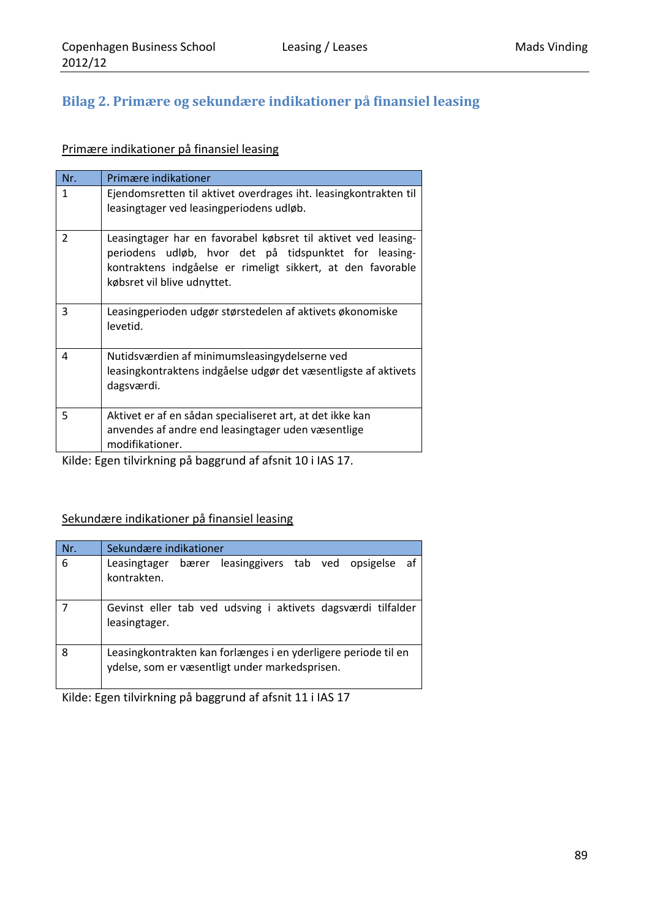## **Bilag 2. Primære og sekundære indikationer på finansiel leasing**

## Primære indikationer på finansiel leasing

| Nr.            | Primære indikationer                                                                                                                                                                                                  |
|----------------|-----------------------------------------------------------------------------------------------------------------------------------------------------------------------------------------------------------------------|
| 1              | Ejendomsretten til aktivet overdrages iht. leasingkontrakten til<br>leasingtager ved leasingperiodens udløb.                                                                                                          |
| $\overline{2}$ | Leasingtager har en favorabel købsret til aktivet ved leasing-<br>periodens udløb, hvor det på tidspunktet for leasing-<br>kontraktens indgåelse er rimeligt sikkert, at den favorable<br>købsret vil blive udnyttet. |
| 3              | Leasingperioden udgør størstedelen af aktivets økonomiske<br>levetid.                                                                                                                                                 |
| 4              | Nutidsværdien af minimumsleasingydelserne ved<br>leasingkontraktens indgåelse udgør det væsentligste af aktivets<br>dagsværdi.                                                                                        |
| 5              | Aktivet er af en sådan specialiseret art, at det ikke kan<br>anvendes af andre end leasingtager uden væsentlige<br>modifikationer.                                                                                    |

Kilde: Egen tilvirkning på baggrund af afsnit 10 i IAS 17.

### Sekundære indikationer på finansiel leasing

| Nr. | Sekundære indikationer                                                                                           |  |  |  |  |  |  |  |  |  |  |  |  |  |
|-----|------------------------------------------------------------------------------------------------------------------|--|--|--|--|--|--|--|--|--|--|--|--|--|
| 6   | Leasingtager bærer leasinggivers tab ved opsigelse<br>af<br>kontrakten.                                          |  |  |  |  |  |  |  |  |  |  |  |  |  |
|     | Gevinst eller tab ved udsving i aktivets dagsværdi tilfalder<br>leasingtager.                                    |  |  |  |  |  |  |  |  |  |  |  |  |  |
| 8   | Leasingkontrakten kan forlænges i en yderligere periode til en<br>ydelse, som er væsentligt under markedsprisen. |  |  |  |  |  |  |  |  |  |  |  |  |  |

Kilde: Egen tilvirkning på baggrund af afsnit 11 i IAS 17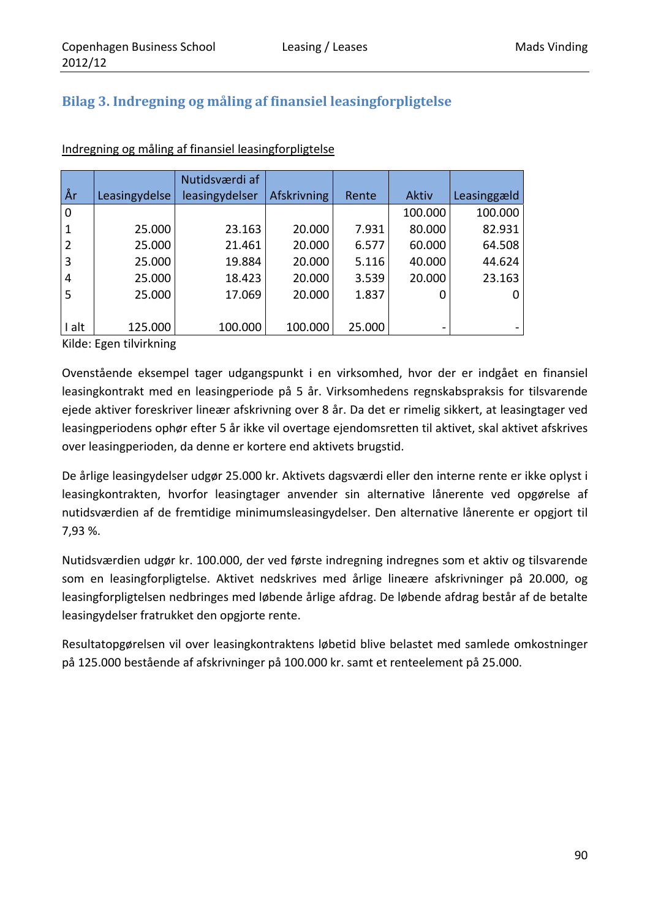## **Bilag 3. Indregning og måling af finansiel leasingforpligtelse**

|                |               | Nutidsværdi af |             |        |                              |             |
|----------------|---------------|----------------|-------------|--------|------------------------------|-------------|
| År             | Leasingydelse | leasingydelser | Afskrivning | Rente  | Aktiv                        | Leasinggæld |
| 0              |               |                |             |        | 100.000                      | 100.000     |
| 1              | 25.000        | 23.163         | 20.000      | 7.931  | 80.000                       | 82.931      |
| $\overline{2}$ | 25.000        | 21.461         | 20.000      | 6.577  | 60.000                       | 64.508      |
| 3              | 25.000        | 19.884         | 20.000      | 5.116  | 40.000                       | 44.624      |
| 4              | 25.000        | 18.423         | 20.000      | 3.539  | 20.000                       | 23.163      |
| 5              | 25.000        | 17.069         | 20.000      | 1.837  | 0                            | 0           |
|                |               |                |             |        |                              |             |
| I alt          | 125.000       | 100.000        | 100.000     | 25.000 | $\qquad \qquad \blacksquare$ |             |

### Indregning og måling af finansiel leasingforpligtelse

Kilde: Egen tilvirkning

Ovenstående eksempel tager udgangspunkt i en virksomhed, hvor der er indgået en finansiel leasingkontrakt med en leasingperiode på 5 år. Virksomhedens regnskabspraksis for tilsvarende ejede aktiver foreskriver lineær afskrivning over 8 år. Da det er rimelig sikkert, at leasingtager ved leasingperiodens ophør efter 5 år ikke vil overtage ejendomsretten til aktivet, skal aktivet afskrives over leasingperioden, da denne er kortere end aktivets brugstid.

De årlige leasingydelser udgør 25.000 kr. Aktivets dagsværdi eller den interne rente er ikke oplyst i leasingkontrakten, hvorfor leasingtager anvender sin alternative lånerente ved opgørelse af nutidsværdien af de fremtidige minimumsleasingydelser. Den alternative lånerente er opgjort til 7,93 %.

Nutidsværdien udgør kr. 100.000, der ved første indregning indregnes som et aktiv og tilsvarende som en leasingforpligtelse. Aktivet nedskrives med årlige lineære afskrivninger på 20.000, og leasingforpligtelsen nedbringes med løbende årlige afdrag. De løbende afdrag består af de betalte leasingydelser fratrukket den opgjorte rente.

Resultatopgørelsen vil over leasingkontraktens løbetid blive belastet med samlede omkostninger på 125.000 bestående af afskrivninger på 100.000 kr. samt et renteelement på 25.000.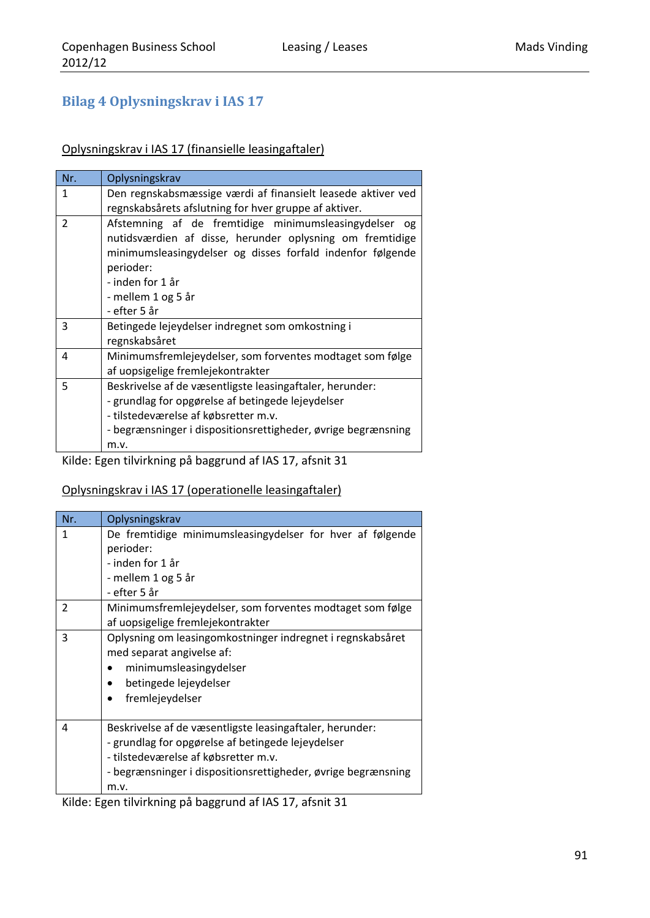## **Bilag 4 Oplysningskrav i IAS 17**

### Oplysningskrav i IAS 17 (finansielle leasingaftaler)

| Nr.            | Oplysningskrav                                                                                                                                                                                                                                            |  |  |  |  |  |  |  |  |
|----------------|-----------------------------------------------------------------------------------------------------------------------------------------------------------------------------------------------------------------------------------------------------------|--|--|--|--|--|--|--|--|
| 1              | Den regnskabsmæssige værdi af finansielt leasede aktiver ved<br>regnskabsårets afslutning for hver gruppe af aktiver.                                                                                                                                     |  |  |  |  |  |  |  |  |
| $\overline{2}$ | Afstemning af de fremtidige minimumsleasingydelser<br>og<br>nutidsværdien af disse, herunder oplysning om fremtidige<br>minimumsleasingydelser og disses forfald indenfor følgende<br>perioder:<br>- inden for 1 år<br>- mellem 1 og 5 år<br>- efter 5 år |  |  |  |  |  |  |  |  |
| 3              | Betingede lejeydelser indregnet som omkostning i<br>regnskabsåret                                                                                                                                                                                         |  |  |  |  |  |  |  |  |
| 4              | Minimumsfremlejeydelser, som forventes modtaget som følge<br>af uopsigelige fremlejekontrakter                                                                                                                                                            |  |  |  |  |  |  |  |  |
| 5              | Beskrivelse af de væsentligste leasingaftaler, herunder:<br>- grundlag for opgørelse af betingede lejeydelser<br>- tilstedeværelse af købsretter m.v.<br>- begrænsninger i dispositionsrettigheder, øvrige begrænsning<br>m.v.                            |  |  |  |  |  |  |  |  |

Kilde: Egen tilvirkning på baggrund af IAS 17, afsnit 31

### Oplysningskrav i IAS 17 (operationelle leasingaftaler)

| Nr.           | Oplysningskrav                                                                                                                                                                                                                 |  |  |  |  |  |  |  |  |  |  |  |  |
|---------------|--------------------------------------------------------------------------------------------------------------------------------------------------------------------------------------------------------------------------------|--|--|--|--|--|--|--|--|--|--|--|--|
| 1             | De fremtidige minimumsleasingydelser for hver af følgende<br>perioder:<br>- inden for 1 år<br>- mellem 1 og 5 år<br>- efter 5 år                                                                                               |  |  |  |  |  |  |  |  |  |  |  |  |
| $\mathcal{P}$ | Minimumsfremlejeydelser, som forventes modtaget som følge<br>af uopsigelige fremlejekontrakter                                                                                                                                 |  |  |  |  |  |  |  |  |  |  |  |  |
| 3             | Oplysning om leasingomkostninger indregnet i regnskabsåret<br>med separat angivelse af:<br>minimumsleasingydelser<br>betingede lejeydelser<br>fremlejeydelser                                                                  |  |  |  |  |  |  |  |  |  |  |  |  |
| 4             | Beskrivelse af de væsentligste leasingaftaler, herunder:<br>- grundlag for opgørelse af betingede lejeydelser<br>- tilstedeværelse af købsretter m.v.<br>- begrænsninger i dispositionsrettigheder, øvrige begrænsning<br>m.v. |  |  |  |  |  |  |  |  |  |  |  |  |

Kilde: Egen tilvirkning på baggrund af IAS 17, afsnit 31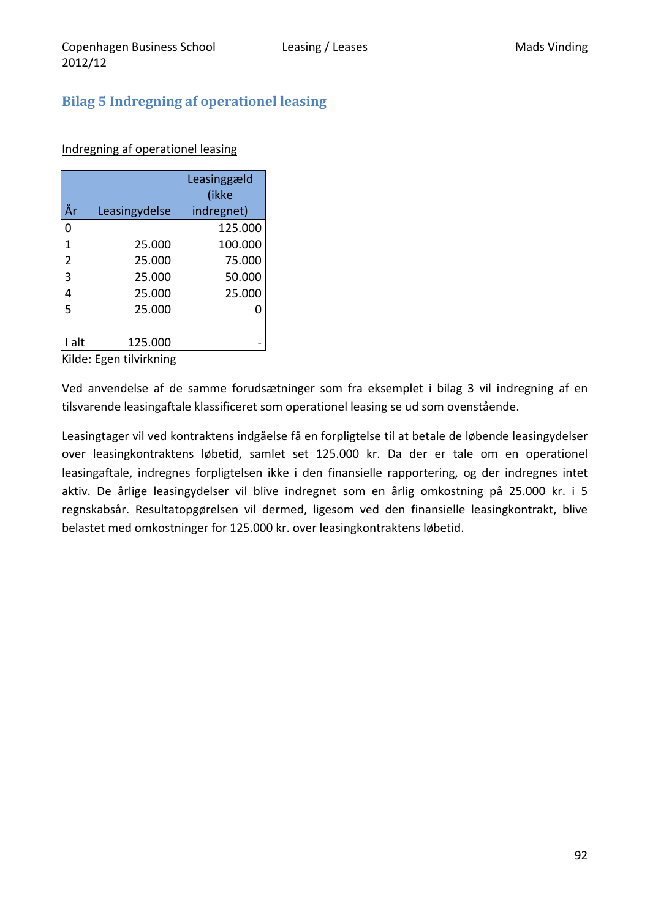## **Bilag 5 Indregning af operationel leasing**

### Indregning af operationel leasing

| År             | Leasingydelse | Leasinggæld<br>(ikke<br>indregnet) |
|----------------|---------------|------------------------------------|
| 0              |               | 125.000                            |
| 1              | 25.000        | 100.000                            |
| $\overline{2}$ | 25.000        | 75.000                             |
| 3              | 25.000        | 50.000                             |
| 4              | 25.000        | 25.000                             |
| 5              | 25.000        |                                    |
|                |               |                                    |
| alt            | 125.000       |                                    |

Kilde: Egen tilvirkning

Ved anvendelse af de samme forudsætninger som fra eksemplet i bilag 3 vil indregning af en tilsvarende leasingaftale klassificeret som operationel leasing se ud som ovenstående.

Leasingtager vil ved kontraktens indgåelse få en forpligtelse til at betale de løbende leasingydelser over leasingkontraktens løbetid, samlet set 125.000 kr. Da der er tale om en operationel leasingaftale, indregnes forpligtelsen ikke i den finansielle rapportering, og der indregnes intet aktiv. De årlige leasingydelser vil blive indregnet som en årlig omkostning på 25.000 kr. i 5 regnskabsår. Resultatopgørelsen vil dermed, ligesom ved den finansielle leasingkontrakt, blive belastet med omkostninger for 125.000 kr. over leasingkontraktens løbetid.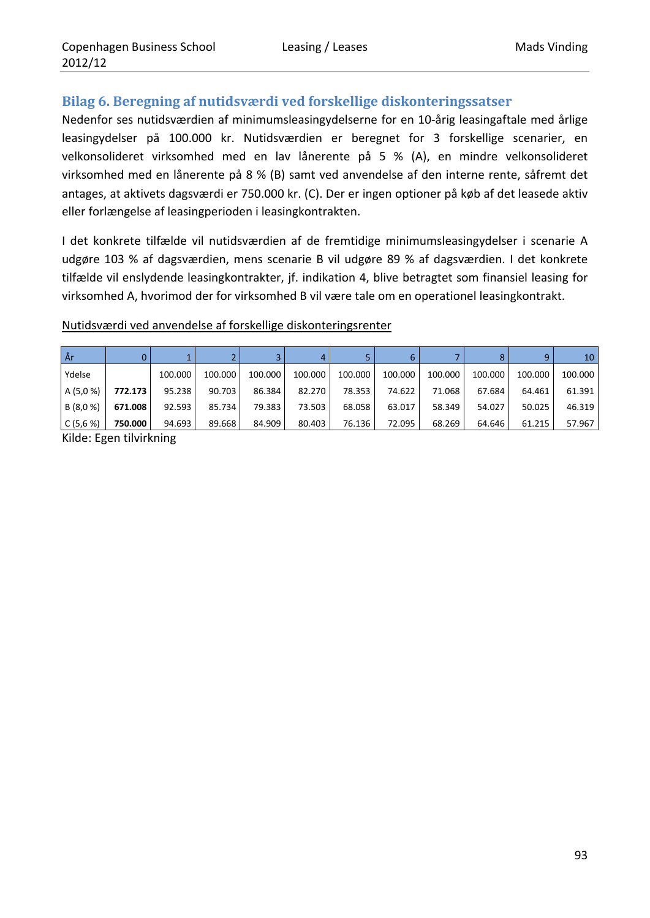## **Bilag 6. Beregning af nutidsværdi ved forskellige diskonteringssatser**

Nedenfor ses nutidsværdien af minimumsleasingydelserne for en 10‐årig leasingaftale med årlige leasingydelser på 100.000 kr. Nutidsværdien er beregnet for 3 forskellige scenarier, en velkonsolideret virksomhed med en lav lånerente på 5 % (A), en mindre velkonsolideret virksomhed med en lånerente på 8 % (B) samt ved anvendelse af den interne rente, såfremt det antages, at aktivets dagsværdi er 750.000 kr. (C). Der er ingen optioner på køb af det leasede aktiv eller forlængelse af leasingperioden i leasingkontrakten.

I det konkrete tilfælde vil nutidsværdien af de fremtidige minimumsleasingydelser i scenarie A udgøre 103 % af dagsværdien, mens scenarie B vil udgøre 89 % af dagsværdien. I det konkrete tilfælde vil enslydende leasingkontrakter, jf. indikation 4, blive betragtet som finansiel leasing for virksomhed A, hvorimod der for virksomhed B vil være tale om en operationel leasingkontrakt.

### Nutidsværdi ved anvendelse af forskellige diskonteringsrenter

| År        |         |         |         |         | 4       |         |         |         |         |         | 10      |
|-----------|---------|---------|---------|---------|---------|---------|---------|---------|---------|---------|---------|
| Ydelse    |         | 100.000 | 100.000 | 100.000 | 100.000 | 100.000 | 100.000 | 100.000 | 100.000 | 100.000 | 100.000 |
| A (5,0 %) | 772.173 | 95.238  | 90.703  | 86.384  | 82.270  | 78.353  | 74.622  | 71.068  | 67.684  | 64.461  | 61.391  |
| B (8,0 %) | 671.008 | 92.593  | 85.734  | 79.383  | 73.503  | 68.058  | 63.017  | 58.349  | 54.027  | 50.025  | 46.319  |
| C(5,6%)   | 750.000 | 94.693  | 89.668  | 84.909  | 80.403  | 76.136  | 72.095  | 68.269  | 64.646  | 61.215  | 57.967  |

Kilde: Egen tilvirkning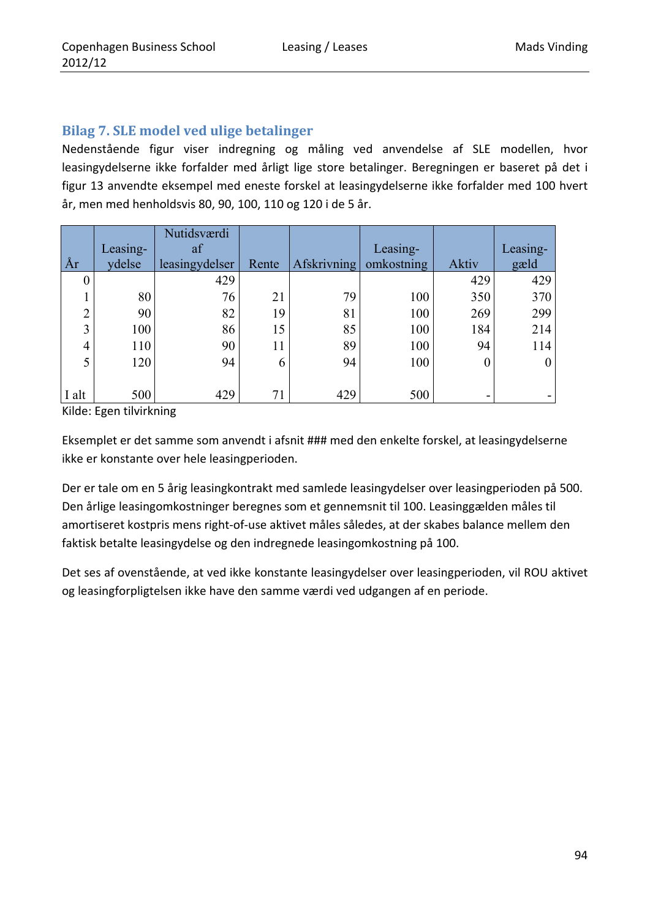## **Bilag 7. SLE model ved ulige betalinger**

Nedenstående figur viser indregning og måling ved anvendelse af SLE modellen, hvor leasingydelserne ikke forfalder med årligt lige store betalinger. Beregningen er baseret på det i figur 13 anvendte eksempel med eneste forskel at leasingydelserne ikke forfalder med 100 hvert år, men med henholdsvis 80, 90, 100, 110 og 120 i de 5 år.

|        |          | Nutidsværdi    |       |                    |            |                |                  |
|--------|----------|----------------|-------|--------------------|------------|----------------|------------------|
|        | Leasing- | af             |       |                    | Leasing-   |                | Leasing-         |
| År     | ydelse   | leasingydelser | Rente | <b>Afskrivning</b> | omkostning | Aktiv          | gæld             |
|        |          | 429            |       |                    |            | 429            | 429              |
|        | 80       | 76             | 21    | 79                 | 100        | 350            | 370              |
| ◠<br>∠ | 90       | 82             | 19    | 81                 | 100        | 269            | 299              |
| 3      | 100      | 86             | 15    | 85                 | 100        | 184            | 214              |
| 4      | 110      | 90             | 11    | 89                 | 100        | 94             | 114              |
| 5      | 120      | 94             | 6     | 94                 | 100        | $\overline{0}$ | $\boldsymbol{0}$ |
|        |          |                |       |                    |            |                |                  |
| I alt  | 500      | 429            | 71    | 429                | 500        | -              |                  |

Kilde: Egen tilvirkning

Eksemplet er det samme som anvendt i afsnit ### med den enkelte forskel, at leasingydelserne ikke er konstante over hele leasingperioden.

Der er tale om en 5 årig leasingkontrakt med samlede leasingydelser over leasingperioden på 500. Den årlige leasingomkostninger beregnes som et gennemsnit til 100. Leasinggælden måles til amortiseret kostpris mens right‐of‐use aktivet måles således, at der skabes balance mellem den faktisk betalte leasingydelse og den indregnede leasingomkostning på 100.

Det ses af ovenstående, at ved ikke konstante leasingydelser over leasingperioden, vil ROU aktivet og leasingforpligtelsen ikke have den samme værdi ved udgangen af en periode.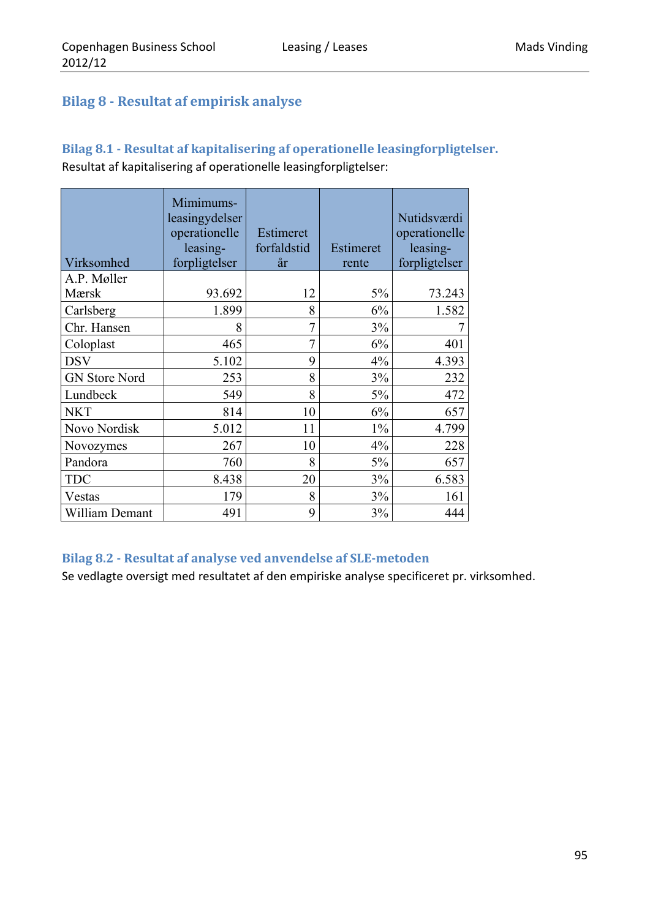## **Bilag 8 ‐ Resultat af empirisk analyse**

# **Bilag 8.1 ‐ Resultat af kapitalisering af operationelle leasingforpligtelser.**

Resultat af kapitalisering af operationelle leasingforpligtelser:

| Virksomhed           | Mimimums-<br>leasingydelser<br>operationelle<br>leasing-<br>forpligtelser | Estimeret<br>forfaldstid<br>år | Estimeret<br>rente | Nutidsværdi<br>operationelle<br>leasing-<br>forpligtelser |
|----------------------|---------------------------------------------------------------------------|--------------------------------|--------------------|-----------------------------------------------------------|
| A.P. Møller          |                                                                           |                                |                    |                                                           |
| Mærsk                | 93.692                                                                    | 12                             | 5%                 | 73.243                                                    |
| Carlsberg            | 1.899                                                                     | 8                              | 6%                 | 1.582                                                     |
| Chr. Hansen          | 8                                                                         | 7                              | 3%                 |                                                           |
| Coloplast            | 465                                                                       | $\overline{7}$                 | 6%                 | 401                                                       |
| <b>DSV</b>           | 5.102                                                                     | 9                              | 4%                 | 4.393                                                     |
| <b>GN Store Nord</b> | 253                                                                       | 8                              | 3%                 | 232                                                       |
| Lundbeck             | 549                                                                       | 8                              | 5%                 | 472                                                       |
| <b>NKT</b>           | 814                                                                       | 10                             | 6%                 | 657                                                       |
| Novo Nordisk         | 5.012                                                                     | 11                             | $1\%$              | 4.799                                                     |
| Novozymes            | 267                                                                       | 10                             | 4%                 | 228                                                       |
| Pandora              | 760                                                                       | 8                              | 5%                 | 657                                                       |
| <b>TDC</b>           | 8.438                                                                     | 20                             | 3%                 | 6.583                                                     |
| Vestas               | 179                                                                       | 8                              | 3%                 | 161                                                       |
| William Demant       | 491                                                                       | 9                              | 3%                 | 444                                                       |

### **Bilag 8.2 ‐ Resultat af analyse ved anvendelse af SLE‐metoden**

Se vedlagte oversigt med resultatet af den empiriske analyse specificeret pr. virksomhed.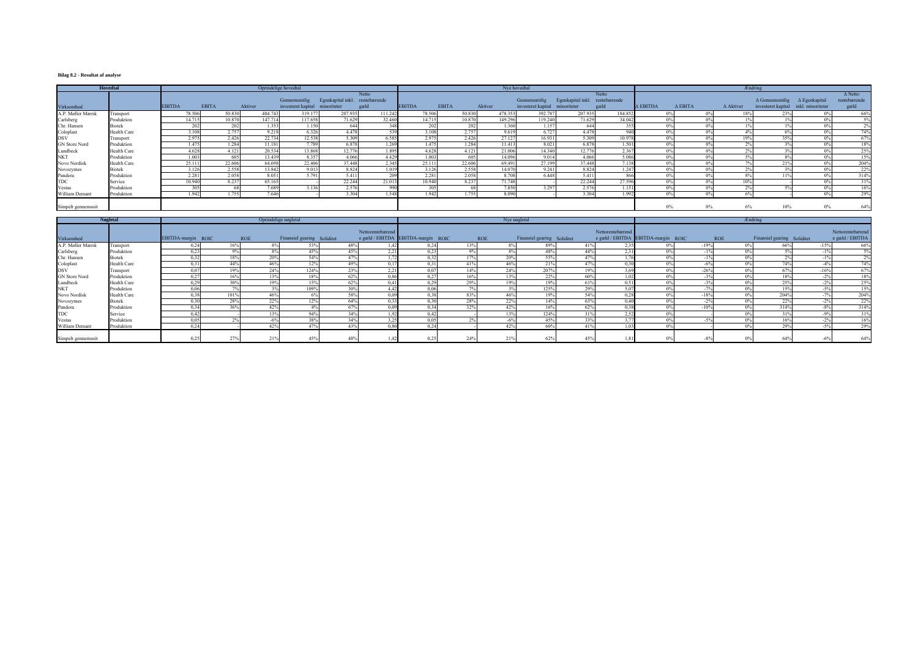#### **Bilag 8.2 - Resultat af analyse**

|                    | <b>Hovedtal</b>    |               |              |         | Oprindelige hovedtal |                    |                                |        |               |        |              | Nye hovedtal |                                |                                |         |                    |                |          | <b>Ændring</b>   |                                             |                |                |
|--------------------|--------------------|---------------|--------------|---------|----------------------|--------------------|--------------------------------|--------|---------------|--------|--------------|--------------|--------------------------------|--------------------------------|---------|--------------------|----------------|----------|------------------|---------------------------------------------|----------------|----------------|
|                    |                    |               |              |         |                      |                    |                                | Netto  |               |        |              |              |                                |                                | Netto   |                    |                |          |                  |                                             |                | $\Delta$ Netto |
|                    |                    |               |              |         |                      | Gennemsnitlig      | Egenkapital inkl. rentebærende |        |               |        |              |              | Gennemsnitlig                  | Egenkapital inkl. rentebærende |         |                    |                |          |                  | $\Delta$ Gennemsnitlig $\Delta$ Egenkapital |                | rentebærende   |
| Virksomhed         |                    | <b>EBITDA</b> | <b>EBITA</b> | Aktiver |                      | investeret kapital | minoriteter                    | gæld   | <b>EBITDA</b> |        | <b>EBITA</b> | Aktiver      | investeret kapital minoriteter |                                | gæld    | $\triangle$ EBITDA | $\Delta$ EBITA |          | $\Delta$ Aktiver | investeret kapital inkl. minoriteter        |                | gæld           |
| A.P. Møller Mærsk  | Transport          |               | 78.506       | 50.830  | 404.74               | 319.177            | 207.935                        | 111.24 |               | 78.506 | 50.830       | 478.353      | 392.787                        | 207.935                        | 184.852 |                    |                |          | 18%              |                                             | $0\%$          | 66%            |
| Carlsberg          | Produktion         |               | 14.715       | 10.870  | 147.714              | 117.658            | 71.629                         | 32.460 |               | 14.715 | 10.870       | 149.296      | 119.240                        | 71.629                         | 34.042  |                    |                |          |                  |                                             | 0 <sup>0</sup> | 5%             |
| Chr. Hansen        | <b>Biotek</b>      |               | ാല           | 202     | 1.353                | 1.150              | 644                            |        |               | 202    |              | 1.360        | 1.157                          | 644                            |         |                    |                |          |                  |                                             |                | 2%             |
| Coloplast<br>DSV   | <b>Health Care</b> |               | 3.108        | 2.757   | 9.218                | 6.326              | 4.478                          |        |               | 3.108  | 2.757        | 9.619        | 6.727                          | 4.478                          | 940     |                    |                |          |                  |                                             |                | 74%            |
|                    | Transport          |               | 2.975        | 2.426   | 22.734               | 12.538             | 5.309                          | 6.585  |               | 2.975  | 2.426        | 27.127       | 16.931                         | 5.309                          | 10.978  |                    |                |          | 19%              |                                             | 0%             | 67%            |
| GN Store Nord      | Produktion         |               | 1.475        | 1.284   | 11.18                | 7.789              | 6.878                          | 1.26   |               | 1.475  | 1.284        | 11.413       | 8.021                          | 6.878                          | 1.501   |                    |                | $\Omega$ | $\Omega$         |                                             | 0 <sup>0</sup> | 18%            |
| Lundbeck           | Health Care        |               | 4.628        | 4.121   | 20.534               | 13.868             | 12.776                         | 1.89   |               | 4.628  | 4.121        | 21.006       | 14.340                         | 12.776                         | 2.367   |                    |                |          |                  |                                             | 0 <sup>0</sup> | 25%            |
| <b>NKT</b>         | Produktion         |               | 1.003        | 605     | 13.439               | 8.357              | 4.066                          | 4.429  |               | 1.003  | 605          | 14.096       | 9.014                          | 4.066                          | 5.086   |                    |                |          |                  |                                             | 0%             | 15%            |
| Novo Nordisk       | Health Care        |               | 25.111       | 22.606  | 64.698               | 22.406             | 37448                          | 2.34:  |               | 25.111 | 22.606       | 69.491       | 27.199                         | 37448                          | 7.138   | $0\%$              |                | $\Omega$ |                  | 21%                                         | $0\%$          | 204%           |
| Novozymes          | <b>Biotek</b>      |               | 3.126        | 2.558   | 13.842               | 9.013              | 8.824                          | 1.01   |               | 3.126  | 2.558        | 14.070       | 9.241                          | 8.824                          | 1.247   |                    |                |          |                  |                                             | 0%             | 22%            |
| Pandora            | Produktion         |               | 2.281        | 2.058   | 8.05                 | 5.791              | 5.411                          |        |               | 2.281  | 2.058        | 8.708        | 6.448                          | 5.411                          | 866     |                    |                |          |                  |                                             | 0%             | 314%           |
| <b>TDC</b>         | Service            |               | 10.940       | 8.237   | 65.16:               |                    | 22.244                         | 21.01  |               | 10.940 | 8.237        | 71.748       |                                | 22.244                         | 27.596  |                    |                |          | 10%              |                                             |                | 31%            |
| Vestas             | Produktion         |               | 30           |         | 7.689                | 3.136              | 2.576                          |        | -990          | 305    | -68          | 7.850        | 3.297                          | 2.576                          | 1.151   |                    |                |          |                  |                                             | 0 <sup>0</sup> | 16%            |
| William Demant     | Produktion         |               | 1.942        | 1.755   | 7.646                |                    | 3.304                          | 1.54   |               | 1.942  | 1.755        | 8.090        |                                | 3.304                          | 1.992   |                    |                |          |                  |                                             | 0 <sup>0</sup> | 29%            |
| Simpelt gennemsnit |                    |               |              |         |                      |                    |                                |        |               |        |              |              |                                |                                |         |                    | $0\%$          | $0\%$    | 6%               | 10%                                         | 0%             | 64%            |

|                      | <b>Nøgletal</b> |                    |                | Oprindelige nøgletal |                             |     |                              |                                    |            | Nye nøgletal |                             |      |                                                        | <b>Endring</b>        |        |                       |                             |                 |                                       |
|----------------------|-----------------|--------------------|----------------|----------------------|-----------------------------|-----|------------------------------|------------------------------------|------------|--------------|-----------------------------|------|--------------------------------------------------------|-----------------------|--------|-----------------------|-----------------------------|-----------------|---------------------------------------|
| Virksomhed           |                 | EBITDA-margin ROIC | <b>ROE</b>     |                      | Finansiel gearing Soliditet |     | Nettorentebærend             | e gæld / EBITDA EBITDA-margin ROIC | <b>ROE</b> |              | Finansiel gearing Soliditet |      | Nettorentebærend<br>e gæld / EBITDA EBITDA-margin ROIC |                       |        | <b>ROE</b>            | Finansiel gearing Soliditet |                 | Nettorentebærend<br>$e$ gæld / EBITDA |
| A.P. Møller Mærsk    | Transport       |                    | 16%            |                      |                             | 48% |                              | 0,24                               | 13%        |              | 89%                         | 41%  |                                                        | $0\%$                 | $-19%$ | $0\%$                 | 66%                         | $-15%$          | 66%                                   |
| Carlsberg            | Produktion      | 02                 | 0 <sup>0</sup> |                      | 45%                         |     |                              | 0.23                               | 9%         |              | 48%                         | 44%  | 2.31                                                   |                       |        | 0%                    |                             |                 | .5%                                   |
| Chr. Hansen          | <b>Biotek</b>   | 032                | 18%            | 20%                  | 54%                         | 47% | 1.72                         | 0.32                               | 17%        | 20%          | 55%                         | 47%  | 176                                                    | $\Omega$ <sup>0</sup> |        | 0%                    |                             |                 | 2%                                    |
| Coloplast            | Health Care     | 0 <sup>3</sup>     | 44%            | 46%                  | 12%                         | 49% | 0.17                         | 0.31                               | 41%        | 46%          | 21%                         | 47%  | 0.30                                                   | $0\%$                 | $-6\%$ | $0\%$                 | 74%                         | $-4\%$          | 74%                                   |
| <b>DSV</b>           | Transport       | 0.07               | 19%            | 24%                  | 124%                        | 23% | 221<br>$\angle$ . $\angle$ . | 0.07                               | 14%        | 24%          | 207%                        | 19%  | 2.60                                                   | 0%                    | $-26%$ | 0%                    | 67%                         | $-16%$          | 67%                                   |
| <b>GN</b> Store Nord | Produktion      | 0.27               | 16%            | 13%                  | 18%                         | 62% | 0.86                         | 0,27                               | 16%        | 13%          | 22%                         | -60% | 1 0 2                                                  | $0\%$                 | $-3\%$ | $0\%$                 | 18%                         | $-2%$           | 18%                                   |
| Lundbeck             | Health Care     | 0.29               | 30%            | 19%                  | 15%                         | 62% | 0.41                         | 0,29                               | 29%        | 19%          | 19%                         | 61%  | 0.51                                                   | $0\%$                 | $-3\%$ | $0\%$                 | 25%                         | $-2%$           | 25%                                   |
| <b>NKT</b>           | Produktion      | 0.06               | $\sim$         |                      | 109%                        | 30% |                              | 0,06                               | 70.        |              | 125%                        | 29%  | 5,07                                                   | 0%                    | 70/    | 0%                    | 15%                         | $-5^{\circ}$    | 15%                                   |
| Novo Nordisk         | Health Care     | 0.38               | 101%           | 46%                  |                             | 58% | 0.09                         | 0.38                               | 83%        | 46%          | 19%                         | 54%  | 0.28                                                   | 0%                    | $-18%$ | 0%                    | 204%                        | 70/<br>$-1^{9}$ | 204%                                  |
| Novozymes            | Biotek          | 0.30               | 28%            | 22%                  | 12%                         | 64% | 0.33                         | 0,30                               | 28%        | 22%          | 14%                         | 63%  | 0.40                                                   | 0%                    | $-2\%$ | $0\%$                 | 22%                         | 20'<br>$-Z$     | 22%                                   |
| Pandora              | Produktion      | 034                | 36%            | 42%                  |                             | 67% | 0.09                         | 0.34                               | 32%        | 42%          | 16%                         | 62%  | 0.38                                                   | 0%                    | $-10%$ | $0\%$                 | 314%                        | $-8%$           | 314%                                  |
| <b>TDC</b>           | Service         | $\Omega$           |                | 13%                  | 94%                         | 34% |                              | 0.42                               |            | 130          | 124%                        | 31%  | 2.52                                                   | 0 <sup>0</sup>        |        | $\Omega$ <sup>0</sup> |                             |                 | 31%                                   |
| Vestas               | Produktion      | -0.05              |                | -6%                  | 38%                         | 34% |                              | 0.05                               |            | $-6\%$       | 45%                         | 33%  | 3.77                                                   | 0%                    |        | $0\%$                 | 16%                         |                 | 16%                                   |
| William Demant       | Produktion      | 0,24               |                | 42%                  | 47%                         | 43% | 0,80                         | 0,24                               |            | 42%          | 60%                         | 41%  | 1,03                                                   | 0 <sup>0</sup>        |        | 0%                    | 29%                         | $-5^{\circ}$    | 29%                                   |
| Simpelt gennemsnit   |                 | 0,2                |                | 21%                  |                             |     |                              | 0.25                               | 24%        |              |                             |      | 1,81                                                   |                       |        |                       | 64%                         |                 | 64%                                   |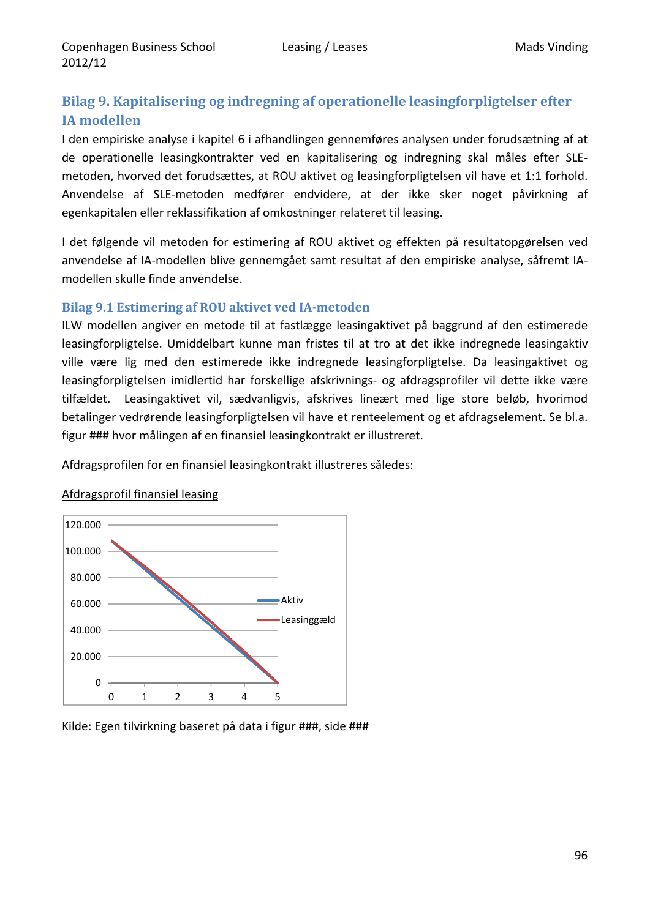## **Bilag 9. Kapitalisering og indregning af operationelle leasingforpligtelser efter IA modellen**

I den empiriske analyse i kapitel 6 i afhandlingen gennemføres analysen under forudsætning af at de operationelle leasingkontrakter ved en kapitalisering og indregning skal måles efter SLE‐ metoden, hvorved det forudsættes, at ROU aktivet og leasingforpligtelsen vil have et 1:1 forhold. Anvendelse af SLE‐metoden medfører endvidere, at der ikke sker noget påvirkning af egenkapitalen eller reklassifikation af omkostninger relateret til leasing.

I det følgende vil metoden for estimering af ROU aktivet og effekten på resultatopgørelsen ved anvendelse af IA‐modellen blive gennemgået samt resultat af den empiriske analyse, såfremt IA‐ modellen skulle finde anvendelse.

### **Bilag 9.1 Estimering af ROU aktivet ved IA‐metoden**

ILW modellen angiver en metode til at fastlægge leasingaktivet på baggrund af den estimerede leasingforpligtelse. Umiddelbart kunne man fristes til at tro at det ikke indregnede leasingaktiv ville være lig med den estimerede ikke indregnede leasingforpligtelse. Da leasingaktivet og leasingforpligtelsen imidlertid har forskellige afskrivnings‐ og afdragsprofiler vil dette ikke være tilfældet. Leasingaktivet vil, sædvanligvis, afskrives lineært med lige store beløb, hvorimod betalinger vedrørende leasingforpligtelsen vil have et renteelement og et afdragselement. Se bl.a. figur ### hvor målingen af en finansiel leasingkontrakt er illustreret.

Afdragsprofilen for en finansiel leasingkontrakt illustreres således:



## Afdragsprofil finansiel leasing

Kilde: Egen tilvirkning baseret på data i figur ###, side ###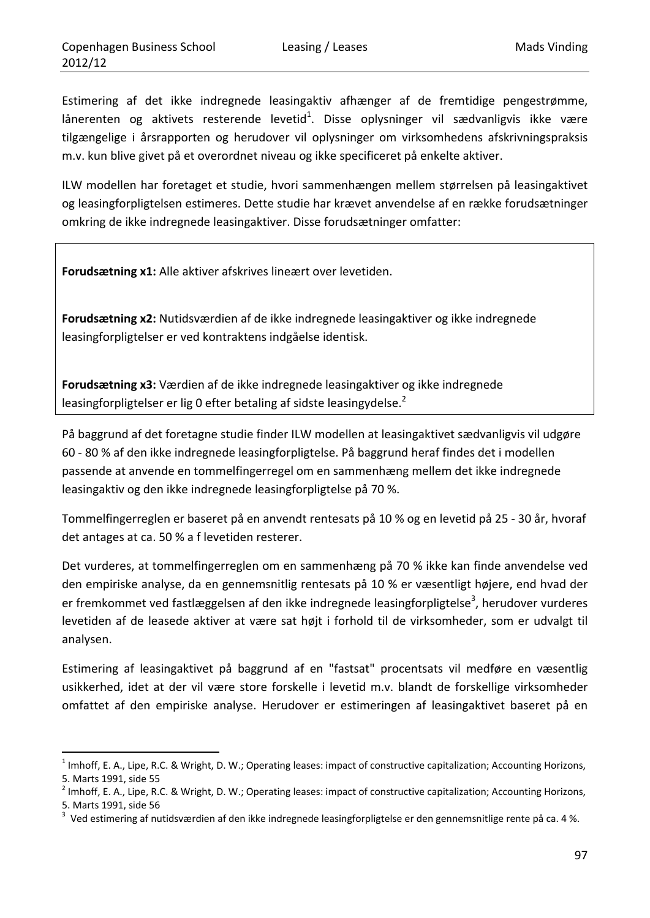<u> 1989 - Johann Barn, mars eta inperiodo</u>

Estimering af det ikke indregnede leasingaktiv afhænger af de fremtidige pengestrømme, lånerenten og aktivets resterende levetid $^1$ . Disse oplysninger vil sædvanligvis ikke være tilgængelige i årsrapporten og herudover vil oplysninger om virksomhedens afskrivningspraksis m.v. kun blive givet på et overordnet niveau og ikke specificeret på enkelte aktiver.

ILW modellen har foretaget et studie, hvori sammenhængen mellem størrelsen på leasingaktivet og leasingforpligtelsen estimeres. Dette studie har krævet anvendelse af en række forudsætninger omkring de ikke indregnede leasingaktiver. Disse forudsætninger omfatter:

**Forudsætning x1:** Alle aktiver afskrives lineært over levetiden.

**Forudsætning x2:** Nutidsværdien af de ikke indregnede leasingaktiver og ikke indregnede leasingforpligtelser er ved kontraktens indgåelse identisk.

**Forudsætning x3:** Værdien af de ikke indregnede leasingaktiver og ikke indregnede leasingforpligtelser er lig 0 efter betaling af sidste leasingydelse.<sup>2</sup>

På baggrund af det foretagne studie finder ILW modellen at leasingaktivet sædvanligvis vil udgøre 60 ‐ 80 % af den ikke indregnede leasingforpligtelse. På baggrund heraf findes det i modellen passende at anvende en tommelfingerregel om en sammenhæng mellem det ikke indregnede leasingaktiv og den ikke indregnede leasingforpligtelse på 70 %.

Tommelfingerreglen er baseret på en anvendt rentesats på 10 % og en levetid på 25 ‐ 30 år, hvoraf det antages at ca. 50 % a f levetiden resterer.

Det vurderes, at tommelfingerreglen om en sammenhæng på 70 % ikke kan finde anvendelse ved den empiriske analyse, da en gennemsnitlig rentesats på 10 % er væsentligt højere, end hvad der er fremkommet ved fastlæggelsen af den ikke indregnede leasingforpligtelse<sup>3</sup>, herudover vurderes levetiden af de leasede aktiver at være sat højt i forhold til de virksomheder, som er udvalgt til analysen.

Estimering af leasingaktivet på baggrund af en "fastsat" procentsats vil medføre en væsentlig usikkerhed, idet at der vil være store forskelle i levetid m.v. blandt de forskellige virksomheder omfattet af den empiriske analyse. Herudover er estimeringen af leasingaktivet baseret på en

 $1$  Imhoff, E. A., Lipe, R.C. & Wright, D. W.; Operating leases: impact of constructive capitalization; Accounting Horizons, 5. Marts 1991, side 55<br><sup>2</sup> Imhoff, E. A., Lipe, R.C. & Wright, D. W.; Operating leases: impact of constructive capitalization; Accounting Horizons,

<sup>5.</sup> Marts 1991, side 56

 $3$  Ved estimering af nutidsværdien af den ikke indregnede leasingforpligtelse er den gennemsnitlige rente på ca. 4 %.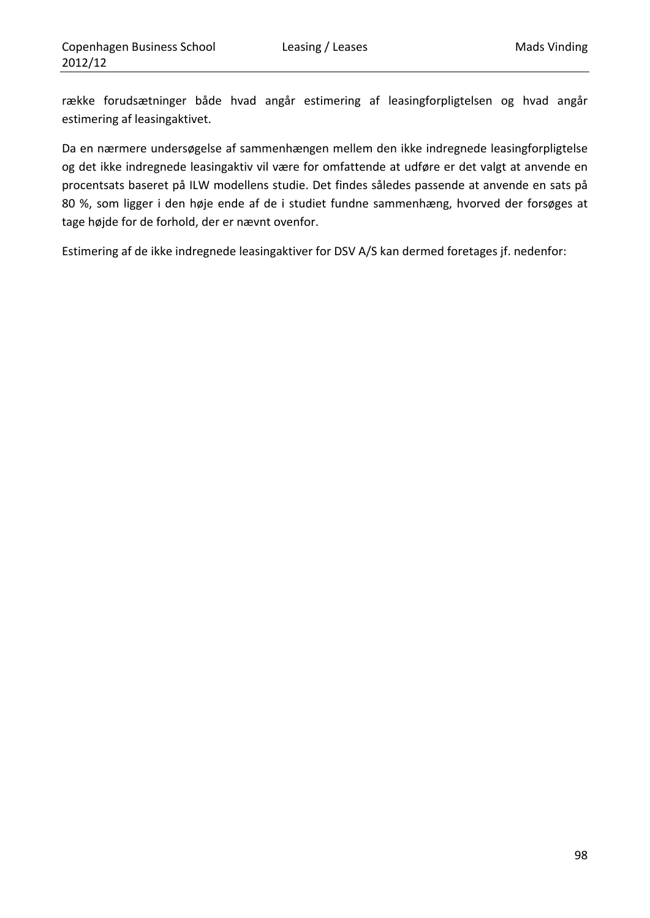række forudsætninger både hvad angår estimering af leasingforpligtelsen og hvad angår estimering af leasingaktivet.

Da en nærmere undersøgelse af sammenhængen mellem den ikke indregnede leasingforpligtelse og det ikke indregnede leasingaktiv vil være for omfattende at udføre er det valgt at anvende en procentsats baseret på ILW modellens studie. Det findes således passende at anvende en sats på 80 %, som ligger i den høje ende af de i studiet fundne sammenhæng, hvorved der forsøges at tage højde for de forhold, der er nævnt ovenfor.

Estimering af de ikke indregnede leasingaktiver for DSV A/S kan dermed foretages jf. nedenfor: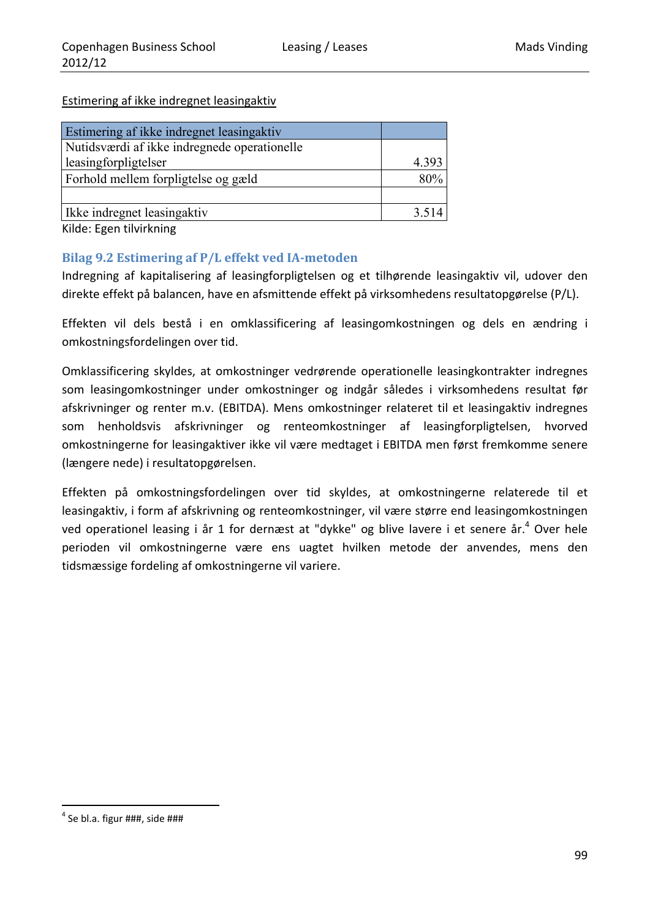### Estimering af ikke indregnet leasingaktiv

| Estimering af ikke indregnet leasingaktiv    |       |
|----------------------------------------------|-------|
| Nutidsværdi af ikke indregnede operationelle |       |
| leasingforpligtelser                         | 4.393 |
| Forhold mellem forpligtelse og gæld          | 80%   |
|                                              |       |
| Ikke indregnet leasingaktiv                  | 3.514 |

Kilde: Egen tilvirkning

### **Bilag 9.2 Estimering af P/L effekt ved IA‐metoden**

Indregning af kapitalisering af leasingforpligtelsen og et tilhørende leasingaktiv vil, udover den direkte effekt på balancen, have en afsmittende effekt på virksomhedens resultatopgørelse (P/L).

Effekten vil dels bestå i en omklassificering af leasingomkostningen og dels en ændring i omkostningsfordelingen over tid.

Omklassificering skyldes, at omkostninger vedrørende operationelle leasingkontrakter indregnes som leasingomkostninger under omkostninger og indgår således i virksomhedens resultat før afskrivninger og renter m.v. (EBITDA). Mens omkostninger relateret til et leasingaktiv indregnes som henholdsvis afskrivninger og renteomkostninger af leasingforpligtelsen, hvorved omkostningerne for leasingaktiver ikke vil være medtaget i EBITDA men først fremkomme senere (længere nede) i resultatopgørelsen.

Effekten på omkostningsfordelingen over tid skyldes, at omkostningerne relaterede til et leasingaktiv, i form af afskrivning og renteomkostninger, vil være større end leasingomkostningen ved operationel leasing i år 1 for dernæst at "dykke" og blive lavere i et senere år.<sup>4</sup> Over hele perioden vil omkostningerne være ens uagtet hvilken metode der anvendes, mens den tidsmæssige fordeling af omkostningerne vil variere.

<u> 1989 - Johann Barn, mars eta inperiodo</u>

 $4$  Se bl.a. figur  $\# \# \#$ , side  $\# \# \#$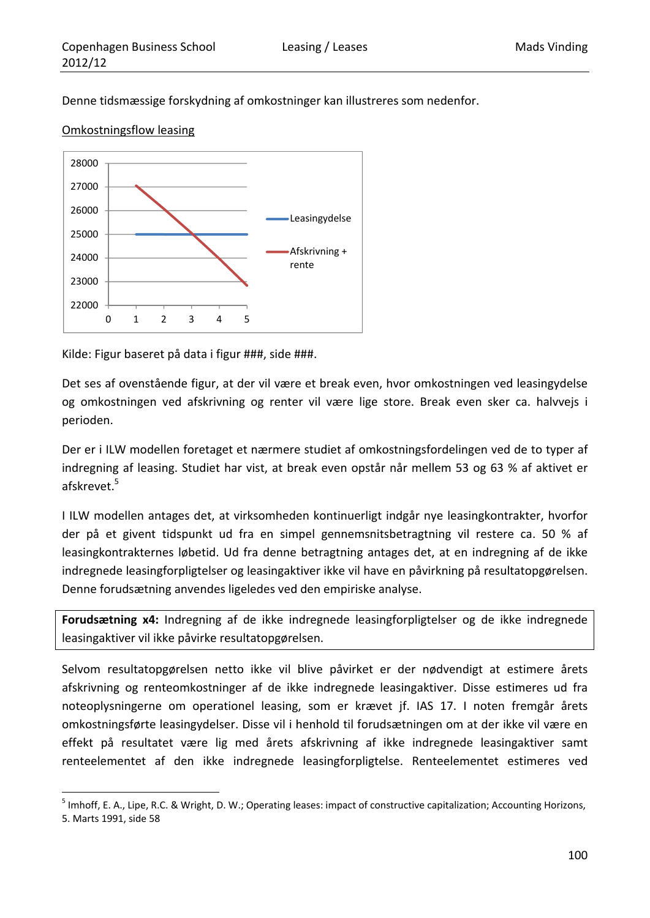Denne tidsmæssige forskydning af omkostninger kan illustreres som nedenfor.





Kilde: Figur baseret på data i figur ###, side ###.

Det ses af ovenstående figur, at der vil være et break even, hvor omkostningen ved leasingydelse og omkostningen ved afskrivning og renter vil være lige store. Break even sker ca. halvvejs i perioden.

Der er i ILW modellen foretaget et nærmere studiet af omkostningsfordelingen ved de to typer af indregning af leasing. Studiet har vist, at break even opstår når mellem 53 og 63 % af aktivet er afskrevet.<sup>5</sup>

I ILW modellen antages det, at virksomheden kontinuerligt indgår nye leasingkontrakter, hvorfor der på et givent tidspunkt ud fra en simpel gennemsnitsbetragtning vil restere ca. 50 % af leasingkontrakternes løbetid. Ud fra denne betragtning antages det, at en indregning af de ikke indregnede leasingforpligtelser og leasingaktiver ikke vil have en påvirkning på resultatopgørelsen. Denne forudsætning anvendes ligeledes ved den empiriske analyse.

**Forudsætning x4:** Indregning af de ikke indregnede leasingforpligtelser og de ikke indregnede leasingaktiver vil ikke påvirke resultatopgørelsen.

Selvom resultatopgørelsen netto ikke vil blive påvirket er der nødvendigt at estimere årets afskrivning og renteomkostninger af de ikke indregnede leasingaktiver. Disse estimeres ud fra noteoplysningerne om operationel leasing, som er krævet jf. IAS 17. I noten fremgår årets omkostningsførte leasingydelser. Disse vil i henhold til forudsætningen om at der ikke vil være en effekt på resultatet være lig med årets afskrivning af ikke indregnede leasingaktiver samt renteelementet af den ikke indregnede leasingforpligtelse. Renteelementet estimeres ved

<sup>&</sup>lt;u> 1989 - Johann Barn, mars eta inperiodo</u> <sup>5</sup> Imhoff, E. A., Lipe, R.C. & Wright, D. W.; Operating leases: impact of constructive capitalization; Accounting Horizons, 5. Marts 1991, side 58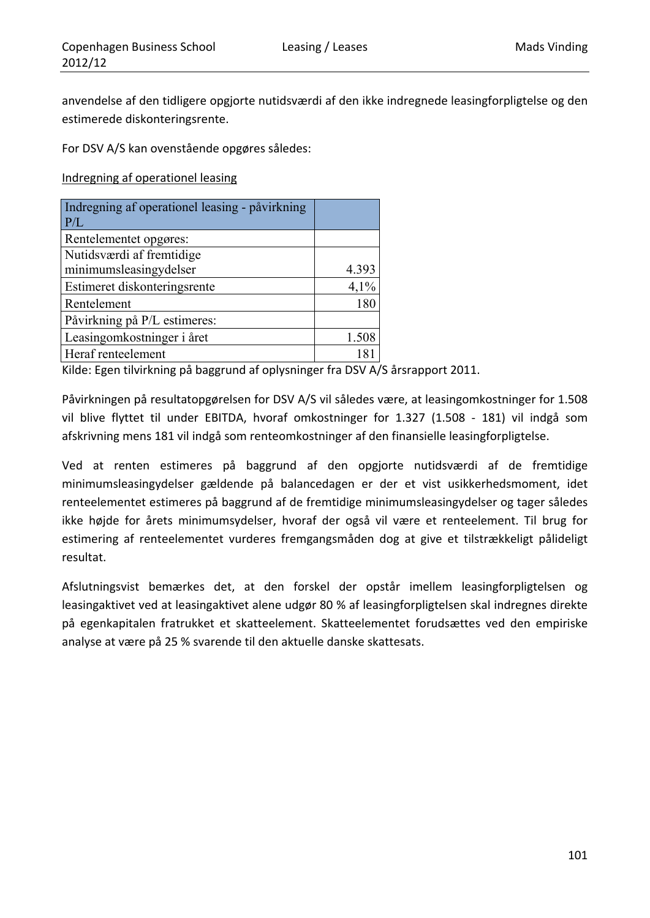anvendelse af den tidligere opgjorte nutidsværdi af den ikke indregnede leasingforpligtelse og den estimerede diskonteringsrente.

For DSV A/S kan ovenstående opgøres således:

Indregning af operationel leasing

| Indregning af operationel leasing - påvirkning<br>P/L |       |
|-------------------------------------------------------|-------|
| Rentelementet opgøres:                                |       |
| Nutidsværdi af fremtidige                             |       |
| minimumsleasingydelser                                | 4.393 |
| Estimeret diskonteringsrente                          | 4,1%  |
| Rentelement                                           | 180   |
| Påvirkning på P/L estimeres:                          |       |
| Leasingomkostninger i året                            | 1.508 |
| Heraf renteelement                                    |       |

Kilde: Egen tilvirkning på baggrund af oplysninger fra DSV A/S årsrapport 2011.

Påvirkningen på resultatopgørelsen for DSV A/S vil således være, at leasingomkostninger for 1.508 vil blive flyttet til under EBITDA, hvoraf omkostninger for 1.327 (1.508 - 181) vil indgå som afskrivning mens 181 vil indgå som renteomkostninger af den finansielle leasingforpligtelse.

Ved at renten estimeres på baggrund af den opgjorte nutidsværdi af de fremtidige minimumsleasingydelser gældende på balancedagen er der et vist usikkerhedsmoment, idet renteelementet estimeres på baggrund af de fremtidige minimumsleasingydelser og tager således ikke højde for årets minimumsydelser, hvoraf der også vil være et renteelement. Til brug for estimering af renteelementet vurderes fremgangsmåden dog at give et tilstrækkeligt pålideligt resultat.

Afslutningsvist bemærkes det, at den forskel der opstår imellem leasingforpligtelsen og leasingaktivet ved at leasingaktivet alene udgør 80 % af leasingforpligtelsen skal indregnes direkte på egenkapitalen fratrukket et skatteelement. Skatteelementet forudsættes ved den empiriske analyse at være på 25 % svarende til den aktuelle danske skattesats.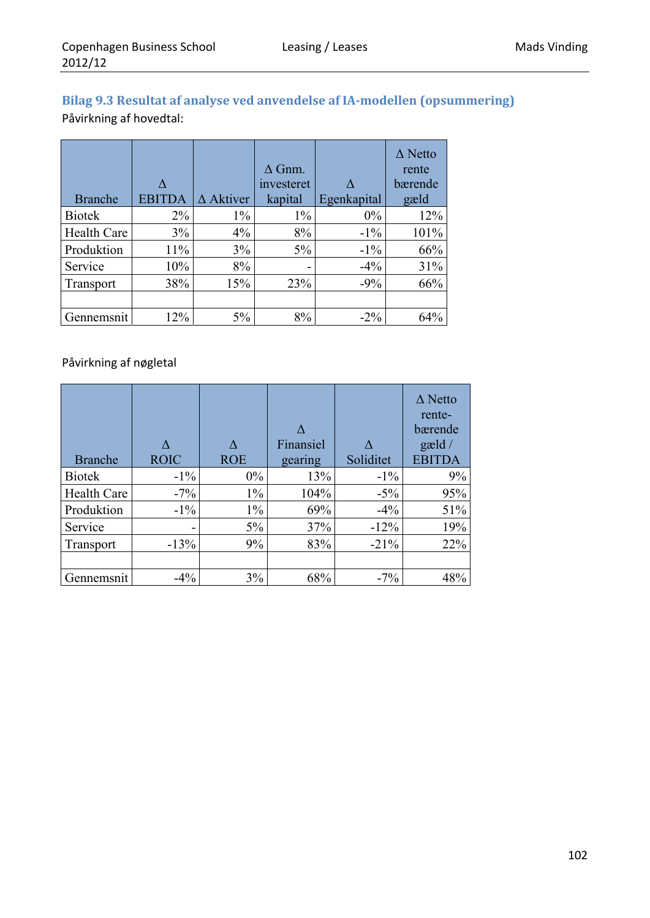## **Bilag 9.3 Resultat af analyse ved anvendelse af IA‐modellen (opsummering)** Påvirkning af hovedtal:

| <b>Branche</b>     | EBIT  | $\Delta$ Aktiver | $\Delta$ Gnm.<br>investeret<br>kapital | Egenkapital | $\Delta$ Netto<br>rente<br>bærende<br>gæld |
|--------------------|-------|------------------|----------------------------------------|-------------|--------------------------------------------|
| <b>Biotek</b>      | $2\%$ | $1\%$            | $1\%$                                  | $0\%$       | 12%                                        |
| <b>Health Care</b> | 3%    | 4%               | 8%                                     | $-1\%$      | 101%                                       |
| Produktion         | 11%   | 3%               | $5\%$                                  | $-1\%$      | 66%                                        |
| Service            | 10%   | 8%               | -                                      | $-4\%$      | 31%                                        |
| Transport          | 38%   | 15%              | 23%                                    | $-9%$       | 66%                                        |
|                    |       |                  |                                        |             |                                            |
| Gennemsnit         | 12%   | 5%               | 8%                                     | $-2\%$      | 64%                                        |

### Påvirkning af nøgletal

| <b>Branche</b>     | <b>ROIC</b>              | <b>ROE</b> | Finansiel<br>gearing | Soliditet | $\Delta$ Netto<br>rente-<br>bærende<br>$\text{gæld}/$<br><b>EBITDA</b> |
|--------------------|--------------------------|------------|----------------------|-----------|------------------------------------------------------------------------|
|                    |                          |            |                      |           |                                                                        |
| <b>Biotek</b>      | $-1\%$                   | $0\%$      | 13%                  | $-1\%$    | 9%                                                                     |
| <b>Health Care</b> | $-7\%$                   | $1\%$      | 104%                 | $-5\%$    | 95%                                                                    |
| Produktion         | $-1\%$                   | $1\%$      | 69%                  | $-4\%$    | 51%                                                                    |
| Service            | $\overline{\phantom{0}}$ | $5\%$      | 37%                  | $-12%$    | 19%                                                                    |
| Transport          | $-13%$                   | 9%         | 83%                  | $-21%$    | 22%                                                                    |
|                    |                          |            |                      |           |                                                                        |
| Gennemsnit         | $-4\%$                   | 3%         | 68%                  | $-7\%$    | 48%                                                                    |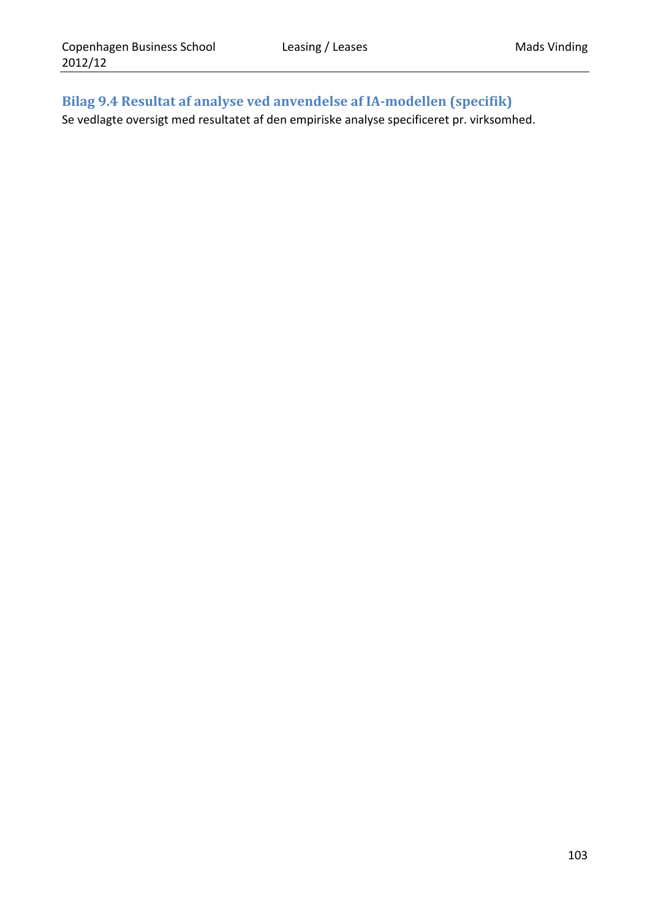## **Bilag 9.4 Resultat af analyse ved anvendelse af IA‐modellen (specifik)**

Se vedlagte oversigt med resultatet af den empiriske analyse specificeret pr. virksomhed.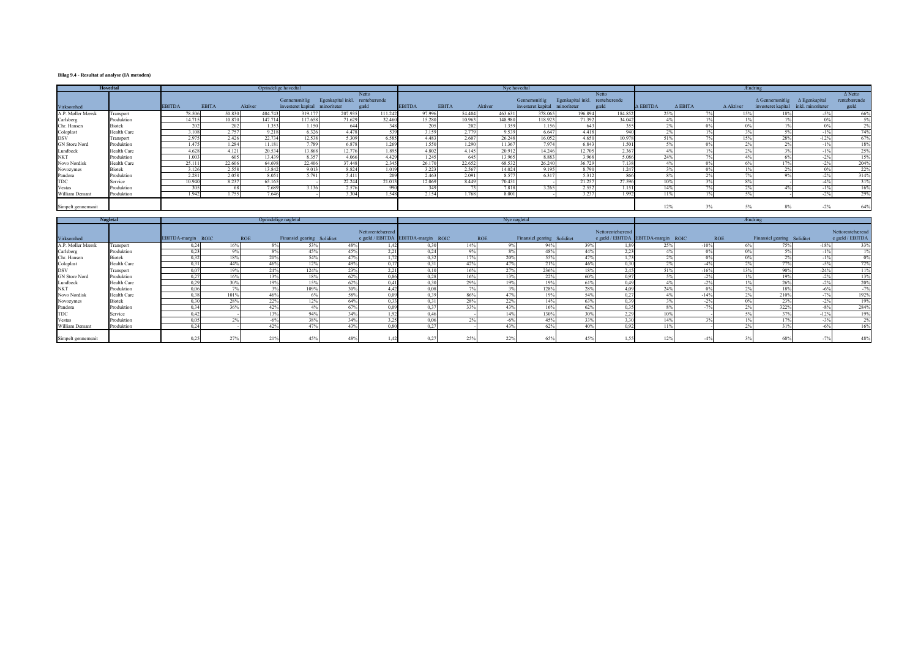# **Bilag 9.4 - Resultat af analyse (IA metoden)**

| <b>Hovedtal</b>    |                    | Oprindelige hovedtal |              |         |         |                    |                                |        |               | Nye hovedtal |        |         |                                |                                |         |                 | <b>Ændring</b>    |                  |                                             |                                      |                |  |  |
|--------------------|--------------------|----------------------|--------------|---------|---------|--------------------|--------------------------------|--------|---------------|--------------|--------|---------|--------------------------------|--------------------------------|---------|-----------------|-------------------|------------------|---------------------------------------------|--------------------------------------|----------------|--|--|
|                    |                    |                      |              |         |         |                    |                                | Netto  |               |              |        |         |                                |                                | Netto   |                 |                   |                  |                                             |                                      | $\Delta$ Netto |  |  |
|                    |                    |                      |              |         |         | Gennemsnitlig      | Egenkapital inkl. rentebærende |        |               |              |        |         | Gennemsnitlig                  | Egenkapital inkl. rentebærende |         |                 |                   |                  | $\Delta$ Gennemsnitlig $\Delta$ Egenkapital |                                      | rentebærende   |  |  |
| Virksomhed         |                    | <b>EBITDA</b>        | <b>EBITA</b> | Aktiver |         | investeret kapital | minoriteter                    | gæld   | <b>EBITDA</b> | <b>EBITA</b> |        | Aktiver | investeret kapital minoriteter |                                | gæld    | $\Delta$ EBITDA | $\triangle$ EBITA | $\Delta$ Aktiver |                                             | investeret kapital inkl. minoriteter | gæld           |  |  |
| A.P. Møller Mærsk  | Transport          |                      | 78.506       | 50.830  | 404.74  | 319.177            | 207.935                        | 111.24 |               | 97.996       | 54.404 | 463.631 | 378.065                        | 196.894                        | 184.852 | 25%             |                   | 15%              |                                             | $-5\%$                               | 66%            |  |  |
| Carlsberg          | Produktion         |                      | 14.715       | 10.870  | 147.714 | 117.658            | 71.629                         | 32.460 |               | 15.280       | 10.963 | 148.980 | 118.923                        | 71.392                         | 34.042  |                 |                   |                  |                                             | 0 <sup>0</sup>                       | 5%             |  |  |
| Chr. Hansen        | <b>Biotek</b>      |                      | ാല           | 202     | 1.353   | 1.150              | 644                            |        |               | 205          |        | 1.359   | 1.156                          | 643                            |         |                 |                   |                  |                                             |                                      | 2%             |  |  |
| Coloplast<br>DSV   | <b>Health Care</b> |                      | 3.108        | 2.757   | 9.218   | 6.326              | 4.478                          |        |               | 3.159        | 2.779  | 9.539   | 6.647                          | 4.418                          | 940     |                 |                   |                  |                                             |                                      | 74%            |  |  |
|                    | Transport          |                      | 2.975        | 2.426   | 22.734  | 12.538             | 5.309                          | 6.585  |               | 4.483        | 2.607  | 26.248  | 16.052                         | 4.650                          | 10.978  | 51%             |                   | 15%              | 28%                                         | $-12%$                               | 67%            |  |  |
| GN Store Nord      | Produktion         |                      | 1.475        | 1.284   | 11.18   | 7.789              | 6.878                          | 1.26   |               | 1.550        | 1.290  | 11.367  | 7.974                          | 6.843                          | 1.501   |                 | $\Omega$          | $\Omega$         |                                             | $-1%$                                | 18%            |  |  |
| Lundbeck           | Health Care        |                      | 4.628        | 4.121   | 20.534  | 13.868             | 12.776                         | 1.89   |               | 4.802        | 4.145  | 20.912  | 14.246                         | 12.705                         | 2.367   |                 |                   |                  |                                             | $-1%$                                | 25%            |  |  |
| <b>NKT</b>         | Produktion         |                      | 1.003        | 605     | 13.439  | 8.357              | 4.066                          | 4.429  |               | 1.245        | 645    | 13.965  | 8.883                          | 3.968                          | 5.086   | 24%             |                   |                  |                                             | $-2\%$                               | 15%            |  |  |
| Novo Nordisk       | Health Care        |                      | 25.111       | 22.606  | 64.698  | 22.406             | 37448                          | 2.34:  |               | 26.170       | 22.652 | 68.532  | 26.240                         | 36.729                         | 7.138   | 4%              |                   | 00 <sup>2</sup>  |                                             | $-2\%$                               | 204%           |  |  |
| Novozymes          | <b>Biotek</b>      |                      | 3.126        | 2.558   | 13.842  | 9.013              | 8.824                          | 1.01   |               | 3.223        | 2.567  | 14.024  | 9.195                          | 8.790                          | 1.247   |                 |                   |                  |                                             | 0%                                   | 22%            |  |  |
| Pandora            | Produktion         |                      | 2.281        | 2.058   | 8.05    | 5.791              | 5.411                          |        |               | 2.463        | 2.091  | 8.57    | 6.317                          | 5.312                          | 866     |                 |                   |                  |                                             | $-2%$                                | 314%           |  |  |
| <b>TDC</b>         | Service            |                      | 10.940       | 8.237   | 65.16:  |                    | 22.244                         | 21.01  |               | 12.069       | 8.449  | 70.431  |                                | 21.257                         | 27.596  | 10%             |                   |                  |                                             |                                      | 31%            |  |  |
| Vestas             | Produktion         |                      | 30           |         | 7.689   | 3.136              | 2.576                          | - 990  |               | 349          |        | 7.818   | 3.265                          | 2.552                          | 1.151   | 14%             |                   |                  |                                             | $-1\%$                               | 16%            |  |  |
| William Demant     | Produktion         |                      | 1.942        | 1.755   | 7.646   |                    | 3.304                          | 1.54   |               | 2.154        | 1.768  | 8.001   |                                | 3.237                          | 1.992   | 11%             |                   |                  |                                             | $-2%$                                | 29%            |  |  |
| Simpelt gennemsnit |                    |                      |              |         |         |                    |                                |        |               |              |        |         |                                |                                |         | 12%             |                   | 3%<br>5%         |                                             | $-2\%$                               | 64%            |  |  |

| <b>Nøgletal</b>      |                    |                         |      |            | Oprindelige nøgletal        | Nye nøgletal |                        |                                    |            |                     |                             | <b>Ændring</b> |                                                        |            |        |            |                             |                         |                                     |
|----------------------|--------------------|-------------------------|------|------------|-----------------------------|--------------|------------------------|------------------------------------|------------|---------------------|-----------------------------|----------------|--------------------------------------------------------|------------|--------|------------|-----------------------------|-------------------------|-------------------------------------|
| Virksomhed           |                    | EBITDA-margin ROIC      |      | <b>ROE</b> | Finansiel gearing Soliditet |              | Nettorentebærend       | e gæld / EBITDA EBITDA-margin ROIC | <b>ROE</b> |                     | Finansiel gearing Soliditet |                | Nettorentebærend<br>e gæld / EBITDA EBITDA-margin ROIC |            |        | <b>ROE</b> | Finansiel gearing Soliditet |                         | Nettorentebærend<br>e gæld / EBITDA |
| A.P. Møller Mærsk    | Transport          | 0.24                    | 16%  |            | 53%                         | 48%          |                        | 0,30                               | 14%        | $9\%$               | 94%                         | 39%            |                                                        | 25%        | $-10%$ | 6%         | 75%                         | $-18%$                  | 33%                                 |
| Carlsberg            | Produktion         | 0.23                    | 9%   |            | 45%                         | 45%          | 221<br>4.41            | 0,24                               | 9%         | 8%                  | 48%                         | 44%            | 2,23                                                   | $4\%$      | 0%     | 0%         | 50                          | $\overline{10}$<br>- 11 | $1\%$                               |
| Chr. Hansen          | <b>Biotek</b>      | 0.32                    | 18%  | 20%        | 54%                         | 47%          |                        | 0,32                               | 17%        | 20 <sup>9</sup>     | 55%                         | 47%            | 1.77                                                   |            |        | 0%         |                             |                         | 0%                                  |
| Coloplast            | <b>Health Care</b> | $\Omega$                | 44%  | 46%        | 12%                         | 49%          |                        | 0.31                               | 42%        | 47%                 | 21%                         | 46%            | 0.30                                                   | $\Delta 0$ |        |            | 770/                        | $-50$                   | 72%                                 |
| <b>DSV</b>           | Transport          | 0 <sup>o</sup>          | 19%  | 24%        | 124%                        | 23%          | 2.21<br>$\overline{a}$ | 0.10                               | 16%        | 27%                 | 236%                        | 18%            | 2.45                                                   | 210        | $-16%$ | 13%        | 90%                         | $-24%$                  | 11%                                 |
| <b>GN</b> Store Nord | Produktion         | 0.27                    | 16%  | 13%        | 18%                         | 62%          | 0.86                   | 0.28                               | 16%        | 13%                 | 22%                         | 60%            | 0.97                                                   | 50/6       |        |            | 19%                         |                         | 13%                                 |
| Lundbeck             | <b>Health Care</b> |                         | 30%  | 19%        | 15%                         | 62%          | 0.41                   | 0,30                               | 29%        | 19%                 | 19%                         | 61%            | 0.49                                                   | 4%         |        |            | 26%                         |                         | 20%                                 |
| <b>NKT</b>           | Produktion         | 0.06                    | 70/  |            | 109%                        | 30%          |                        | 0.08                               | 70.        |                     | 128%                        | 28%            | 4.09                                                   | 24%        |        |            | 18%                         | $-6^{\circ}$            | $-7%$                               |
| Novo Nordisk         | <b>Health Care</b> | 0.38                    | 101% | 46%        | 6%                          | 58%          |                        | 0.39                               | 86%        | 47%                 | 19%                         | 54%            | 0.27                                                   | 40/        | $-14%$ | $\sim$     | 210%                        | 70/                     | 192%                                |
| Novozymes            | <b>Biotek</b>      | 0.30                    | 28%  | 22%        | 12%                         | 64%          |                        | 0.31                               | 28%        | 22%                 | 14%                         | 63%            | 0.39                                                   |            | 20     | 0%         | 23%                         | $-2\%$                  | 19%                                 |
| Pandora              | Produktion         | 0.34                    | 36%  | 42%        | 4%                          | 67%          | 0.09                   | 0.37                               | 33%        | 43%                 | 16%                         | 62%            | 0.35                                                   | 8%         | 70/    | 20/        | 322%                        | $-8%$                   | 284%                                |
| <b>TDC</b>           | Service            | $\triangle$ $\triangle$ |      |            | 94%                         | 34%          |                        | 0.46                               |            | 149                 | 130%                        | 30%            | 2,29                                                   | 100/       |        |            |                             | $-12^{\circ}$           | 19%                                 |
| Vestas               | Produktion         | 0.05                    |      |            | 38%                         | 34%          |                        | 0,06                               |            | $-6^{\circ}$        | 45%                         | 33%            | 3,30                                                   | 14%        |        |            |                             | $-30$                   | 2%                                  |
| William Demant       | Produktion         | 0,24                    |      | 42%        | 47%                         | 43%          | 0,80                   | 0,27                               |            | 43%                 | 62%                         | 40%            | 0,92                                                   | 110        |        |            |                             | $-6^{\circ}$            | 16%                                 |
| Simpelt gennemsnit   |                    | 0.25                    | 270/ | 210        |                             |              |                        | 0,27                               | 25%        | 220<br>$44^{\circ}$ | 65%                         |                |                                                        |            |        |            | 68%                         |                         | 48%                                 |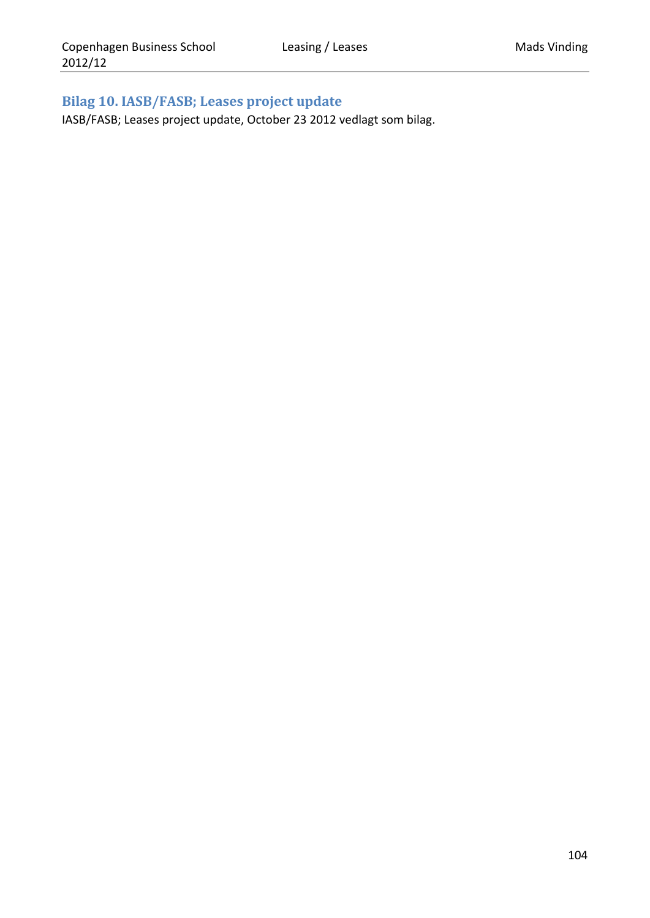# **Bilag 10. IASB/FASB; Leases project update**

IASB/FASB; Leases project update, October 23 2012 vedlagt som bilag.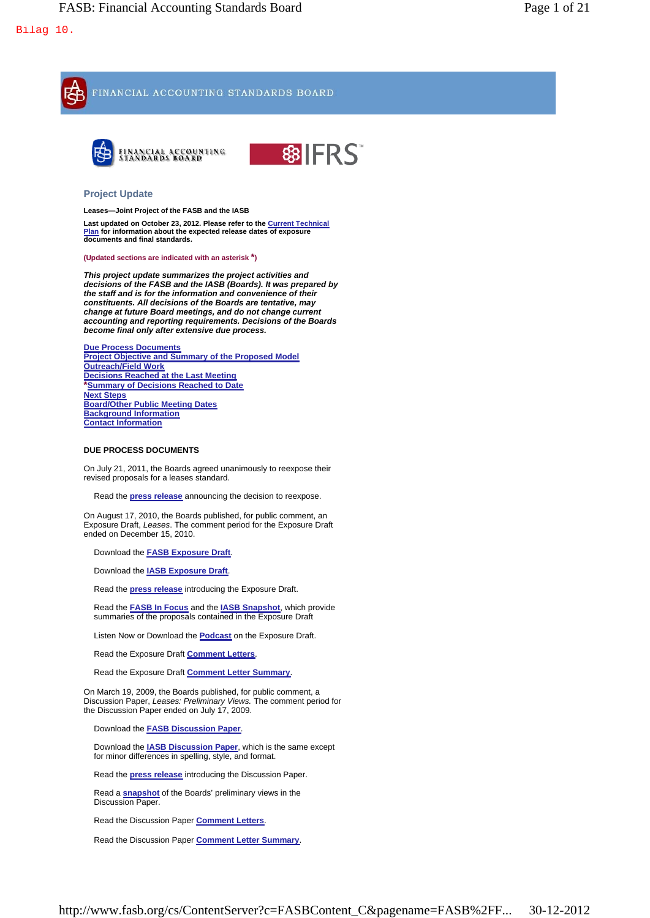

Read the Exposure Draft **Comment Letters**.

Read the Exposure Draft **Comment Letter Summary**.

On March 19, 2009, the Boards published, for public comment, a Discussion Paper, *Leases: Preliminary Views.* The comment period for the Discussion Paper ended on July 17, 2009.

Download the **FASB Discussion Paper**.

Download the **IASB Discussion Paper**, which is the same except for minor differences in spelling, style, and format.

Read the **press release** introducing the Discussion Paper.

Read a **snapshot** of the Boards' preliminary views in the Discussion Paper.

Read the Discussion Paper **Comment Letters**.

Read the Discussion Paper **Comment Letter Summary**.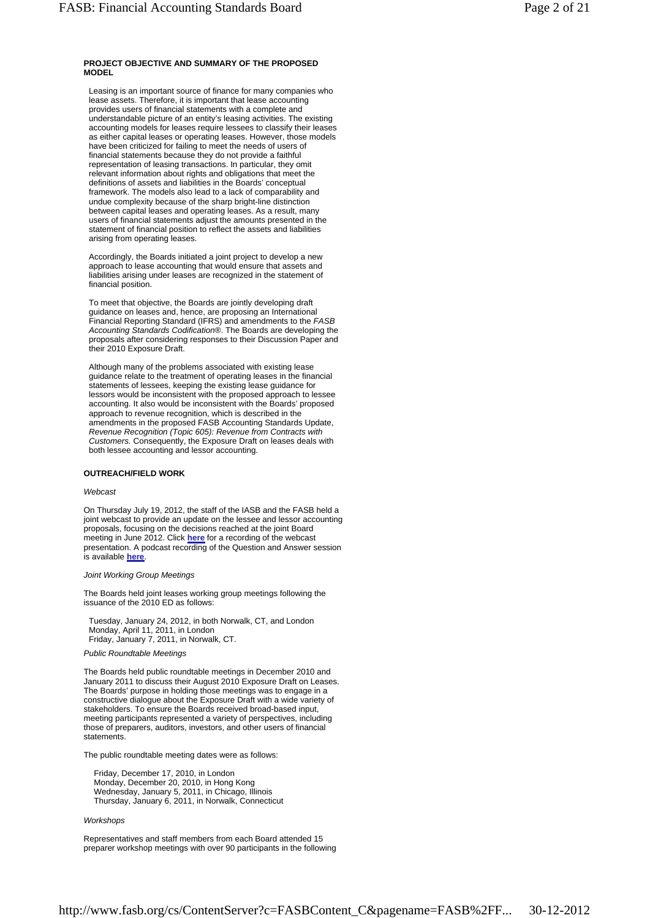### **PROJECT OBJECTIVE AND SUMMARY OF THE PROPOSED MODEL**

Leasing is an important source of finance for many companies who lease assets. Therefore, it is important that lease accounting provides users of financial statements with a complete and understandable picture of an entity's leasing activities. The existing accounting models for leases require lessees to classify their leases as either capital leases or operating leases. However, those models have been criticized for failing to meet the needs of users of financial statements because they do not provide a faithful representation of leasing transactions. In particular, they omit relevant information about rights and obligations that meet the definitions of assets and liabilities in the Boards' conceptual framework. The models also lead to a lack of comparability and undue complexity because of the sharp bright-line distinction between capital leases and operating leases. As a result, many users of financial statements adjust the amounts presented in the statement of financial position to reflect the assets and liabilities arising from operating leases.

Accordingly, the Boards initiated a joint project to develop a new approach to lease accounting that would ensure that assets and liabilities arising under leases are recognized in the statement of financial position.

To meet that objective, the Boards are jointly developing draft guidance on leases and, hence, are proposing an International Financial Reporting Standard (IFRS) and amendments to the *FASB Accounting Standards Codification*®. The Boards are developing the proposals after considering responses to their Discussion Paper and their 2010 Exposure Draft.

Although many of the problems associated with existing lease guidance relate to the treatment of operating leases in the financial statements of lessees, keeping the existing lease guidance for lessors would be inconsistent with the proposed approach to lessee accounting. It also would be inconsistent with the Boards' proposed approach to revenue recognition, which is described in the amendments in the proposed FASB Accounting Standards Update, *Revenue Recognition (Topic 605): Revenue from Contracts with Customers.* Consequently, the Exposure Draft on leases deals with both lessee accounting and lessor accounting.

### **OUTREACH/FIELD WORK**

### *Webcast*

On Thursday July 19, 2012, the staff of the IASB and the FASB held a joint webcast to provide an update on the lessee and lessor accounting proposals, focusing on the decisions reached at the joint Board meeting in June 2012. Click **here** for a recording of the webcast presentation. A podcast recording of the Question and Answer session is available **here**.

#### *Joint Working Group Meetings*

The Boards held joint leases working group meetings following the issuance of the 2010 ED as follows:

Tuesday, January 24, 2012, in both Norwalk, CT, and London Monday, April 11, 2011, in London Friday, January 7, 2011, in Norwalk, CT.

### *Public Roundtable Meetings*

The Boards held public roundtable meetings in December 2010 and January 2011 to discuss their August 2010 Exposure Draft on Leases. The Boards' purpose in holding those meetings was to engage in a constructive dialogue about the Exposure Draft with a wide variety of stakeholders. To ensure the Boards received broad-based input, meeting participants represented a variety of perspectives, including those of preparers, auditors, investors, and other users of financial statements.

The public roundtable meeting dates were as follows:

Friday, December 17, 2010, in London Monday, December 20, 2010, in Hong Kong Wednesday, January 5, 2011, in Chicago, Illinois Thursday, January 6, 2011, in Norwalk, Connecticut

#### *Workshops*

Representatives and staff members from each Board attended 15 preparer workshop meetings with over 90 participants in the following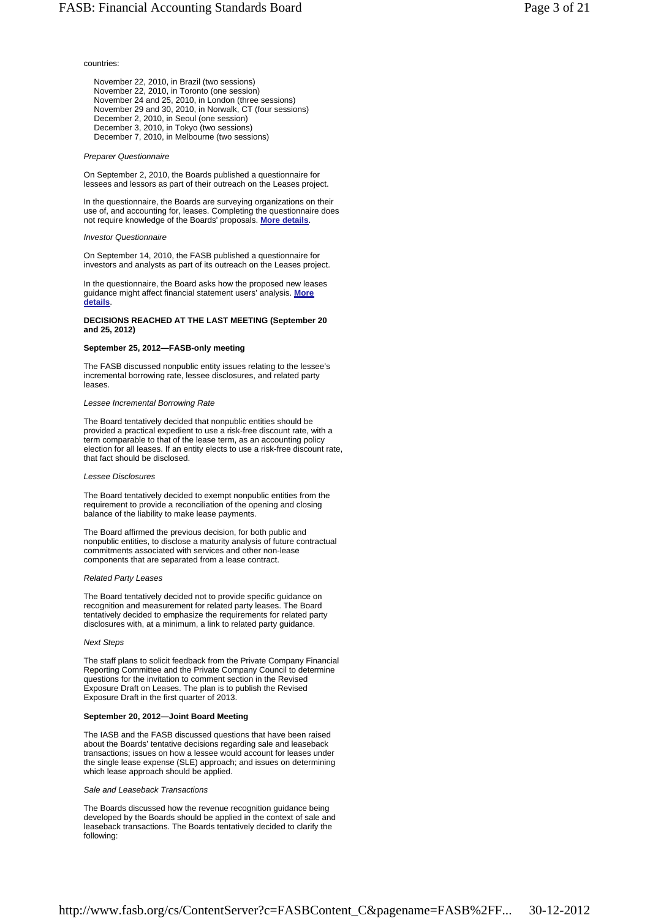# countries:

November 22, 2010, in Brazil (two sessions) November 22, 2010, in Toronto (one session) November 24 and 25, 2010, in London (three sessions) November 29 and 30, 2010, in Norwalk, CT (four sessions) December 2, 2010, in Seoul (one session) December 3, 2010, in Tokyo (two sessions) December 7, 2010, in Melbourne (two sessions)

#### *Preparer Questionnaire*

On September 2, 2010, the Boards published a questionnaire for lessees and lessors as part of their outreach on the Leases project.

In the questionnaire, the Boards are surveying organizations on their use of, and accounting for, leases. Completing the questionnaire does not require knowledge of the Boards' proposals. **More details**.

#### *Investor Questionnaire*

On September 14, 2010, the FASB published a questionnaire for investors and analysts as part of its outreach on the Leases project.

In the questionnaire, the Board asks how the proposed new leases guidance might affect financial statement users' analysis. **More details**.

### **DECISIONS REACHED AT THE LAST MEETING (September 20 and 25, 2012)**

#### **September 25, 2012—FASB-only meeting**

The FASB discussed nonpublic entity issues relating to the lessee's incremental borrowing rate, lessee disclosures, and related party leases.

### *Lessee Incremental Borrowing Rate*

The Board tentatively decided that nonpublic entities should be provided a practical expedient to use a risk-free discount rate, with a term comparable to that of the lease term, as an accounting policy election for all leases. If an entity elects to use a risk-free discount rate, that fact should be disclosed.

#### *Lessee Disclosures*

The Board tentatively decided to exempt nonpublic entities from the requirement to provide a reconciliation of the opening and closing balance of the liability to make lease payments.

The Board affirmed the previous decision, for both public and nonpublic entities, to disclose a maturity analysis of future contractual commitments associated with services and other non-lease components that are separated from a lease contract.

### *Related Party Leases*

The Board tentatively decided not to provide specific guidance on recognition and measurement for related party leases. The Board tentatively decided to emphasize the requirements for related party disclosures with, at a minimum, a link to related party guidance.

### *Next Steps*

The staff plans to solicit feedback from the Private Company Financial Reporting Committee and the Private Company Council to determine questions for the invitation to comment section in the Revised Exposure Draft on Leases. The plan is to publish the Revised Exposure Draft in the first quarter of 2013.

### **September 20, 2012—Joint Board Meeting**

The IASB and the FASB discussed questions that have been raised about the Boards' tentative decisions regarding sale and leaseback transactions; issues on how a lessee would account for leases under the single lease expense (SLE) approach; and issues on determining which lease approach should be applied.

#### *Sale and Leaseback Transactions*

The Boards discussed how the revenue recognition guidance being developed by the Boards should be applied in the context of sale and leaseback transactions. The Boards tentatively decided to clarify the following: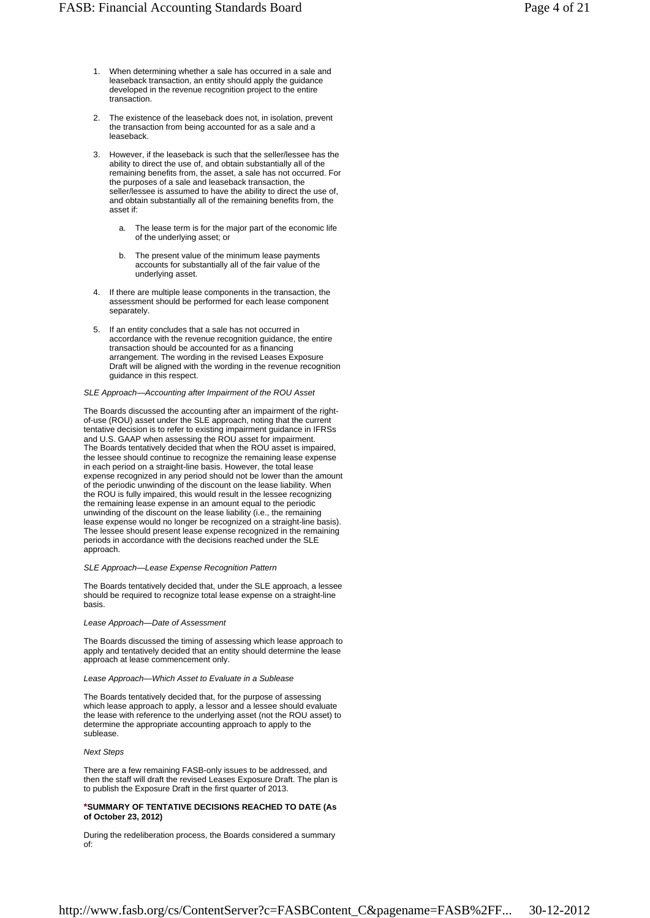- When determining whether a sale has occurred in a sale and leaseback transaction, an entity should apply the guidance developed in the revenue recognition project to the entire transaction. 1.
- 2. The existence of the leaseback does not, in isolation, prevent the transaction from being accounted for as a sale and a leaseback.
- However, if the leaseback is such that the seller/lessee has the ability to direct the use of, and obtain substantially all of the remaining benefits from, the asset, a sale has not occurred. For the purposes of a sale and leaseback transaction, the seller/lessee is assumed to have the ability to direct the use of, and obtain substantially all of the remaining benefits from, the asset if: 3.
	- The lease term is for the major part of the economic life of the underlying asset; or a.
	- The present value of the minimum lease payments accounts for substantially all of the fair value of the underlying asset. b.
- If there are multiple lease components in the transaction, the assessment should be performed for each lease component separately. 4.
- If an entity concludes that a sale has not occurred in accordance with the revenue recognition guidance, the entire transaction should be accounted for as a financing arrangement. The wording in the revised Leases Exposure Draft will be aligned with the wording in the revenue recognition guidance in this respect. 5.

#### *SLE Approach—Accounting after Impairment of the ROU Asset*

The Boards discussed the accounting after an impairment of the rightof-use (ROU) asset under the SLE approach, noting that the current tentative decision is to refer to existing impairment guidance in IFRSs and U.S. GAAP when assessing the ROU asset for impairment. The Boards tentatively decided that when the ROU asset is impaired, the lessee should continue to recognize the remaining lease expense in each period on a straight-line basis. However, the total lease expense recognized in any period should not be lower than the amount of the periodic unwinding of the discount on the lease liability. When the ROU is fully impaired, this would result in the lessee recognizing the remaining lease expense in an amount equal to the periodic unwinding of the discount on the lease liability (i.e., the remaining lease expense would no longer be recognized on a straight-line basis). The lessee should present lease expense recognized in the remaining periods in accordance with the decisions reached under the SLE approach.

#### *SLE Approach—Lease Expense Recognition Pattern*

The Boards tentatively decided that, under the SLE approach, a lessee should be required to recognize total lease expense on a straight-line basis.

#### *Lease Approach—Date of Assessment*

The Boards discussed the timing of assessing which lease approach to apply and tentatively decided that an entity should determine the lease approach at lease commencement only.

#### *Lease Approach—Which Asset to Evaluate in a Sublease*

The Boards tentatively decided that, for the purpose of assessing which lease approach to apply, a lessor and a lessee should evaluate the lease with reference to the underlying asset (not the ROU asset) to determine the appropriate accounting approach to apply to the sublease.

#### *Next Steps*

There are a few remaining FASB-only issues to be addressed, and then the staff will draft the revised Leases Exposure Draft. The plan is to publish the Exposure Draft in the first quarter of 2013.

### **\*SUMMARY OF TENTATIVE DECISIONS REACHED TO DATE (As of October 23, 2012)**

During the redeliberation process, the Boards considered a summary of: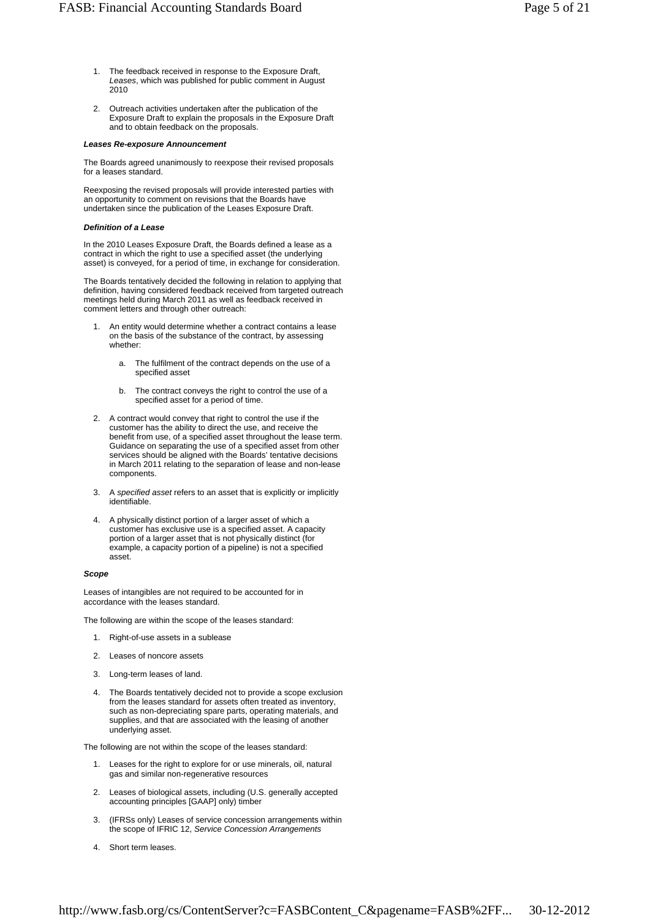- The feedback received in response to the Exposure Draft, *Leases*, which was published for public comment in August 2010 1.
- Outreach activities undertaken after the publication of the Exposure Draft to explain the proposals in the Exposure Draft and to obtain feedback on the proposals.  $\mathcal{L}$

#### *Leases Re-exposure Announcement*

The Boards agreed unanimously to reexpose their revised proposals for a leases standard.

Reexposing the revised proposals will provide interested parties with an opportunity to comment on revisions that the Boards have undertaken since the publication of the Leases Exposure Draft.

#### *Definition of a Lease*

In the 2010 Leases Exposure Draft, the Boards defined a lease as a contract in which the right to use a specified asset (the underlying asset) is conveyed, for a period of time, in exchange for consideration.

The Boards tentatively decided the following in relation to applying that definition, having considered feedback received from targeted outreach meetings held during March 2011 as well as feedback received in comment letters and through other outreach:

- An entity would determine whether a contract contains a lease on the basis of the substance of the contract, by assessing whether: 1.
	- The fulfilment of the contract depends on the use of a specified asset a.
	- The contract conveys the right to control the use of a specified asset for a period of time. b.
- 2. A contract would convey that right to control the use if the customer has the ability to direct the use, and receive the benefit from use, of a specified asset throughout the lease term. Guidance on separating the use of a specified asset from other services should be aligned with the Boards' tentative decisions in March 2011 relating to the separation of lease and non-lease components.
- A *specified asset* refers to an asset that is explicitly or implicitly identifiable. 3.
- 4. A physically distinct portion of a larger asset of which a customer has exclusive use is a specified asset. A capacity portion of a larger asset that is not physically distinct (for example, a capacity portion of a pipeline) is not a specified asset.

### *Scope*

Leases of intangibles are not required to be accounted for in accordance with the leases standard.

The following are within the scope of the leases standard:

- 1. Right-of-use assets in a sublease
- 2. Leases of noncore assets
- 3. Long-term leases of land.
- The Boards tentatively decided not to provide a scope exclusion from the leases standard for assets often treated as inventory, such as non-depreciating spare parts, operating materials, and supplies, and that are associated with the leasing of another underlying asset. 4.

The following are not within the scope of the leases standard:

- Leases for the right to explore for or use minerals, oil, natural gas and similar non-regenerative resources 1.
- Leases of biological assets, including (U.S. generally accepted accounting principles [GAAP] only) timber 2.
- (IFRSs only) Leases of service concession arrangements within the scope of IFRIC 12, *Service Concession Arrangements*  3.
- 4. Short term leases.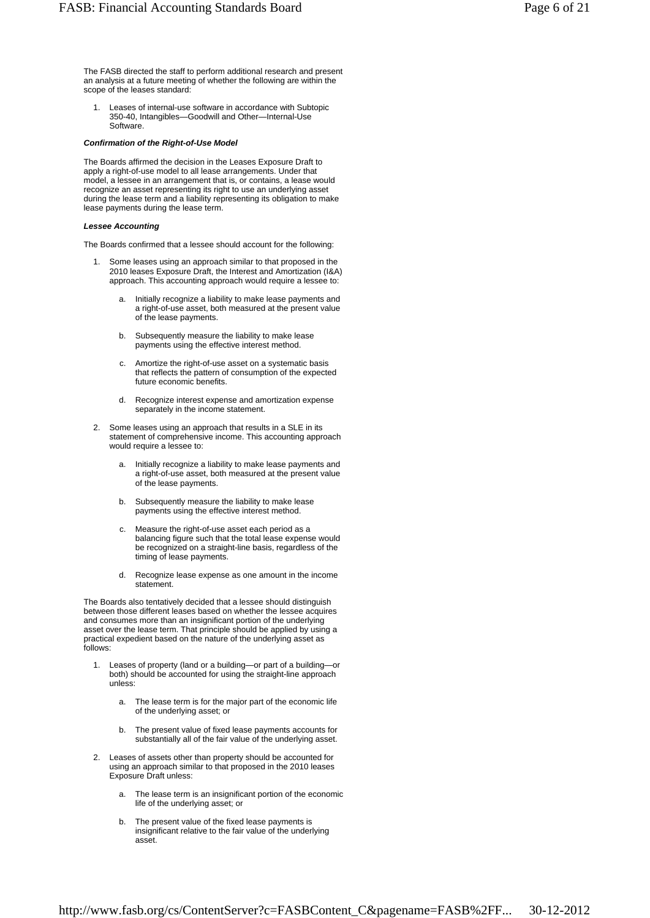Leases of internal-use software in accordance with Subtopic 350-40, Intangibles—Goodwill and Other—Internal-Use Software. 1.

### *Confirmation of the Right-of-Use Model*

The Boards affirmed the decision in the Leases Exposure Draft to apply a right-of-use model to all lease arrangements. Under that model, a lessee in an arrangement that is, or contains, a lease would recognize an asset representing its right to use an underlying asset during the lease term and a liability representing its obligation to make lease payments during the lease term.

### *Lessee Accounting*

The Boards confirmed that a lessee should account for the following:

- Some leases using an approach similar to that proposed in the 2010 leases Exposure Draft, the Interest and Amortization (I&A) approach. This accounting approach would require a lessee to: 1.
	- Initially recognize a liability to make lease payments and a right-of-use asset, both measured at the present value of the lease payments. a.
	- b. Subsequently measure the liability to make lease payments using the effective interest method.
	- Amortize the right-of-use asset on a systematic basis that reflects the pattern of consumption of the expected future economic benefits. c.
	- Recognize interest expense and amortization expense separately in the income statement. d.
- Some leases using an approach that results in a SLE in its statement of comprehensive income. This accounting approach would require a lessee to: 2.
	- Initially recognize a liability to make lease payments and a right-of-use asset, both measured at the present value of the lease payments. a.
	- Subsequently measure the liability to make lease payments using the effective interest method. b.
	- Measure the right-of-use asset each period as a balancing figure such that the total lease expense would be recognized on a straight-line basis, regardless of the timing of lease payments. c.
	- Recognize lease expense as one amount in the income statement. d.

The Boards also tentatively decided that a lessee should distinguish between those different leases based on whether the lessee acquires and consumes more than an insignificant portion of the underlying asset over the lease term. That principle should be applied by using a practical expedient based on the nature of the underlying asset as follows:

- Leases of property (land or a building—or part of a building—or both) should be accounted for using the straight-line approach unless: 1.
	- The lease term is for the major part of the economic life of the underlying asset; or a.
	- The present value of fixed lease payments accounts for substantially all of the fair value of the underlying asset. b.
- Leases of assets other than property should be accounted for 2. using an approach similar to that proposed in the 2010 leases Exposure Draft unless:
	- The lease term is an insignificant portion of the economic life of the underlying asset; or a.
	- The present value of the fixed lease payments is insignificant relative to the fair value of the underlying asset. b.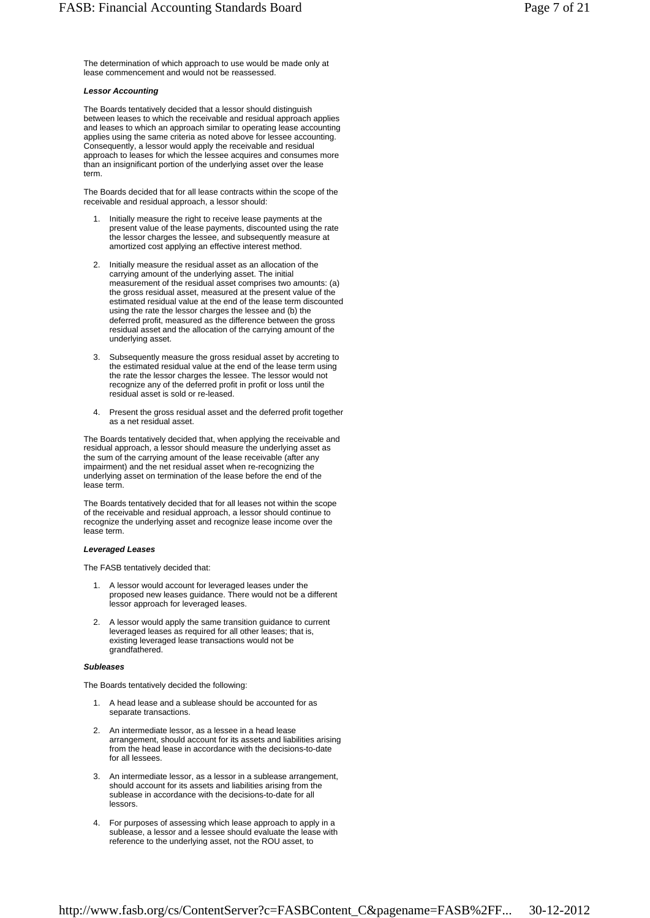The determination of which approach to use would be made only at lease commencement and would not be reassessed.

### *Lessor Accounting*

The Boards tentatively decided that a lessor should distinguish between leases to which the receivable and residual approach applies and leases to which an approach similar to operating lease accounting applies using the same criteria as noted above for lessee accounting. Consequently, a lessor would apply the receivable and residual approach to leases for which the lessee acquires and consumes more than an insignificant portion of the underlying asset over the lease term.

The Boards decided that for all lease contracts within the scope of the receivable and residual approach, a lessor should:

- Initially measure the right to receive lease payments at the present value of the lease payments, discounted using the rate the lessor charges the lessee, and subsequently measure at amortized cost applying an effective interest method. 1.
- Initially measure the residual asset as an allocation of the carrying amount of the underlying asset. The initial measurement of the residual asset comprises two amounts: (a) the gross residual asset, measured at the present value of the estimated residual value at the end of the lease term discounted using the rate the lessor charges the lessee and (b) the deferred profit, measured as the difference between the gross residual asset and the allocation of the carrying amount of the underlying asset. 2.
- Subsequently measure the gross residual asset by accreting to the estimated residual value at the end of the lease term using the rate the lessor charges the lessee. The lessor would not recognize any of the deferred profit in profit or loss until the residual asset is sold or re-leased. 3.
- Present the gross residual asset and the deferred profit together as a net residual asset. 4.

The Boards tentatively decided that, when applying the receivable and residual approach, a lessor should measure the underlying asset as the sum of the carrying amount of the lease receivable (after any impairment) and the net residual asset when re-recognizing the underlying asset on termination of the lease before the end of the lease term.

The Boards tentatively decided that for all leases not within the scope of the receivable and residual approach, a lessor should continue to recognize the underlying asset and recognize lease income over the lease term.

### *Leveraged Leases*

The FASB tentatively decided that:

- A lessor would account for leveraged leases under the proposed new leases guidance. There would not be a different lessor approach for leveraged leases. 1.
- A lessor would apply the same transition guidance to current leveraged leases as required for all other leases; that is, existing leveraged lease transactions would not be grandfathered. 2.

#### *Subleases*

The Boards tentatively decided the following:

- A head lease and a sublease should be accounted for as separate transactions. 1.
- An intermediate lessor, as a lessee in a head lease 2. arrangement, should account for its assets and liabilities arising from the head lease in accordance with the decisions-to-date for all lessees.
- An intermediate lessor, as a lessor in a sublease arrangement, should account for its assets and liabilities arising from the sublease in accordance with the decisions-to-date for all lessors. 3.
- For purposes of assessing which lease approach to apply in a sublease, a lessor and a lessee should evaluate the lease with reference to the underlying asset, not the ROU asset, to 4.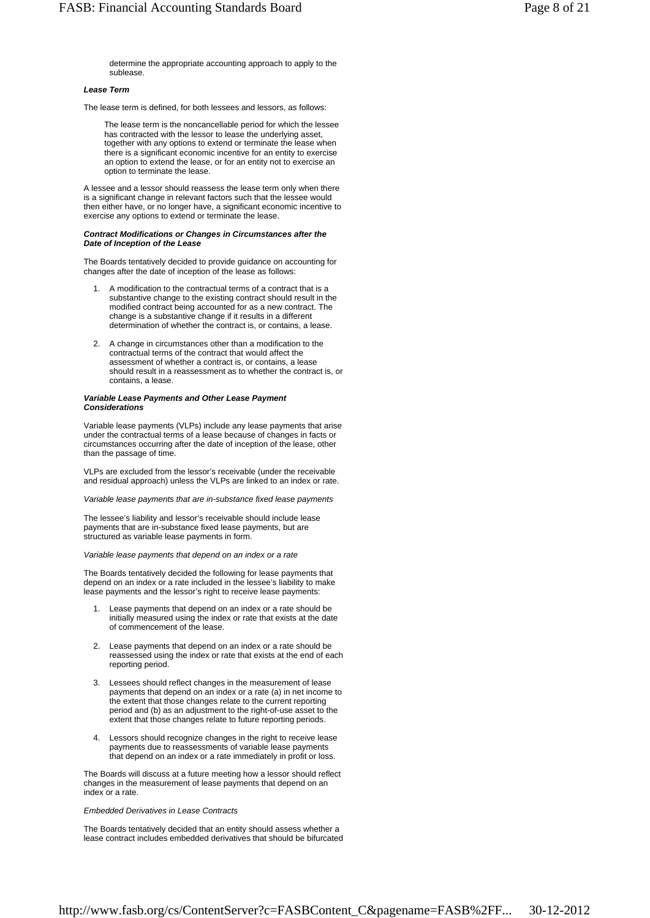determine the appropriate accounting approach to apply to the sublease.

#### *Lease Term*

The lease term is defined, for both lessees and lessors, as follows:

The lease term is the noncancellable period for which the lessee has contracted with the lessor to lease the underlying asset, together with any options to extend or terminate the lease when there is a significant economic incentive for an entity to exercise an option to extend the lease, or for an entity not to exercise an option to terminate the lease.

A lessee and a lessor should reassess the lease term only when there is a significant change in relevant factors such that the lessee would then either have, or no longer have, a significant economic incentive to exercise any options to extend or terminate the lease.

#### *Contract Modifications or Changes in Circumstances after the Date of Inception of the Lease*

The Boards tentatively decided to provide guidance on accounting for changes after the date of inception of the lease as follows:

- A modification to the contractual terms of a contract that is a substantive change to the existing contract should result in the modified contract being accounted for as a new contract. The change is a substantive change if it results in a different determination of whether the contract is, or contains, a lease. 1.
- 2. A change in circumstances other than a modification to the contractual terms of the contract that would affect the assessment of whether a contract is, or contains, a lease should result in a reassessment as to whether the contract is, or contains, a lease.

#### *Variable Lease Payments and Other Lease Payment Considerations*

Variable lease payments (VLPs) include any lease payments that arise under the contractual terms of a lease because of changes in facts or circumstances occurring after the date of inception of the lease, other than the passage of time.

VLPs are excluded from the lessor's receivable (under the receivable and residual approach) unless the VLPs are linked to an index or rate.

*Variable lease payments that are in-substance fixed lease payments*

The lessee's liability and lessor's receivable should include lease payments that are in-substance fixed lease payments, but are structured as variable lease payments in form.

*Variable lease payments that depend on an index or a rate*

The Boards tentatively decided the following for lease payments that depend on an index or a rate included in the lessee's liability to make lease payments and the lessor's right to receive lease payments:

- Lease payments that depend on an index or a rate should be initially measured using the index or rate that exists at the date of commencement of the lease. 1.
- Lease payments that depend on an index or a rate should be 2. reassessed using the index or rate that exists at the end of each reporting period.
- Lessees should reflect changes in the measurement of lease 3. payments that depend on an index or a rate (a) in net income to the extent that those changes relate to the current reporting period and (b) as an adjustment to the right-of-use asset to the extent that those changes relate to future reporting periods.
- Lessors should recognize changes in the right to receive lease 4. payments due to reassessments of variable lease payments that depend on an index or a rate immediately in profit or loss.

The Boards will discuss at a future meeting how a lessor should reflect changes in the measurement of lease payments that depend on an index or a rate.

### *Embedded Derivatives in Lease Contracts*

The Boards tentatively decided that an entity should assess whether a lease contract includes embedded derivatives that should be bifurcated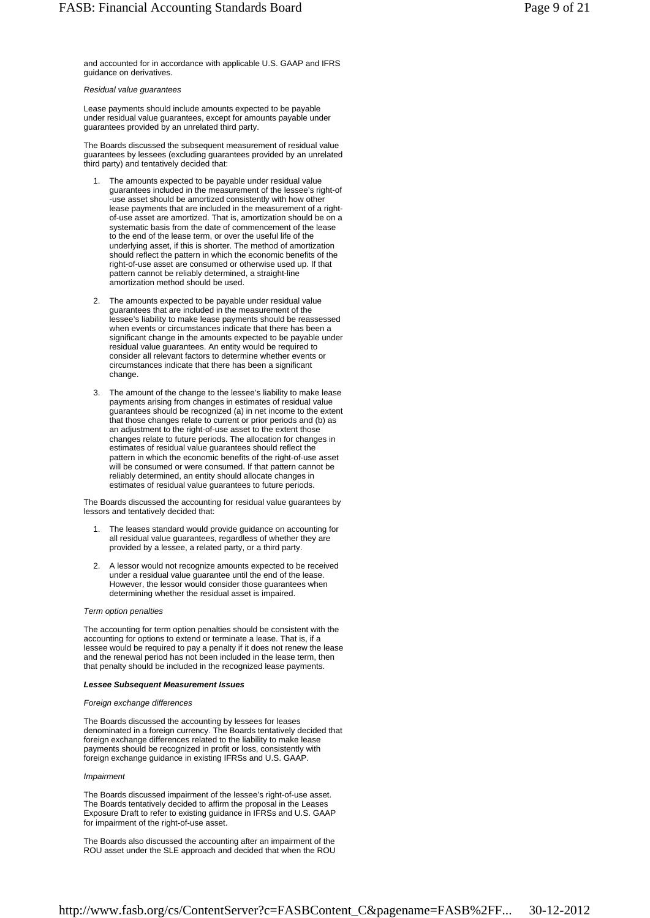and accounted for in accordance with applicable U.S. GAAP and IFRS guidance on derivatives.

#### *Residual value guarantees*

Lease payments should include amounts expected to be payable under residual value guarantees, except for amounts payable under guarantees provided by an unrelated third party.

The Boards discussed the subsequent measurement of residual value guarantees by lessees (excluding guarantees provided by an unrelated third party) and tentatively decided that:

- The amounts expected to be payable under residual value guarantees included in the measurement of the lessee's right-of -use asset should be amortized consistently with how other lease payments that are included in the measurement of a rightof-use asset are amortized. That is, amortization should be on a systematic basis from the date of commencement of the lease to the end of the lease term, or over the useful life of the underlying asset, if this is shorter. The method of amortization should reflect the pattern in which the economic benefits of the right-of-use asset are consumed or otherwise used up. If that pattern cannot be reliably determined, a straight-line amortization method should be used. 1.
- The amounts expected to be payable under residual value 2. guarantees that are included in the measurement of the lessee's liability to make lease payments should be reassessed when events or circumstances indicate that there has been a significant change in the amounts expected to be payable under residual value guarantees. An entity would be required to consider all relevant factors to determine whether events or circumstances indicate that there has been a significant change.
- The amount of the change to the lessee's liability to make lease 3. payments arising from changes in estimates of residual value guarantees should be recognized (a) in net income to the extent that those changes relate to current or prior periods and (b) as an adjustment to the right-of-use asset to the extent those changes relate to future periods. The allocation for changes in estimates of residual value guarantees should reflect the pattern in which the economic benefits of the right-of-use asset will be consumed or were consumed. If that pattern cannot be reliably determined, an entity should allocate changes in estimates of residual value guarantees to future periods.

The Boards discussed the accounting for residual value guarantees by lessors and tentatively decided that:

- The leases standard would provide guidance on accounting for all residual value guarantees, regardless of whether they are provided by a lessee, a related party, or a third party. 1.
- A lessor would not recognize amounts expected to be received under a residual value guarantee until the end of the lease. However, the lessor would consider those guarantees when determining whether the residual asset is impaired. 2.

#### *Term option penalties*

The accounting for term option penalties should be consistent with the accounting for options to extend or terminate a lease. That is, if a lessee would be required to pay a penalty if it does not renew the lease and the renewal period has not been included in the lease term, then that penalty should be included in the recognized lease payments.

### *Lessee Subsequent Measurement Issues*

#### *Foreign exchange differences*

The Boards discussed the accounting by lessees for leases denominated in a foreign currency. The Boards tentatively decided that foreign exchange differences related to the liability to make lease payments should be recognized in profit or loss, consistently with foreign exchange guidance in existing IFRSs and U.S. GAAP.

#### *Impairment*

The Boards discussed impairment of the lessee's right-of-use asset. The Boards tentatively decided to affirm the proposal in the Leases Exposure Draft to refer to existing guidance in IFRSs and U.S. GAAP for impairment of the right-of-use asset.

The Boards also discussed the accounting after an impairment of the ROU asset under the SLE approach and decided that when the ROU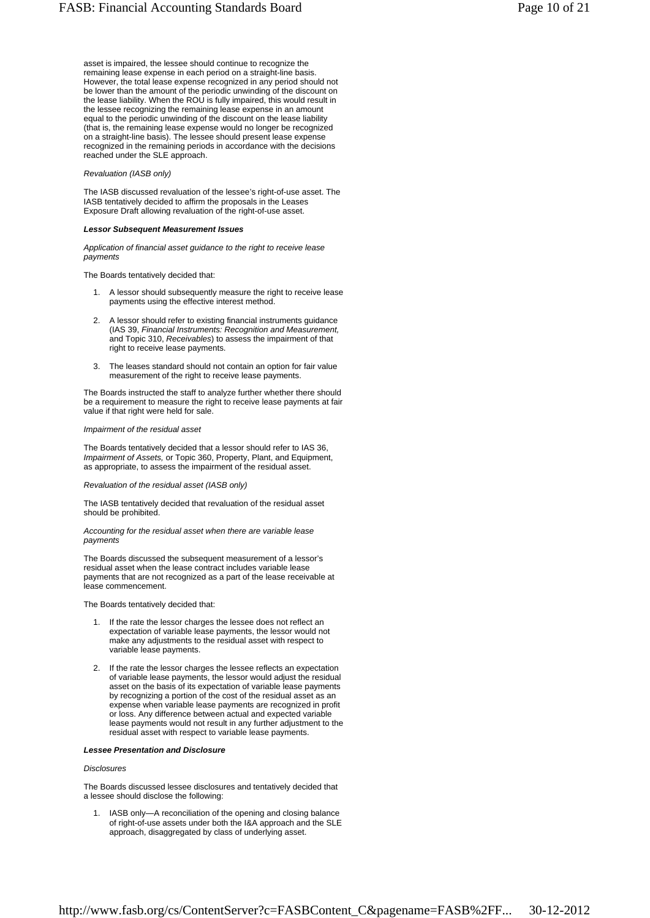asset is impaired, the lessee should continue to recognize the remaining lease expense in each period on a straight-line basis. However, the total lease expense recognized in any period should not be lower than the amount of the periodic unwinding of the discount on the lease liability. When the ROU is fully impaired, this would result in the lessee recognizing the remaining lease expense in an amount equal to the periodic unwinding of the discount on the lease liability (that is, the remaining lease expense would no longer be recognized on a straight-line basis). The lessee should present lease expense recognized in the remaining periods in accordance with the decisions reached under the SLE approach.

### *Revaluation (IASB only)*

The IASB discussed revaluation of the lessee's right-of-use asset. The IASB tentatively decided to affirm the proposals in the Leases Exposure Draft allowing revaluation of the right-of-use asset.

#### *Lessor Subsequent Measurement Issues*

*Application of financial asset guidance to the right to receive lease payments*

The Boards tentatively decided that:

- A lessor should subsequently measure the right to receive lease payments using the effective interest method. 1.
- 2. A lessor should refer to existing financial instruments guidance (IAS 39, *Financial Instruments: Recognition and Measurement,* and Topic 310, *Receivables*) to assess the impairment of that right to receive lease payments.
- The leases standard should not contain an option for fair value measurement of the right to receive lease payments. 3.

The Boards instructed the staff to analyze further whether there should be a requirement to measure the right to receive lease payments at fair value if that right were held for sale.

#### *Impairment of the residual asset*

The Boards tentatively decided that a lessor should refer to IAS 36, *Impairment of Assets,* or Topic 360, Property, Plant, and Equipment, as appropriate, to assess the impairment of the residual asset.

*Revaluation of the residual asset (IASB only)*

The IASB tentatively decided that revaluation of the residual asset should be prohibited.

*Accounting for the residual asset when there are variable lease payments*

The Boards discussed the subsequent measurement of a lessor's residual asset when the lease contract includes variable lease payments that are not recognized as a part of the lease receivable at lease commencement.

The Boards tentatively decided that:

- If the rate the lessor charges the lessee does not reflect an expectation of variable lease payments, the lessor would not make any adjustments to the residual asset with respect to variable lease payments. 1.
- If the rate the lessor charges the lessee reflects an expectation of variable lease payments, the lessor would adjust the residual asset on the basis of its expectation of variable lease payments by recognizing a portion of the cost of the residual asset as an expense when variable lease payments are recognized in profit or loss. Any difference between actual and expected variable lease payments would not result in any further adjustment to the residual asset with respect to variable lease payments. 2.

### *Lessee Presentation and Disclosure*

# *Disclosures*

The Boards discussed lessee disclosures and tentatively decided that a lessee should disclose the following:

IASB only—A reconciliation of the opening and closing balance of right-of-use assets under both the I&A approach and the SLE approach, disaggregated by class of underlying asset. 1.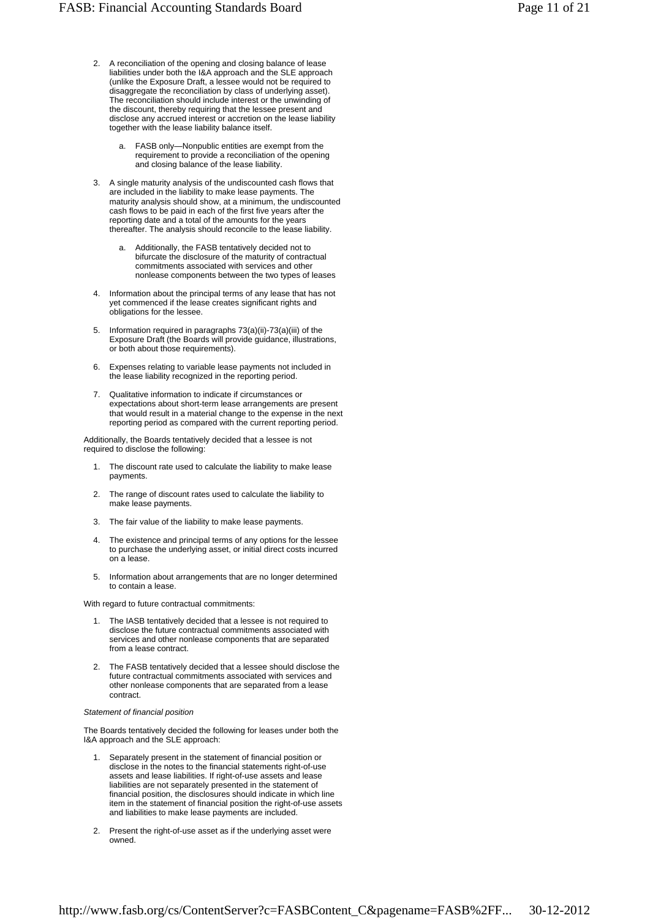- A reconciliation of the opening and closing balance of lease liabilities under both the I&A approach and the SLE approach (unlike the Exposure Draft, a lessee would not be required to disaggregate the reconciliation by class of underlying asset). The reconciliation should include interest or the unwinding of the discount, thereby requiring that the lessee present and disclose any accrued interest or accretion on the lease liability together with the lease liability balance itself. 2.
	- FASB only—Nonpublic entities are exempt from the requirement to provide a reconciliation of the opening and closing balance of the lease liability. a.
- A single maturity analysis of the undiscounted cash flows that are included in the liability to make lease payments. The maturity analysis should show, at a minimum, the undiscounted cash flows to be paid in each of the first five years after the reporting date and a total of the amounts for the years thereafter. The analysis should reconcile to the lease liability. 3.
	- Additionally, the FASB tentatively decided not to bifurcate the disclosure of the maturity of contractual commitments associated with services and other nonlease components between the two types of leases a.
- Information about the principal terms of any lease that has not yet commenced if the lease creates significant rights and obligations for the lessee. 4.
- Information required in paragraphs 73(a)(ii)-73(a)(iii) of the Exposure Draft (the Boards will provide guidance, illustrations, or both about those requirements). 5.
- Expenses relating to variable lease payments not included in the lease liability recognized in the reporting period. 6.
- Qualitative information to indicate if circumstances or expectations about short-term lease arrangements are present that would result in a material change to the expense in the next reporting period as compared with the current reporting period. 7.

Additionally, the Boards tentatively decided that a lessee is not required to disclose the following:

- 1. The discount rate used to calculate the liability to make lease payments.
- The range of discount rates used to calculate the liability to make lease payments. 2.
- 3. The fair value of the liability to make lease payments.
- The existence and principal terms of any options for the lessee to purchase the underlying asset, or initial direct costs incurred on a lease. 4.
- Information about arrangements that are no longer determined to contain a lease 5.

With regard to future contractual commitments:

- 1. The IASB tentatively decided that a lessee is not required to disclose the future contractual commitments associated with services and other nonlease components that are separated from a lease contract.
- The FASB tentatively decided that a lessee should disclose the future contractual commitments associated with services and other nonlease components that are separated from a lease contract. 2.

### *Statement of financial position*

The Boards tentatively decided the following for leases under both the I&A approach and the SLE approach:

- Separately present in the statement of financial position or disclose in the notes to the financial statements right-of-use assets and lease liabilities. If right-of-use assets and lease liabilities are not separately presented in the statement of financial position, the disclosures should indicate in which line item in the statement of financial position the right-of-use assets and liabilities to make lease payments are included. 1.
- Present the right-of-use asset as if the underlying asset were owned. 2.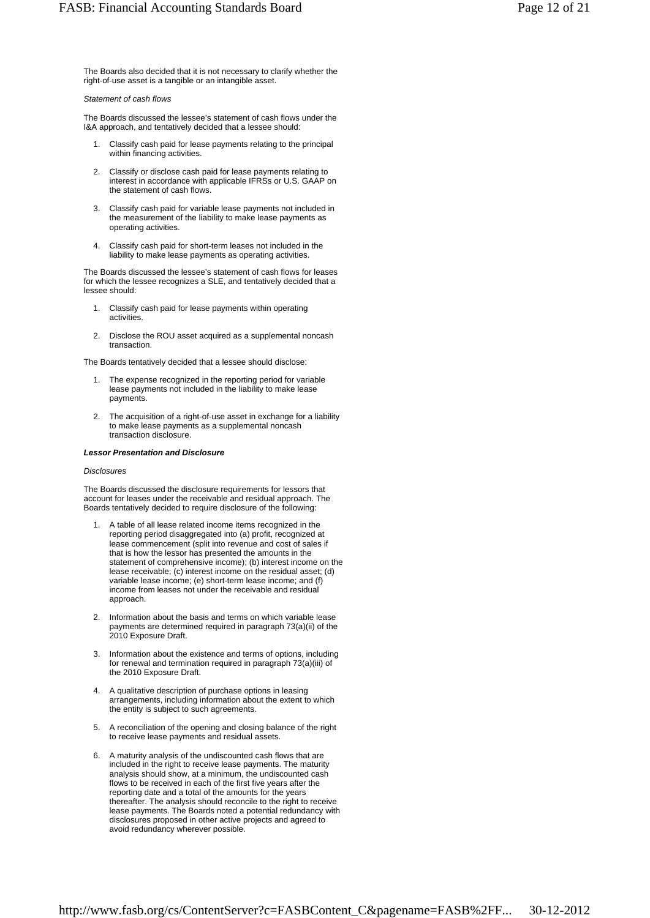The Boards also decided that it is not necessary to clarify whether the right-of-use asset is a tangible or an intangible asset.

# *Statement of cash flows*

The Boards discussed the lessee's statement of cash flows under the I&A approach, and tentatively decided that a lessee should:

- Classify cash paid for lease payments relating to the principal within financing activities. 1.
- Classify or disclose cash paid for lease payments relating to interest in accordance with applicable IFRSs or U.S. GAAP on the statement of cash flows. 2.
- Classify cash paid for variable lease payments not included in the measurement of the liability to make lease payments as operating activities. 3.
- Classify cash paid for short-term leases not included in the liability to make lease payments as operating activities. 4.

The Boards discussed the lessee's statement of cash flows for leases for which the lessee recognizes a SLE, and tentatively decided that a lessee should:

- Classify cash paid for lease payments within operating activities. 1.
- Disclose the ROU asset acquired as a supplemental noncash transaction.  $\mathcal{P}$

The Boards tentatively decided that a lessee should disclose:

- The expense recognized in the reporting period for variable lease payments not included in the liability to make lease payments. 1.
- The acquisition of a right-of-use asset in exchange for a liability to make lease payments as a supplemental noncash transaction disclosure.  $\mathcal{P}$

# *Lessor Presentation and Disclosure*

# *Disclosures*

The Boards discussed the disclosure requirements for lessors that account for leases under the receivable and residual approach. The Boards tentatively decided to require disclosure of the following:

- A table of all lease related income items recognized in the reporting period disaggregated into (a) profit, recognized at lease commencement (split into revenue and cost of sales if that is how the lessor has presented the amounts in the statement of comprehensive income); (b) interest income on the lease receivable; (c) interest income on the residual asset; (d) variable lease income; (e) short-term lease income; and (f) income from leases not under the receivable and residual approach. 1.
- 2. Information about the basis and terms on which variable lease payments are determined required in paragraph 73(a)(ii) of the 2010 Exposure Draft.
- 3. Information about the existence and terms of options, including for renewal and termination required in paragraph 73(a)(iii) of the 2010 Exposure Draft.
- 4. A qualitative description of purchase options in leasing arrangements, including information about the extent to which the entity is subject to such agreements.
- 5. A reconciliation of the opening and closing balance of the right to receive lease payments and residual assets.
- A maturity analysis of the undiscounted cash flows that are included in the right to receive lease payments. The maturity analysis should show, at a minimum, the undiscounted cash flows to be received in each of the first five years after the reporting date and a total of the amounts for the years thereafter. The analysis should reconcile to the right to receive lease payments. The Boards noted a potential redundancy with disclosures proposed in other active projects and agreed to avoid redundancy wherever possible. 6.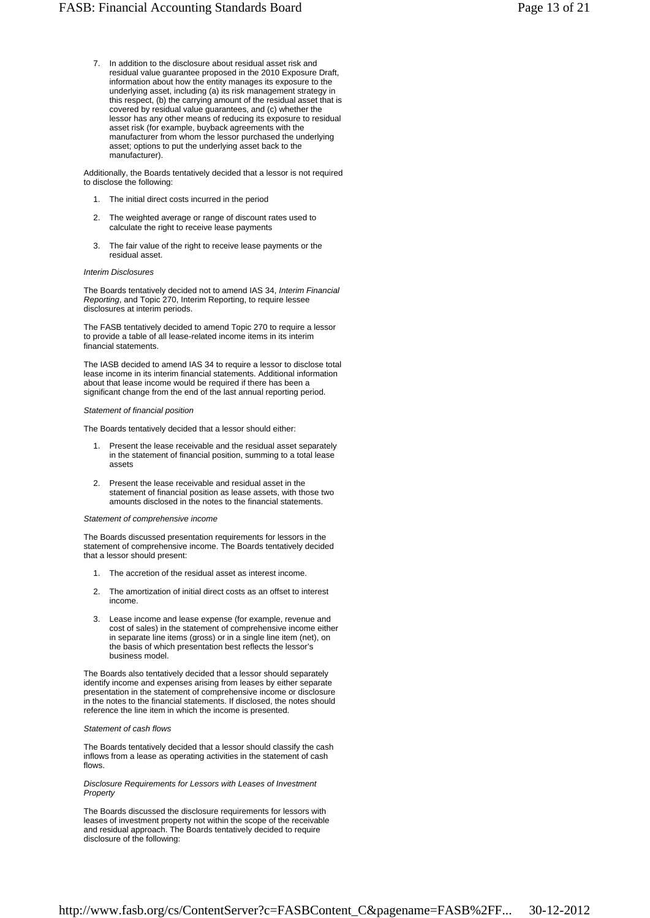7. In addition to the disclosure about residual asset risk and residual value guarantee proposed in the 2010 Exposure Draft, information about how the entity manages its exposure to the underlying asset, including (a) its risk management strategy in this respect, (b) the carrying amount of the residual asset that is covered by residual value guarantees, and (c) whether the lessor has any other means of reducing its exposure to residual asset risk (for example, buyback agreements with the manufacturer from whom the lessor purchased the underlying asset; options to put the underlying asset back to the manufacturer).

Additionally, the Boards tentatively decided that a lessor is not required to disclose the following:

- 1. The initial direct costs incurred in the period
- The weighted average or range of discount rates used to calculate the right to receive lease payments 2.
- The fair value of the right to receive lease payments or the residual asset. 3.

#### *Interim Disclosures*

The Boards tentatively decided not to amend IAS 34, *Interim Financial Reporting*, and Topic 270, Interim Reporting, to require lessee disclosures at interim periods.

The FASB tentatively decided to amend Topic 270 to require a lessor to provide a table of all lease-related income items in its interim financial statements.

The IASB decided to amend IAS 34 to require a lessor to disclose total lease income in its interim financial statements. Additional information about that lease income would be required if there has been a significant change from the end of the last annual reporting period.

#### *Statement of financial position*

The Boards tentatively decided that a lessor should either:

- Present the lease receivable and the residual asset separately in the statement of financial position, summing to a total lease assets 1.
- Present the lease receivable and residual asset in the statement of financial position as lease assets, with those two amounts disclosed in the notes to the financial statements. 2.

#### *Statement of comprehensive income*

The Boards discussed presentation requirements for lessors in the statement of comprehensive income. The Boards tentatively decided that a lessor should present:

- 1. The accretion of the residual asset as interest income.
- The amortization of initial direct costs as an offset to interest income. 2.
- Lease income and lease expense (for example, revenue and cost of sales) in the statement of comprehensive income either in separate line items (gross) or in a single line item (net), on the basis of which presentation best reflects the lessor's business model. 3.

The Boards also tentatively decided that a lessor should separately identify income and expenses arising from leases by either separate presentation in the statement of comprehensive income or disclosure in the notes to the financial statements. If disclosed, the notes should reference the line item in which the income is presented.

#### *Statement of cash flows*

The Boards tentatively decided that a lessor should classify the cash inflows from a lease as operating activities in the statement of cash flows.

*Disclosure Requirements for Lessors with Leases of Investment Property*

The Boards discussed the disclosure requirements for lessors with leases of investment property not within the scope of the receivable and residual approach. The Boards tentatively decided to require disclosure of the following: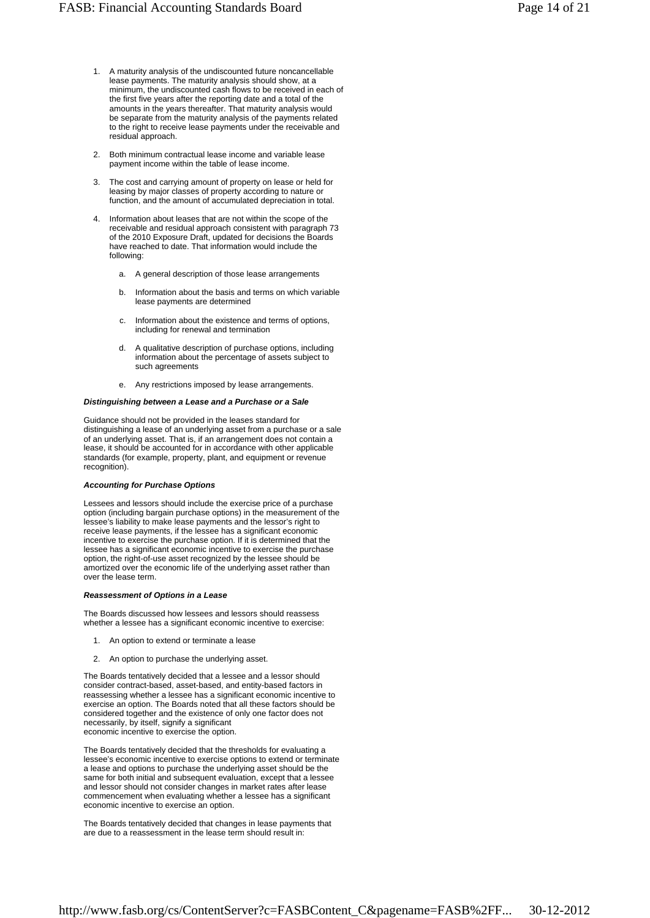- A maturity analysis of the undiscounted future noncancellable lease payments. The maturity analysis should show, at a minimum, the undiscounted cash flows to be received in each of the first five years after the reporting date and a total of the amounts in the years thereafter. That maturity analysis would be separate from the maturity analysis of the payments related to the right to receive lease payments under the receivable and residual approach. 1.
- Both minimum contractual lease income and variable lease payment income within the table of lease income. 2.
- The cost and carrying amount of property on lease or held for leasing by major classes of property according to nature or function, and the amount of accumulated depreciation in total. 3.
- Information about leases that are not within the scope of the receivable and residual approach consistent with paragraph 73 of the 2010 Exposure Draft, updated for decisions the Boards have reached to date. That information would include the following: 4.
	- a. A general description of those lease arrangements
	- Information about the basis and terms on which variable lease payments are determined b.
	- Information about the existence and terms of options, including for renewal and termination c.
	- A qualitative description of purchase options, including information about the percentage of assets subject to such agreements d.
	- e. Any restrictions imposed by lease arrangements.

#### *Distinguishing between a Lease and a Purchase or a Sale*

Guidance should not be provided in the leases standard for distinguishing a lease of an underlying asset from a purchase or a sale of an underlying asset. That is, if an arrangement does not contain a lease, it should be accounted for in accordance with other applicable standards (for example, property, plant, and equipment or revenue recognition).

### *Accounting for Purchase Options*

Lessees and lessors should include the exercise price of a purchase option (including bargain purchase options) in the measurement of the lessee's liability to make lease payments and the lessor's right to receive lease payments, if the lessee has a significant economic incentive to exercise the purchase option. If it is determined that the lessee has a significant economic incentive to exercise the purchase option, the right-of-use asset recognized by the lessee should be amortized over the economic life of the underlying asset rather than over the lease term.

#### *Reassessment of Options in a Lease*

The Boards discussed how lessees and lessors should reassess whether a lessee has a significant economic incentive to exercise:

- 1. An option to extend or terminate a lease
- 2. An option to purchase the underlying asset.

The Boards tentatively decided that a lessee and a lessor should consider contract-based, asset-based, and entity-based factors in reassessing whether a lessee has a significant economic incentive to exercise an option. The Boards noted that all these factors should be considered together and the existence of only one factor does not necessarily, by itself, signify a significant economic incentive to exercise the option.

The Boards tentatively decided that the thresholds for evaluating a lessee's economic incentive to exercise options to extend or terminate a lease and options to purchase the underlying asset should be the same for both initial and subsequent evaluation, except that a lessee and lessor should not consider changes in market rates after lease commencement when evaluating whether a lessee has a significant economic incentive to exercise an option.

The Boards tentatively decided that changes in lease payments that are due to a reassessment in the lease term should result in: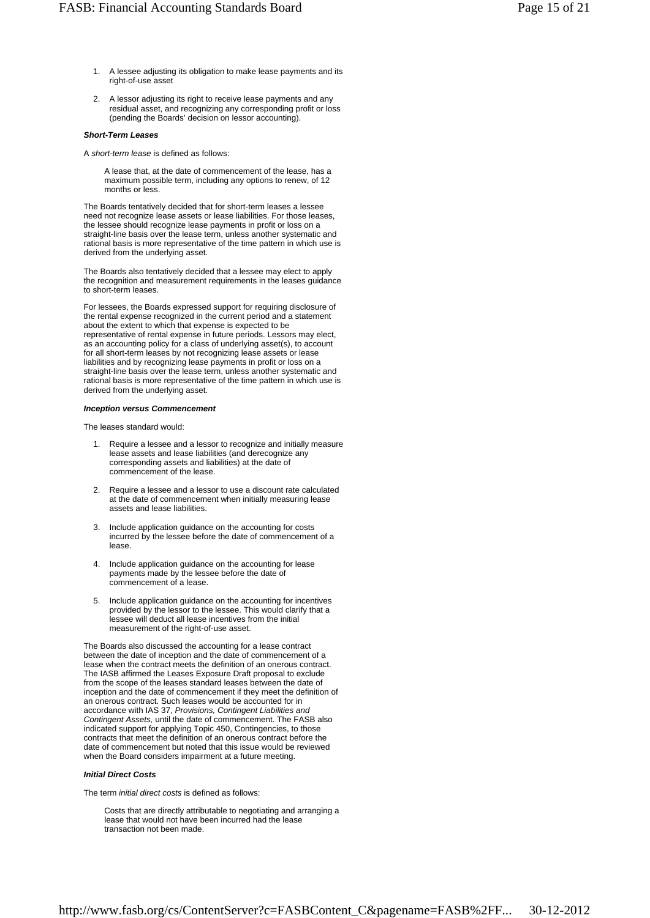- A lessee adjusting its obligation to make lease payments and its right-of-use asset 1.
- A lessor adjusting its right to receive lease payments and any 2. residual asset, and recognizing any corresponding profit or loss (pending the Boards' decision on lessor accounting).

#### *Short-Term Leases*

A *short-term lease* is defined as follows:

A lease that, at the date of commencement of the lease, has a maximum possible term, including any options to renew, of 12 months or less.

The Boards tentatively decided that for short-term leases a lessee need not recognize lease assets or lease liabilities. For those leases, the lessee should recognize lease payments in profit or loss on a straight-line basis over the lease term, unless another systematic and rational basis is more representative of the time pattern in which use is derived from the underlying asset.

The Boards also tentatively decided that a lessee may elect to apply the recognition and measurement requirements in the leases guidance to short-term leases.

For lessees, the Boards expressed support for requiring disclosure of the rental expense recognized in the current period and a statement about the extent to which that expense is expected to be representative of rental expense in future periods. Lessors may elect, as an accounting policy for a class of underlying asset(s), to account for all short-term leases by not recognizing lease assets or lease liabilities and by recognizing lease payments in profit or loss on a straight-line basis over the lease term, unless another systematic and rational basis is more representative of the time pattern in which use is derived from the underlying asset.

#### *Inception versus Commencement*

The leases standard would:

- Require a lessee and a lessor to recognize and initially measure lease assets and lease liabilities (and derecognize any corresponding assets and liabilities) at the date of commencement of the lease. 1.
- 2. Require a lessee and a lessor to use a discount rate calculated at the date of commencement when initially measuring lease assets and lease liabilities.
- Include application guidance on the accounting for costs incurred by the lessee before the date of commencement of a lease. 3.
- 4. Include application guidance on the accounting for lease payments made by the lessee before the date of commencement of a lease.
- 5. Include application guidance on the accounting for incentives provided by the lessor to the lessee. This would clarify that a lessee will deduct all lease incentives from the initial measurement of the right-of-use asset.

The Boards also discussed the accounting for a lease contract between the date of inception and the date of commencement of a lease when the contract meets the definition of an onerous contract. The IASB affirmed the Leases Exposure Draft proposal to exclude from the scope of the leases standard leases between the date of inception and the date of commencement if they meet the definition of an onerous contract. Such leases would be accounted for in accordance with IAS 37, *Provisions, Contingent Liabilities and Contingent Assets,* until the date of commencement. The FASB also indicated support for applying Topic 450, Contingencies, to those contracts that meet the definition of an onerous contract before the date of commencement but noted that this issue would be reviewed when the Board considers impairment at a future meeting.

# *Initial Direct Costs*

The term *initial direct costs* is defined as follows:

Costs that are directly attributable to negotiating and arranging a lease that would not have been incurred had the lease transaction not been made.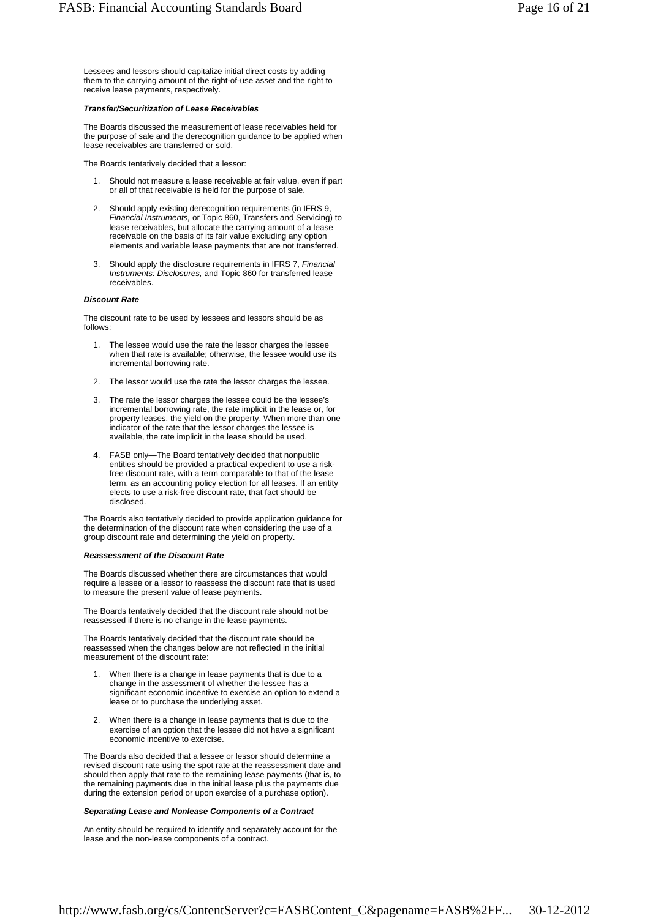Lessees and lessors should capitalize initial direct costs by adding them to the carrying amount of the right-of-use asset and the right to receive lease payments, respectively.

#### *Transfer/Securitization of Lease Receivables*

The Boards discussed the measurement of lease receivables held for the purpose of sale and the derecognition guidance to be applied when lease receivables are transferred or sold.

The Boards tentatively decided that a lessor:

- Should not measure a lease receivable at fair value, even if part or all of that receivable is held for the purpose of sale. 1.
- Should apply existing derecognition requirements (in IFRS 9, *Financial Instruments,* or Topic 860, Transfers and Servicing) to lease receivables, but allocate the carrying amount of a lease receivable on the basis of its fair value excluding any option elements and variable lease payments that are not transferred. 2.
- Should apply the disclosure requirements in IFRS 7, *Financial Instruments: Disclosures,* and Topic 860 for transferred lease receivables. 3.

### *Discount Rate*

The discount rate to be used by lessees and lessors should be as follows:

- The lessee would use the rate the lessor charges the lessee when that rate is available; otherwise, the lessee would use its incremental borrowing rate. 1.
- 2. The lessor would use the rate the lessor charges the lessee.
- The rate the lessor charges the lessee could be the lessee's 3. incremental borrowing rate, the rate implicit in the lease or, for property leases, the yield on the property. When more than one indicator of the rate that the lessor charges the lessee is available, the rate implicit in the lease should be used.
- FASB only—The Board tentatively decided that nonpublic entities should be provided a practical expedient to use a riskfree discount rate, with a term comparable to that of the lease term, as an accounting policy election for all leases. If an entity elects to use a risk-free discount rate, that fact should be disclosed. 4.

The Boards also tentatively decided to provide application guidance for the determination of the discount rate when considering the use of a group discount rate and determining the yield on property.

#### *Reassessment of the Discount Rate*

The Boards discussed whether there are circumstances that would require a lessee or a lessor to reassess the discount rate that is used to measure the present value of lease payments.

The Boards tentatively decided that the discount rate should not be reassessed if there is no change in the lease payments.

The Boards tentatively decided that the discount rate should be reassessed when the changes below are not reflected in the initial measurement of the discount rate:

- When there is a change in lease payments that is due to a change in the assessment of whether the lessee has a significant economic incentive to exercise an option to extend a lease or to purchase the underlying asset. 1.
- When there is a change in lease payments that is due to the exercise of an option that the lessee did not have a significant economic incentive to exercise. 2.

The Boards also decided that a lessee or lessor should determine a revised discount rate using the spot rate at the reassessment date and should then apply that rate to the remaining lease payments (that is, to the remaining payments due in the initial lease plus the payments due during the extension period or upon exercise of a purchase option).

### *Separating Lease and Nonlease Components of a Contract*

An entity should be required to identify and separately account for the lease and the non-lease components of a contract.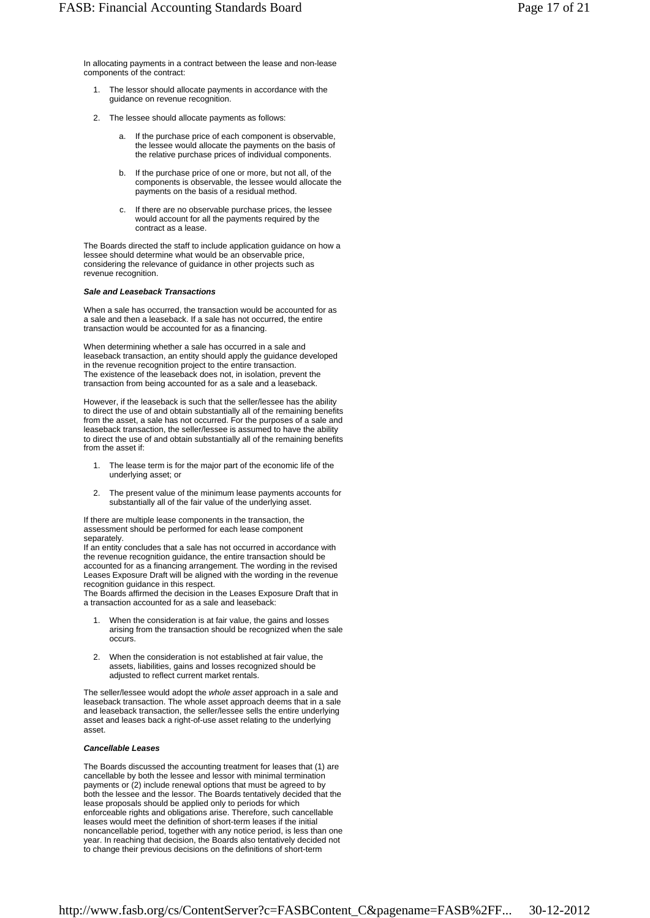In allocating payments in a contract between the lease and non-lease components of the contract:

- 1. The lessor should allocate payments in accordance with the guidance on revenue recognition.
- The lessee should allocate payments as follows: 2.
	- If the purchase price of each component is observable. the lessee would allocate the payments on the basis of the relative purchase prices of individual components. a.
	- If the purchase price of one or more, but not all, of the components is observable, the lessee would allocate the payments on the basis of a residual method. b.
	- If there are no observable purchase prices, the lessee would account for all the payments required by the contract as a lease. c.

The Boards directed the staff to include application guidance on how a lessee should determine what would be an observable price, considering the relevance of guidance in other projects such as revenue recognition.

#### *Sale and Leaseback Transactions*

When a sale has occurred, the transaction would be accounted for as a sale and then a leaseback. If a sale has not occurred, the entire transaction would be accounted for as a financing.

When determining whether a sale has occurred in a sale and leaseback transaction, an entity should apply the guidance developed in the revenue recognition project to the entire transaction. The existence of the leaseback does not, in isolation, prevent the transaction from being accounted for as a sale and a leaseback.

However, if the leaseback is such that the seller/lessee has the ability to direct the use of and obtain substantially all of the remaining benefits from the asset, a sale has not occurred. For the purposes of a sale and leaseback transaction, the seller/lessee is assumed to have the ability to direct the use of and obtain substantially all of the remaining benefits from the asset if:

- The lease term is for the major part of the economic life of the underlying asset; or 1.
- The present value of the minimum lease payments accounts for substantially all of the fair value of the underlying asset. 2.

If there are multiple lease components in the transaction, the assessment should be performed for each lease component separately.

If an entity concludes that a sale has not occurred in accordance with the revenue recognition guidance, the entire transaction should be accounted for as a financing arrangement. The wording in the revised Leases Exposure Draft will be aligned with the wording in the revenue recognition guidance in this respect.

The Boards affirmed the decision in the Leases Exposure Draft that in a transaction accounted for as a sale and leaseback:

- When the consideration is at fair value, the gains and losses arising from the transaction should be recognized when the sale occurs. 1.
- When the consideration is not established at fair value, the assets, liabilities, gains and losses recognized should be adjusted to reflect current market rentals. 2.

The seller/lessee would adopt the *whole asset* approach in a sale and leaseback transaction. The whole asset approach deems that in a sale and leaseback transaction, the seller/lessee sells the entire underlying asset and leases back a right-of-use asset relating to the underlying asset.

#### *Cancellable Leases*

The Boards discussed the accounting treatment for leases that (1) are cancellable by both the lessee and lessor with minimal termination payments or (2) include renewal options that must be agreed to by both the lessee and the lessor. The Boards tentatively decided that the lease proposals should be applied only to periods for which enforceable rights and obligations arise. Therefore, such cancellable leases would meet the definition of short-term leases if the initial noncancellable period, together with any notice period, is less than one year. In reaching that decision, the Boards also tentatively decided not to change their previous decisions on the definitions of short-term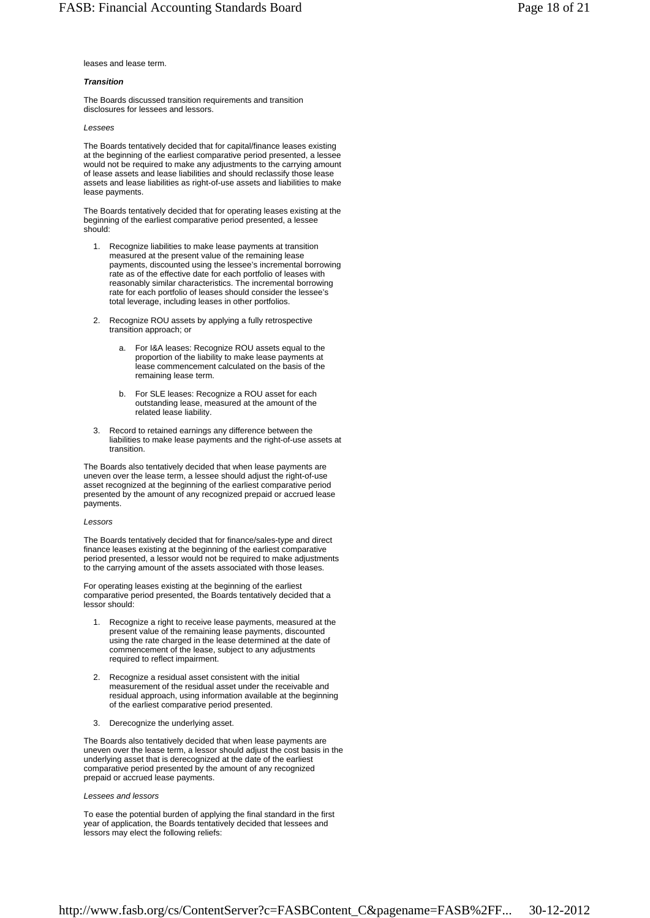# leases and lease term.

# *Transition*

The Boards discussed transition requirements and transition disclosures for lessees and lessors.

## *Lessees*

The Boards tentatively decided that for capital/finance leases existing at the beginning of the earliest comparative period presented, a lessee would not be required to make any adjustments to the carrying amount of lease assets and lease liabilities and should reclassify those lease assets and lease liabilities as right-of-use assets and liabilities to make lease payments.

The Boards tentatively decided that for operating leases existing at the beginning of the earliest comparative period presented, a lessee should:

- 1. Recognize liabilities to make lease payments at transition measured at the present value of the remaining lease payments, discounted using the lessee's incremental borrowing rate as of the effective date for each portfolio of leases with reasonably similar characteristics. The incremental borrowing rate for each portfolio of leases should consider the lessee's total leverage, including leases in other portfolios.
- 2. Recognize ROU assets by applying a fully retrospective transition approach; or
	- For I&A leases: Recognize ROU assets equal to the proportion of the liability to make lease payments at lease commencement calculated on the basis of the remaining lease term. a.
	- For SLE leases: Recognize a ROU asset for each outstanding lease, measured at the amount of the related lease liability. b.
- Record to retained earnings any difference between the liabilities to make lease payments and the right-of-use assets at transition. 3.

The Boards also tentatively decided that when lease payments are uneven over the lease term, a lessee should adjust the right-of-use asset recognized at the beginning of the earliest comparative period presented by the amount of any recognized prepaid or accrued lease payments.

#### *Lessors*

The Boards tentatively decided that for finance/sales-type and direct finance leases existing at the beginning of the earliest comparative period presented, a lessor would not be required to make adjustments to the carrying amount of the assets associated with those leases.

For operating leases existing at the beginning of the earliest comparative period presented, the Boards tentatively decided that a lessor should:

- Recognize a right to receive lease payments, measured at the present value of the remaining lease payments, discounted using the rate charged in the lease determined at the date of commencement of the lease, subject to any adjustments required to reflect impairment. 1.
- 2. Recognize a residual asset consistent with the initial measurement of the residual asset under the receivable and residual approach, using information available at the beginning of the earliest comparative period presented.
- 3. Derecognize the underlying asset.

The Boards also tentatively decided that when lease payments are uneven over the lease term, a lessor should adjust the cost basis in the underlying asset that is derecognized at the date of the earliest comparative period presented by the amount of any recognized prepaid or accrued lease payments.

### *Lessees and lessors*

To ease the potential burden of applying the final standard in the first year of application, the Boards tentatively decided that lessees and lessors may elect the following reliefs: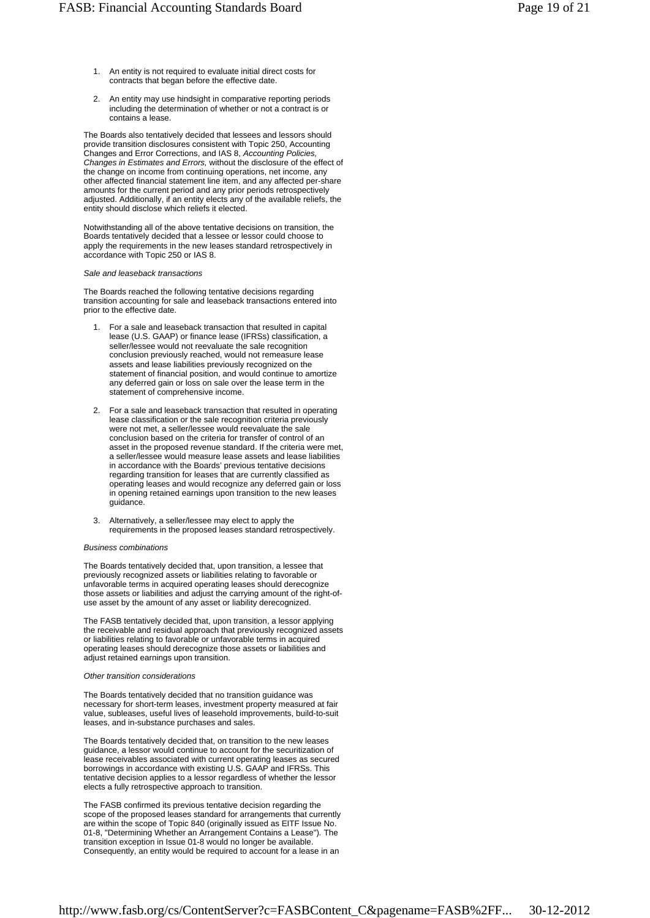- An entity is not required to evaluate initial direct costs for contracts that began before the effective date. 1.
- An entity may use hindsight in comparative reporting periods including the determination of whether or not a contract is or contains a lease. 2.

The Boards also tentatively decided that lessees and lessors should provide transition disclosures consistent with Topic 250, Accounting Changes and Error Corrections, and IAS 8, *Accounting Policies, Changes in Estimates and Errors,* without the disclosure of the effect of the change on income from continuing operations, net income, any other affected financial statement line item, and any affected per-share amounts for the current period and any prior periods retrospectively adjusted. Additionally, if an entity elects any of the available reliefs, the entity should disclose which reliefs it elected.

Notwithstanding all of the above tentative decisions on transition, the Boards tentatively decided that a lessee or lessor could choose to apply the requirements in the new leases standard retrospectively in accordance with Topic 250 or IAS 8.

#### *Sale and leaseback transactions*

The Boards reached the following tentative decisions regarding transition accounting for sale and leaseback transactions entered into prior to the effective date.

- For a sale and leaseback transaction that resulted in capital lease (U.S. GAAP) or finance lease (IFRSs) classification, a seller/lessee would not reevaluate the sale recognition conclusion previously reached, would not remeasure lease assets and lease liabilities previously recognized on the statement of financial position, and would continue to amortize any deferred gain or loss on sale over the lease term in the statement of comprehensive income. 1.
- For a sale and leaseback transaction that resulted in operating lease classification or the sale recognition criteria previously were not met, a seller/lessee would reevaluate the sale conclusion based on the criteria for transfer of control of an asset in the proposed revenue standard. If the criteria were met, a seller/lessee would measure lease assets and lease liabilities in accordance with the Boards' previous tentative decisions regarding transition for leases that are currently classified as operating leases and would recognize any deferred gain or loss in opening retained earnings upon transition to the new leases guidance. 2.
- Alternatively, a seller/lessee may elect to apply the requirements in the proposed leases standard retrospectively. 3.

#### *Business combinations*

The Boards tentatively decided that, upon transition, a lessee that previously recognized assets or liabilities relating to favorable or unfavorable terms in acquired operating leases should derecognize those assets or liabilities and adjust the carrying amount of the right-ofuse asset by the amount of any asset or liability derecognized.

The FASB tentatively decided that, upon transition, a lessor applying the receivable and residual approach that previously recognized assets or liabilities relating to favorable or unfavorable terms in acquired operating leases should derecognize those assets or liabilities and adjust retained earnings upon transition.

### *Other transition considerations*

The Boards tentatively decided that no transition guidance was necessary for short-term leases, investment property measured at fair value, subleases, useful lives of leasehold improvements, build-to-suit leases, and in-substance purchases and sales.

The Boards tentatively decided that, on transition to the new leases guidance, a lessor would continue to account for the securitization of lease receivables associated with current operating leases as secured borrowings in accordance with existing U.S. GAAP and IFRSs. This tentative decision applies to a lessor regardless of whether the lessor elects a fully retrospective approach to transition.

The FASB confirmed its previous tentative decision regarding the scope of the proposed leases standard for arrangements that currently are within the scope of Topic 840 (originally issued as EITF Issue No. 01-8, "Determining Whether an Arrangement Contains a Lease")*.* The transition exception in Issue 01-8 would no longer be available. Consequently, an entity would be required to account for a lease in an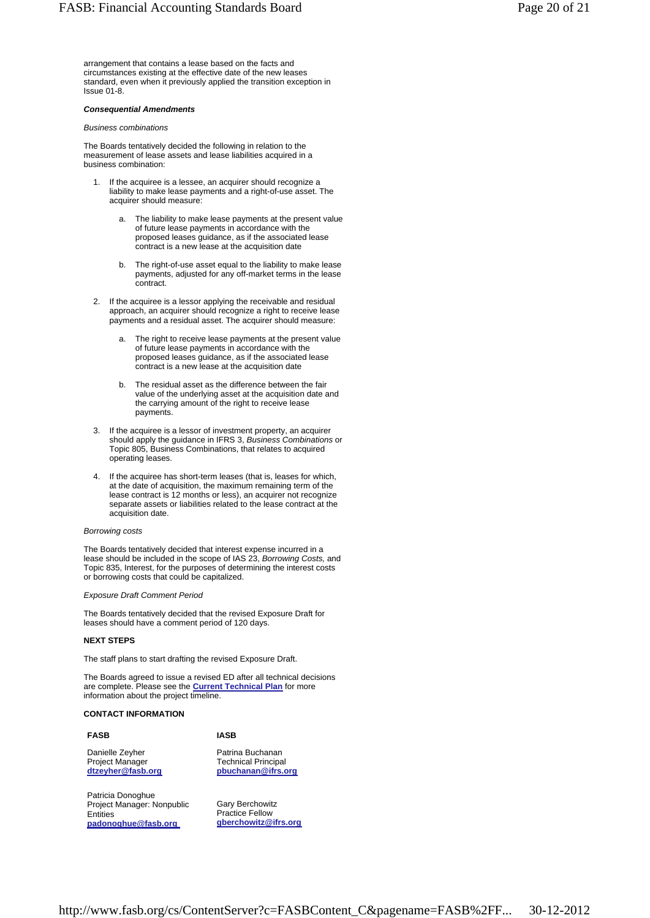arrangement that contains a lease based on the facts and circumstances existing at the effective date of the new leases standard, even when it previously applied the transition exception in Issue 01-8.

#### *Consequential Amendments*

### *Business combinations*

The Boards tentatively decided the following in relation to the measurement of lease assets and lease liabilities acquired in a business combination:

- If the acquiree is a lessee, an acquirer should recognize a liability to make lease payments and a right-of-use asset. The acquirer should measure: 1.
	- The liability to make lease payments at the present value of future lease payments in accordance with the proposed leases guidance, as if the associated lease contract is a new lease at the acquisition date a.
	- The right-of-use asset equal to the liability to make lease payments, adjusted for any off-market terms in the lease contract. b.
- 2. If the acquiree is a lessor applying the receivable and residual approach, an acquirer should recognize a right to receive lease payments and a residual asset. The acquirer should measure:
	- The right to receive lease payments at the present value of future lease payments in accordance with the proposed leases guidance, as if the associated lease contract is a new lease at the acquisition date a.
	- The residual asset as the difference between the fair value of the underlying asset at the acquisition date and the carrying amount of the right to receive lease payments. b.
- 3. If the acquiree is a lessor of investment property, an acquirer should apply the guidance in IFRS 3, *Business Combinations* or Topic 805, Business Combinations, that relates to acquired operating leases.
- If the acquiree has short-term leases (that is, leases for which, at the date of acquisition, the maximum remaining term of the lease contract is 12 months or less), an acquirer not recognize separate assets or liabilities related to the lease contract at the acquisition date. 4.

### *Borrowing costs*

The Boards tentatively decided that interest expense incurred in a lease should be included in the scope of IAS 23, *Borrowing Costs,* and Topic 835, Interest, for the purposes of determining the interest costs or borrowing costs that could be capitalized.

#### *Exposure Draft Comment Period*

The Boards tentatively decided that the revised Exposure Draft for leases should have a comment period of 120 days.

# **NEXT STEPS**

The staff plans to start drafting the revised Exposure Draft.

The Boards agreed to issue a revised ED after all technical decisions are complete. Please see the **Current Technical Plan** for more information about the project timeline.

# **CONTACT INFORMATION**

| <b>FASB</b>            | <b>IASB</b>                |
|------------------------|----------------------------|
| Danielle Zeyher        | Patrina Buchanan           |
| <b>Project Manager</b> | <b>Technical Principal</b> |
| dtzeyher@fasb.org      | pbuchanan@ifrs.org         |

Patricia Donoghue Project Manager: Nonpublic **Entities padonoghue@fasb.org**

Gary Berchowitz Practice Fellow **gberchowitz@ifrs.org**